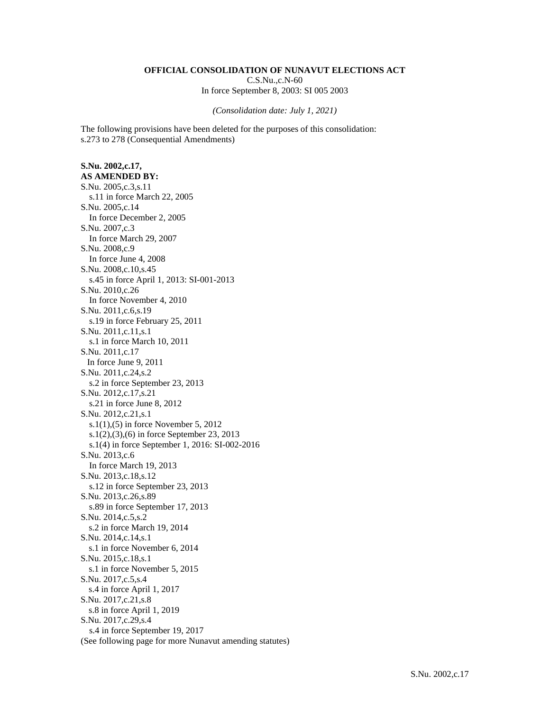#### **OFFICIAL CONSOLIDATION OF NUNAVUT ELECTIONS ACT**

C.S.Nu.,c.N-60 In force September 8, 2003: SI 005 2003

*(Consolidation date: July 1, 2021)*

The following provisions have been deleted for the purposes of this consolidation: s.273 to 278 (Consequential Amendments)

# **S.Nu. 2002,c.17, AS AMENDED BY:** S.Nu. 2005,c.3,s.11 s.11 in force March 22, 2005 S.Nu. 2005,c.14 In force December 2, 2005 S.Nu. 2007,c.3 In force March 29, 2007 S.Nu. 2008,c.9 In force June 4, 2008 S.Nu. 2008,c.10,s.45 s.45 in force April 1, 2013: SI-001-2013 S.Nu. 2010,c.26 In force November 4, 2010 S.Nu. 2011,c.6,s.19 s.19 in force February 25, 2011 S.Nu. 2011,c.11,s.1 s.1 in force March 10, 2011 S.Nu. 2011,c.17 In force June 9, 2011 S.Nu. 2011,c.24,s.2 s.2 in force September 23, 2013 S.Nu. 2012,c.17,s.21 s.21 in force June 8, 2012 S.Nu. 2012,c.21,s.1 s.1(1),(5) in force November 5, 2012 s.1(2),(3),(6) in force September 23, 2013 s.1(4) in force September 1, 2016: SI-002-2016 S.Nu. 2013,c.6 In force March 19, 2013 S.Nu. 2013,c.18,s.12 s.12 in force September 23, 2013 S.Nu. 2013,c.26,s.89 s.89 in force September 17, 2013 S.Nu. 2014,c.5,s.2 s.2 in force March 19, 2014 S.Nu. 2014,c.14,s.1 s.1 in force November 6, 2014 S.Nu. 2015,c.18,s.1 s.1 in force November 5, 2015 S.Nu. 2017,c.5,s.4 s.4 in force April 1, 2017 S.Nu. 2017,c.21,s.8 s.8 in force April 1, 2019 S.Nu. 2017,c.29,s.4 s.4 in force September 19, 2017 (See following page for more Nunavut amending statutes)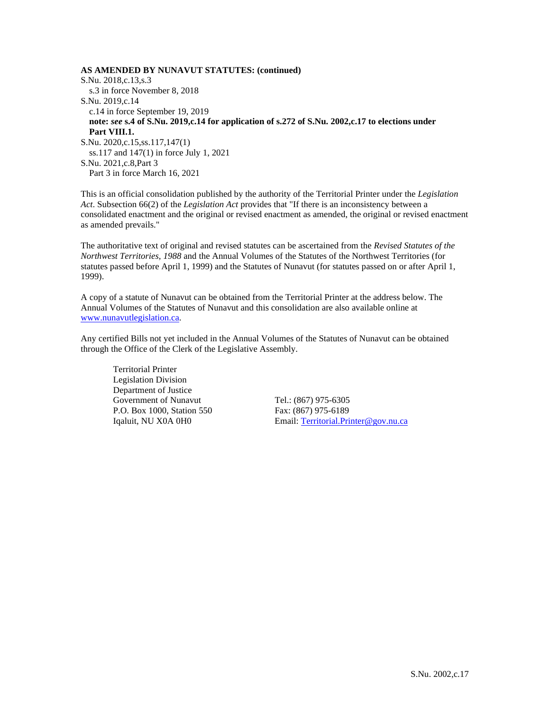# **AS AMENDED BY NUNAVUT STATUTES: (continued)**

S.Nu. 2018,c.13,s.3 s.3 in force November 8, 2018 S.Nu. 2019,c.14 c.14 in force September 19, 2019 **note:** *see* **s.4 of S.Nu. 2019,c.14 for application of s.272 of S.Nu. 2002,c.17 to elections under Part VIII.1.** S.Nu. 2020,c.15,ss.117,147(1) ss.117 and 147(1) in force July 1, 2021 S.Nu. 2021,c.8,Part 3 Part 3 in force March 16, 2021

This is an official consolidation published by the authority of the Territorial Printer under the *Legislation Act*. Subsection 66(2) of the *Legislation Act* provides that "If there is an inconsistency between a consolidated enactment and the original or revised enactment as amended, the original or revised enactment as amended prevails."

The authoritative text of original and revised statutes can be ascertained from the *Revised Statutes of the Northwest Territories, 1988* and the Annual Volumes of the Statutes of the Northwest Territories (for statutes passed before April 1, 1999) and the Statutes of Nunavut (for statutes passed on or after April 1, 1999).

A copy of a statute of Nunavut can be obtained from the Territorial Printer at the address below. The Annual Volumes of the Statutes of Nunavut and this consolidation are also available online at [www.nunavutlegislation.ca.](http://www.nunavutlegislation.ca/)

Any certified Bills not yet included in the Annual Volumes of the Statutes of Nunavut can be obtained through the Office of the Clerk of the Legislative Assembly.

Territorial Printer Legislation Division Department of Justice Government of Nunavut<br>
P.O. Box 1000, Station 550 Fax: (867) 975-6189 P.O. Box 1000, Station 550

Iqaluit, NU X0A 0H0 Email: [Territorial.Printer@gov.nu.ca](mailto:Territorial.Printer@gov.nu.ca)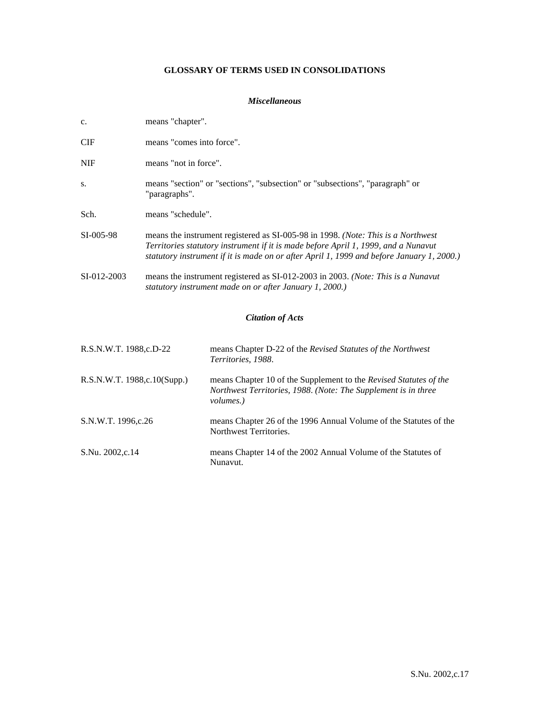# **GLOSSARY OF TERMS USED IN CONSOLIDATIONS**

## *Miscellaneous*

| c.                          | means "chapter".                                                                                                                                                                                                                                                    |                                                                                                                                                          |  |
|-----------------------------|---------------------------------------------------------------------------------------------------------------------------------------------------------------------------------------------------------------------------------------------------------------------|----------------------------------------------------------------------------------------------------------------------------------------------------------|--|
| CIF                         | means "comes into force".                                                                                                                                                                                                                                           |                                                                                                                                                          |  |
| <b>NIF</b>                  | means "not in force".                                                                                                                                                                                                                                               |                                                                                                                                                          |  |
| S.                          | means "section" or "sections", "subsection" or "subsections", "paragraph" or<br>"paragraphs".                                                                                                                                                                       |                                                                                                                                                          |  |
| Sch.                        | means "schedule".                                                                                                                                                                                                                                                   |                                                                                                                                                          |  |
| SI-005-98                   | means the instrument registered as SI-005-98 in 1998. (Note: This is a Northwest<br>Territories statutory instrument if it is made before April 1, 1999, and a Nunavut<br>statutory instrument if it is made on or after April 1, 1999 and before January 1, 2000.) |                                                                                                                                                          |  |
| SI-012-2003                 | means the instrument registered as SI-012-2003 in 2003. (Note: This is a Nunavut<br>statutory instrument made on or after January 1, 2000.)                                                                                                                         |                                                                                                                                                          |  |
|                             |                                                                                                                                                                                                                                                                     | <b>Citation of Acts</b>                                                                                                                                  |  |
| R.S.N.W.T. 1988,c.D-22      |                                                                                                                                                                                                                                                                     | means Chapter D-22 of the Revised Statutes of the Northwest<br>Territories, 1988.                                                                        |  |
| R.S.N.W.T. 1988,c.10(Supp.) |                                                                                                                                                                                                                                                                     | means Chapter 10 of the Supplement to the Revised Statutes of the<br>Northwest Territories, 1988. (Note: The Supplement is in three<br><i>volumes.</i> ) |  |
| S.N.W.T. 1996,c.26          |                                                                                                                                                                                                                                                                     | means Chapter 26 of the 1996 Annual Volume of the Statutes of the<br>Northwest Territories.                                                              |  |
| S.Nu. 2002,c.14             |                                                                                                                                                                                                                                                                     | means Chapter 14 of the 2002 Annual Volume of the Statutes of<br>Nunavut.                                                                                |  |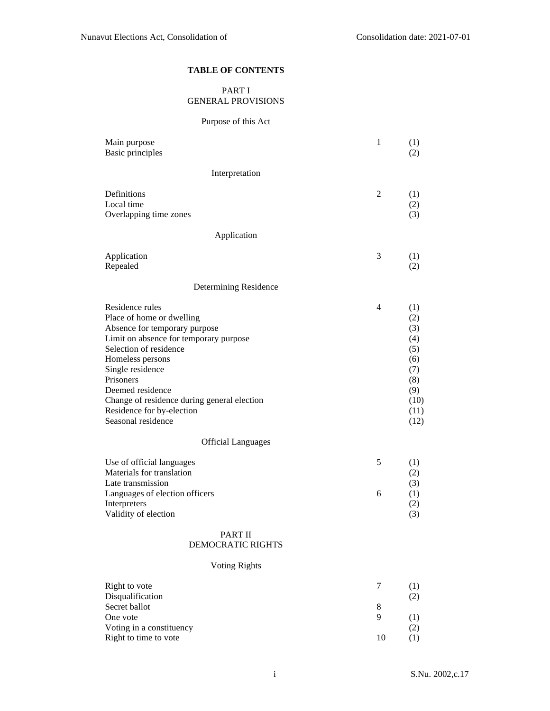# **TABLE OF CONTENTS**

# PART I GENERAL PROVISIONS

# Purpose of this Act

| Main purpose<br>Basic principles                                                                                                                                                                                                                                                                                             | $\mathbf{1}$   | (1)<br>(2)                                                                          |
|------------------------------------------------------------------------------------------------------------------------------------------------------------------------------------------------------------------------------------------------------------------------------------------------------------------------------|----------------|-------------------------------------------------------------------------------------|
| Interpretation                                                                                                                                                                                                                                                                                                               |                |                                                                                     |
| Definitions<br>Local time<br>Overlapping time zones                                                                                                                                                                                                                                                                          | $\overline{2}$ | (1)<br>(2)<br>(3)                                                                   |
| Application                                                                                                                                                                                                                                                                                                                  |                |                                                                                     |
| Application<br>Repealed                                                                                                                                                                                                                                                                                                      | 3              | (1)<br>(2)                                                                          |
| Determining Residence                                                                                                                                                                                                                                                                                                        |                |                                                                                     |
| Residence rules<br>Place of home or dwelling<br>Absence for temporary purpose<br>Limit on absence for temporary purpose<br>Selection of residence<br>Homeless persons<br>Single residence<br>Prisoners<br>Deemed residence<br>Change of residence during general election<br>Residence for by-election<br>Seasonal residence | 4              | (1)<br>(2)<br>(3)<br>(4)<br>(5)<br>(6)<br>(7)<br>(8)<br>(9)<br>(10)<br>(11)<br>(12) |
| <b>Official Languages</b>                                                                                                                                                                                                                                                                                                    |                |                                                                                     |
| Use of official languages<br>Materials for translation<br>Late transmission<br>Languages of election officers<br>Interpreters<br>Validity of election                                                                                                                                                                        | 5<br>6         | (1)<br>(2)<br>(3)<br>(1)<br>(2)<br>(3)                                              |
| <b>PART II</b>                                                                                                                                                                                                                                                                                                               |                |                                                                                     |
| <b>DEMOCRATIC RIGHTS</b>                                                                                                                                                                                                                                                                                                     |                |                                                                                     |
| <b>Voting Rights</b>                                                                                                                                                                                                                                                                                                         |                |                                                                                     |
| Right to vote<br>Disqualification<br>Secret ballot<br>One vote<br>Voting in a constituency                                                                                                                                                                                                                                   | 7<br>8<br>9    | (1)<br>(2)<br>(1)<br>(2)                                                            |
| Right to time to vote                                                                                                                                                                                                                                                                                                        | 10             | (1)                                                                                 |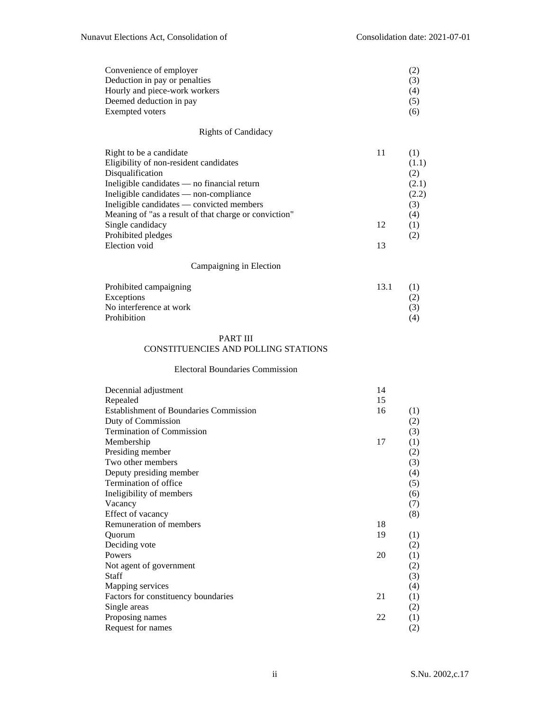| Convenience of employer                               |      | (2)   |
|-------------------------------------------------------|------|-------|
| Deduction in pay or penalties                         |      | (3)   |
| Hourly and piece-work workers                         |      | (4)   |
| Deemed deduction in pay                               |      | (5)   |
| <b>Exempted</b> voters                                |      | (6)   |
| <b>Rights of Candidacy</b>                            |      |       |
| Right to be a candidate                               | 11   | (1)   |
| Eligibility of non-resident candidates                |      | (1.1) |
| Disqualification                                      |      | (2)   |
| Ineligible candidates — no financial return           |      | (2.1) |
| Ineligible candidates — non-compliance                |      | (2.2) |
| Ineligible candidates — convicted members             |      | (3)   |
| Meaning of "as a result of that charge or conviction" |      | (4)   |
| Single candidacy                                      | 12   | (1)   |
| Prohibited pledges                                    |      | (2)   |
| Election void                                         | 13   |       |
| Campaigning in Election                               |      |       |
| Prohibited campaigning                                | 13.1 | (1)   |
| Exceptions                                            |      | (2)   |

## PART III

No interference at work (3) Prohibition (4)

# CONSTITUENCIES AND POLLING STATIONS

# Electoral Boundaries Commission

| Decennial adjustment                          | 14 |     |
|-----------------------------------------------|----|-----|
| Repealed                                      | 15 |     |
| <b>Establishment of Boundaries Commission</b> | 16 | (1) |
| Duty of Commission                            |    | (2) |
| <b>Termination of Commission</b>              |    | (3) |
| Membership                                    | 17 | (1) |
| Presiding member                              |    | (2) |
| Two other members                             |    | (3) |
| Deputy presiding member                       |    | (4) |
| Termination of office                         |    | (5) |
| Ineligibility of members                      |    | (6) |
| Vacancy                                       |    | (7) |
| Effect of vacancy                             |    | (8) |
| Remuneration of members                       | 18 |     |
| Quorum                                        | 19 | (1) |
| Deciding vote                                 |    | (2) |
| Powers                                        | 20 | (1) |
| Not agent of government                       |    | (2) |
| <b>Staff</b>                                  |    | (3) |
| Mapping services                              |    | (4) |
| Factors for constituency boundaries           | 21 | (1) |
| Single areas                                  |    | (2) |
| Proposing names                               | 22 | (1) |
| Request for names                             |    | (2) |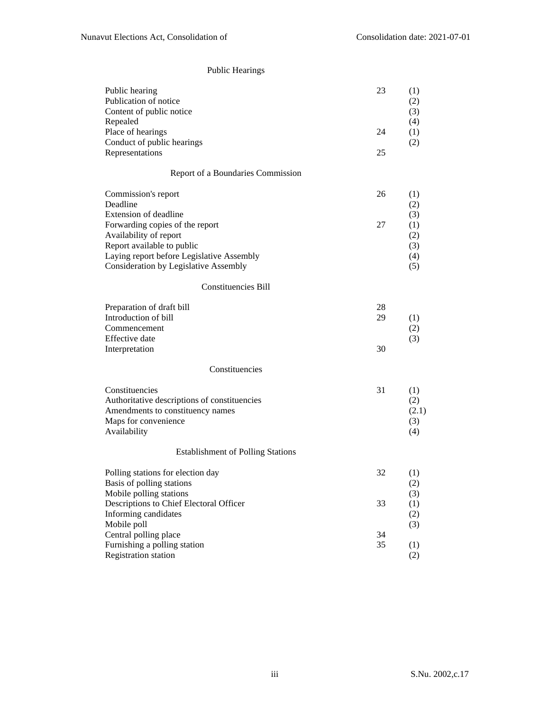# Public Hearings

| Public hearing                               | 23 | (1)   |
|----------------------------------------------|----|-------|
| Publication of notice                        |    | (2)   |
| Content of public notice                     |    | (3)   |
| Repealed                                     |    | (4)   |
| Place of hearings                            | 24 | (1)   |
| Conduct of public hearings                   |    | (2)   |
| Representations                              | 25 |       |
| Report of a Boundaries Commission            |    |       |
| Commission's report                          | 26 | (1)   |
| Deadline                                     |    | (2)   |
| Extension of deadline                        |    | (3)   |
| Forwarding copies of the report              | 27 | (1)   |
| Availability of report                       |    | (2)   |
| Report available to public                   |    | (3)   |
| Laying report before Legislative Assembly    |    | (4)   |
| Consideration by Legislative Assembly        |    | (5)   |
| <b>Constituencies Bill</b>                   |    |       |
| Preparation of draft bill                    | 28 |       |
| Introduction of bill                         | 29 | (1)   |
| Commencement                                 |    | (2)   |
| Effective date                               |    | (3)   |
| Interpretation                               | 30 |       |
| Constituencies                               |    |       |
| Constituencies                               | 31 | (1)   |
| Authoritative descriptions of constituencies |    | (2)   |
| Amendments to constituency names             |    | (2.1) |
| Maps for convenience                         |    | (3)   |
| Availability                                 |    | (4)   |
| <b>Establishment of Polling Stations</b>     |    |       |
| Polling stations for election day            | 32 | (1)   |
| Basis of polling stations                    |    | (2)   |
| Mobile polling stations                      |    | (3)   |
| Descriptions to Chief Electoral Officer      | 33 | (1)   |
| Informing candidates                         |    | (2)   |
| Mobile poll                                  |    | (3)   |
| Central polling place                        | 34 |       |
| Furnishing a polling station                 | 35 | (1)   |
| Registration station                         |    | (2)   |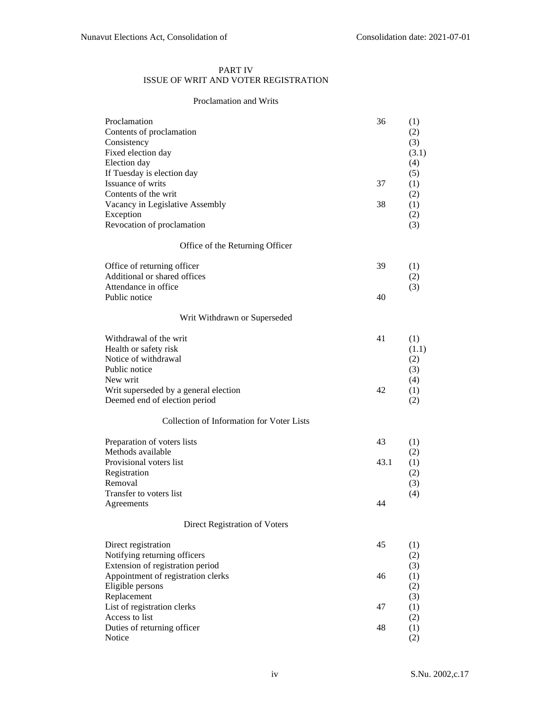# PART IV ISSUE OF WRIT AND VOTER REGISTRATION

## Proclamation and Writs

| Proclamation<br>Contents of proclamation<br>Consistency<br>Fixed election day<br>Election day<br>If Tuesday is election day<br>Issuance of writs<br>Contents of the writ<br>Vacancy in Legislative Assembly<br>Exception<br>Revocation of proclamation | 36<br>37<br>38 | (1)<br>(2)<br>(3)<br>(3.1)<br>(4)<br>(5)<br>(1)<br>(2)<br>(1)<br>(2)<br>(3) |
|--------------------------------------------------------------------------------------------------------------------------------------------------------------------------------------------------------------------------------------------------------|----------------|-----------------------------------------------------------------------------|
| Office of the Returning Officer                                                                                                                                                                                                                        |                |                                                                             |
| Office of returning officer<br>Additional or shared offices<br>Attendance in office                                                                                                                                                                    | 39             | (1)<br>(2)<br>(3)                                                           |
| Public notice                                                                                                                                                                                                                                          | 40             |                                                                             |
| Writ Withdrawn or Superseded                                                                                                                                                                                                                           |                |                                                                             |
| Withdrawal of the writ<br>Health or safety risk<br>Notice of withdrawal<br>Public notice<br>New writ                                                                                                                                                   | 41             | (1)<br>(1.1)<br>(2)<br>(3)<br>(4)                                           |
| Writ superseded by a general election<br>Deemed end of election period                                                                                                                                                                                 | 42             | (1)<br>(2)                                                                  |
| Collection of Information for Voter Lists                                                                                                                                                                                                              |                |                                                                             |
| Preparation of voters lists<br>Methods available                                                                                                                                                                                                       | 43             | (1)<br>(2)                                                                  |
| Provisional voters list<br>Registration<br>Removal<br>Transfer to voters list                                                                                                                                                                          | 43.1           | (1)<br>(2)<br>(3)<br>(4)                                                    |
| Agreements                                                                                                                                                                                                                                             | 44             |                                                                             |
| Direct Registration of Voters                                                                                                                                                                                                                          |                |                                                                             |
| Direct registration<br>Notifying returning officers<br>Extension of registration period                                                                                                                                                                | 45             | (1)<br>(2)<br>(3)                                                           |
| Appointment of registration clerks<br>Eligible persons<br>Replacement                                                                                                                                                                                  | 46             | (1)<br>(2)<br>(3)                                                           |
| List of registration clerks<br>Access to list                                                                                                                                                                                                          | 47             | (1)                                                                         |
| Duties of returning officer<br>Notice                                                                                                                                                                                                                  | 48             | (2)<br>(1)<br>(2)                                                           |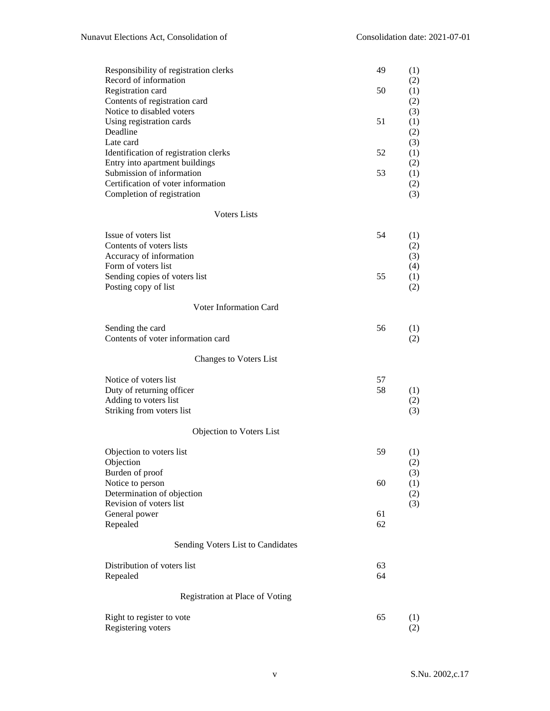| Responsibility of registration clerks | 49 | (1) |
|---------------------------------------|----|-----|
| Record of information                 |    | (2) |
| Registration card                     | 50 | (1) |
| Contents of registration card         |    | (2) |
| Notice to disabled voters             |    | (3) |
| Using registration cards              | 51 | (1) |
| Deadline                              |    | (2) |
| Late card                             |    | (3) |
| Identification of registration clerks | 52 | (1) |
| Entry into apartment buildings        |    | (2) |
| Submission of information             | 53 | (1) |
| Certification of voter information    |    | (2) |
|                                       |    |     |
| Completion of registration            |    | (3) |
| <b>Voters Lists</b>                   |    |     |
|                                       |    |     |
| Issue of voters list                  | 54 | (1) |
| Contents of voters lists              |    | (2) |
| Accuracy of information               |    | (3) |
| Form of voters list                   |    | (4) |
| Sending copies of voters list         | 55 | (1) |
| Posting copy of list                  |    | (2) |
|                                       |    |     |
| Voter Information Card                |    |     |
|                                       |    |     |
| Sending the card                      | 56 | (1) |
| Contents of voter information card    |    | (2) |
| <b>Changes to Voters List</b>         |    |     |
|                                       |    |     |
| Notice of voters list                 | 57 |     |
| Duty of returning officer             | 58 | (1) |
| Adding to voters list                 |    | (2) |
| Striking from voters list             |    | (3) |
|                                       |    |     |
| Objection to Voters List              |    |     |
| Objection to voters list              | 59 | (1) |
|                                       |    |     |
| Objection                             |    | (2) |
| Burden of proof                       |    | (3) |
| Notice to person                      | 60 | (1) |
| Determination of objection            |    | (2) |
| Revision of voters list               |    | (3) |
| General power                         | 61 |     |
| Repealed                              | 62 |     |
| Sending Voters List to Candidates     |    |     |
|                                       |    |     |
| Distribution of voters list           | 63 |     |
| Repealed                              | 64 |     |
|                                       |    |     |
| Registration at Place of Voting       |    |     |
|                                       |    |     |
| Right to register to vote             | 65 | (1) |
| Registering voters                    |    | (2) |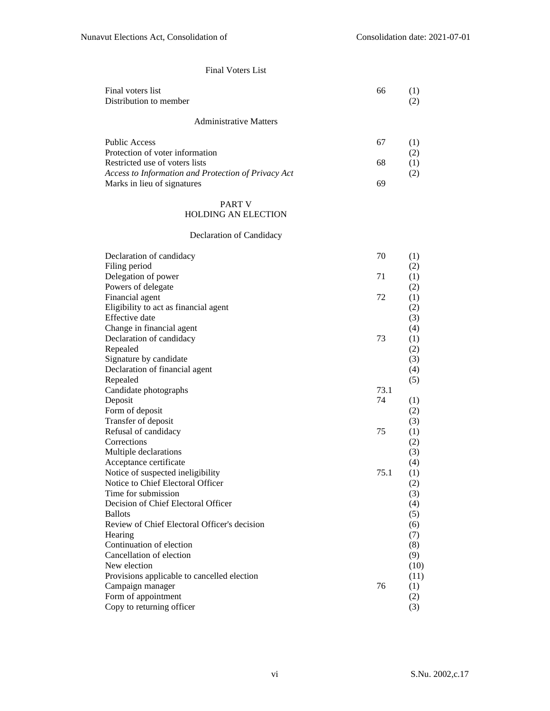# Final Voters List

| Final voters list                                   | 66 | $\left(1\right)$ |
|-----------------------------------------------------|----|------------------|
| Distribution to member                              |    | (2)              |
| <b>Administrative Matters</b>                       |    |                  |
| <b>Public Access</b>                                | 67 | (1)              |
| Protection of voter information                     |    | (2)              |
| Restricted use of voters lists                      | 68 | (1)              |
| Access to Information and Protection of Privacy Act |    | (2)              |
| Marks in lieu of signatures                         | 69 |                  |

# PART V

# HOLDING AN ELECTION

# Declaration of Candidacy

|                                              | 70   |            |
|----------------------------------------------|------|------------|
| Declaration of candidacy                     |      | (1)        |
| Filing period<br>Delegation of power         | 71   | (2)<br>(1) |
| Powers of delegate                           |      | (2)        |
| Financial agent                              | 72   | (1)        |
| Eligibility to act as financial agent        |      | (2)        |
| Effective date                               |      | (3)        |
| Change in financial agent                    |      | (4)        |
| Declaration of candidacy                     | 73   | (1)        |
|                                              |      |            |
| Repealed                                     |      | (2)<br>(3) |
| Signature by candidate                       |      |            |
| Declaration of financial agent               |      | (4)        |
| Repealed                                     | 73.1 | (5)        |
| Candidate photographs                        | 74   |            |
| Deposit                                      |      | (1)        |
| Form of deposit                              |      | (2)        |
| Transfer of deposit                          |      | (3)        |
| Refusal of candidacy                         | 75   | (1)        |
| Corrections                                  |      | (2)        |
| Multiple declarations                        |      | (3)        |
| Acceptance certificate                       |      | (4)        |
| Notice of suspected ineligibility            | 75.1 | (1)        |
| Notice to Chief Electoral Officer            |      | (2)        |
| Time for submission                          |      | (3)        |
| Decision of Chief Electoral Officer          |      | (4)        |
| <b>Ballots</b>                               |      | (5)        |
| Review of Chief Electoral Officer's decision |      | (6)        |
| Hearing                                      |      | (7)        |
| Continuation of election                     |      | (8)        |
| Cancellation of election                     |      | (9)        |
| New election                                 |      | (10)       |
| Provisions applicable to cancelled election  |      | (11)       |
| Campaign manager                             | 76   | (1)        |
| Form of appointment                          |      | (2)        |
| Copy to returning officer                    |      | (3)        |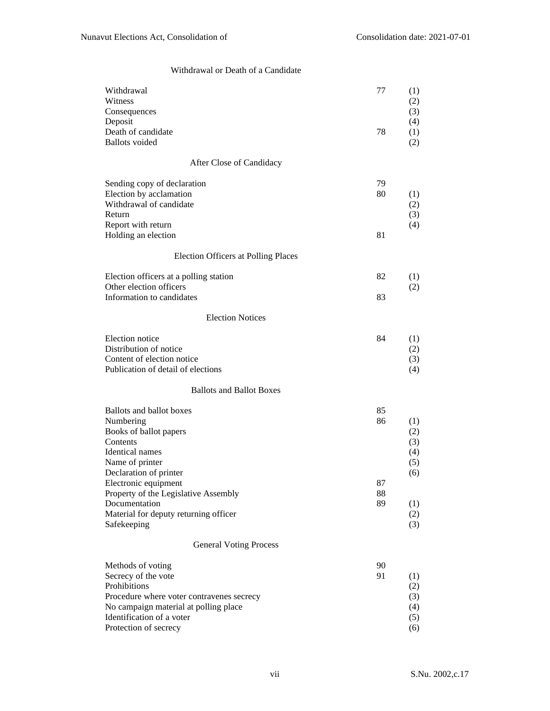| Withdrawal or Death of a Candidate |  |  |  |  |
|------------------------------------|--|--|--|--|
|------------------------------------|--|--|--|--|

| Withdrawal                                  | 77 | (1) |
|---------------------------------------------|----|-----|
| Witness                                     |    | (2) |
| Consequences                                |    | (3) |
| Deposit                                     | 78 | (4) |
| Death of candidate<br><b>Ballots</b> voided |    | (1) |
|                                             |    | (2) |
| After Close of Candidacy                    |    |     |
| Sending copy of declaration                 | 79 |     |
| Election by acclamation                     | 80 | (1) |
| Withdrawal of candidate                     |    | (2) |
| Return                                      |    | (3) |
| Report with return                          |    | (4) |
| Holding an election                         | 81 |     |
| <b>Election Officers at Polling Places</b>  |    |     |
| Election officers at a polling station      | 82 | (1) |
| Other election officers                     |    | (2) |
| Information to candidates                   | 83 |     |
| <b>Election Notices</b>                     |    |     |
| Election notice                             | 84 | (1) |
| Distribution of notice                      |    | (2) |
| Content of election notice                  |    | (3) |
| Publication of detail of elections          |    | (4) |
| <b>Ballots and Ballot Boxes</b>             |    |     |
| <b>Ballots</b> and ballot boxes             | 85 |     |
| Numbering                                   | 86 | (1) |
| Books of ballot papers                      |    | (2) |
| Contents                                    |    | (3) |
| Identical names                             |    | (4) |
| Name of printer                             |    | (5) |
| Declaration of printer                      |    | (6) |
| Electronic equipment                        | 87 |     |
| Property of the Legislative Assembly        | 88 |     |
| Documentation                               | 89 | (1) |
| Material for deputy returning officer       |    | (2) |
| Safekeeping                                 |    | (3) |
| <b>General Voting Process</b>               |    |     |
| Methods of voting                           | 90 |     |
| Secrecy of the vote                         | 91 | (1) |
| Prohibitions                                |    | (2) |
| Procedure where voter contravenes secrecy   |    | (3) |
| No campaign material at polling place       |    | (4) |
| Identification of a voter                   |    | (5) |
| Protection of secrecy                       |    | (6) |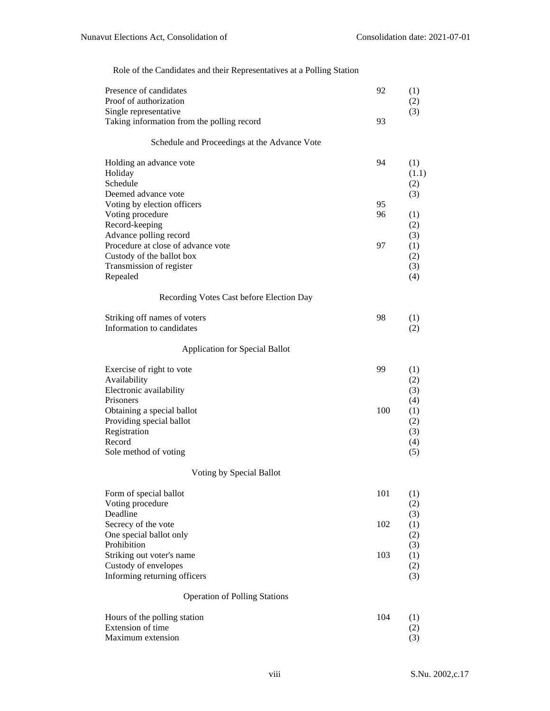| Presence of candidates                                              | 92  | (1)        |
|---------------------------------------------------------------------|-----|------------|
| Proof of authorization                                              |     | (2)        |
| Single representative<br>Taking information from the polling record | 93  | (3)        |
|                                                                     |     |            |
| Schedule and Proceedings at the Advance Vote                        |     |            |
| Holding an advance vote                                             | 94  | (1)        |
| Holiday                                                             |     | (1.1)      |
| Schedule                                                            |     | (2)        |
| Deemed advance vote                                                 |     | (3)        |
| Voting by election officers                                         | 95  |            |
| Voting procedure                                                    | 96  | (1)<br>(2) |
| Record-keeping<br>Advance polling record                            |     | (3)        |
| Procedure at close of advance vote                                  | 97  | (1)        |
| Custody of the ballot box                                           |     | (2)        |
| Transmission of register                                            |     | (3)        |
| Repealed                                                            |     | (4)        |
| Recording Votes Cast before Election Day                            |     |            |
| Striking off names of voters                                        | 98  | (1)        |
| Information to candidates                                           |     | (2)        |
| <b>Application for Special Ballot</b>                               |     |            |
|                                                                     |     |            |
| Exercise of right to vote                                           | 99  | (1)        |
| Availability                                                        |     | (2)        |
| Electronic availability<br>Prisoners                                |     | (3)<br>(4) |
| Obtaining a special ballot                                          | 100 | (1)        |
| Providing special ballot                                            |     | (2)        |
| Registration                                                        |     | (3)        |
| Record                                                              |     | (4)        |
| Sole method of voting                                               |     | (5)        |
| Voting by Special Ballot                                            |     |            |
| Form of special ballot                                              | 101 | (1)        |
| Voting procedure                                                    |     | (2)        |
| Deadline                                                            |     | (3)        |
| Secrecy of the vote                                                 | 102 | (1)        |
| One special ballot only                                             |     | (2)        |
| Prohibition                                                         |     | (3)        |
| Striking out voter's name                                           | 103 | (1)        |
| Custody of envelopes                                                |     | (2)        |
| Informing returning officers                                        |     | (3)        |
| <b>Operation of Polling Stations</b>                                |     |            |
| Hours of the polling station                                        | 104 | (1)        |
| Extension of time                                                   |     | (2)        |
| Maximum extension                                                   |     | (3)        |

Role of the Candidates and their Representatives at a Polling Station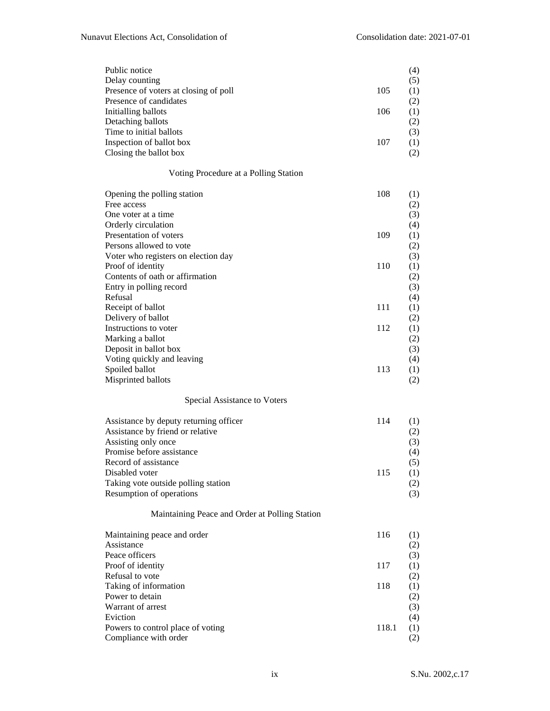| Public notice<br>Delay counting<br>Presence of voters at closing of poll | 105   | (4)<br>(5)<br>(1) |
|--------------------------------------------------------------------------|-------|-------------------|
| Presence of candidates<br>Initialling ballots                            | 106   | (2)<br>(1)        |
| Detaching ballots                                                        |       | (2)               |
| Time to initial ballots                                                  |       | (3)               |
| Inspection of ballot box                                                 | 107   | (1)               |
| Closing the ballot box                                                   |       | (2)               |
| Voting Procedure at a Polling Station                                    |       |                   |
| Opening the polling station                                              | 108   | (1)               |
| Free access                                                              |       | (2)               |
| One voter at a time                                                      |       | (3)               |
| Orderly circulation<br>Presentation of voters                            | 109   | (4)<br>(1)        |
| Persons allowed to vote                                                  |       | (2)               |
| Voter who registers on election day                                      |       | (3)               |
| Proof of identity                                                        | 110   | (1)               |
| Contents of oath or affirmation                                          |       | (2)               |
| Entry in polling record                                                  |       | (3)               |
| Refusal                                                                  |       | (4)               |
| Receipt of ballot                                                        | 111   | (1)               |
| Delivery of ballot                                                       |       | (2)               |
| Instructions to voter<br>Marking a ballot                                | 112   | (1)               |
| Deposit in ballot box                                                    |       | (2)<br>(3)        |
| Voting quickly and leaving                                               |       | (4)               |
| Spoiled ballot                                                           | 113   | (1)               |
| Misprinted ballots                                                       |       | (2)               |
| Special Assistance to Voters                                             |       |                   |
| Assistance by deputy returning officer                                   | 114   | (1)               |
| Assistance by friend or relative<br>Assisting only once                  |       | (2)<br>(3)        |
| Promise before assistance                                                |       | (4)               |
| Record of assistance                                                     |       | (5)               |
| Disabled voter                                                           | 115   | (1)               |
| Taking vote outside polling station                                      |       | (2)               |
| Resumption of operations                                                 |       | (3)               |
| Maintaining Peace and Order at Polling Station                           |       |                   |
| Maintaining peace and order                                              | 116   | (1)               |
| Assistance                                                               |       | (2)               |
| Peace officers                                                           |       | (3)               |
| Proof of identity                                                        | 117   | (1)               |
| Refusal to vote                                                          |       | (2)               |
| Taking of information                                                    | 118   | (1)               |
| Power to detain<br>Warrant of arrest                                     |       | (2)<br>(3)        |
| Eviction                                                                 |       | (4)               |
| Powers to control place of voting                                        | 118.1 | (1)               |
| Compliance with order                                                    |       | (2)               |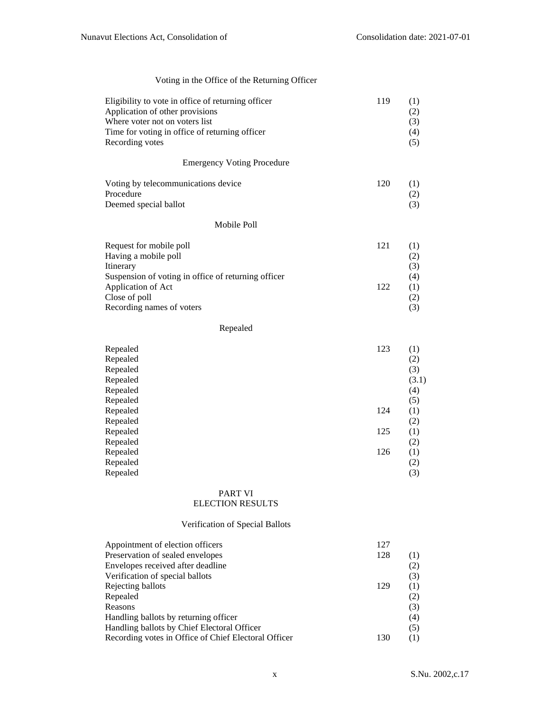Voting in the Office of the Returning Officer

| Eligibility to vote in office of returning officer<br>Application of other provisions<br>Where voter not on voters list<br>Time for voting in office of returning officer<br>Recording votes | 119 | (1)<br>(2)<br>(3)<br>(4)<br>(5)   |
|----------------------------------------------------------------------------------------------------------------------------------------------------------------------------------------------|-----|-----------------------------------|
| <b>Emergency Voting Procedure</b>                                                                                                                                                            |     |                                   |
| Voting by telecommunications device<br>Procedure<br>Deemed special ballot                                                                                                                    | 120 | (1)<br>(2)<br>(3)                 |
| Mobile Poll                                                                                                                                                                                  |     |                                   |
| Request for mobile poll<br>Having a mobile poll<br>Itinerary<br>Suspension of voting in office of returning officer                                                                          | 121 | (1)<br>(2)<br>(3)<br>(4)          |
| Application of Act<br>Close of poll<br>Recording names of voters                                                                                                                             | 122 | (1)<br>(2)<br>(3)                 |
| Repealed                                                                                                                                                                                     |     |                                   |
| Repealed<br>Repealed<br>Repealed<br>Repealed<br>Repealed                                                                                                                                     | 123 | (1)<br>(2)<br>(3)<br>(3.1)<br>(4) |
| Repealed<br>Repealed                                                                                                                                                                         | 124 | (5)<br>(1)                        |
| Repealed                                                                                                                                                                                     |     | (2)                               |
| Repealed<br>Repealed                                                                                                                                                                         | 125 | (1)<br>(2)                        |
| Repealed                                                                                                                                                                                     | 126 | (1)                               |

## PART VI ELECTION RESULTS

# Verification of Special Ballots

| Appointment of election officers                     | 127 |     |
|------------------------------------------------------|-----|-----|
| Preservation of sealed envelopes                     | 128 |     |
| Envelopes received after deadline                    |     | (2) |
| Verification of special ballots                      |     | (3) |
| Rejecting ballots                                    | 129 | (1) |
| Repealed                                             |     | (2) |
| Reasons                                              |     | (3) |
| Handling ballots by returning officer                |     | (4) |
| Handling ballots by Chief Electoral Officer          |     | (5) |
| Recording votes in Office of Chief Electoral Officer | 130 |     |

Repealed (2) Repealed (3)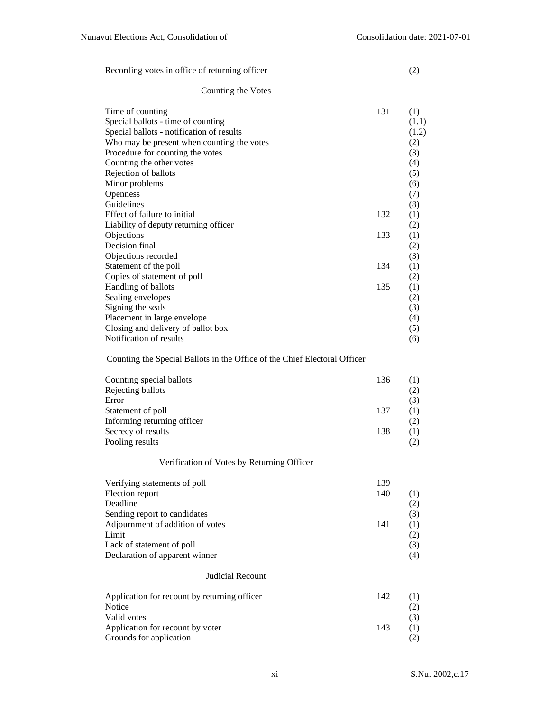Recording votes in office of returning officer (2)

# Counting the Votes

| Time of counting                                                          | 131 | (1)   |
|---------------------------------------------------------------------------|-----|-------|
| Special ballots - time of counting                                        |     | (1.1) |
| Special ballots - notification of results                                 |     | (1.2) |
| Who may be present when counting the votes                                |     | (2)   |
| Procedure for counting the votes                                          |     | (3)   |
| Counting the other votes                                                  |     | (4)   |
| Rejection of ballots                                                      |     | (5)   |
| Minor problems                                                            |     | (6)   |
| Openness                                                                  |     | (7)   |
| Guidelines                                                                |     | (8)   |
| Effect of failure to initial                                              | 132 | (1)   |
| Liability of deputy returning officer                                     |     | (2)   |
| Objections                                                                | 133 | (1)   |
| Decision final                                                            |     | (2)   |
| Objections recorded                                                       |     | (3)   |
| Statement of the poll                                                     | 134 | (1)   |
| Copies of statement of poll                                               |     | (2)   |
| Handling of ballots                                                       | 135 | (1)   |
| Sealing envelopes                                                         |     | (2)   |
| Signing the seals                                                         |     | (3)   |
| Placement in large envelope                                               |     | (4)   |
| Closing and delivery of ballot box                                        |     | (5)   |
| Notification of results                                                   |     | (6)   |
| Counting the Special Ballots in the Office of the Chief Electoral Officer |     |       |
| Counting special ballots                                                  | 136 | (1)   |
| Rejecting ballots                                                         |     | (2)   |
| Error                                                                     |     | (3)   |
| Statement of poll                                                         | 137 | (1)   |
| Informing returning officer                                               |     | (2)   |
| Secrecy of results                                                        | 138 | (1)   |
| Pooling results                                                           |     | (2)   |
| Verification of Votes by Returning Officer                                |     |       |
|                                                                           |     |       |
| Verifying statements of poll                                              | 139 |       |
| Election report                                                           | 140 | (1)   |
| Deadline                                                                  |     | (2)   |
| Sending report to candidates                                              |     | (3)   |
| Adjournment of addition of votes                                          | 141 | (1)   |
| Limit                                                                     |     | (2)   |
| Lack of statement of poll                                                 |     | (3)   |
| Declaration of apparent winner                                            |     | (4)   |
| Judicial Recount                                                          |     |       |
|                                                                           |     |       |
| Application for recount by returning officer                              | 142 | (1)   |
| Notice                                                                    |     | (2)   |
| Valid votes                                                               |     | (3)   |
| Application for recount by voter                                          | 143 | (1)   |
| Grounds for application                                                   |     | (2)   |
|                                                                           |     |       |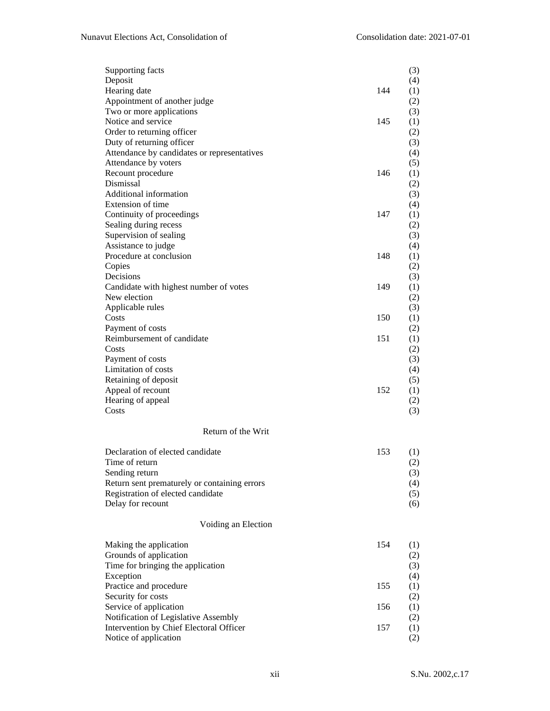| Supporting facts<br>Deposit                  |     | (3)<br>(4) |
|----------------------------------------------|-----|------------|
| Hearing date                                 | 144 | (1)        |
| Appointment of another judge                 |     | (2)        |
| Two or more applications                     |     | (3)        |
| Notice and service                           | 145 | (1)        |
| Order to returning officer                   |     | (2)        |
| Duty of returning officer                    |     | (3)        |
| Attendance by candidates or representatives  |     | (4)        |
| Attendance by voters                         |     | (5)        |
| Recount procedure                            | 146 | (1)        |
| Dismissal                                    |     | (2)        |
| Additional information                       |     | (3)        |
| Extension of time                            |     | (4)        |
| Continuity of proceedings                    | 147 | (1)        |
| Sealing during recess                        |     | (2)        |
| Supervision of sealing                       |     | (3)        |
| Assistance to judge                          |     | (4)        |
| Procedure at conclusion                      | 148 | (1)        |
| Copies                                       |     | (2)        |
| Decisions                                    |     | (3)        |
| Candidate with highest number of votes       | 149 | (1)        |
| New election                                 |     | (2)        |
| Applicable rules                             |     | (3)        |
| Costs                                        | 150 | (1)        |
| Payment of costs                             |     | (2)        |
| Reimbursement of candidate                   | 151 | (1)        |
| Costs                                        |     | (2)        |
| Payment of costs                             |     | (3)        |
| Limitation of costs                          |     | (4)        |
| Retaining of deposit                         |     | (5)        |
| Appeal of recount                            | 152 | (1)        |
| Hearing of appeal                            |     | (2)        |
| Costs                                        |     | (3)        |
| Return of the Writ                           |     |            |
|                                              |     |            |
| Declaration of elected candidate             | 153 | (1)        |
| Time of return                               |     | (2)        |
| Sending return                               |     | (3)        |
| Return sent prematurely or containing errors |     | (4)        |
| Registration of elected candidate            |     | (5)        |
| Delay for recount                            |     | (6)        |
| Voiding an Election                          |     |            |
|                                              |     |            |
| Making the application                       | 154 | (1)        |
| Grounds of application                       |     | (2)        |
| Time for bringing the application            |     | (3)        |
| Exception                                    |     | (4)        |
| Practice and procedure                       | 155 | (1)        |
| Security for costs                           |     | (2)        |
| Service of application                       | 156 | (1)        |
| Notification of Legislative Assembly         |     | (2)        |
| Intervention by Chief Electoral Officer      | 157 | (1)        |
| Notice of application                        |     | (2)        |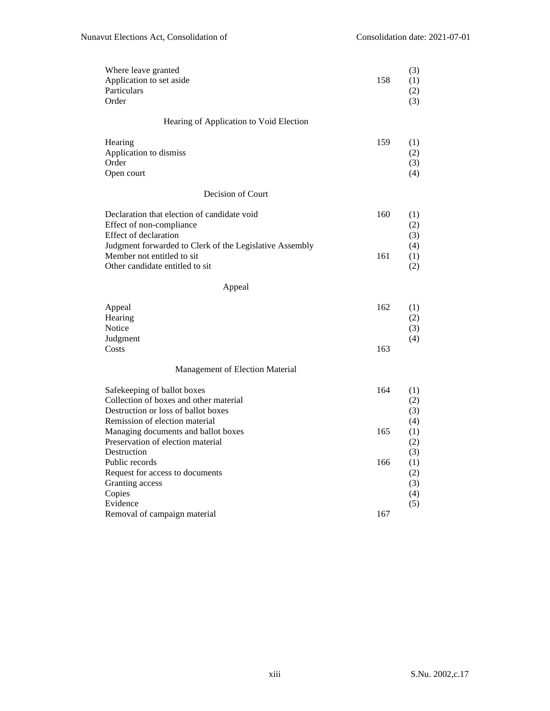| Where leave granted<br>Application to set aside<br>Particulars<br>Order                                                                                     | 158 | (3)<br>(1)<br>(2)<br>(3)        |
|-------------------------------------------------------------------------------------------------------------------------------------------------------------|-----|---------------------------------|
| Hearing of Application to Void Election                                                                                                                     |     |                                 |
| Hearing<br>Application to dismiss<br>Order<br>Open court                                                                                                    | 159 | (1)<br>(2)<br>(3)<br>(4)        |
| Decision of Court                                                                                                                                           |     |                                 |
| Declaration that election of candidate void<br>Effect of non-compliance<br>Effect of declaration<br>Judgment forwarded to Clerk of the Legislative Assembly | 160 | (1)<br>(2)<br>(3)<br>(4)        |
| Member not entitled to sit.<br>Other candidate entitled to sit                                                                                              | 161 | (1)<br>(2)                      |
| Appeal                                                                                                                                                      |     |                                 |
| Appeal<br>Hearing<br>Notice<br>Judgment                                                                                                                     | 162 | (1)<br>(2)<br>(3)<br>(4)        |
| Costs                                                                                                                                                       | 163 |                                 |
| Management of Election Material                                                                                                                             |     |                                 |
| Safekeeping of ballot boxes<br>Collection of boxes and other material<br>Destruction or loss of ballot boxes<br>Remission of election material              | 164 | (1)<br>(2)<br>(3)<br>(4)        |
| Managing documents and ballot boxes<br>Preservation of election material<br>Destruction                                                                     | 165 | (1)<br>(2)<br>(3)               |
| Public records<br>Request for access to documents<br>Granting access<br>Copies<br>Evidence                                                                  | 166 | (1)<br>(2)<br>(3)<br>(4)<br>(5) |
| Removal of campaign material                                                                                                                                | 167 |                                 |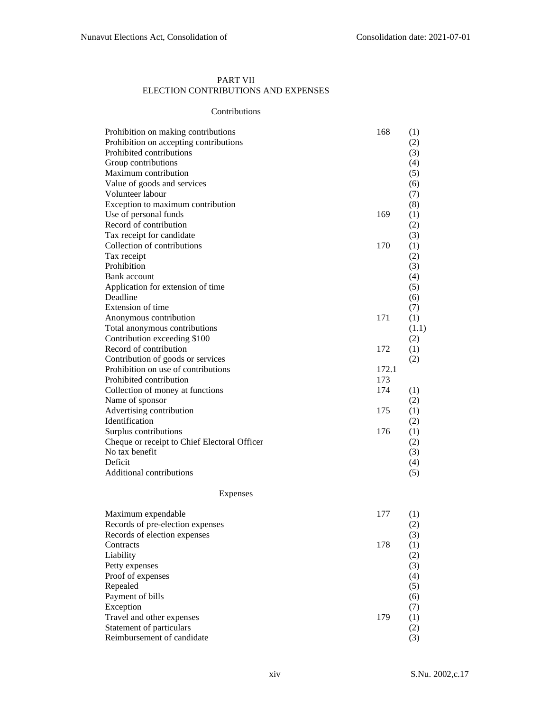# PART VII ELECTION CONTRIBUTIONS AND EXPENSES

# Contributions

| Prohibition on making contributions          | 168   | (1)   |
|----------------------------------------------|-------|-------|
| Prohibition on accepting contributions       |       | (2)   |
| Prohibited contributions                     |       | (3)   |
| Group contributions                          |       | (4)   |
| Maximum contribution                         |       | (5)   |
| Value of goods and services                  |       | (6)   |
| Volunteer labour                             |       | (7)   |
| Exception to maximum contribution            |       | (8)   |
| Use of personal funds                        | 169   | (1)   |
| Record of contribution                       |       | (2)   |
| Tax receipt for candidate                    |       | (3)   |
| Collection of contributions                  | 170   | (1)   |
| Tax receipt                                  |       | (2)   |
| Prohibition                                  |       | (3)   |
| Bank account                                 |       | (4)   |
| Application for extension of time            |       | (5)   |
| Deadline                                     |       | (6)   |
| Extension of time                            |       | (7)   |
| Anonymous contribution                       | 171   | (1)   |
| Total anonymous contributions                |       | (1.1) |
| Contribution exceeding \$100                 |       | (2)   |
| Record of contribution                       | 172   | (1)   |
| Contribution of goods or services            |       | (2)   |
| Prohibition on use of contributions          | 172.1 |       |
| Prohibited contribution                      | 173   |       |
| Collection of money at functions             | 174   | (1)   |
| Name of sponsor                              |       | (2)   |
| Advertising contribution                     | 175   | (1)   |
| Identification                               |       | (2)   |
| Surplus contributions                        | 176   | (1)   |
| Cheque or receipt to Chief Electoral Officer |       | (2)   |
| No tax benefit                               |       | (3)   |
| Deficit                                      |       | (4)   |
| Additional contributions                     |       | (5)   |
|                                              |       |       |
| Expenses                                     |       |       |
| Maximum expendable                           | 177   | (1)   |
| Records of pre-election expenses             |       | (2)   |
| Records of election expenses                 |       | (3)   |
| Contracts                                    | 178   | (1)   |
| Liability                                    |       | (2)   |
| Petty expenses                               |       | (3)   |
| Proof of expenses                            |       | (4)   |
| Repealed                                     |       | (5)   |
| Payment of bills                             |       | (6)   |
| Exception                                    |       | (7)   |
| Travel and other expenses                    | 179   | (1)   |
| Statement of particulars                     |       | (2)   |
| Reimbursement of candidate                   |       | (3)   |
|                                              |       |       |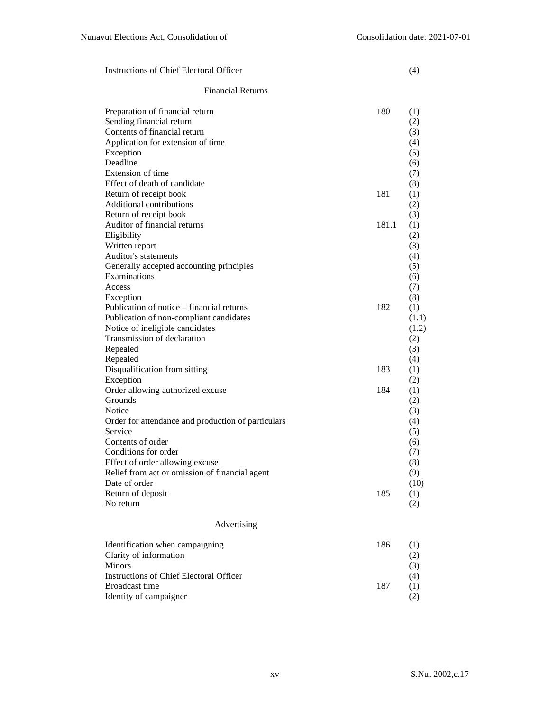| Instructions of Chief Electoral Officer |  |
|-----------------------------------------|--|
|                                         |  |

## Financial Returns

| Preparation of financial return                                            | 180   | (1)        |
|----------------------------------------------------------------------------|-------|------------|
| Sending financial return                                                   |       | (2)        |
| Contents of financial return                                               |       | (3)        |
| Application for extension of time                                          |       | (4)        |
| Exception                                                                  |       | (5)        |
| Deadline                                                                   |       | (6)        |
| Extension of time                                                          |       | (7)        |
| Effect of death of candidate                                               |       | (8)        |
| Return of receipt book                                                     | 181   | (1)        |
| Additional contributions                                                   |       | (2)        |
| Return of receipt book                                                     |       | (3)        |
| Auditor of financial returns                                               | 181.1 | (1)        |
| Eligibility                                                                |       | (2)        |
| Written report                                                             |       | (3)        |
| Auditor's statements                                                       |       | (4)        |
| Generally accepted accounting principles                                   |       | (5)        |
| Examinations                                                               |       | (6)        |
| Access                                                                     |       | (7)        |
| Exception                                                                  | 182   | (8)        |
| Publication of notice – financial returns                                  |       | (1)        |
| Publication of non-compliant candidates<br>Notice of ineligible candidates |       | (1.1)      |
| Transmission of declaration                                                |       | (1.2)      |
| Repealed                                                                   |       | (2)<br>(3) |
| Repealed                                                                   |       | (4)        |
| Disqualification from sitting                                              | 183   | (1)        |
| Exception                                                                  |       | (2)        |
| Order allowing authorized excuse                                           | 184   | (1)        |
| Grounds                                                                    |       | (2)        |
| Notice                                                                     |       | (3)        |
| Order for attendance and production of particulars                         |       | (4)        |
| Service                                                                    |       | (5)        |
| Contents of order                                                          |       | (6)        |
| Conditions for order                                                       |       | (7)        |
| Effect of order allowing excuse                                            |       | (8)        |
| Relief from act or omission of financial agent                             |       | (9)        |
| Date of order                                                              |       | (10)       |
| Return of deposit                                                          | 185   | (1)        |
| No return                                                                  |       | (2)        |
|                                                                            |       |            |
| Advertising                                                                |       |            |
| Identification when campaigning                                            | 186   | (1)        |
| Clarity of information                                                     |       | (2)        |
| <b>Minors</b>                                                              |       | (3)        |
| <b>Instructions of Chief Electoral Officer</b>                             |       | (4)        |
| <b>Broadcast time</b>                                                      | 187   | (1)        |
| Identity of campaigner                                                     |       | (2)        |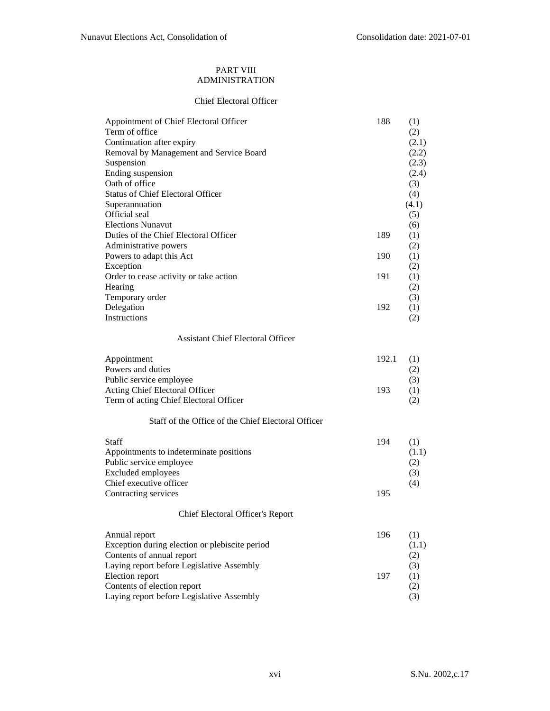# PART VIII ADMINISTRATION

## Chief Electoral Officer

| Appointment of Chief Electoral Officer             | 188   | (1)   |
|----------------------------------------------------|-------|-------|
| Term of office                                     |       | (2)   |
| Continuation after expiry                          |       | (2.1) |
| Removal by Management and Service Board            |       | (2.2) |
| Suspension                                         |       | (2.3) |
| Ending suspension                                  |       | (2.4) |
| Oath of office                                     |       | (3)   |
| <b>Status of Chief Electoral Officer</b>           |       | (4)   |
| Superannuation                                     |       | (4.1) |
| Official seal                                      |       | (5)   |
| <b>Elections Nunavut</b>                           |       | (6)   |
| Duties of the Chief Electoral Officer              | 189   | (1)   |
| Administrative powers                              |       | (2)   |
| Powers to adapt this Act                           | 190   | (1)   |
| Exception                                          |       | (2)   |
| Order to cease activity or take action             | 191   | (1)   |
| Hearing                                            |       | (2)   |
| Temporary order                                    |       | (3)   |
| Delegation                                         | 192   | (1)   |
| Instructions                                       |       | (2)   |
|                                                    |       |       |
| <b>Assistant Chief Electoral Officer</b>           |       |       |
| Appointment                                        | 192.1 | (1)   |
| Powers and duties                                  |       | (2)   |
| Public service employee                            |       | (3)   |
| Acting Chief Electoral Officer                     | 193   | (1)   |
| Term of acting Chief Electoral Officer             |       | (2)   |
|                                                    |       |       |
| Staff of the Office of the Chief Electoral Officer |       |       |
| <b>Staff</b>                                       | 194   | (1)   |
| Appointments to indeterminate positions            |       | (1.1) |
| Public service employee                            |       | (2)   |
| Excluded employees                                 |       | (3)   |
| Chief executive officer                            |       | (4)   |
| Contracting services                               | 195   |       |
|                                                    |       |       |
| Chief Electoral Officer's Report                   |       |       |
| Annual report                                      | 196   | (1)   |
| Exception during election or plebiscite period     |       | (1.1) |
| Contents of annual report                          |       | (2)   |
| Laying report before Legislative Assembly          |       | (3)   |
| Election report                                    | 197   | (1)   |
| Contents of election report                        |       | (2)   |
| Laying report before Legislative Assembly          |       | (3)   |
|                                                    |       |       |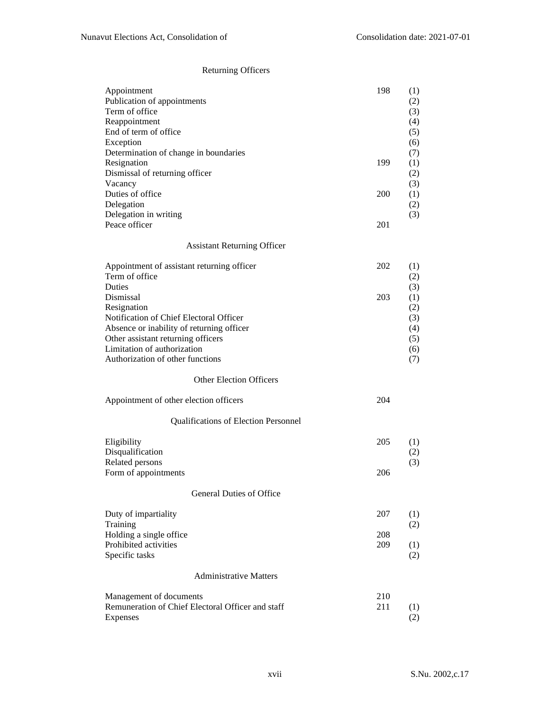# Returning Officers

| Appointment                                                                  | 198        | (1)        |
|------------------------------------------------------------------------------|------------|------------|
| Publication of appointments                                                  |            | (2)        |
| Term of office                                                               |            | (3)        |
| Reappointment                                                                |            | (4)        |
| End of term of office                                                        |            | (5)        |
| Exception                                                                    |            | (6)        |
| Determination of change in boundaries<br>Resignation                         | 199        | (7)<br>(1) |
| Dismissal of returning officer                                               |            | (2)        |
| Vacancy                                                                      |            | (3)        |
| Duties of office                                                             | 200        | (1)        |
| Delegation                                                                   |            | (2)        |
| Delegation in writing                                                        |            | (3)        |
| Peace officer                                                                | 201        |            |
| <b>Assistant Returning Officer</b>                                           |            |            |
|                                                                              | 202        |            |
| Appointment of assistant returning officer<br>Term of office                 |            | (1)<br>(2) |
| Duties                                                                       |            | (3)        |
| Dismissal                                                                    | 203        | (1)        |
| Resignation                                                                  |            | (2)        |
| Notification of Chief Electoral Officer                                      |            | (3)        |
| Absence or inability of returning officer                                    |            | (4)        |
| Other assistant returning officers                                           |            | (5)        |
| Limitation of authorization                                                  |            | (6)        |
| Authorization of other functions                                             |            | (7)        |
| <b>Other Election Officers</b>                                               |            |            |
| Appointment of other election officers                                       | 204        |            |
| Qualifications of Election Personnel                                         |            |            |
| Eligibility                                                                  | 205        | (1)        |
| Disqualification                                                             |            | (2)        |
| Related persons                                                              |            | (3)        |
| Form of appointments                                                         | 206        |            |
| General Duties of Office                                                     |            |            |
| Duty of impartiality                                                         | 207        | (1)        |
| Training                                                                     |            | (2)        |
| Holding a single office                                                      | 208        |            |
| Prohibited activities                                                        | 209        | (1)        |
| Specific tasks                                                               |            | (2)        |
| <b>Administrative Matters</b>                                                |            |            |
|                                                                              |            |            |
| Management of documents<br>Remuneration of Chief Electoral Officer and staff | 210<br>211 | (1)        |
| Expenses                                                                     |            | (2)        |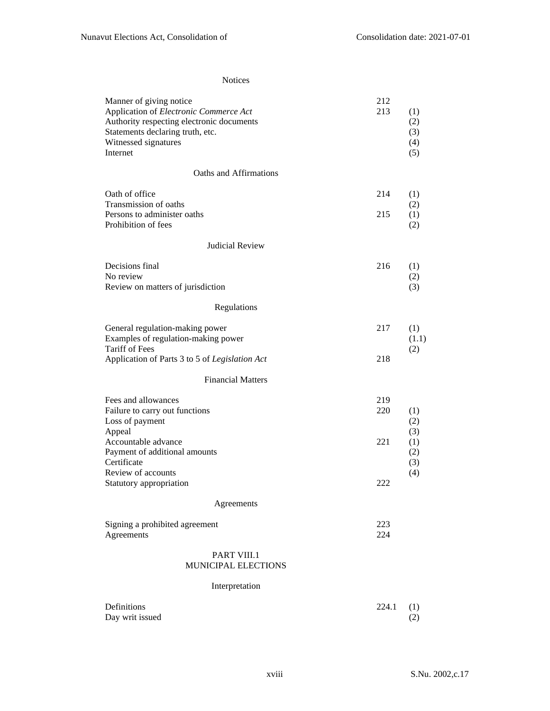**Notices** 

| Manner of giving notice<br>Application of Electronic Commerce Act<br>Authority respecting electronic documents<br>Statements declaring truth, etc.<br>Witnessed signatures<br>Internet | 212<br>213 | (1)<br>(2)<br>(3)<br>(4)<br>(5) |
|----------------------------------------------------------------------------------------------------------------------------------------------------------------------------------------|------------|---------------------------------|
| Oaths and Affirmations                                                                                                                                                                 |            |                                 |
| Oath of office<br>Transmission of oaths<br>Persons to administer oaths                                                                                                                 | 214<br>215 | (1)<br>(2)<br>(1)               |
| Prohibition of fees                                                                                                                                                                    |            | (2)                             |
| Judicial Review                                                                                                                                                                        |            |                                 |
| Decisions final<br>No review<br>Review on matters of jurisdiction                                                                                                                      | 216        | (1)<br>(2)<br>(3)               |
| Regulations                                                                                                                                                                            |            |                                 |
| General regulation-making power<br>Examples of regulation-making power<br><b>Tariff of Fees</b>                                                                                        | 217        | (1)<br>(1.1)                    |
| Application of Parts 3 to 5 of Legislation Act                                                                                                                                         | 218        | (2)                             |
| <b>Financial Matters</b>                                                                                                                                                               |            |                                 |
| Fees and allowances<br>Failure to carry out functions<br>Loss of payment                                                                                                               | 219<br>220 | (1)<br>(2)                      |
| Appeal<br>Accountable advance<br>Payment of additional amounts<br>Certificate<br>Review of accounts                                                                                    | 221        | (3)<br>(1)<br>(2)<br>(3)        |
| Statutory appropriation                                                                                                                                                                | 222        | (4)                             |
| Agreements                                                                                                                                                                             |            |                                 |
| Signing a prohibited agreement<br>Agreements                                                                                                                                           | 223<br>224 |                                 |
| PART VIII.1<br><b>MUNICIPAL ELECTIONS</b>                                                                                                                                              |            |                                 |
| Interpretation                                                                                                                                                                         |            |                                 |
| Definitions<br>Day writ issued                                                                                                                                                         | 224.1      | (1)<br>(2)                      |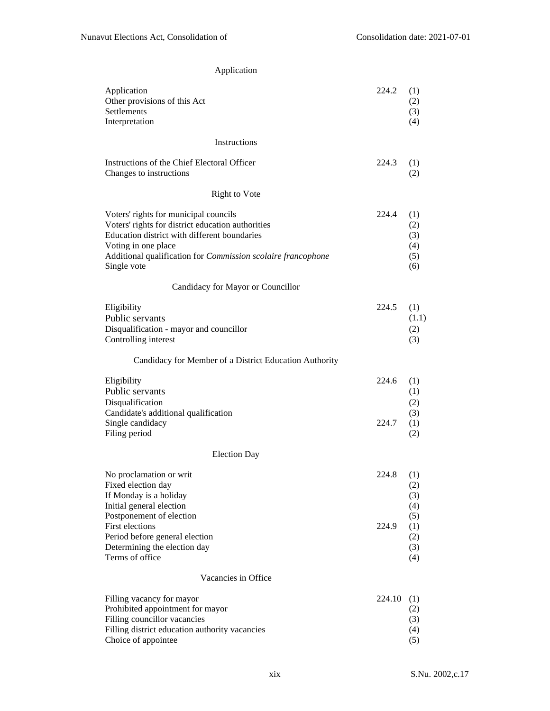| Application                                                                                                                                                                                                                                             |                |                                        |
|---------------------------------------------------------------------------------------------------------------------------------------------------------------------------------------------------------------------------------------------------------|----------------|----------------------------------------|
| Application<br>Other provisions of this Act<br>Settlements<br>Interpretation                                                                                                                                                                            | 224.2          | (1)<br>(2)<br>(3)<br>(4)               |
| <b>Instructions</b>                                                                                                                                                                                                                                     |                |                                        |
| Instructions of the Chief Electoral Officer<br>Changes to instructions                                                                                                                                                                                  | 224.3          | (1)<br>(2)                             |
| Right to Vote                                                                                                                                                                                                                                           |                |                                        |
| Voters' rights for municipal councils<br>Voters' rights for district education authorities<br>Education district with different boundaries<br>Voting in one place<br>Additional qualification for <i>Commission scolaire francophone</i><br>Single vote | 224.4          | (1)<br>(2)<br>(3)<br>(4)<br>(5)<br>(6) |
| Candidacy for Mayor or Councillor                                                                                                                                                                                                                       |                |                                        |
| Eligibility<br>Public servants<br>Disqualification - mayor and councillor<br>Controlling interest                                                                                                                                                       | 224.5          | (1)<br>(1.1)<br>(2)<br>(3)             |
| Candidacy for Member of a District Education Authority                                                                                                                                                                                                  |                |                                        |
| Eligibility<br>Public servants<br>Disqualification<br>Candidate's additional qualification<br>Single candidacy                                                                                                                                          | 224.6<br>224.7 | (1)<br>(1)<br>(2)<br>(3)<br>(1)        |
| Filing period                                                                                                                                                                                                                                           |                | (2)                                    |
| <b>Election Day</b>                                                                                                                                                                                                                                     |                |                                        |
| No proclamation or writ<br>Fixed election day<br>If Monday is a holiday<br>Initial general election                                                                                                                                                     | 224.8          | (1)<br>(2)<br>(3)<br>(4)               |
| Postponement of election<br>First elections<br>Period before general election<br>Determining the election day<br>Terms of office                                                                                                                        | 224.9          | (5)<br>(1)<br>(2)<br>(3)<br>(4)        |
| Vacancies in Office                                                                                                                                                                                                                                     |                |                                        |
| Filling vacancy for mayor<br>Prohibited appointment for mayor<br>Filling councillor vacancies<br>Filling district education authority vacancies<br>Choice of appointee                                                                                  | 224.10         | (1)<br>(2)<br>(3)<br>(4)<br>(5)        |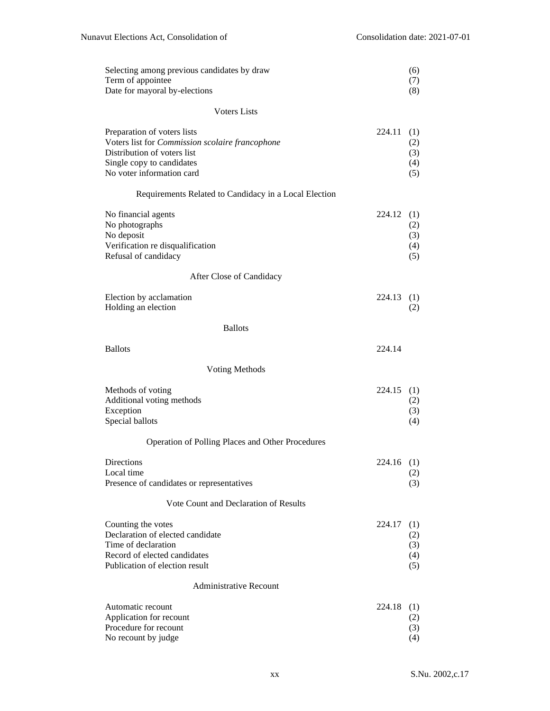| Selecting among previous candidates by draw<br>Term of appointee<br>Date for mayoral by-elections                                                                       |        | (6)<br>(7)<br>(8)               |
|-------------------------------------------------------------------------------------------------------------------------------------------------------------------------|--------|---------------------------------|
| <b>Voters Lists</b>                                                                                                                                                     |        |                                 |
| Preparation of voters lists<br>Voters list for Commission scolaire francophone<br>Distribution of voters list<br>Single copy to candidates<br>No voter information card | 224.11 | (1)<br>(2)<br>(3)<br>(4)<br>(5) |
| Requirements Related to Candidacy in a Local Election                                                                                                                   |        |                                 |
| No financial agents<br>No photographs<br>No deposit<br>Verification re disqualification<br>Refusal of candidacy                                                         | 224.12 | (1)<br>(2)<br>(3)<br>(4)<br>(5) |
| After Close of Candidacy                                                                                                                                                |        |                                 |
| Election by acclamation<br>Holding an election                                                                                                                          | 224.13 | (1)<br>(2)                      |
| <b>Ballots</b>                                                                                                                                                          |        |                                 |
| <b>Ballots</b>                                                                                                                                                          | 224.14 |                                 |
| <b>Voting Methods</b>                                                                                                                                                   |        |                                 |
| Methods of voting<br>Additional voting methods<br>Exception<br>Special ballots                                                                                          | 224.15 | (1)<br>(2)<br>(3)<br>(4)        |
| Operation of Polling Places and Other Procedures                                                                                                                        |        |                                 |
| <b>Directions</b><br>Local time<br>Presence of candidates or representatives                                                                                            | 224.16 | (1)<br>(2)<br>(3)               |
| Vote Count and Declaration of Results                                                                                                                                   |        |                                 |
| Counting the votes<br>Declaration of elected candidate<br>Time of declaration<br>Record of elected candidates<br>Publication of election result                         | 224.17 | (1)<br>(2)<br>(3)<br>(4)<br>(5) |
| <b>Administrative Recount</b>                                                                                                                                           |        |                                 |
| Automatic recount<br>Application for recount<br>Procedure for recount<br>No recount by judge                                                                            | 224.18 | (1)<br>(2)<br>(3)<br>(4)        |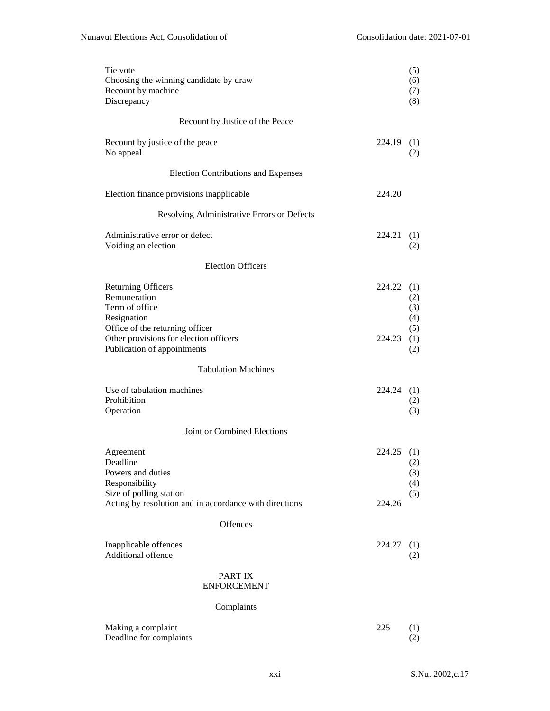| Tie vote<br>Choosing the winning candidate by draw<br>Recount by machine<br>Discrepancy                  |              | (5)<br>(6)<br>(7)<br>(8) |
|----------------------------------------------------------------------------------------------------------|--------------|--------------------------|
| Recount by Justice of the Peace                                                                          |              |                          |
| Recount by justice of the peace<br>No appeal                                                             | 224.19       | (1)<br>(2)               |
| <b>Election Contributions and Expenses</b>                                                               |              |                          |
| Election finance provisions inapplicable                                                                 | 224.20       |                          |
| Resolving Administrative Errors or Defects                                                               |              |                          |
| Administrative error or defect<br>Voiding an election                                                    | 224.21       | (1)<br>(2)               |
| <b>Election Officers</b>                                                                                 |              |                          |
| <b>Returning Officers</b><br>Remuneration<br>Term of office<br>Resignation                               | 224.22       | (1)<br>(2)<br>(3)<br>(4) |
| Office of the returning officer<br>Other provisions for election officers<br>Publication of appointments | 224.23       | (5)<br>(1)<br>(2)        |
| <b>Tabulation Machines</b>                                                                               |              |                          |
| Use of tabulation machines<br>Prohibition<br>Operation                                                   | 224.24       | (1)<br>(2)<br>(3)        |
| Joint or Combined Elections                                                                              |              |                          |
| Agreement<br>Deadline<br>Powers and duties<br>Responsibility<br>Size of polling station                  | $224.25$ (1) | (2)<br>(3)<br>(4)<br>(5) |
| Acting by resolution and in accordance with directions                                                   | 224.26       |                          |
| Offences                                                                                                 |              |                          |
| Inapplicable offences<br>Additional offence                                                              | 224.27       | (1)<br>(2)               |
| PART IX<br><b>ENFORCEMENT</b>                                                                            |              |                          |
| Complaints                                                                                               |              |                          |
| Making a complaint<br>Deadline for complaints                                                            | 225          | (1)<br>(2)               |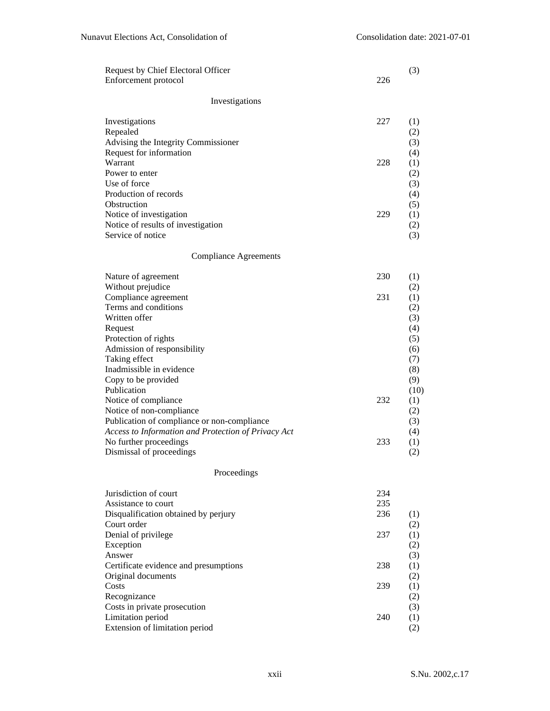| Request by Chief Electoral Officer<br>Enforcement protocol                                         | 226 | (3)        |
|----------------------------------------------------------------------------------------------------|-----|------------|
| Investigations                                                                                     |     |            |
| Investigations                                                                                     | 227 | (1)        |
| Repealed<br>Advising the Integrity Commissioner                                                    |     | (2)        |
| Request for information                                                                            |     | (3)<br>(4) |
| Warrant                                                                                            | 228 | (1)        |
| Power to enter                                                                                     |     | (2)        |
| Use of force                                                                                       |     | (3)        |
| Production of records                                                                              |     | (4)        |
| Obstruction                                                                                        |     | (5)        |
| Notice of investigation                                                                            | 229 | (1)        |
| Notice of results of investigation                                                                 |     | (2)        |
| Service of notice                                                                                  |     | (3)        |
| <b>Compliance Agreements</b>                                                                       |     |            |
| Nature of agreement                                                                                | 230 | (1)        |
| Without prejudice                                                                                  |     | (2)        |
| Compliance agreement<br>Terms and conditions                                                       | 231 | (1)        |
| Written offer                                                                                      |     | (2)<br>(3) |
| Request                                                                                            |     | (4)        |
| Protection of rights                                                                               |     | (5)        |
| Admission of responsibility                                                                        |     | (6)        |
| Taking effect                                                                                      |     | (7)        |
| Inadmissible in evidence                                                                           |     | (8)        |
| Copy to be provided                                                                                |     | (9)        |
| Publication                                                                                        |     | (10)       |
| Notice of compliance                                                                               | 232 | (1)        |
| Notice of non-compliance                                                                           |     | (2)        |
| Publication of compliance or non-compliance<br>Access to Information and Protection of Privacy Act |     | (3)<br>(4) |
| No further proceedings                                                                             | 233 | (1)        |
| Dismissal of proceedings                                                                           |     | (2)        |
| Proceedings                                                                                        |     |            |
| Jurisdiction of court                                                                              | 234 |            |
| Assistance to court                                                                                | 235 |            |
| Disqualification obtained by perjury                                                               | 236 | (1)        |
| Court order                                                                                        |     | (2)        |
| Denial of privilege                                                                                | 237 | (1)        |
| Exception                                                                                          |     | (2)        |
| Answer                                                                                             |     | (3)        |
| Certificate evidence and presumptions<br>Original documents                                        | 238 | (1)        |
| Costs                                                                                              | 239 | (2)<br>(1) |
| Recognizance                                                                                       |     | (2)        |
| Costs in private prosecution                                                                       |     | (3)        |
| Limitation period                                                                                  | 240 | (1)        |
| Extension of limitation period                                                                     |     | (2)        |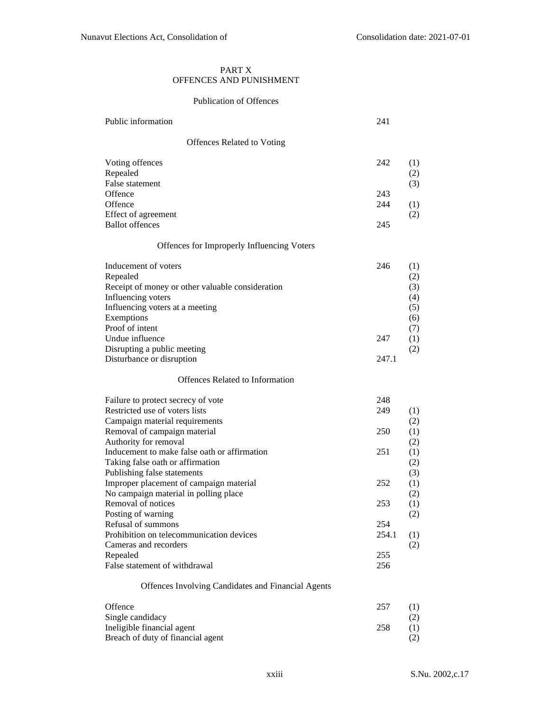# PART X OFFENCES AND PUNISHMENT

# Publication of Offences

| Public information                                                                                                                                          | 241          |                                        |
|-------------------------------------------------------------------------------------------------------------------------------------------------------------|--------------|----------------------------------------|
| <b>Offences Related to Voting</b>                                                                                                                           |              |                                        |
| Voting offences<br>Repealed<br>False statement                                                                                                              | 242          | (1)<br>(2)<br>(3)                      |
| Offence<br>Offence                                                                                                                                          | 243<br>244   | (1)                                    |
| Effect of agreement<br><b>Ballot</b> offences                                                                                                               | 245          | (2)                                    |
| Offences for Improperly Influencing Voters                                                                                                                  |              |                                        |
| Inducement of voters<br>Repealed<br>Receipt of money or other valuable consideration<br>Influencing voters<br>Influencing voters at a meeting<br>Exemptions | 246          | (1)<br>(2)<br>(3)<br>(4)<br>(5)<br>(6) |
| Proof of intent<br>Undue influence<br>Disrupting a public meeting<br>Disturbance or disruption                                                              | 247<br>247.1 | (7)<br>(1)<br>(2)                      |
| <b>Offences Related to Information</b>                                                                                                                      |              |                                        |
| Failure to protect secrecy of vote                                                                                                                          | 248          |                                        |
| Restricted use of voters lists                                                                                                                              | 249          | (1)                                    |
| Campaign material requirements<br>Removal of campaign material<br>Authority for removal                                                                     | 250          | (2)<br>(1)<br>(2)                      |
| Inducement to make false oath or affirmation<br>Taking false oath or affirmation<br>Publishing false statements                                             | 251          | (1)<br>(2)<br>(3)                      |
| Improper placement of campaign material<br>No campaign material in polling place                                                                            | 252          | (1)<br>(2)                             |
| Removal of notices<br>Posting of warning                                                                                                                    | 253          | (1)<br>(2)                             |
| Refusal of summons<br>Prohibition on telecommunication devices<br>Cameras and recorders                                                                     | 254<br>254.1 | (1)<br>(2)                             |
| Repealed<br>False statement of withdrawal                                                                                                                   | 255<br>256   |                                        |
| Offences Involving Candidates and Financial Agents                                                                                                          |              |                                        |
| Offence<br>Single candidacy                                                                                                                                 | 257          | (1)<br>(2)                             |
| Ineligible financial agent<br>Breach of duty of financial agent                                                                                             | 258          | (1)<br>(2)                             |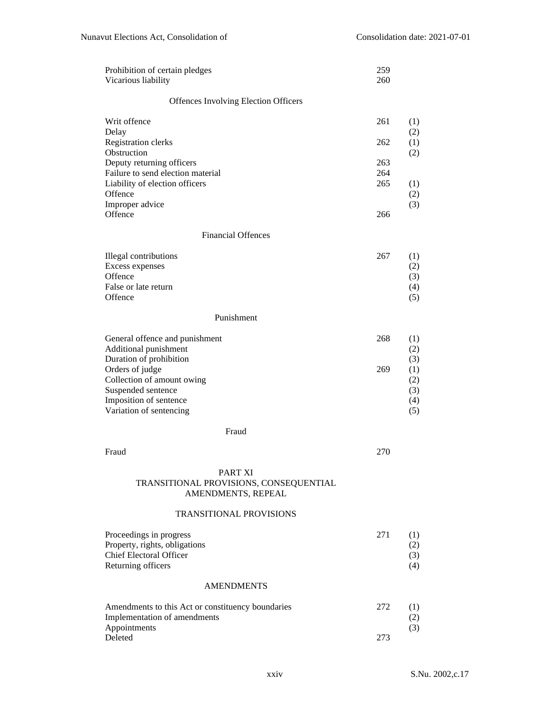| Prohibition of certain pledges<br>Vicarious liability                                                                                                                                                          | 259<br>260 |                                                      |
|----------------------------------------------------------------------------------------------------------------------------------------------------------------------------------------------------------------|------------|------------------------------------------------------|
| <b>Offences Involving Election Officers</b>                                                                                                                                                                    |            |                                                      |
| Writ offence<br>Delay                                                                                                                                                                                          | 261        | (1)<br>(2)                                           |
| Registration clerks<br>Obstruction                                                                                                                                                                             | 262        | (1)<br>(2)                                           |
| Deputy returning officers<br>Failure to send election material                                                                                                                                                 | 263<br>264 |                                                      |
| Liability of election officers<br>Offence                                                                                                                                                                      | 265        | (1)<br>(2)                                           |
| Improper advice<br>Offence                                                                                                                                                                                     | 266        | (3)                                                  |
| <b>Financial Offences</b>                                                                                                                                                                                      |            |                                                      |
| Illegal contributions<br>Excess expenses<br>Offence<br>False or late return<br>Offence                                                                                                                         | 267        | (1)<br>(2)<br>(3)<br>(4)<br>(5)                      |
| Punishment                                                                                                                                                                                                     |            |                                                      |
| General offence and punishment<br>Additional punishment<br>Duration of prohibition<br>Orders of judge<br>Collection of amount owing<br>Suspended sentence<br>Imposition of sentence<br>Variation of sentencing | 268<br>269 | (1)<br>(2)<br>(3)<br>(1)<br>(2)<br>(3)<br>(4)<br>(5) |
| Fraud                                                                                                                                                                                                          |            |                                                      |
| Fraud                                                                                                                                                                                                          | 270        |                                                      |
| PART XI<br>TRANSITIONAL PROVISIONS, CONSEQUENTIAL<br>AMENDMENTS, REPEAL                                                                                                                                        |            |                                                      |
| <b>TRANSITIONAL PROVISIONS</b>                                                                                                                                                                                 |            |                                                      |
| Proceedings in progress<br>Property, rights, obligations<br><b>Chief Electoral Officer</b><br>Returning officers                                                                                               | 271        | (1)<br>(2)<br>(3)<br>(4)                             |
| <b>AMENDMENTS</b>                                                                                                                                                                                              |            |                                                      |
| Amendments to this Act or constituency boundaries                                                                                                                                                              | 272        | (1)                                                  |

| Amendments to this Act or constituency boundaries | 272 | (1) |
|---------------------------------------------------|-----|-----|
| Implementation of amendments                      |     | (2) |
| Appointments                                      |     | (3) |
| Deleted                                           | 273 |     |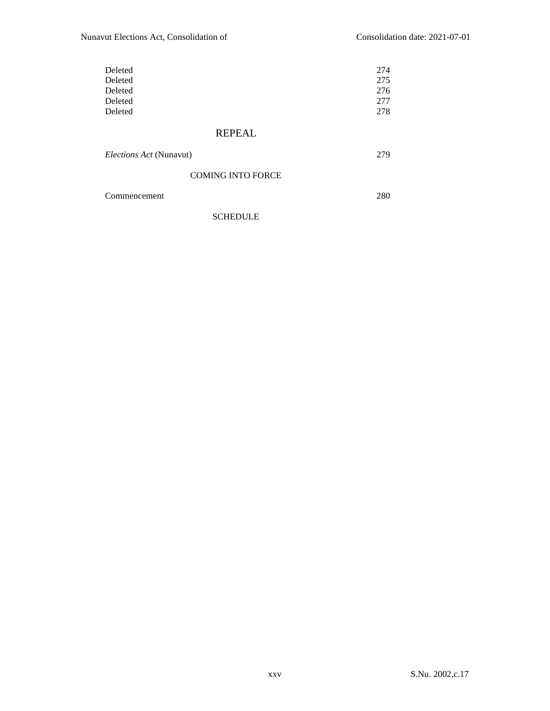| Deleted<br>Deleted<br>Deleted<br>Deleted<br>Deleted | 274<br>275<br>276<br>277<br>278 |
|-----------------------------------------------------|---------------------------------|
| <b>REPEAL</b>                                       |                                 |
| <i>Elections Act</i> (Nunavut)                      | 279                             |
| <b>COMING INTO FORCE</b>                            |                                 |
| Commencement                                        | 280                             |
| <b>SCHEDULE</b>                                     |                                 |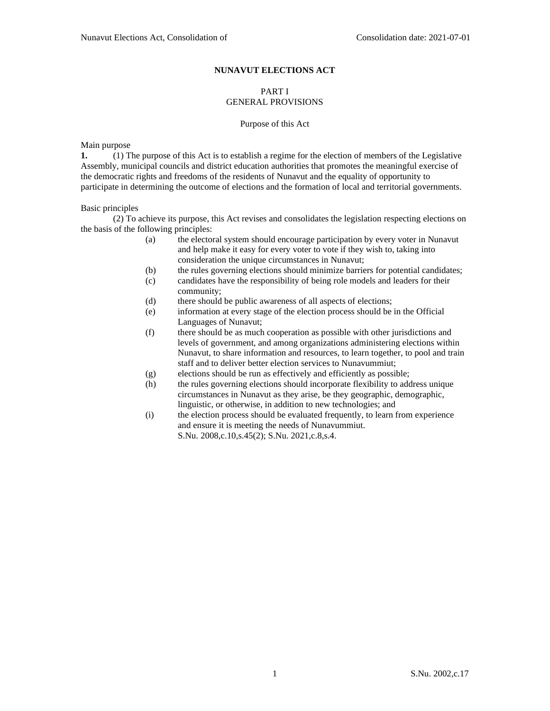# **NUNAVUT ELECTIONS ACT**

# PART I GENERAL PROVISIONS

## Purpose of this Act

Main purpose

**1.** (1) The purpose of this Act is to establish a regime for the election of members of the Legislative Assembly, municipal councils and district education authorities that promotes the meaningful exercise of the democratic rights and freedoms of the residents of Nunavut and the equality of opportunity to participate in determining the outcome of elections and the formation of local and territorial governments.

### Basic principles

(2) To achieve its purpose, this Act revises and consolidates the legislation respecting elections on the basis of the following principles:

- (a) the electoral system should encourage participation by every voter in Nunavut and help make it easy for every voter to vote if they wish to, taking into consideration the unique circumstances in Nunavut;
- (b) the rules governing elections should minimize barriers for potential candidates;
- (c) candidates have the responsibility of being role models and leaders for their community;
- (d) there should be public awareness of all aspects of elections;
- (e) information at every stage of the election process should be in the Official Languages of Nunavut;
- (f) there should be as much cooperation as possible with other jurisdictions and levels of government, and among organizations administering elections within Nunavut, to share information and resources, to learn together, to pool and train staff and to deliver better election services to Nunavummiut;
- (g) elections should be run as effectively and efficiently as possible;
- (h) the rules governing elections should incorporate flexibility to address unique circumstances in Nunavut as they arise, be they geographic, demographic, linguistic, or otherwise, in addition to new technologies; and
- (i) the election process should be evaluated frequently, to learn from experience and ensure it is meeting the needs of Nunavummiut. S.Nu. 2008,c.10,s.45(2); S.Nu. 2021,c.8,s.4.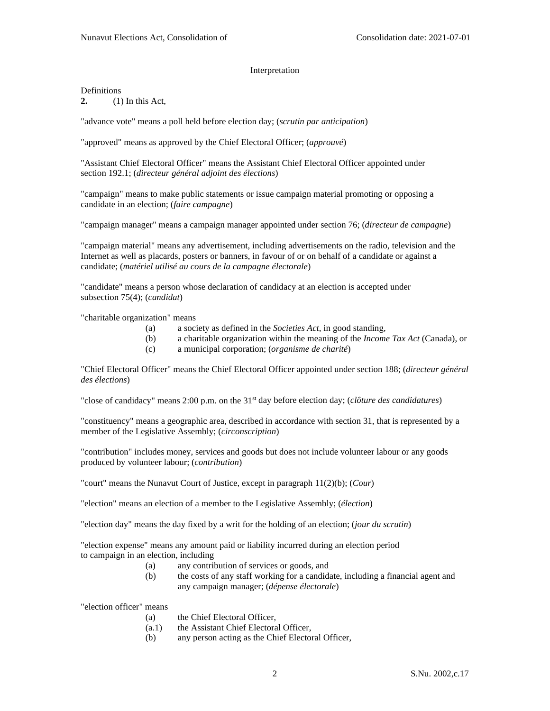# Interpretation

Definitions<br>2.  $(1)$ **2.** (1) In this Act,

"advance vote" means a poll held before election day; (*scrutin par anticipation*)

"approved" means as approved by the Chief Electoral Officer; (*approuvé*)

"Assistant Chief Electoral Officer" means the Assistant Chief Electoral Officer appointed under section 192.1; (*directeur général adjoint des élections*)

"campaign" means to make public statements or issue campaign material promoting or opposing a candidate in an election; (*faire campagne*)

"campaign manager" means a campaign manager appointed under section 76; (*directeur de campagne*)

"campaign material" means any advertisement, including advertisements on the radio, television and the Internet as well as placards, posters or banners, in favour of or on behalf of a candidate or against a candidate; (*matériel utilisé au cours de la campagne électorale*)

"candidate" means a person whose declaration of candidacy at an election is accepted under subsection 75(4); (*candidat*)

"charitable organization" means

- (a) a society as defined in the *Societies Act*, in good standing,
- (b) a charitable organization within the meaning of the *Income Tax Act* (Canada), or
- (c) a municipal corporation; (*organisme de charité*)

"Chief Electoral Officer" means the Chief Electoral Officer appointed under section 188; (*directeur général des élections*)

"close of candidacy" means 2:00 p.m. on the 31st day before election day; (*clôture des candidatures*)

"constituency" means a geographic area, described in accordance with section 31, that is represented by a member of the Legislative Assembly; (*circonscription*)

"contribution" includes money, services and goods but does not include volunteer labour or any goods produced by volunteer labour; (*contribution*)

"court" means the Nunavut Court of Justice, except in paragraph 11(2)(b); (*Cour*)

"election" means an election of a member to the Legislative Assembly; (*élection*)

"election day" means the day fixed by a writ for the holding of an election; (*jour du scrutin*)

"election expense" means any amount paid or liability incurred during an election period to campaign in an election, including

- (a) any contribution of services or goods, and
- (b) the costs of any staff working for a candidate, including a financial agent and any campaign manager; (*dépense électorale*)

"election officer" means

- (a) the Chief Electoral Officer,
- (a.1) the Assistant Chief Electoral Officer,
- (b) any person acting as the Chief Electoral Officer,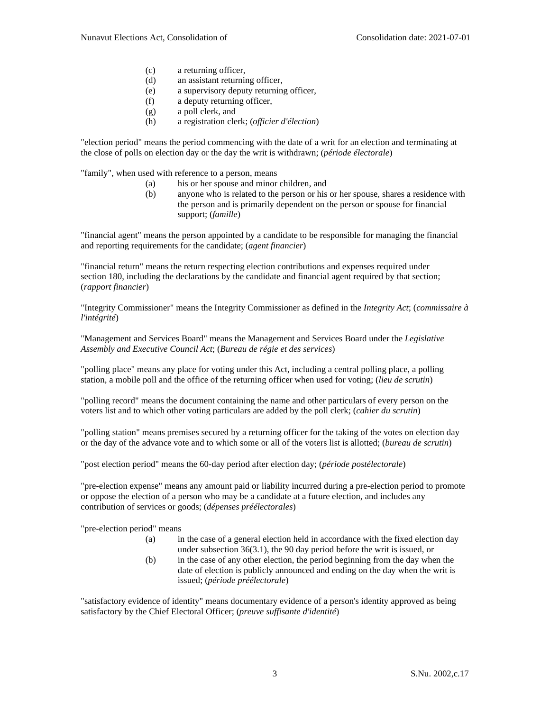- (c) a returning officer,
- (d) an assistant returning officer,
- (e) a supervisory deputy returning officer,
- (f) a deputy returning officer,
- (g) a poll clerk, and
- (h) a registration clerk; (*officier d'élection*)

"election period" means the period commencing with the date of a writ for an election and terminating at the close of polls on election day or the day the writ is withdrawn; (*période électorale*)

"family", when used with reference to a person, means

- (a) his or her spouse and minor children, and
- (b) anyone who is related to the person or his or her spouse, shares a residence with the person and is primarily dependent on the person or spouse for financial support; (*famille*)

"financial agent" means the person appointed by a candidate to be responsible for managing the financial and reporting requirements for the candidate; (*agent financier*)

"financial return" means the return respecting election contributions and expenses required under section 180, including the declarations by the candidate and financial agent required by that section; (*rapport financier*)

"Integrity Commissioner" means the Integrity Commissioner as defined in the *Integrity Act*; (*commissaire à l'intégrité*)

"Management and Services Board" means the Management and Services Board under the *Legislative Assembly and Executive Council Act*; (*Bureau de régie et des services*)

"polling place" means any place for voting under this Act, including a central polling place, a polling station, a mobile poll and the office of the returning officer when used for voting; (*lieu de scrutin*)

"polling record" means the document containing the name and other particulars of every person on the voters list and to which other voting particulars are added by the poll clerk; (*cahier du scrutin*)

"polling station" means premises secured by a returning officer for the taking of the votes on election day or the day of the advance vote and to which some or all of the voters list is allotted; (*bureau de scrutin*)

"post election period" means the 60-day period after election day; (*période postélectorale*)

"pre-election expense" means any amount paid or liability incurred during a pre-election period to promote or oppose the election of a person who may be a candidate at a future election, and includes any contribution of services or goods; (*dépenses préélectorales*)

# "pre-election period" means

- (a) in the case of a general election held in accordance with the fixed election day under subsection 36(3.1), the 90 day period before the writ is issued, or
- (b) in the case of any other election, the period beginning from the day when the date of election is publicly announced and ending on the day when the writ is issued; (*période préélectorale*)

"satisfactory evidence of identity" means documentary evidence of a person's identity approved as being satisfactory by the Chief Electoral Officer; (*preuve suffisante d'identité*)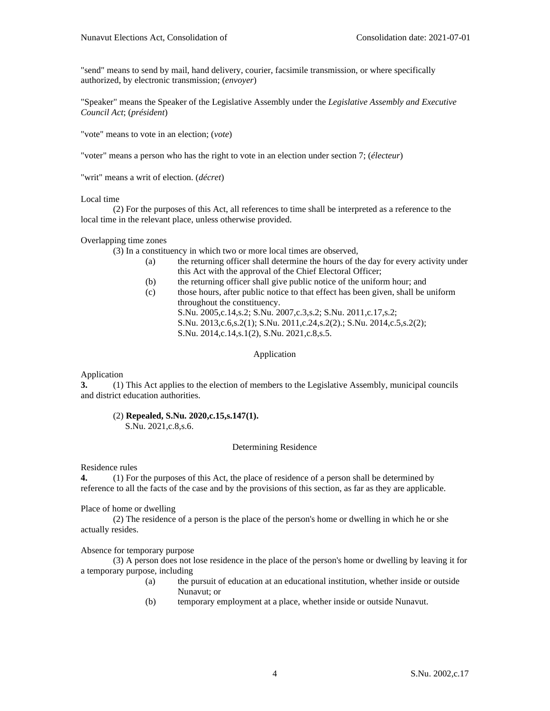"send" means to send by mail, hand delivery, courier, facsimile transmission, or where specifically authorized, by electronic transmission; (*envoyer*)

"Speaker" means the Speaker of the Legislative Assembly under the *Legislative Assembly and Executive Council Act*; (*président*)

"vote" means to vote in an election; (*vote*)

"voter" means a person who has the right to vote in an election under section 7; (*électeur*)

"writ" means a writ of election. (*décret*)

Local time

(2) For the purposes of this Act, all references to time shall be interpreted as a reference to the local time in the relevant place, unless otherwise provided.

Overlapping time zones

(3) In a constituency in which two or more local times are observed,

- (a) the returning officer shall determine the hours of the day for every activity under this Act with the approval of the Chief Electoral Officer;
- (b) the returning officer shall give public notice of the uniform hour; and
- (c) those hours, after public notice to that effect has been given, shall be uniform throughout the constituency. S.Nu. 2005,c.14,s.2; S.Nu. 2007,c.3,s.2; S.Nu. 2011,c.17,s.2;

S.Nu. 2013,c.6,s.2(1); S.Nu. 2011,c.24,s.2(2).; S.Nu. 2014,c.5,s.2(2);

S.Nu. 2014,c.14,s.1(2), S.Nu. 2021,c.8,s.5.

Application

Application  $3.$  (1)

**3.** (1) This Act applies to the election of members to the Legislative Assembly, municipal councils and district education authorities.

# (2) **Repealed, S.Nu. 2020,c.15,s.147(1).**

S.Nu. 2021,c.8,s.6.

#### Determining Residence

Residence rules

**4.** (1) For the purposes of this Act, the place of residence of a person shall be determined by reference to all the facts of the case and by the provisions of this section, as far as they are applicable.

Place of home or dwelling

(2) The residence of a person is the place of the person's home or dwelling in which he or she actually resides.

Absence for temporary purpose

(3) A person does not lose residence in the place of the person's home or dwelling by leaving it for a temporary purpose, including

- (a) the pursuit of education at an educational institution, whether inside or outside Nunavut; or
- (b) temporary employment at a place, whether inside or outside Nunavut.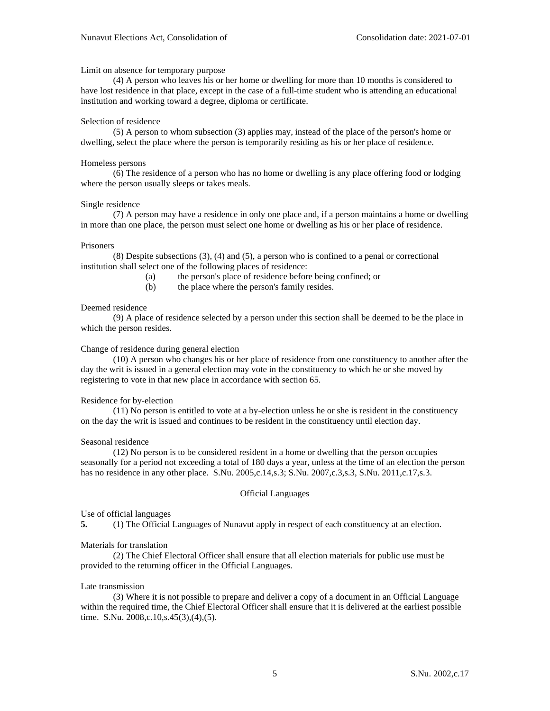### Limit on absence for temporary purpose

(4) A person who leaves his or her home or dwelling for more than 10 months is considered to have lost residence in that place, except in the case of a full-time student who is attending an educational institution and working toward a degree, diploma or certificate.

### Selection of residence

(5) A person to whom subsection (3) applies may, instead of the place of the person's home or dwelling, select the place where the person is temporarily residing as his or her place of residence.

#### Homeless persons

(6) The residence of a person who has no home or dwelling is any place offering food or lodging where the person usually sleeps or takes meals.

### Single residence

(7) A person may have a residence in only one place and, if a person maintains a home or dwelling in more than one place, the person must select one home or dwelling as his or her place of residence.

#### Prisoners

(8) Despite subsections (3), (4) and (5), a person who is confined to a penal or correctional institution shall select one of the following places of residence:

(a) the person's place of residence before being confined; or

(b) the place where the person's family resides.

### Deemed residence

(9) A place of residence selected by a person under this section shall be deemed to be the place in which the person resides.

### Change of residence during general election

(10) A person who changes his or her place of residence from one constituency to another after the day the writ is issued in a general election may vote in the constituency to which he or she moved by registering to vote in that new place in accordance with section 65.

# Residence for by-election

(11) No person is entitled to vote at a by-election unless he or she is resident in the constituency on the day the writ is issued and continues to be resident in the constituency until election day.

# Seasonal residence

(12) No person is to be considered resident in a home or dwelling that the person occupies seasonally for a period not exceeding a total of 180 days a year, unless at the time of an election the person has no residence in any other place. S.Nu. 2005,c.14,s.3; S.Nu. 2007,c.3,s.3, S.Nu. 2011,c.17,s.3.

### Official Languages

# Use of official languages

**5.** (1) The Official Languages of Nunavut apply in respect of each constituency at an election.

# Materials for translation

(2) The Chief Electoral Officer shall ensure that all election materials for public use must be provided to the returning officer in the Official Languages.

#### Late transmission

(3) Where it is not possible to prepare and deliver a copy of a document in an Official Language within the required time, the Chief Electoral Officer shall ensure that it is delivered at the earliest possible time. S.Nu. 2008, c. 10, s. 45(3), (4), (5).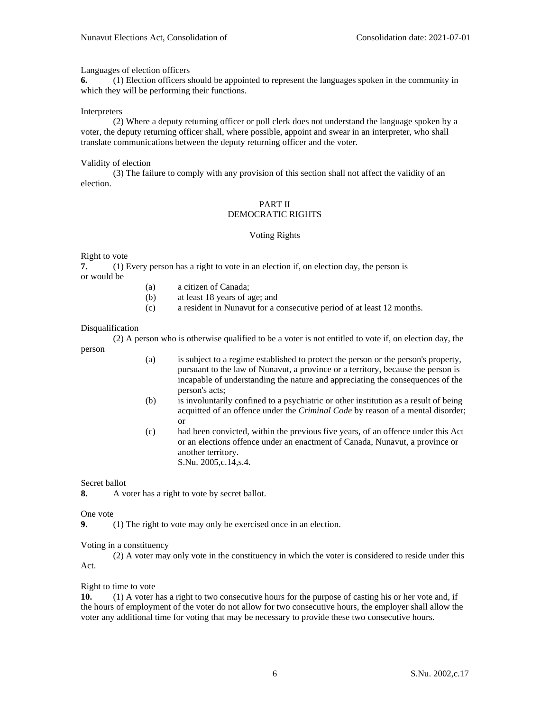### Languages of election officers

**6.** (1) Election officers should be appointed to represent the languages spoken in the community in which they will be performing their functions.

### **Interpreters**

(2) Where a deputy returning officer or poll clerk does not understand the language spoken by a voter, the deputy returning officer shall, where possible, appoint and swear in an interpreter, who shall translate communications between the deputy returning officer and the voter.

### Validity of election

(3) The failure to comply with any provision of this section shall not affect the validity of an election.

# PART II

# DEMOCRATIC RIGHTS

### Voting Rights

Right to vote

**7.** (1) Every person has a right to vote in an election if, on election day, the person is or would be

- (a) a citizen of Canada;
- (b) at least 18 years of age; and
- (c) a resident in Nunavut for a consecutive period of at least 12 months.

### Disqualification

(2) A person who is otherwise qualified to be a voter is not entitled to vote if, on election day, the person

- (a) is subject to a regime established to protect the person or the person's property, pursuant to the law of Nunavut, a province or a territory, because the person is incapable of understanding the nature and appreciating the consequences of the person's acts;
- (b) is involuntarily confined to a psychiatric or other institution as a result of being acquitted of an offence under the *Criminal Code* by reason of a mental disorder; or
- (c) had been convicted, within the previous five years, of an offence under this Act or an elections offence under an enactment of Canada, Nunavut, a province or another territory. S.Nu. 2005,c.14,s.4.

# Secret ballot

**8.** A voter has a right to vote by secret ballot.

#### One vote

**9.** (1) The right to vote may only be exercised once in an election.

#### Voting in a constituency

(2) A voter may only vote in the constituency in which the voter is considered to reside under this Act.

#### Right to time to vote

**10.** (1) A voter has a right to two consecutive hours for the purpose of casting his or her vote and, if the hours of employment of the voter do not allow for two consecutive hours, the employer shall allow the voter any additional time for voting that may be necessary to provide these two consecutive hours.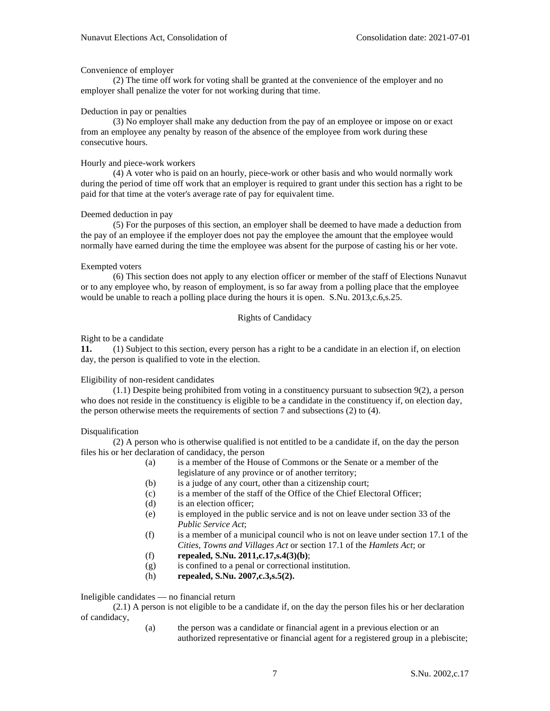# Convenience of employer

(2) The time off work for voting shall be granted at the convenience of the employer and no employer shall penalize the voter for not working during that time.

## Deduction in pay or penalties

(3) No employer shall make any deduction from the pay of an employee or impose on or exact from an employee any penalty by reason of the absence of the employee from work during these consecutive hours.

### Hourly and piece-work workers

(4) A voter who is paid on an hourly, piece-work or other basis and who would normally work during the period of time off work that an employer is required to grant under this section has a right to be paid for that time at the voter's average rate of pay for equivalent time.

### Deemed deduction in pay

(5) For the purposes of this section, an employer shall be deemed to have made a deduction from the pay of an employee if the employer does not pay the employee the amount that the employee would normally have earned during the time the employee was absent for the purpose of casting his or her vote.

### Exempted voters

(6) This section does not apply to any election officer or member of the staff of Elections Nunavut or to any employee who, by reason of employment, is so far away from a polling place that the employee would be unable to reach a polling place during the hours it is open. S.Nu. 2013,c.6,s.25.

### Rights of Candidacy

Right to be a candidate

**11.** (1) Subject to this section, every person has a right to be a candidate in an election if, on election day, the person is qualified to vote in the election.

# Eligibility of non-resident candidates

(1.1) Despite being prohibited from voting in a constituency pursuant to subsection 9(2), a person who does not reside in the constituency is eligible to be a candidate in the constituency if, on election day, the person otherwise meets the requirements of section 7 and subsections (2) to (4).

#### **Disqualification**

(2) A person who is otherwise qualified is not entitled to be a candidate if, on the day the person files his or her declaration of candidacy, the person

- (a) is a member of the House of Commons or the Senate or a member of the
- legislature of any province or of another territory;
- (b) is a judge of any court, other than a citizenship court;
- (c) is a member of the staff of the Office of the Chief Electoral Officer;
- (d) is an election officer;
- (e) is employed in the public service and is not on leave under section 33 of the *Public Service Act*;
- (f) is a member of a municipal council who is not on leave under section 17.1 of the *Cities, Towns and Villages Act* or section 17.1 of the *Hamlets Act*; or
- (f) **repealed, S.Nu. 2011,c.17,s.4(3)(b)**;
- (g) is confined to a penal or correctional institution.
- (h) **repealed, S.Nu. 2007,c.3,s.5(2).**

## Ineligible candidates — no financial return

(2.1) A person is not eligible to be a candidate if, on the day the person files his or her declaration of candidacy,

> (a) the person was a candidate or financial agent in a previous election or an authorized representative or financial agent for a registered group in a plebiscite;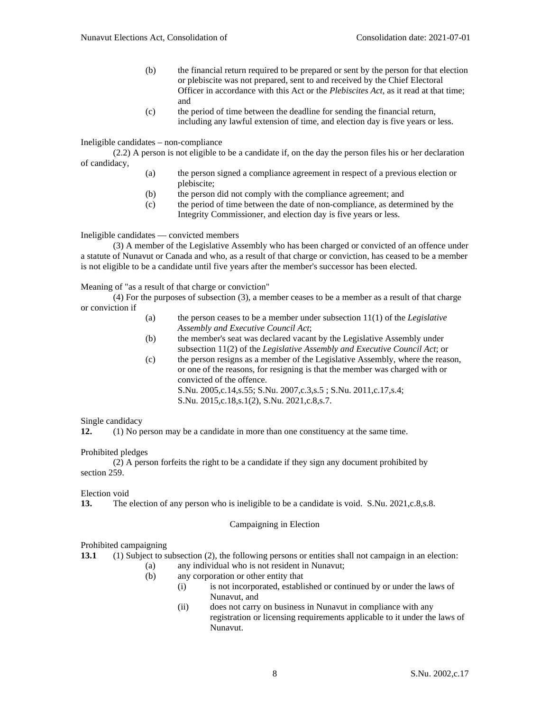- (b) the financial return required to be prepared or sent by the person for that election or plebiscite was not prepared, sent to and received by the Chief Electoral Officer in accordance with this Act or the *Plebiscites Act*, as it read at that time; and
- (c) the period of time between the deadline for sending the financial return, including any lawful extension of time, and election day is five years or less.

Ineligible candidates – non-compliance

(2.2) A person is not eligible to be a candidate if, on the day the person files his or her declaration of candidacy,

- (a) the person signed a compliance agreement in respect of a previous election or plebiscite;
- (b) the person did not comply with the compliance agreement; and
- (c) the period of time between the date of non-compliance, as determined by the Integrity Commissioner, and election day is five years or less.

Ineligible candidates — convicted members

(3) A member of the Legislative Assembly who has been charged or convicted of an offence under a statute of Nunavut or Canada and who, as a result of that charge or conviction, has ceased to be a member is not eligible to be a candidate until five years after the member's successor has been elected.

Meaning of "as a result of that charge or conviction"

(4) For the purposes of subsection (3), a member ceases to be a member as a result of that charge or conviction if

- (a) the person ceases to be a member under subsection 11(1) of the *Legislative Assembly and Executive Council Act*;
- (b) the member's seat was declared vacant by the Legislative Assembly under subsection 11(2) of the *Legislative Assembly and Executive Council Act*; or
- (c) the person resigns as a member of the Legislative Assembly, where the reason, or one of the reasons, for resigning is that the member was charged with or convicted of the offence. S.Nu. 2005,c.14,s.55; S.Nu. 2007,c.3,s.5 ; S.Nu. 2011,c.17,s.4; S.Nu. 2015,c.18,s.1(2), S.Nu. 2021,c.8,s.7.

Single candidacy

**12.** (1) No person may be a candidate in more than one constituency at the same time.

#### Prohibited pledges

(2) A person forfeits the right to be a candidate if they sign any document prohibited by section 259.

Election void

**13.** The election of any person who is ineligible to be a candidate is void. S.Nu. 2021,c.8,s.8.

#### Campaigning in Election

Prohibited campaigning

**13.1** (1) Subject to subsection (2), the following persons or entities shall not campaign in an election:

- (a) any individual who is not resident in Nunavut;
- (b) any corporation or other entity that
	- (i) is not incorporated, established or continued by or under the laws of Nunavut, and
		- (ii) does not carry on business in Nunavut in compliance with any registration or licensing requirements applicable to it under the laws of Nunavut.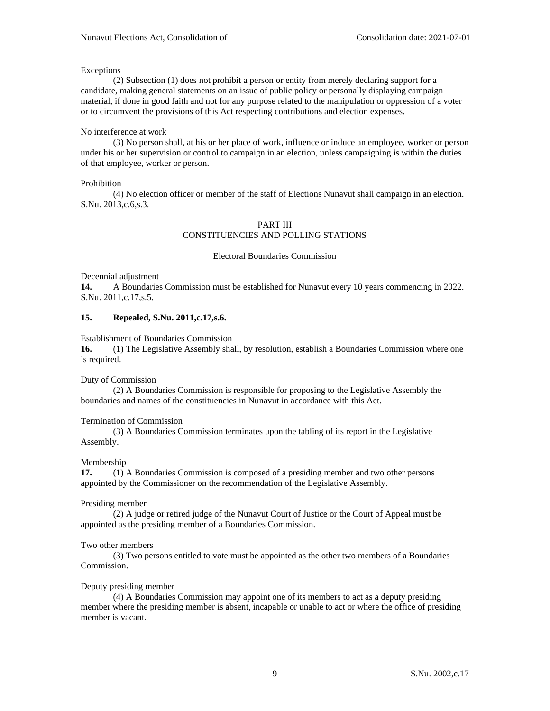## Exceptions

(2) Subsection (1) does not prohibit a person or entity from merely declaring support for a candidate, making general statements on an issue of public policy or personally displaying campaign material, if done in good faith and not for any purpose related to the manipulation or oppression of a voter or to circumvent the provisions of this Act respecting contributions and election expenses.

## No interference at work

(3) No person shall, at his or her place of work, influence or induce an employee, worker or person under his or her supervision or control to campaign in an election, unless campaigning is within the duties of that employee, worker or person.

## Prohibition

(4) No election officer or member of the staff of Elections Nunavut shall campaign in an election. S.Nu. 2013,c.6,s.3.

# PART III CONSTITUENCIES AND POLLING STATIONS

## Electoral Boundaries Commission

## Decennial adjustment

**14.** A Boundaries Commission must be established for Nunavut every 10 years commencing in 2022. S.Nu. 2011,c.17,s.5.

# **15. Repealed, S.Nu. 2011,c.17,s.6.**

Establishment of Boundaries Commission

**16.** (1) The Legislative Assembly shall, by resolution, establish a Boundaries Commission where one is required.

Duty of Commission

(2) A Boundaries Commission is responsible for proposing to the Legislative Assembly the boundaries and names of the constituencies in Nunavut in accordance with this Act.

# Termination of Commission

(3) A Boundaries Commission terminates upon the tabling of its report in the Legislative Assembly.

Membership

**17.** (1) A Boundaries Commission is composed of a presiding member and two other persons appointed by the Commissioner on the recommendation of the Legislative Assembly.

## Presiding member

(2) A judge or retired judge of the Nunavut Court of Justice or the Court of Appeal must be appointed as the presiding member of a Boundaries Commission.

## Two other members

(3) Two persons entitled to vote must be appointed as the other two members of a Boundaries Commission.

## Deputy presiding member

(4) A Boundaries Commission may appoint one of its members to act as a deputy presiding member where the presiding member is absent, incapable or unable to act or where the office of presiding member is vacant.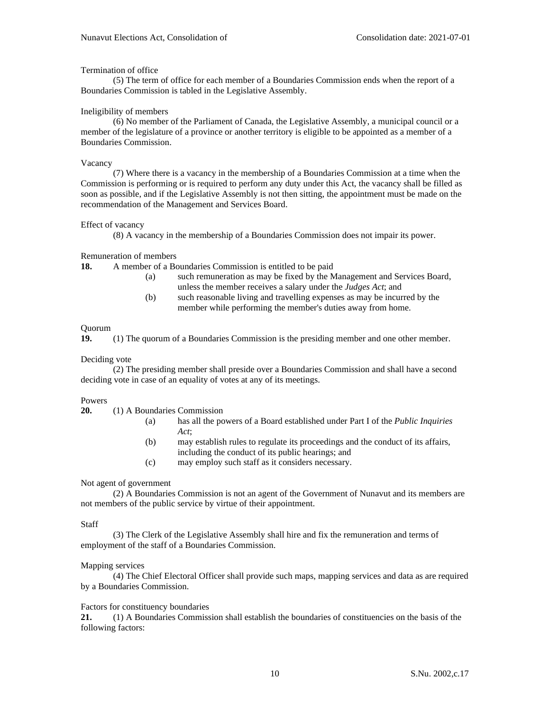# Termination of office

(5) The term of office for each member of a Boundaries Commission ends when the report of a Boundaries Commission is tabled in the Legislative Assembly.

# Ineligibility of members

(6) No member of the Parliament of Canada, the Legislative Assembly, a municipal council or a member of the legislature of a province or another territory is eligible to be appointed as a member of a Boundaries Commission.

## Vacancy

(7) Where there is a vacancy in the membership of a Boundaries Commission at a time when the Commission is performing or is required to perform any duty under this Act, the vacancy shall be filled as soon as possible, and if the Legislative Assembly is not then sitting, the appointment must be made on the recommendation of the Management and Services Board.

## Effect of vacancy

(8) A vacancy in the membership of a Boundaries Commission does not impair its power.

# Remuneration of members

**18.** A member of a Boundaries Commission is entitled to be paid

- (a) such remuneration as may be fixed by the Management and Services Board, unless the member receives a salary under the *Judges Act*; and
- (b) such reasonable living and travelling expenses as may be incurred by the member while performing the member's duties away from home.

## Quorum

**19.** (1) The quorum of a Boundaries Commission is the presiding member and one other member.

# Deciding vote

(2) The presiding member shall preside over a Boundaries Commission and shall have a second deciding vote in case of an equality of votes at any of its meetings.

# Powers

**20.** (1) A Boundaries Commission

- (a) has all the powers of a Board established under Part I of the *Public Inquiries Act*;
- (b) may establish rules to regulate its proceedings and the conduct of its affairs, including the conduct of its public hearings; and
- (c) may employ such staff as it considers necessary.

## Not agent of government

(2) A Boundaries Commission is not an agent of the Government of Nunavut and its members are not members of the public service by virtue of their appointment.

## **Staff**

(3) The Clerk of the Legislative Assembly shall hire and fix the remuneration and terms of employment of the staff of a Boundaries Commission.

## Mapping services

(4) The Chief Electoral Officer shall provide such maps, mapping services and data as are required by a Boundaries Commission.

## Factors for constituency boundaries

**21.** (1) A Boundaries Commission shall establish the boundaries of constituencies on the basis of the following factors: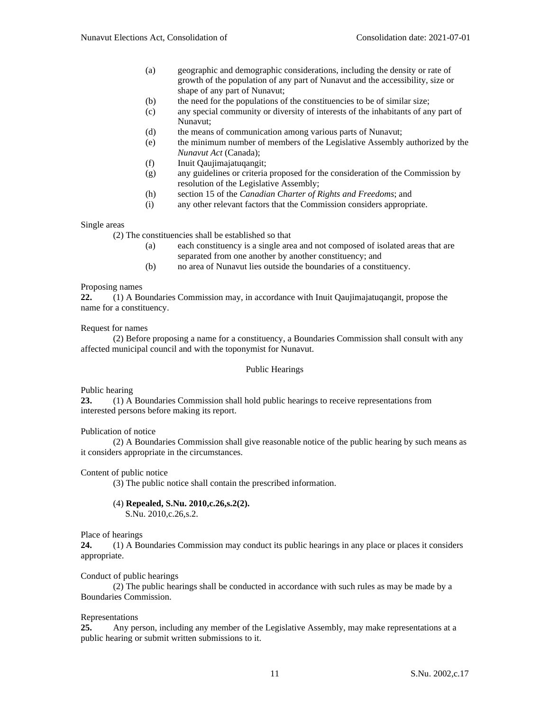- (a) geographic and demographic considerations, including the density or rate of growth of the population of any part of Nunavut and the accessibility, size or shape of any part of Nunavut;
- (b) the need for the populations of the constituencies to be of similar size;
- (c) any special community or diversity of interests of the inhabitants of any part of Nunavut;
- (d) the means of communication among various parts of Nunavut;
- (e) the minimum number of members of the Legislative Assembly authorized by the *Nunavut Act* (Canada);
- (f) Inuit Qaujimajatuqangit;
- (g) any guidelines or criteria proposed for the consideration of the Commission by resolution of the Legislative Assembly;
- (h) section 15 of the *Canadian Charter of Rights and Freedoms*; and
- (i) any other relevant factors that the Commission considers appropriate.

## Single areas

(2) The constituencies shall be established so that

- (a) each constituency is a single area and not composed of isolated areas that are separated from one another by another constituency; and
- (b) no area of Nunavut lies outside the boundaries of a constituency.

# Proposing names<br>22.  $(1)$  A Bc

**22.** (1) A Boundaries Commission may, in accordance with Inuit Qaujimajatuqangit, propose the name for a constituency.

## Request for names

(2) Before proposing a name for a constituency, a Boundaries Commission shall consult with any affected municipal council and with the toponymist for Nunavut.

## Public Hearings

# Public hearing

**23.** (1) A Boundaries Commission shall hold public hearings to receive representations from interested persons before making its report.

## Publication of notice

(2) A Boundaries Commission shall give reasonable notice of the public hearing by such means as it considers appropriate in the circumstances.

## Content of public notice

(3) The public notice shall contain the prescribed information.

# (4) **Repealed, S.Nu. 2010,c.26,s.2(2).**

S.Nu. 2010,c.26,s.2.

## Place of hearings

**24.** (1) A Boundaries Commission may conduct its public hearings in any place or places it considers appropriate.

# Conduct of public hearings

(2) The public hearings shall be conducted in accordance with such rules as may be made by a Boundaries Commission.

## Representations

**25.** Any person, including any member of the Legislative Assembly, may make representations at a public hearing or submit written submissions to it.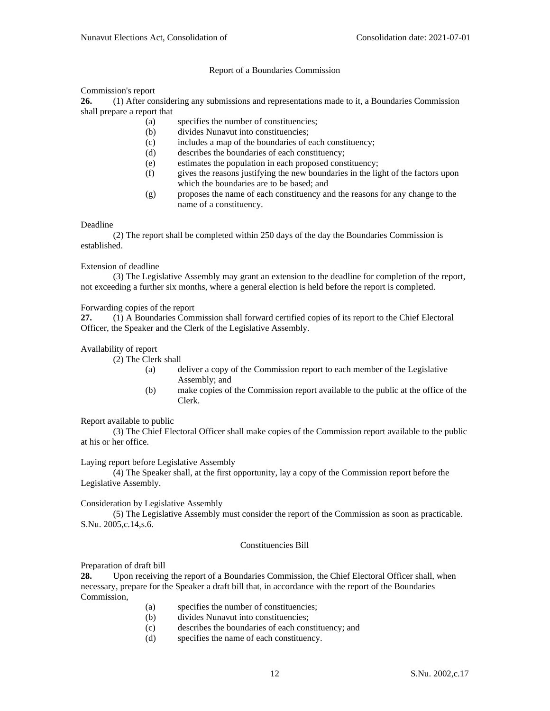# Report of a Boundaries Commission

# Commission's report

**26.** (1) After considering any submissions and representations made to it, a Boundaries Commission shall prepare a report that

- (a) specifies the number of constituencies;
- (b) divides Nunavut into constituencies;
- (c) includes a map of the boundaries of each constituency;
- (d) describes the boundaries of each constituency;
- (e) estimates the population in each proposed constituency;
- (f) gives the reasons justifying the new boundaries in the light of the factors upon which the boundaries are to be based; and
- (g) proposes the name of each constituency and the reasons for any change to the name of a constituency.

Deadline

(2) The report shall be completed within 250 days of the day the Boundaries Commission is established.

## Extension of deadline

(3) The Legislative Assembly may grant an extension to the deadline for completion of the report, not exceeding a further six months, where a general election is held before the report is completed.

## Forwarding copies of the report

**27.** (1) A Boundaries Commission shall forward certified copies of its report to the Chief Electoral Officer, the Speaker and the Clerk of the Legislative Assembly.

## Availability of report

(2) The Clerk shall

- (a) deliver a copy of the Commission report to each member of the Legislative Assembly; and
- (b) make copies of the Commission report available to the public at the office of the Clerk.

## Report available to public

(3) The Chief Electoral Officer shall make copies of the Commission report available to the public at his or her office.

Laying report before Legislative Assembly

(4) The Speaker shall, at the first opportunity, lay a copy of the Commission report before the Legislative Assembly.

Consideration by Legislative Assembly

(5) The Legislative Assembly must consider the report of the Commission as soon as practicable. S.Nu. 2005,c.14,s.6.

## Constituencies Bill

# Preparation of draft bill

**28.** Upon receiving the report of a Boundaries Commission, the Chief Electoral Officer shall, when necessary, prepare for the Speaker a draft bill that, in accordance with the report of the Boundaries Commission,

- (a) specifies the number of constituencies;
- (b) divides Nunavut into constituencies;
- (c) describes the boundaries of each constituency; and
- (d) specifies the name of each constituency.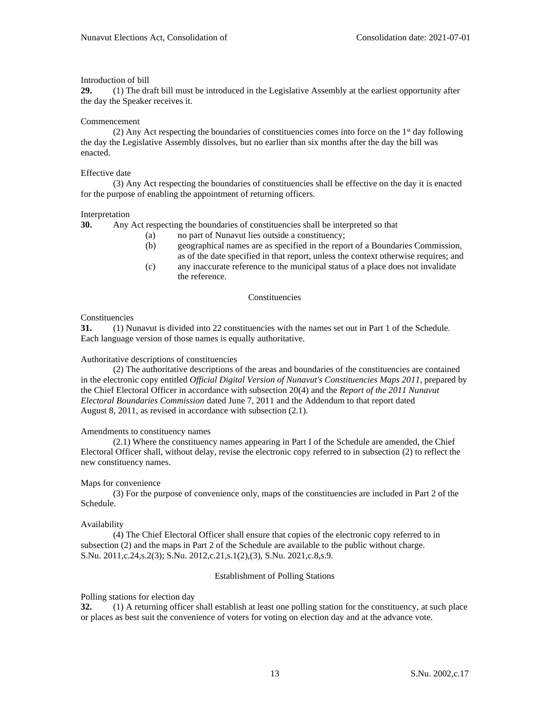## Introduction of bill

**29.** (1) The draft bill must be introduced in the Legislative Assembly at the earliest opportunity after the day the Speaker receives it.

## Commencement

(2) Any Act respecting the boundaries of constituencies comes into force on the  $1<sup>st</sup>$  day following the day the Legislative Assembly dissolves, but no earlier than six months after the day the bill was enacted.

## Effective date

(3) Any Act respecting the boundaries of constituencies shall be effective on the day it is enacted for the purpose of enabling the appointment of returning officers.

## Interpretation

**30.** Any Act respecting the boundaries of constituencies shall be interpreted so that

- (a) no part of Nunavut lies outside a constituency;
- (b) geographical names are as specified in the report of a Boundaries Commission, as of the date specified in that report, unless the context otherwise requires; and
- (c) any inaccurate reference to the municipal status of a place does not invalidate the reference.

## Constituencies

## Constituencies

**31.** (1) Nunavut is divided into 22 constituencies with the names set out in Part 1 of the Schedule. Each language version of those names is equally authoritative.

## Authoritative descriptions of constituencies

(2) The authoritative descriptions of the areas and boundaries of the constituencies are contained in the electronic copy entitled *Official Digital Version of Nunavut's Constituencies Maps 2011*, prepared by the Chief Electoral Officer in accordance with subsection 20(4) and the *Report of the 2011 Nunavut Electoral Boundaries Commission* dated June 7, 2011 and the Addendum to that report dated August 8, 2011, as revised in accordance with subsection (2.1).

## Amendments to constituency names

(2.1) Where the constituency names appearing in Part I of the Schedule are amended, the Chief Electoral Officer shall, without delay, revise the electronic copy referred to in subsection (2) to reflect the new constituency names.

## Maps for convenience

(3) For the purpose of convenience only, maps of the constituencies are included in Part 2 of the Schedule.

## Availability

(4) The Chief Electoral Officer shall ensure that copies of the electronic copy referred to in subsection (2) and the maps in Part 2 of the Schedule are available to the public without charge. S.Nu. 2011,c.24,s.2(3); S.Nu. 2012,c.21,s.1(2),(3), S.Nu. 2021,c.8,s.9.

## Establishment of Polling Stations

# Polling stations for election day

**32.** (1) A returning officer shall establish at least one polling station for the constituency, at such place or places as best suit the convenience of voters for voting on election day and at the advance vote.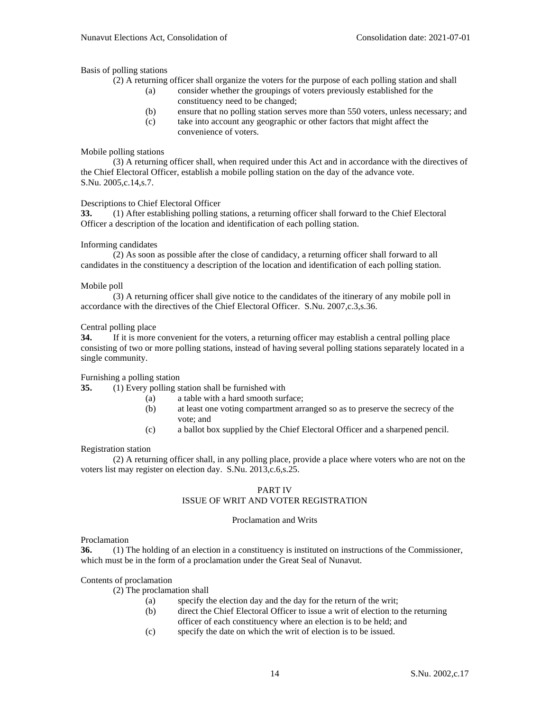# Basis of polling stations

- (2) A returning officer shall organize the voters for the purpose of each polling station and shall
	- (a) consider whether the groupings of voters previously established for the constituency need to be changed;
	- (b) ensure that no polling station serves more than 550 voters, unless necessary; and
	- (c) take into account any geographic or other factors that might affect the convenience of voters.

#### Mobile polling stations

(3) A returning officer shall, when required under this Act and in accordance with the directives of the Chief Electoral Officer, establish a mobile polling station on the day of the advance vote. S.Nu. 2005,c.14,s.7.

#### Descriptions to Chief Electoral Officer

**33.** (1) After establishing polling stations, a returning officer shall forward to the Chief Electoral Officer a description of the location and identification of each polling station.

#### Informing candidates

(2) As soon as possible after the close of candidacy, a returning officer shall forward to all candidates in the constituency a description of the location and identification of each polling station.

#### Mobile poll

(3) A returning officer shall give notice to the candidates of the itinerary of any mobile poll in accordance with the directives of the Chief Electoral Officer. S.Nu. 2007,c.3,s.36.

#### Central polling place

**34.** If it is more convenient for the voters, a returning officer may establish a central polling place consisting of two or more polling stations, instead of having several polling stations separately located in a single community.

## Furnishing a polling station

**35.** (1) Every polling station shall be furnished with

- (a) a table with a hard smooth surface;
- (b) at least one voting compartment arranged so as to preserve the secrecy of the vote; and
- (c) a ballot box supplied by the Chief Electoral Officer and a sharpened pencil.

## Registration station

(2) A returning officer shall, in any polling place, provide a place where voters who are not on the voters list may register on election day. S.Nu. 2013,c.6,s.25.

## PART IV

# ISSUE OF WRIT AND VOTER REGISTRATION

## Proclamation and Writs

# Proclamation<br>36.  $(1)$  T

**36.** (1) The holding of an election in a constituency is instituted on instructions of the Commissioner, which must be in the form of a proclamation under the Great Seal of Nunavut.

## Contents of proclamation

- (2) The proclamation shall
	- (a) specify the election day and the day for the return of the writ;
	- (b) direct the Chief Electoral Officer to issue a writ of election to the returning officer of each constituency where an election is to be held; and
	- (c) specify the date on which the writ of election is to be issued.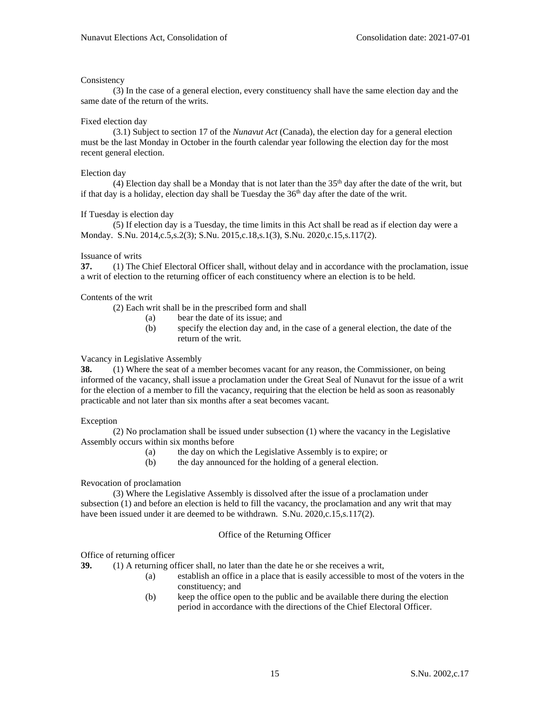## **Consistency**

(3) In the case of a general election, every constituency shall have the same election day and the same date of the return of the writs.

# Fixed election day

(3.1) Subject to section 17 of the *Nunavut Act* (Canada), the election day for a general election must be the last Monday in October in the fourth calendar year following the election day for the most recent general election.

## Election day

(4) Election day shall be a Monday that is not later than the  $35<sup>th</sup>$  day after the date of the writ, but if that day is a holiday, election day shall be Tuesday the  $36<sup>th</sup>$  day after the date of the writ.

## If Tuesday is election day

(5) If election day is a Tuesday, the time limits in this Act shall be read as if election day were a Monday. S.Nu. 2014,c.5,s.2(3); S.Nu. 2015,c.18,s.1(3), S.Nu. 2020,c.15,s.117(2).

## Issuance of writs

**37.** (1) The Chief Electoral Officer shall, without delay and in accordance with the proclamation, issue a writ of election to the returning officer of each constituency where an election is to be held.

## Contents of the writ

(2) Each writ shall be in the prescribed form and shall

- (a) bear the date of its issue; and
- (b) specify the election day and, in the case of a general election, the date of the return of the writ.

## Vacancy in Legislative Assembly

**38.** (1) Where the seat of a member becomes vacant for any reason, the Commissioner, on being informed of the vacancy, shall issue a proclamation under the Great Seal of Nunavut for the issue of a writ for the election of a member to fill the vacancy, requiring that the election be held as soon as reasonably practicable and not later than six months after a seat becomes vacant.

## Exception

(2) No proclamation shall be issued under subsection (1) where the vacancy in the Legislative Assembly occurs within six months before

- (a) the day on which the Legislative Assembly is to expire; or
- (b) the day announced for the holding of a general election.

## Revocation of proclamation

(3) Where the Legislative Assembly is dissolved after the issue of a proclamation under subsection (1) and before an election is held to fill the vacancy, the proclamation and any writ that may have been issued under it are deemed to be withdrawn. S.Nu. 2020,c.15,s.117(2).

## Office of the Returning Officer

# Office of returning officer

**39.** (1) A returning officer shall, no later than the date he or she receives a writ,

- (a) establish an office in a place that is easily accessible to most of the voters in the constituency; and
- (b) keep the office open to the public and be available there during the election period in accordance with the directions of the Chief Electoral Officer.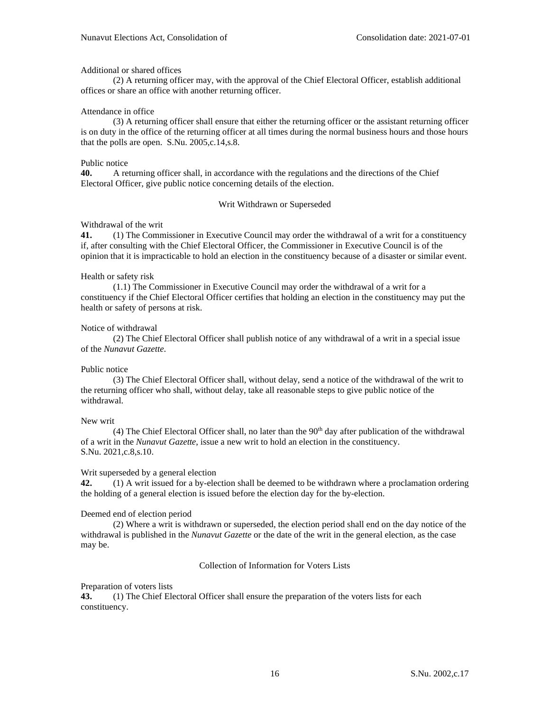# Additional or shared offices

(2) A returning officer may, with the approval of the Chief Electoral Officer, establish additional offices or share an office with another returning officer.

## Attendance in office

(3) A returning officer shall ensure that either the returning officer or the assistant returning officer is on duty in the office of the returning officer at all times during the normal business hours and those hours that the polls are open. S.Nu. 2005,c.14,s.8.

# Public notice

**40.** A returning officer shall, in accordance with the regulations and the directions of the Chief Electoral Officer, give public notice concerning details of the election.

## Writ Withdrawn or Superseded

## Withdrawal of the writ

**41.** (1) The Commissioner in Executive Council may order the withdrawal of a writ for a constituency if, after consulting with the Chief Electoral Officer, the Commissioner in Executive Council is of the opinion that it is impracticable to hold an election in the constituency because of a disaster or similar event.

## Health or safety risk

(1.1) The Commissioner in Executive Council may order the withdrawal of a writ for a constituency if the Chief Electoral Officer certifies that holding an election in the constituency may put the health or safety of persons at risk.

## Notice of withdrawal

(2) The Chief Electoral Officer shall publish notice of any withdrawal of a writ in a special issue of the *Nunavut Gazette*.

## Public notice

(3) The Chief Electoral Officer shall, without delay, send a notice of the withdrawal of the writ to the returning officer who shall, without delay, take all reasonable steps to give public notice of the withdrawal.

## New writ

(4) The Chief Electoral Officer shall, no later than the  $90<sup>th</sup>$  day after publication of the withdrawal of a writ in the *Nunavut Gazette*, issue a new writ to hold an election in the constituency. S.Nu. 2021,c.8,s.10.

## Writ superseded by a general election

**42.** (1) A writ issued for a by-election shall be deemed to be withdrawn where a proclamation ordering the holding of a general election is issued before the election day for the by-election.

# Deemed end of election period

(2) Where a writ is withdrawn or superseded, the election period shall end on the day notice of the withdrawal is published in the *Nunavut Gazette* or the date of the writ in the general election, as the case may be.

Collection of Information for Voters Lists

# Preparation of voters lists<br>43. (1) The Chief Ele

**43.** (1) The Chief Electoral Officer shall ensure the preparation of the voters lists for each constituency.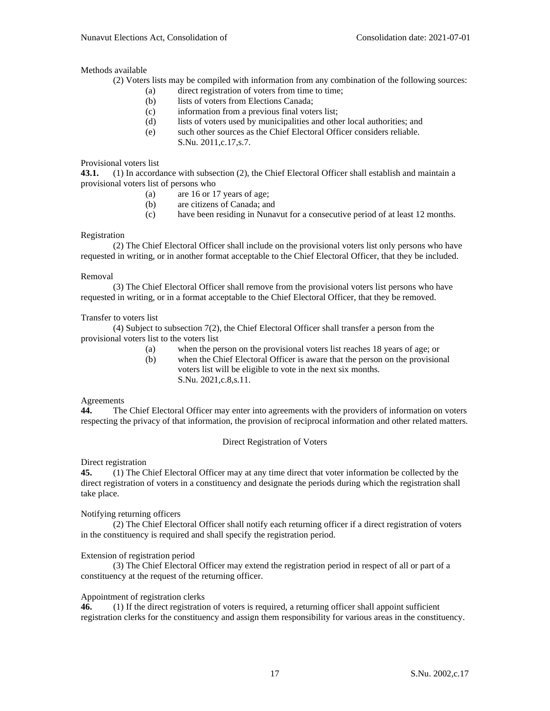Methods available

- (2) Voters lists may be compiled with information from any combination of the following sources:
	- (a) direct registration of voters from time to time;
	- (b) lists of voters from Elections Canada;
	- (c) information from a previous final voters list;
	- (d) lists of voters used by municipalities and other local authorities; and
	- (e) such other sources as the Chief Electoral Officer considers reliable. S.Nu. 2011,c.17,s.7.

# Provisional voters list

**43.1.** (1) In accordance with subsection (2), the Chief Electoral Officer shall establish and maintain a provisional voters list of persons who

- (a) are 16 or 17 years of age;
- (b) are citizens of Canada; and
- (c) have been residing in Nunavut for a consecutive period of at least 12 months.

# Registration

(2) The Chief Electoral Officer shall include on the provisional voters list only persons who have requested in writing, or in another format acceptable to the Chief Electoral Officer, that they be included.

# Removal

(3) The Chief Electoral Officer shall remove from the provisional voters list persons who have requested in writing, or in a format acceptable to the Chief Electoral Officer, that they be removed.

# Transfer to voters list

(4) Subject to subsection 7(2), the Chief Electoral Officer shall transfer a person from the provisional voters list to the voters list

- (a) when the person on the provisional voters list reaches 18 years of age; or
- (b) when the Chief Electoral Officer is aware that the person on the provisional voters list will be eligible to vote in the next six months. S.Nu. 2021,c.8,s.11.

# Agreements<br>44. The

**44.** The Chief Electoral Officer may enter into agreements with the providers of information on voters respecting the privacy of that information, the provision of reciprocal information and other related matters.

# Direct Registration of Voters

# Direct registration

**45.** (1) The Chief Electoral Officer may at any time direct that voter information be collected by the direct registration of voters in a constituency and designate the periods during which the registration shall take place.

# Notifying returning officers

(2) The Chief Electoral Officer shall notify each returning officer if a direct registration of voters in the constituency is required and shall specify the registration period.

# Extension of registration period

(3) The Chief Electoral Officer may extend the registration period in respect of all or part of a constituency at the request of the returning officer.

# Appointment of registration clerks

**46.** (1) If the direct registration of voters is required, a returning officer shall appoint sufficient registration clerks for the constituency and assign them responsibility for various areas in the constituency.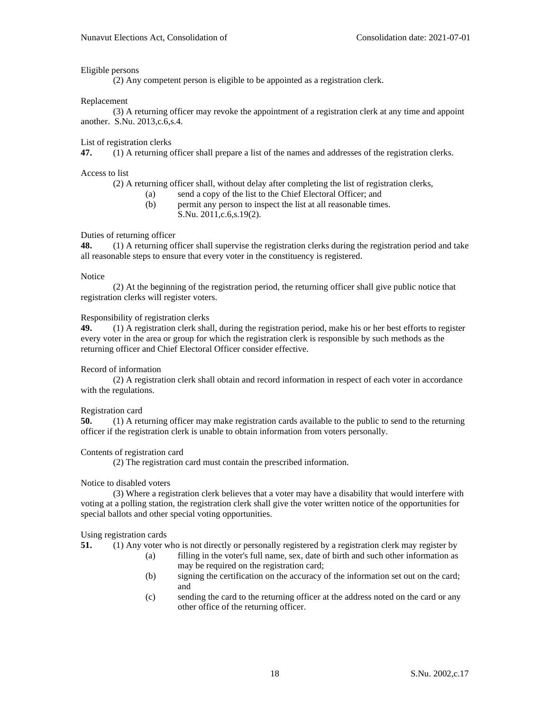# Eligible persons

(2) Any competent person is eligible to be appointed as a registration clerk.

## Replacement

(3) A returning officer may revoke the appointment of a registration clerk at any time and appoint another. S.Nu. 2013,c.6,s.4.

# List of registration clerks

**47.** (1) A returning officer shall prepare a list of the names and addresses of the registration clerks.

## Access to list

- (2) A returning officer shall, without delay after completing the list of registration clerks,
	- (a) send a copy of the list to the Chief Electoral Officer; and
	- (b) permit any person to inspect the list at all reasonable times. S.Nu. 2011,c.6,s.19(2).

## Duties of returning officer

**48.** (1) A returning officer shall supervise the registration clerks during the registration period and take all reasonable steps to ensure that every voter in the constituency is registered.

## **Notice**

(2) At the beginning of the registration period, the returning officer shall give public notice that registration clerks will register voters.

## Responsibility of registration clerks

**49.** (1) A registration clerk shall, during the registration period, make his or her best efforts to register every voter in the area or group for which the registration clerk is responsible by such methods as the returning officer and Chief Electoral Officer consider effective.

# Record of information

(2) A registration clerk shall obtain and record information in respect of each voter in accordance with the regulations.

## Registration card

**50.** (1) A returning officer may make registration cards available to the public to send to the returning officer if the registration clerk is unable to obtain information from voters personally.

# Contents of registration card

(2) The registration card must contain the prescribed information.

## Notice to disabled voters

(3) Where a registration clerk believes that a voter may have a disability that would interfere with voting at a polling station, the registration clerk shall give the voter written notice of the opportunities for special ballots and other special voting opportunities.

# Using registration cards

| 51. | (1) Any voter who is not directly or personally registered by a registration clerk may register by |
|-----|----------------------------------------------------------------------------------------------------|
|     | filling in the voter's full name, sex, date of birth and such other information as                 |
|     | may be required on the registration card;                                                          |

- (b) signing the certification on the accuracy of the information set out on the card; and
- (c) sending the card to the returning officer at the address noted on the card or any other office of the returning officer.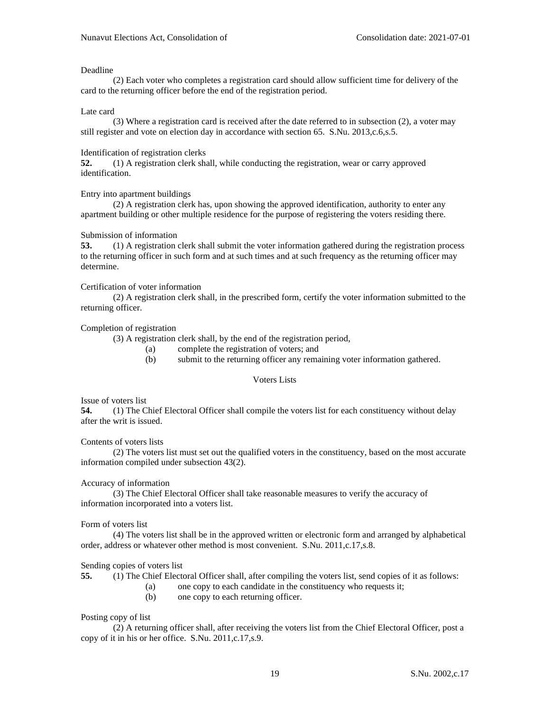## Deadline

(2) Each voter who completes a registration card should allow sufficient time for delivery of the card to the returning officer before the end of the registration period.

## Late card

(3) Where a registration card is received after the date referred to in subsection (2), a voter may still register and vote on election day in accordance with section 65. S.Nu. 2013,c.6,s.5.

## Identification of registration clerks

**52.** (1) A registration clerk shall, while conducting the registration, wear or carry approved identification.

#### Entry into apartment buildings

(2) A registration clerk has, upon showing the approved identification, authority to enter any apartment building or other multiple residence for the purpose of registering the voters residing there.

## Submission of information

**53.** (1) A registration clerk shall submit the voter information gathered during the registration process to the returning officer in such form and at such times and at such frequency as the returning officer may determine.

## Certification of voter information

(2) A registration clerk shall, in the prescribed form, certify the voter information submitted to the returning officer.

## Completion of registration

(3) A registration clerk shall, by the end of the registration period,

- (a) complete the registration of voters; and
- (b) submit to the returning officer any remaining voter information gathered.

## Voters Lists

## Issue of voters list

**54.** (1) The Chief Electoral Officer shall compile the voters list for each constituency without delay after the writ is issued.

#### Contents of voters lists

(2) The voters list must set out the qualified voters in the constituency, based on the most accurate information compiled under subsection 43(2).

## Accuracy of information

(3) The Chief Electoral Officer shall take reasonable measures to verify the accuracy of information incorporated into a voters list.

#### Form of voters list

(4) The voters list shall be in the approved written or electronic form and arranged by alphabetical order, address or whatever other method is most convenient. S.Nu. 2011,c.17,s.8.

## Sending copies of voters list

**55.** (1) The Chief Electoral Officer shall, after compiling the voters list, send copies of it as follows:

- (a) one copy to each candidate in the constituency who requests it;
- (b) one copy to each returning officer.

## Posting copy of list

(2) A returning officer shall, after receiving the voters list from the Chief Electoral Officer, post a copy of it in his or her office. S.Nu. 2011,c.17,s.9.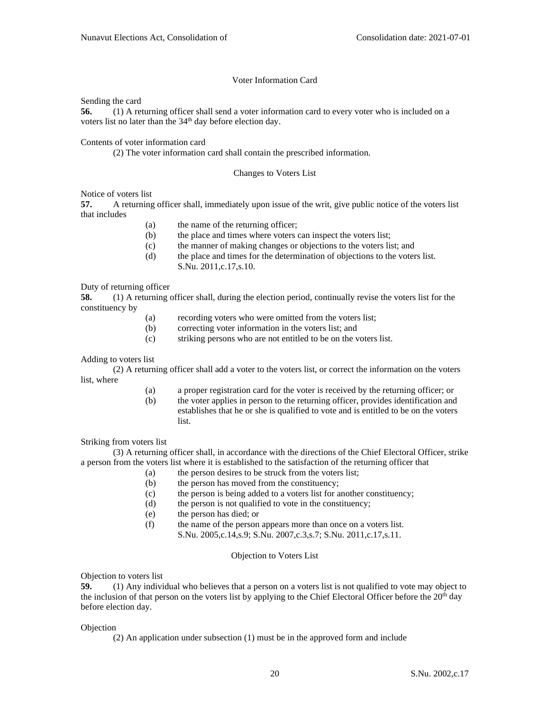# Voter Information Card

Sending the card

**56.** (1) A returning officer shall send a voter information card to every voter who is included on a voters list no later than the 34<sup>th</sup> day before election day.

Contents of voter information card

(2) The voter information card shall contain the prescribed information.

# Changes to Voters List

Notice of voters list

**57.** A returning officer shall, immediately upon issue of the writ, give public notice of the voters list that includes

- (a) the name of the returning officer;
- (b) the place and times where voters can inspect the voters list;
- (c) the manner of making changes or objections to the voters list; and
- (d) the place and times for the determination of objections to the voters list. S.Nu. 2011,c.17,s.10.

Duty of returning officer

**58.** (1) A returning officer shall, during the election period, continually revise the voters list for the constituency by

- (a) recording voters who were omitted from the voters list;
- (b) correcting voter information in the voters list; and
- (c) striking persons who are not entitled to be on the voters list.

# Adding to voters list

(2) A returning officer shall add a voter to the voters list, or correct the information on the voters list, where

- (a) a proper registration card for the voter is received by the returning officer; or
- (b) the voter applies in person to the returning officer, provides identification and establishes that he or she is qualified to vote and is entitled to be on the voters list.

Striking from voters list

(3) A returning officer shall, in accordance with the directions of the Chief Electoral Officer, strike a person from the voters list where it is established to the satisfaction of the returning officer that

- (a) the person desires to be struck from the voters list;
- (b) the person has moved from the constituency;
- (c) the person is being added to a voters list for another constituency;
- (d) the person is not qualified to vote in the constituency;
- (e) the person has died; or
- (f) the name of the person appears more than once on a voters list. S.Nu. 2005,c.14,s.9; S.Nu. 2007,c.3,s.7; S.Nu. 2011,c.17,s.11.

# Objection to Voters List

Objection to voters list

**59.** (1) Any individual who believes that a person on a voters list is not qualified to vote may object to the inclusion of that person on the voters list by applying to the Chief Electoral Officer before the  $20<sup>th</sup>$  day before election day.

# Objection

(2) An application under subsection (1) must be in the approved form and include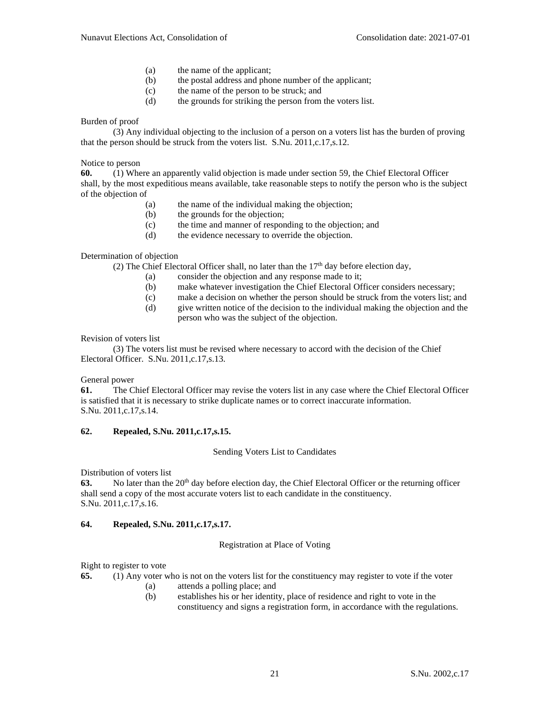- (a) the name of the applicant;
- (b) the postal address and phone number of the applicant;
- (c) the name of the person to be struck; and
- (d) the grounds for striking the person from the voters list.

# Burden of proof

(3) Any individual objecting to the inclusion of a person on a voters list has the burden of proving that the person should be struck from the voters list. S.Nu. 2011,c.17,s.12.

# Notice to person

**60.** (1) Where an apparently valid objection is made under section 59, the Chief Electoral Officer shall, by the most expeditious means available, take reasonable steps to notify the person who is the subject of the objection of

- (a) the name of the individual making the objection;
- (b) the grounds for the objection;
- (c) the time and manner of responding to the objection; and
- (d) the evidence necessary to override the objection.

# Determination of objection

(2) The Chief Electoral Officer shall, no later than the  $17<sup>th</sup>$  day before election day,

- (a) consider the objection and any response made to it;
- (b) make whatever investigation the Chief Electoral Officer considers necessary;
- (c) make a decision on whether the person should be struck from the voters list; and
- (d) give written notice of the decision to the individual making the objection and the person who was the subject of the objection.

# Revision of voters list

(3) The voters list must be revised where necessary to accord with the decision of the Chief Electoral Officer. S.Nu. 2011,c.17,s.13.

# General power

**61.** The Chief Electoral Officer may revise the voters list in any case where the Chief Electoral Officer is satisfied that it is necessary to strike duplicate names or to correct inaccurate information. S.Nu. 2011,c.17,s.14.

# **62. Repealed, S.Nu. 2011,c.17,s.15.**

# Sending Voters List to Candidates

Distribution of voters list

63. No later than the 20<sup>th</sup> day before election day, the Chief Electoral Officer or the returning officer shall send a copy of the most accurate voters list to each candidate in the constituency. S.Nu. 2011,c.17,s.16.

# **64. Repealed, S.Nu. 2011,c.17,s.17.**

# Registration at Place of Voting

Right to register to vote

**65.** (1) Any voter who is not on the voters list for the constituency may register to vote if the voter (a) attends a polling place; and

> (b) establishes his or her identity, place of residence and right to vote in the constituency and signs a registration form, in accordance with the regulations.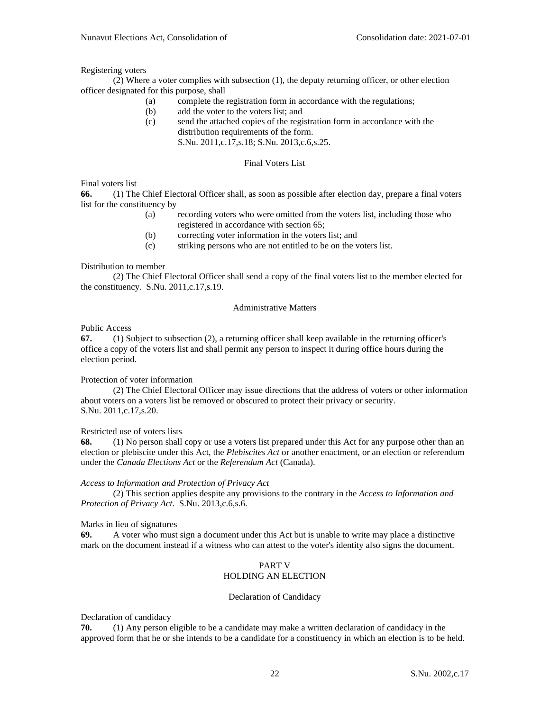Registering voters

(2) Where a voter complies with subsection (1), the deputy returning officer, or other election officer designated for this purpose, shall

- (a) complete the registration form in accordance with the regulations;
	- (b) add the voter to the voters list; and
	- (c) send the attached copies of the registration form in accordance with the distribution requirements of the form.

S.Nu. 2011,c.17,s.18; S.Nu. 2013,c.6,s.25.

# Final Voters List

## Final voters list

**66.** (1) The Chief Electoral Officer shall, as soon as possible after election day, prepare a final voters list for the constituency by

- (a) recording voters who were omitted from the voters list, including those who registered in accordance with section 65;
- (b) correcting voter information in the voters list; and
- (c) striking persons who are not entitled to be on the voters list.

# Distribution to member

(2) The Chief Electoral Officer shall send a copy of the final voters list to the member elected for the constituency. S.Nu. 2011,c.17,s.19.

## Administrative Matters

## Public Access

**67.** (1) Subject to subsection (2), a returning officer shall keep available in the returning officer's office a copy of the voters list and shall permit any person to inspect it during office hours during the election period.

# Protection of voter information

(2) The Chief Electoral Officer may issue directions that the address of voters or other information about voters on a voters list be removed or obscured to protect their privacy or security. S.Nu. 2011,c.17,s.20.

# Restricted use of voters lists

**68.** (1) No person shall copy or use a voters list prepared under this Act for any purpose other than an election or plebiscite under this Act, the *Plebiscites Act* or another enactment, or an election or referendum under the *Canada Elections Act* or the *Referendum Act* (Canada).

## *Access to Information and Protection of Privacy Act*

(2) This section applies despite any provisions to the contrary in the *Access to Information and Protection of Privacy Act*. S.Nu. 2013,c.6,s.6.

## Marks in lieu of signatures

**69.** A voter who must sign a document under this Act but is unable to write may place a distinctive mark on the document instead if a witness who can attest to the voter's identity also signs the document.

# PART V

# HOLDING AN ELECTION

## Declaration of Candidacy

Declaration of candidacy

**70.** (1) Any person eligible to be a candidate may make a written declaration of candidacy in the approved form that he or she intends to be a candidate for a constituency in which an election is to be held.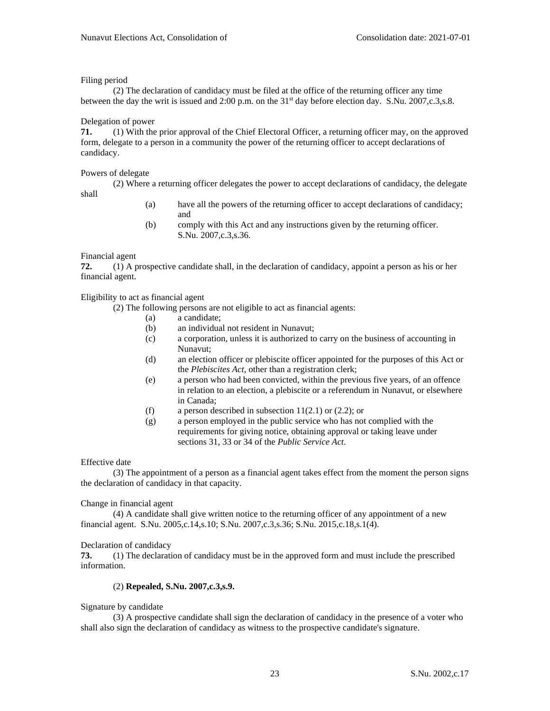## Filing period

(2) The declaration of candidacy must be filed at the office of the returning officer any time between the day the writ is issued and  $2:00$  p.m. on the  $31<sup>st</sup>$  day before election day. S.Nu. 2007,c.3,s.8.

## Delegation of power

**71.** (1) With the prior approval of the Chief Electoral Officer, a returning officer may, on the approved form, delegate to a person in a community the power of the returning officer to accept declarations of candidacy.

## Powers of delegate

(2) Where a returning officer delegates the power to accept declarations of candidacy, the delegate shall

- (a) have all the powers of the returning officer to accept declarations of candidacy; and
- (b) comply with this Act and any instructions given by the returning officer. S.Nu. 2007,c.3,s.36.

## Financial agent

**72.** (1) A prospective candidate shall, in the declaration of candidacy, appoint a person as his or her financial agent.

# Eligibility to act as financial agent

(2) The following persons are not eligible to act as financial agents:

- (a) a candidate;
- (b) an individual not resident in Nunavut;
- (c) a corporation, unless it is authorized to carry on the business of accounting in Nunavut;
- (d) an election officer or plebiscite officer appointed for the purposes of this Act or the *Plebiscites Act*, other than a registration clerk;
- (e) a person who had been convicted, within the previous five years, of an offence in relation to an election, a plebiscite or a referendum in Nunavut, or elsewhere in Canada;
- (f) a person described in subsection  $11(2.1)$  or  $(2.2)$ ; or
- (g) a person employed in the public service who has not complied with the requirements for giving notice, obtaining approval or taking leave under sections 31, 33 or 34 of the *Public Service Act*.

## Effective date

(3) The appointment of a person as a financial agent takes effect from the moment the person signs the declaration of candidacy in that capacity.

# Change in financial agent

(4) A candidate shall give written notice to the returning officer of any appointment of a new financial agent. S.Nu. 2005,c.14,s.10; S.Nu. 2007,c.3,s.36; S.Nu. 2015,c.18,s.1(4).

# Declaration of candidacy<br>73. (1) The declaration

**73.** (1) The declaration of candidacy must be in the approved form and must include the prescribed information.

## (2) **Repealed, S.Nu. 2007,c.3,s.9.**

## Signature by candidate

(3) A prospective candidate shall sign the declaration of candidacy in the presence of a voter who shall also sign the declaration of candidacy as witness to the prospective candidate's signature.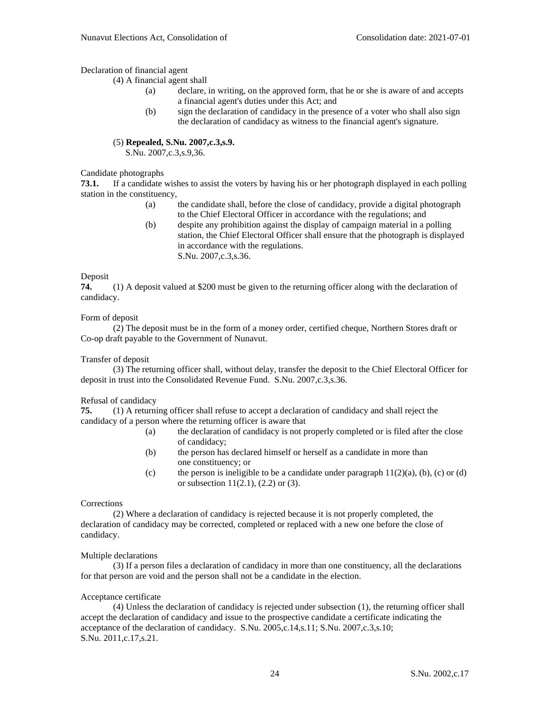Declaration of financial agent

(4) A financial agent shall

- (a) declare, in writing, on the approved form, that he or she is aware of and accepts a financial agent's duties under this Act; and
- (b) sign the declaration of candidacy in the presence of a voter who shall also sign the declaration of candidacy as witness to the financial agent's signature.
- (5) **Repealed, S.Nu. 2007,c.3,s.9.**

S.Nu. 2007,c.3,s.9,36.

Candidate photographs

**73.1.** If a candidate wishes to assist the voters by having his or her photograph displayed in each polling station in the constituency,

- (a) the candidate shall, before the close of candidacy, provide a digital photograph to the Chief Electoral Officer in accordance with the regulations; and
- (b) despite any prohibition against the display of campaign material in a polling station, the Chief Electoral Officer shall ensure that the photograph is displayed in accordance with the regulations. S.Nu. 2007,c.3,s.36.

## Deposit

**74.** (1) A deposit valued at \$200 must be given to the returning officer along with the declaration of candidacy.

## Form of deposit

(2) The deposit must be in the form of a money order, certified cheque, Northern Stores draft or Co-op draft payable to the Government of Nunavut.

# Transfer of deposit

(3) The returning officer shall, without delay, transfer the deposit to the Chief Electoral Officer for deposit in trust into the Consolidated Revenue Fund. S.Nu. 2007, c.3, s.36.

## Refusal of candidacy

**75.** (1) A returning officer shall refuse to accept a declaration of candidacy and shall reject the candidacy of a person where the returning officer is aware that

- (a) the declaration of candidacy is not properly completed or is filed after the close of candidacy;
- (b) the person has declared himself or herself as a candidate in more than one constituency; or
- (c) the person is ineligible to be a candidate under paragraph  $11(2)(a)$ , (b), (c) or (d) or subsection  $11(2.1)$ ,  $(2.2)$  or  $(3)$ .

## **Corrections**

(2) Where a declaration of candidacy is rejected because it is not properly completed, the declaration of candidacy may be corrected, completed or replaced with a new one before the close of candidacy.

## Multiple declarations

(3) If a person files a declaration of candidacy in more than one constituency, all the declarations for that person are void and the person shall not be a candidate in the election.

# Acceptance certificate

(4) Unless the declaration of candidacy is rejected under subsection (1), the returning officer shall accept the declaration of candidacy and issue to the prospective candidate a certificate indicating the acceptance of the declaration of candidacy. S.Nu. 2005,c.14,s.11; S.Nu. 2007,c.3,s.10; S.Nu. 2011,c.17,s.21.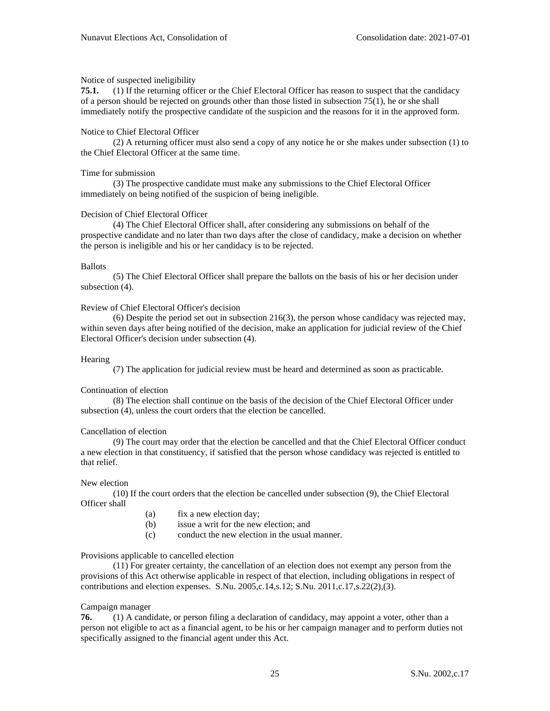# Notice of suspected ineligibility

**75.1.** (1) If the returning officer or the Chief Electoral Officer has reason to suspect that the candidacy of a person should be rejected on grounds other than those listed in subsection 75(1), he or she shall immediately notify the prospective candidate of the suspicion and the reasons for it in the approved form.

## Notice to Chief Electoral Officer

(2) A returning officer must also send a copy of any notice he or she makes under subsection (1) to the Chief Electoral Officer at the same time.

## Time for submission

(3) The prospective candidate must make any submissions to the Chief Electoral Officer immediately on being notified of the suspicion of being ineligible.

## Decision of Chief Electoral Officer

(4) The Chief Electoral Officer shall, after considering any submissions on behalf of the prospective candidate and no later than two days after the close of candidacy, make a decision on whether the person is ineligible and his or her candidacy is to be rejected.

## **Ballots**

(5) The Chief Electoral Officer shall prepare the ballots on the basis of his or her decision under subsection (4).

## Review of Chief Electoral Officer's decision

(6) Despite the period set out in subsection 216(3), the person whose candidacy was rejected may, within seven days after being notified of the decision, make an application for judicial review of the Chief Electoral Officer's decision under subsection (4).

## Hearing

(7) The application for judicial review must be heard and determined as soon as practicable.

# Continuation of election

(8) The election shall continue on the basis of the decision of the Chief Electoral Officer under subsection (4), unless the court orders that the election be cancelled.

# Cancellation of election

(9) The court may order that the election be cancelled and that the Chief Electoral Officer conduct a new election in that constituency, if satisfied that the person whose candidacy was rejected is entitled to that relief.

## New election

(10) If the court orders that the election be cancelled under subsection (9), the Chief Electoral Officer shall

- (a) fix a new election day;
- (b) issue a writ for the new election; and
- (c) conduct the new election in the usual manner.

## Provisions applicable to cancelled election

(11) For greater certainty, the cancellation of an election does not exempt any person from the provisions of this Act otherwise applicable in respect of that election, including obligations in respect of contributions and election expenses. S.Nu. 2005,c.14,s.12; S.Nu. 2011,c.17,s.22(2),(3).

# Campaign manager

**76.** (1) A candidate, or person filing a declaration of candidacy, may appoint a voter, other than a person not eligible to act as a financial agent, to be his or her campaign manager and to perform duties not specifically assigned to the financial agent under this Act.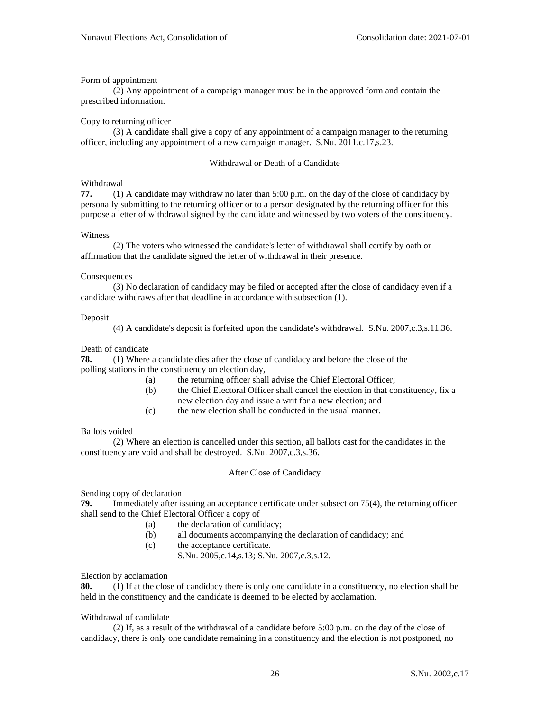## Form of appointment

(2) Any appointment of a campaign manager must be in the approved form and contain the prescribed information.

#### Copy to returning officer

(3) A candidate shall give a copy of any appointment of a campaign manager to the returning officer, including any appointment of a new campaign manager. S.Nu. 2011,c.17,s.23.

#### Withdrawal or Death of a Candidate

## **Withdrawal**

**77.** (1) A candidate may withdraw no later than 5:00 p.m. on the day of the close of candidacy by personally submitting to the returning officer or to a person designated by the returning officer for this purpose a letter of withdrawal signed by the candidate and witnessed by two voters of the constituency.

#### Witness

(2) The voters who witnessed the candidate's letter of withdrawal shall certify by oath or affirmation that the candidate signed the letter of withdrawal in their presence.

#### Consequences

(3) No declaration of candidacy may be filed or accepted after the close of candidacy even if a candidate withdraws after that deadline in accordance with subsection (1).

#### Deposit

(4) A candidate's deposit is forfeited upon the candidate's withdrawal. S.Nu. 2007,c.3,s.11,36.

#### Death of candidate

**78.** (1) Where a candidate dies after the close of candidacy and before the close of the polling stations in the constituency on election day,

- (a) the returning officer shall advise the Chief Electoral Officer;
- (b) the Chief Electoral Officer shall cancel the election in that constituency, fix a new election day and issue a writ for a new election; and
- (c) the new election shall be conducted in the usual manner.

# Ballots voided

(2) Where an election is cancelled under this section, all ballots cast for the candidates in the constituency are void and shall be destroyed. S.Nu. 2007,c.3,s.36.

#### After Close of Candidacy

Sending copy of declaration

**79.** Immediately after issuing an acceptance certificate under subsection 75(4), the returning officer shall send to the Chief Electoral Officer a copy of

- (a) the declaration of candidacy;
- (b) all documents accompanying the declaration of candidacy; and
- (c) the acceptance certificate.

S.Nu. 2005,c.14,s.13; S.Nu. 2007,c.3,s.12.

## Election by acclamation

**80.** (1) If at the close of candidacy there is only one candidate in a constituency, no election shall be held in the constituency and the candidate is deemed to be elected by acclamation.

## Withdrawal of candidate

(2) If, as a result of the withdrawal of a candidate before 5:00 p.m. on the day of the close of candidacy, there is only one candidate remaining in a constituency and the election is not postponed, no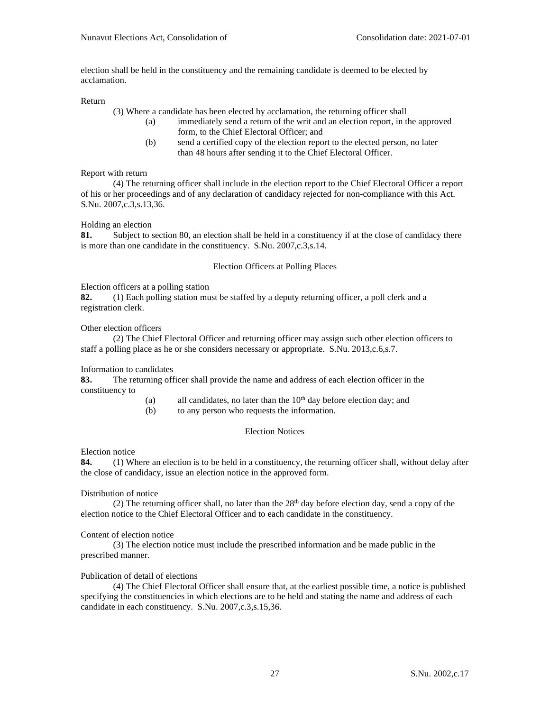election shall be held in the constituency and the remaining candidate is deemed to be elected by acclamation.

## Return

- (3) Where a candidate has been elected by acclamation, the returning officer shall
	- (a) immediately send a return of the writ and an election report, in the approved form, to the Chief Electoral Officer; and
	- (b) send a certified copy of the election report to the elected person, no later than 48 hours after sending it to the Chief Electoral Officer.

# Report with return

(4) The returning officer shall include in the election report to the Chief Electoral Officer a report of his or her proceedings and of any declaration of candidacy rejected for non-compliance with this Act. S.Nu. 2007,c.3,s.13,36.

## Holding an election

**81.** Subject to section 80, an election shall be held in a constituency if at the close of candidacy there is more than one candidate in the constituency. S.Nu. 2007,c.3,s.14.

# Election Officers at Polling Places

Election officers at a polling station

**82.** (1) Each polling station must be staffed by a deputy returning officer, a poll clerk and a registration clerk.

## Other election officers

(2) The Chief Electoral Officer and returning officer may assign such other election officers to staff a polling place as he or she considers necessary or appropriate. S.Nu. 2013,c.6,s.7.

## Information to candidates

**83.** The returning officer shall provide the name and address of each election officer in the constituency to

- (a) all candidates, no later than the  $10<sup>th</sup>$  day before election day; and to any person who requests the information.
	- to any person who requests the information.

# Election Notices

## Election notice

**84.** (1) Where an election is to be held in a constituency, the returning officer shall, without delay after the close of candidacy, issue an election notice in the approved form.

# Distribution of notice

(2) The returning officer shall, no later than the  $28<sup>th</sup>$  day before election day, send a copy of the election notice to the Chief Electoral Officer and to each candidate in the constituency.

# Content of election notice

(3) The election notice must include the prescribed information and be made public in the prescribed manner.

# Publication of detail of elections

(4) The Chief Electoral Officer shall ensure that, at the earliest possible time, a notice is published specifying the constituencies in which elections are to be held and stating the name and address of each candidate in each constituency. S.Nu. 2007,c.3,s.15,36.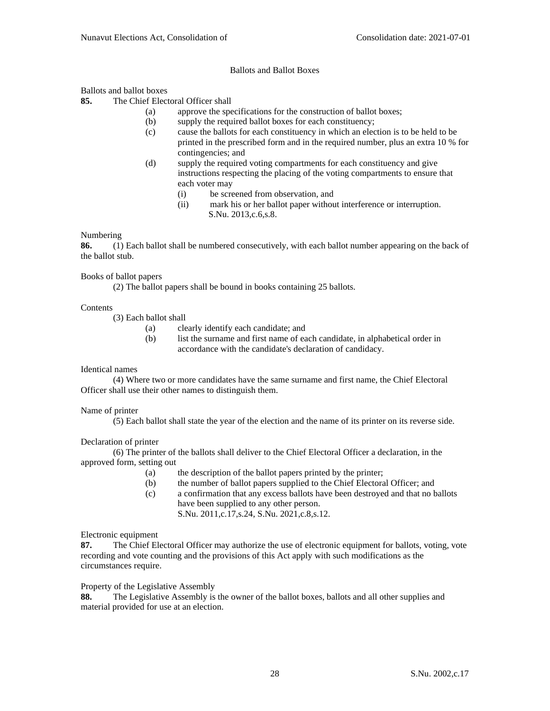# Ballots and Ballot Boxes

Ballots and ballot boxes<br>85. The Chief Elect

**85.** The Chief Electoral Officer shall

- (a) approve the specifications for the construction of ballot boxes;
- (b) supply the required ballot boxes for each constituency;
- (c) cause the ballots for each constituency in which an election is to be held to be printed in the prescribed form and in the required number, plus an extra 10 % for contingencies; and
- (d) supply the required voting compartments for each constituency and give instructions respecting the placing of the voting compartments to ensure that each voter may
	- (i) be screened from observation, and
	- (ii) mark his or her ballot paper without interference or interruption. S.Nu. 2013,c.6,s.8.

Numbering

**86.** (1) Each ballot shall be numbered consecutively, with each ballot number appearing on the back of the ballot stub.

Books of ballot papers

(2) The ballot papers shall be bound in books containing 25 ballots.

# **Contents**

(3) Each ballot shall

- (a) clearly identify each candidate; and
- (b) list the surname and first name of each candidate, in alphabetical order in accordance with the candidate's declaration of candidacy.

# Identical names

(4) Where two or more candidates have the same surname and first name, the Chief Electoral Officer shall use their other names to distinguish them.

# Name of printer

(5) Each ballot shall state the year of the election and the name of its printer on its reverse side.

# Declaration of printer

(6) The printer of the ballots shall deliver to the Chief Electoral Officer a declaration, in the approved form, setting out

- (a) the description of the ballot papers printed by the printer;
- (b) the number of ballot papers supplied to the Chief Electoral Officer; and
- (c) a confirmation that any excess ballots have been destroyed and that no ballots have been supplied to any other person.

S.Nu. 2011,c.17,s.24, S.Nu. 2021,c.8,s.12.

# Electronic equipment

**87.** The Chief Electoral Officer may authorize the use of electronic equipment for ballots, voting, vote recording and vote counting and the provisions of this Act apply with such modifications as the circumstances require.

# Property of the Legislative Assembly

**88.** The Legislative Assembly is the owner of the ballot boxes, ballots and all other supplies and material provided for use at an election.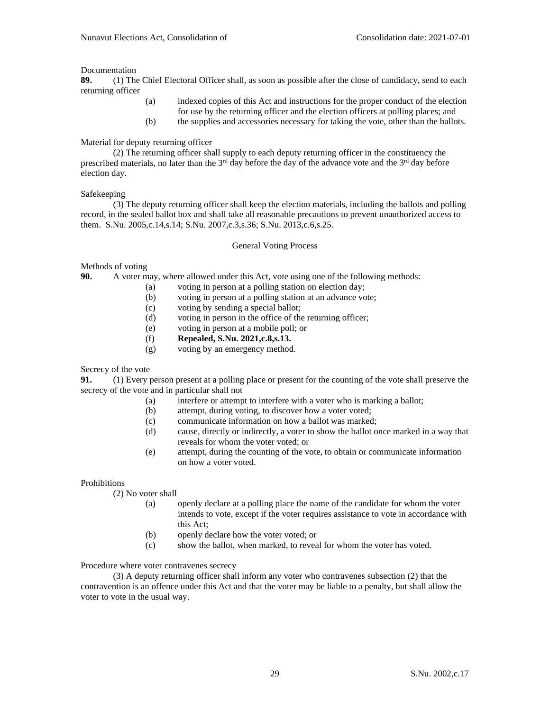#### Documentation

**89.** (1) The Chief Electoral Officer shall, as soon as possible after the close of candidacy, send to each returning officer

- (a) indexed copies of this Act and instructions for the proper conduct of the election for use by the returning officer and the election officers at polling places; and
- (b) the supplies and accessories necessary for taking the vote, other than the ballots.

Material for deputy returning officer

(2) The returning officer shall supply to each deputy returning officer in the constituency the prescribed materials, no later than the 3<sup>rd</sup> day before the day of the advance vote and the 3<sup>rd</sup> day before election day.

## Safekeeping

(3) The deputy returning officer shall keep the election materials, including the ballots and polling record, in the sealed ballot box and shall take all reasonable precautions to prevent unauthorized access to them. S.Nu. 2005,c.14,s.14; S.Nu. 2007,c.3,s.36; S.Nu. 2013,c.6,s.25.

#### General Voting Process

Methods of voting

**90.** A voter may, where allowed under this Act, vote using one of the following methods:

- (a) voting in person at a polling station on election day;
- (b) voting in person at a polling station at an advance vote;
- (c) voting by sending a special ballot;
- (d) voting in person in the office of the returning officer;
- (e) voting in person at a mobile poll; or
- (f) **Repealed, S.Nu. 2021,c.8,s.13.**
- (g) voting by an emergency method.

# Secrecy of the vote

**91.** (1) Every person present at a polling place or present for the counting of the vote shall preserve the secrecy of the vote and in particular shall not

- (a) interfere or attempt to interfere with a voter who is marking a ballot;
- (b) attempt, during voting, to discover how a voter voted;
- (c) communicate information on how a ballot was marked;
- (d) cause, directly or indirectly, a voter to show the ballot once marked in a way that reveals for whom the voter voted; or
- (e) attempt, during the counting of the vote, to obtain or communicate information on how a voter voted.

## Prohibitions

(2) No voter shall

- (a) openly declare at a polling place the name of the candidate for whom the voter intends to vote, except if the voter requires assistance to vote in accordance with this Act;
- (b) openly declare how the voter voted; or
- (c) show the ballot, when marked, to reveal for whom the voter has voted.

Procedure where voter contravenes secrecy

(3) A deputy returning officer shall inform any voter who contravenes subsection (2) that the contravention is an offence under this Act and that the voter may be liable to a penalty, but shall allow the voter to vote in the usual way.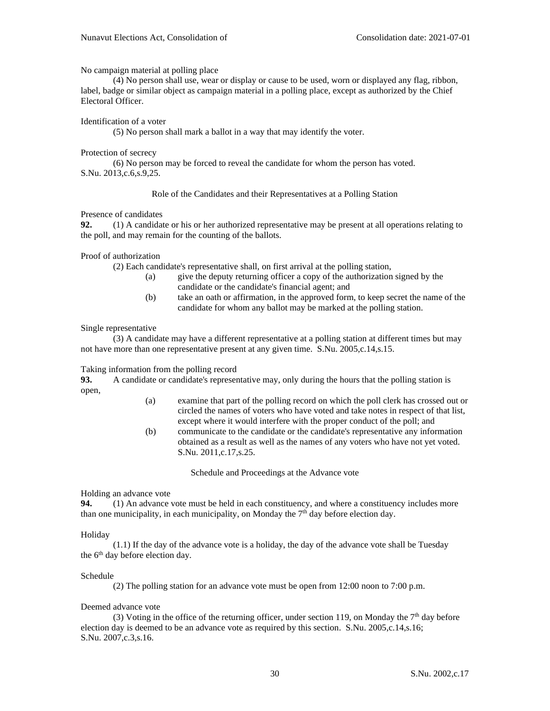# No campaign material at polling place

(4) No person shall use, wear or display or cause to be used, worn or displayed any flag, ribbon, label, badge or similar object as campaign material in a polling place, except as authorized by the Chief Electoral Officer.

# Identification of a voter

(5) No person shall mark a ballot in a way that may identify the voter.

# Protection of secrecy

(6) No person may be forced to reveal the candidate for whom the person has voted. S.Nu. 2013,c.6,s.9,25.

Role of the Candidates and their Representatives at a Polling Station

# Presence of candidates

**92.** (1) A candidate or his or her authorized representative may be present at all operations relating to the poll, and may remain for the counting of the ballots.

# Proof of authorization

(2) Each candidate's representative shall, on first arrival at the polling station,

- (a) give the deputy returning officer a copy of the authorization signed by the candidate or the candidate's financial agent; and
- (b) take an oath or affirmation, in the approved form, to keep secret the name of the candidate for whom any ballot may be marked at the polling station.

# Single representative

(3) A candidate may have a different representative at a polling station at different times but may not have more than one representative present at any given time. S.Nu. 2005,c.14,s.15.

# Taking information from the polling record

**93.** A candidate or candidate's representative may, only during the hours that the polling station is open,

- (a) examine that part of the polling record on which the poll clerk has crossed out or circled the names of voters who have voted and take notes in respect of that list, except where it would interfere with the proper conduct of the poll; and
- (b) communicate to the candidate or the candidate's representative any information obtained as a result as well as the names of any voters who have not yet voted. S.Nu. 2011,c.17,s.25.

Schedule and Proceedings at the Advance vote

Holding an advance vote

**94.** (1) An advance vote must be held in each constituency, and where a constituency includes more than one municipality, in each municipality, on Monday the  $7<sup>th</sup>$  day before election day.

# **Holiday**

(1.1) If the day of the advance vote is a holiday, the day of the advance vote shall be Tuesday the  $6<sup>th</sup>$  day before election day.

# Schedule

(2) The polling station for an advance vote must be open from 12:00 noon to 7:00 p.m.

# Deemed advance vote

(3) Voting in the office of the returning officer, under section 119, on Monday the  $7<sup>th</sup>$  day before election day is deemed to be an advance vote as required by this section. S.Nu. 2005,c.14,s.16; S.Nu. 2007,c.3,s.16.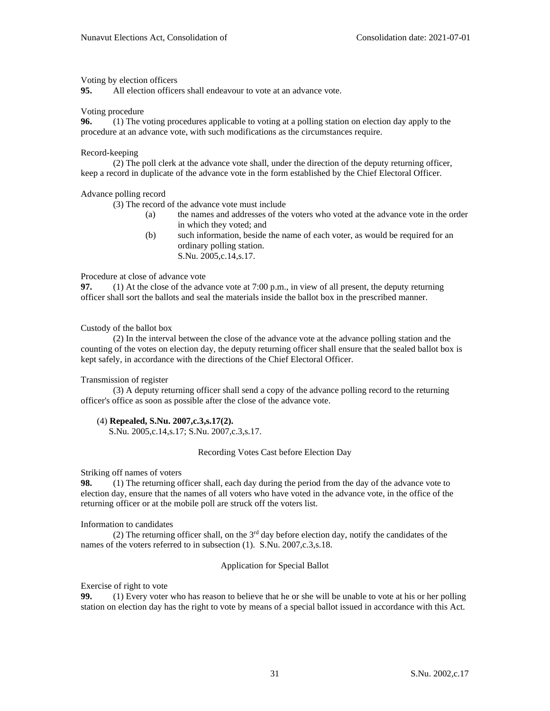## Voting by election officers

**95.** All election officers shall endeavour to vote at an advance vote.

#### Voting procedure

**96.** (1) The voting procedures applicable to voting at a polling station on election day apply to the procedure at an advance vote, with such modifications as the circumstances require.

#### Record-keeping

(2) The poll clerk at the advance vote shall, under the direction of the deputy returning officer, keep a record in duplicate of the advance vote in the form established by the Chief Electoral Officer.

## Advance polling record

|  |  | (3) The record of the advance vote must include |
|--|--|-------------------------------------------------|
|--|--|-------------------------------------------------|

- (a) the names and addresses of the voters who voted at the advance vote in the order in which they voted; and
- (b) such information, beside the name of each voter, as would be required for an ordinary polling station. S.Nu. 2005,c.14,s.17.

# Procedure at close of advance vote

**97.** (1) At the close of the advance vote at 7:00 p.m., in view of all present, the deputy returning officer shall sort the ballots and seal the materials inside the ballot box in the prescribed manner.

## Custody of the ballot box

(2) In the interval between the close of the advance vote at the advance polling station and the counting of the votes on election day, the deputy returning officer shall ensure that the sealed ballot box is kept safely, in accordance with the directions of the Chief Electoral Officer.

## Transmission of register

(3) A deputy returning officer shall send a copy of the advance polling record to the returning officer's office as soon as possible after the close of the advance vote.

## (4) **Repealed, S.Nu. 2007,c.3,s.17(2).**

S.Nu. 2005,c.14,s.17; S.Nu. 2007,c.3,s.17.

## Recording Votes Cast before Election Day

Striking off names of voters

**98.** (1) The returning officer shall, each day during the period from the day of the advance vote to election day, ensure that the names of all voters who have voted in the advance vote, in the office of the returning officer or at the mobile poll are struck off the voters list.

#### Information to candidates

(2) The returning officer shall, on the  $3<sup>rd</sup>$  day before election day, notify the candidates of the names of the voters referred to in subsection (1). S.Nu. 2007,c.3,s.18.

## Application for Special Ballot

Exercise of right to vote

**99.** (1) Every voter who has reason to believe that he or she will be unable to vote at his or her polling station on election day has the right to vote by means of a special ballot issued in accordance with this Act.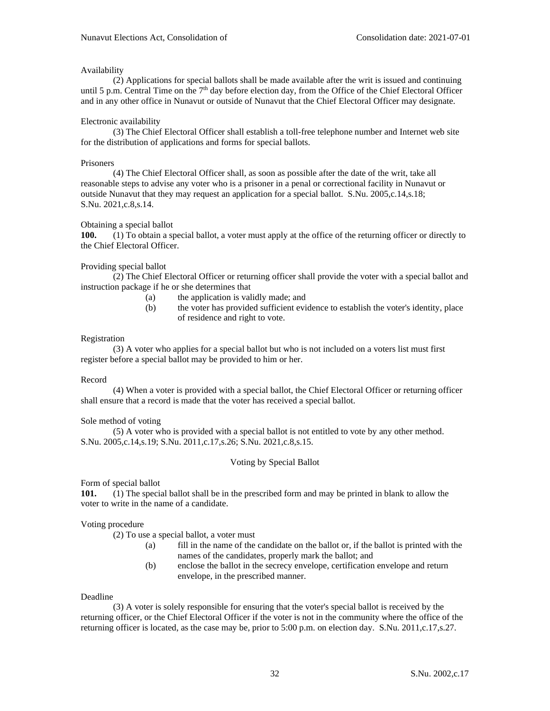# Availability

(2) Applications for special ballots shall be made available after the writ is issued and continuing until 5 p.m. Central Time on the  $7<sup>th</sup>$  day before election day, from the Office of the Chief Electoral Officer and in any other office in Nunavut or outside of Nunavut that the Chief Electoral Officer may designate.

# Electronic availability

(3) The Chief Electoral Officer shall establish a toll-free telephone number and Internet web site for the distribution of applications and forms for special ballots.

## Prisoners

(4) The Chief Electoral Officer shall, as soon as possible after the date of the writ, take all reasonable steps to advise any voter who is a prisoner in a penal or correctional facility in Nunavut or outside Nunavut that they may request an application for a special ballot. S.Nu. 2005,c.14,s.18; S.Nu. 2021,c.8,s.14.

## Obtaining a special ballot

**100.** (1) To obtain a special ballot, a voter must apply at the office of the returning officer or directly to the Chief Electoral Officer.

## Providing special ballot

(2) The Chief Electoral Officer or returning officer shall provide the voter with a special ballot and instruction package if he or she determines that

- (a) the application is validly made; and
- (b) the voter has provided sufficient evidence to establish the voter's identity, place of residence and right to vote.

## Registration

(3) A voter who applies for a special ballot but who is not included on a voters list must first register before a special ballot may be provided to him or her.

## Record

(4) When a voter is provided with a special ballot, the Chief Electoral Officer or returning officer shall ensure that a record is made that the voter has received a special ballot.

# Sole method of voting

(5) A voter who is provided with a special ballot is not entitled to vote by any other method. S.Nu. 2005,c.14,s.19; S.Nu. 2011,c.17,s.26; S.Nu. 2021,c.8,s.15.

# Voting by Special Ballot

Form of special ballot

**101.** (1) The special ballot shall be in the prescribed form and may be printed in blank to allow the voter to write in the name of a candidate.

## Voting procedure

(2) To use a special ballot, a voter must

- (a) fill in the name of the candidate on the ballot or, if the ballot is printed with the names of the candidates, properly mark the ballot; and
- (b) enclose the ballot in the secrecy envelope, certification envelope and return envelope, in the prescribed manner.

## Deadline

(3) A voter is solely responsible for ensuring that the voter's special ballot is received by the returning officer, or the Chief Electoral Officer if the voter is not in the community where the office of the returning officer is located, as the case may be, prior to 5:00 p.m. on election day. S.Nu. 2011,c.17,s.27.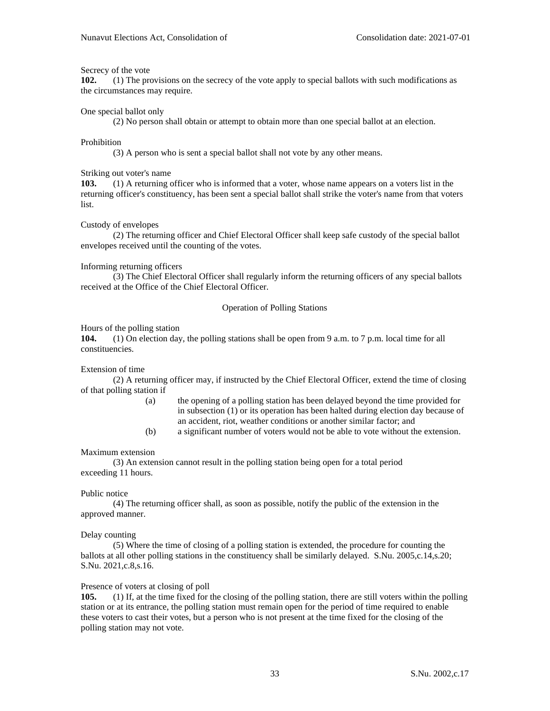#### Secrecy of the vote

**102.** (1) The provisions on the secrecy of the vote apply to special ballots with such modifications as the circumstances may require.

## One special ballot only

(2) No person shall obtain or attempt to obtain more than one special ballot at an election.

#### Prohibition

(3) A person who is sent a special ballot shall not vote by any other means.

#### Striking out voter's name

**103.** (1) A returning officer who is informed that a voter, whose name appears on a voters list in the returning officer's constituency, has been sent a special ballot shall strike the voter's name from that voters list.

#### Custody of envelopes

(2) The returning officer and Chief Electoral Officer shall keep safe custody of the special ballot envelopes received until the counting of the votes.

#### Informing returning officers

(3) The Chief Electoral Officer shall regularly inform the returning officers of any special ballots received at the Office of the Chief Electoral Officer.

#### Operation of Polling Stations

#### Hours of the polling station

**104.** (1) On election day, the polling stations shall be open from 9 a.m. to 7 p.m. local time for all constituencies.

## Extension of time

(2) A returning officer may, if instructed by the Chief Electoral Officer, extend the time of closing of that polling station if

- (a) the opening of a polling station has been delayed beyond the time provided for in subsection (1) or its operation has been halted during election day because of an accident, riot, weather conditions or another similar factor; and
- (b) a significant number of voters would not be able to vote without the extension.

## Maximum extension

(3) An extension cannot result in the polling station being open for a total period exceeding 11 hours.

## Public notice

(4) The returning officer shall, as soon as possible, notify the public of the extension in the approved manner.

## Delay counting

(5) Where the time of closing of a polling station is extended, the procedure for counting the ballots at all other polling stations in the constituency shall be similarly delayed. S.Nu. 2005,c.14,s.20; S.Nu. 2021,c.8,s.16.

#### Presence of voters at closing of poll

**105.** (1) If, at the time fixed for the closing of the polling station, there are still voters within the polling station or at its entrance, the polling station must remain open for the period of time required to enable these voters to cast their votes, but a person who is not present at the time fixed for the closing of the polling station may not vote.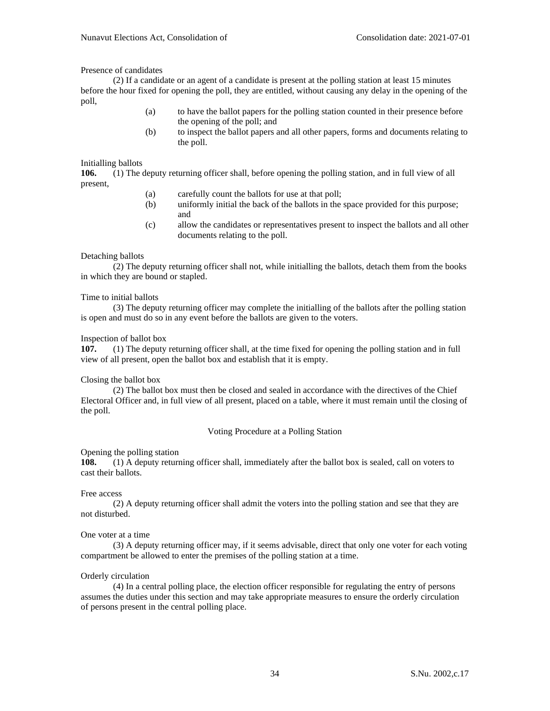# Presence of candidates

(2) If a candidate or an agent of a candidate is present at the polling station at least 15 minutes before the hour fixed for opening the poll, they are entitled, without causing any delay in the opening of the poll,

- (a) to have the ballot papers for the polling station counted in their presence before the opening of the poll; and
- (b) to inspect the ballot papers and all other papers, forms and documents relating to the poll.

# Initialling ballots

**106.** (1) The deputy returning officer shall, before opening the polling station, and in full view of all present,

- (a) carefully count the ballots for use at that poll;
- (b) uniformly initial the back of the ballots in the space provided for this purpose; and
- (c) allow the candidates or representatives present to inspect the ballots and all other documents relating to the poll.

# Detaching ballots

(2) The deputy returning officer shall not, while initialling the ballots, detach them from the books in which they are bound or stapled.

# Time to initial ballots

(3) The deputy returning officer may complete the initialling of the ballots after the polling station is open and must do so in any event before the ballots are given to the voters.

# Inspection of ballot box

**107.** (1) The deputy returning officer shall, at the time fixed for opening the polling station and in full view of all present, open the ballot box and establish that it is empty.

# Closing the ballot box

(2) The ballot box must then be closed and sealed in accordance with the directives of the Chief Electoral Officer and, in full view of all present, placed on a table, where it must remain until the closing of the poll.

# Voting Procedure at a Polling Station

# Opening the polling station

**108.** (1) A deputy returning officer shall, immediately after the ballot box is sealed, call on voters to cast their ballots.

# Free access

(2) A deputy returning officer shall admit the voters into the polling station and see that they are not disturbed.

# One voter at a time

(3) A deputy returning officer may, if it seems advisable, direct that only one voter for each voting compartment be allowed to enter the premises of the polling station at a time.

# Orderly circulation

(4) In a central polling place, the election officer responsible for regulating the entry of persons assumes the duties under this section and may take appropriate measures to ensure the orderly circulation of persons present in the central polling place.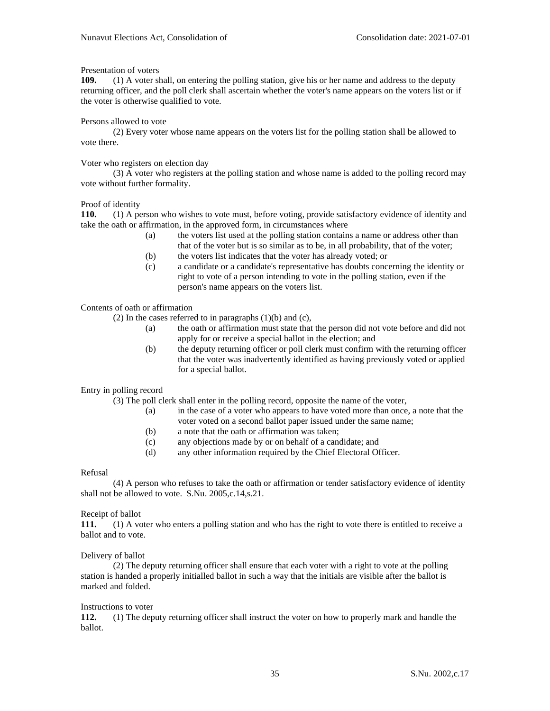# Presentation of voters

**109.** (1) A voter shall, on entering the polling station, give his or her name and address to the deputy returning officer, and the poll clerk shall ascertain whether the voter's name appears on the voters list or if the voter is otherwise qualified to vote.

# Persons allowed to vote

(2) Every voter whose name appears on the voters list for the polling station shall be allowed to vote there.

## Voter who registers on election day

(3) A voter who registers at the polling station and whose name is added to the polling record may vote without further formality.

## Proof of identity

**110.** (1) A person who wishes to vote must, before voting, provide satisfactory evidence of identity and take the oath or affirmation, in the approved form, in circumstances where

- (a) the voters list used at the polling station contains a name or address other than that of the voter but is so similar as to be, in all probability, that of the voter;
- (b) the voters list indicates that the voter has already voted; or
- (c) a candidate or a candidate's representative has doubts concerning the identity or right to vote of a person intending to vote in the polling station, even if the person's name appears on the voters list.

## Contents of oath or affirmation

- (2) In the cases referred to in paragraphs  $(1)(b)$  and  $(c)$ ,
	- (a) the oath or affirmation must state that the person did not vote before and did not apply for or receive a special ballot in the election; and
	- (b) the deputy returning officer or poll clerk must confirm with the returning officer that the voter was inadvertently identified as having previously voted or applied for a special ballot.

# Entry in polling record

(3) The poll clerk shall enter in the polling record, opposite the name of the voter,

- (a) in the case of a voter who appears to have voted more than once, a note that the voter voted on a second ballot paper issued under the same name;
- (b) a note that the oath or affirmation was taken;
- (c) any objections made by or on behalf of a candidate; and
- (d) any other information required by the Chief Electoral Officer.

## Refusal

(4) A person who refuses to take the oath or affirmation or tender satisfactory evidence of identity shall not be allowed to vote. S.Nu. 2005,c.14,s.21.

# Receipt of ballot

**111.** (1) A voter who enters a polling station and who has the right to vote there is entitled to receive a ballot and to vote.

## Delivery of ballot

(2) The deputy returning officer shall ensure that each voter with a right to vote at the polling station is handed a properly initialled ballot in such a way that the initials are visible after the ballot is marked and folded.

# Instructions to voter<br>112. (1) The den

**112.** (1) The deputy returning officer shall instruct the voter on how to properly mark and handle the ballot.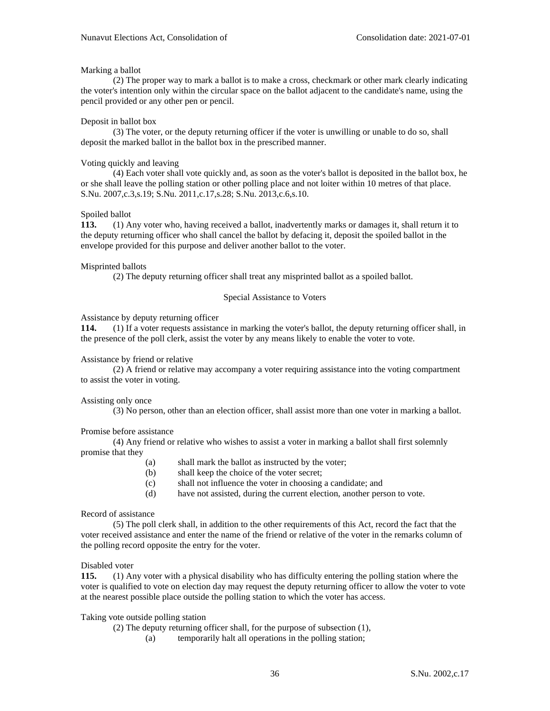# Marking a ballot

(2) The proper way to mark a ballot is to make a cross, checkmark or other mark clearly indicating the voter's intention only within the circular space on the ballot adjacent to the candidate's name, using the pencil provided or any other pen or pencil.

# Deposit in ballot box

(3) The voter, or the deputy returning officer if the voter is unwilling or unable to do so, shall deposit the marked ballot in the ballot box in the prescribed manner.

# Voting quickly and leaving

(4) Each voter shall vote quickly and, as soon as the voter's ballot is deposited in the ballot box, he or she shall leave the polling station or other polling place and not loiter within 10 metres of that place. S.Nu. 2007,c.3,s.19; S.Nu. 2011,c.17,s.28; S.Nu. 2013,c.6,s.10.

## Spoiled ballot

**113.** (1) Any voter who, having received a ballot, inadvertently marks or damages it, shall return it to the deputy returning officer who shall cancel the ballot by defacing it, deposit the spoiled ballot in the envelope provided for this purpose and deliver another ballot to the voter.

## Misprinted ballots

(2) The deputy returning officer shall treat any misprinted ballot as a spoiled ballot.

# Special Assistance to Voters

# Assistance by deputy returning officer

**114.** (1) If a voter requests assistance in marking the voter's ballot, the deputy returning officer shall, in the presence of the poll clerk, assist the voter by any means likely to enable the voter to vote.

# Assistance by friend or relative

(2) A friend or relative may accompany a voter requiring assistance into the voting compartment to assist the voter in voting.

## Assisting only once

(3) No person, other than an election officer, shall assist more than one voter in marking a ballot.

# Promise before assistance

(4) Any friend or relative who wishes to assist a voter in marking a ballot shall first solemnly promise that they

- (a) shall mark the ballot as instructed by the voter;
- (b) shall keep the choice of the voter secret;
- (c) shall not influence the voter in choosing a candidate; and
- (d) have not assisted, during the current election, another person to vote.

## Record of assistance

(5) The poll clerk shall, in addition to the other requirements of this Act, record the fact that the voter received assistance and enter the name of the friend or relative of the voter in the remarks column of the polling record opposite the entry for the voter.

## Disabled voter

**115.** (1) Any voter with a physical disability who has difficulty entering the polling station where the voter is qualified to vote on election day may request the deputy returning officer to allow the voter to vote at the nearest possible place outside the polling station to which the voter has access.

# Taking vote outside polling station

- (2) The deputy returning officer shall, for the purpose of subsection (1),
	- (a) temporarily halt all operations in the polling station;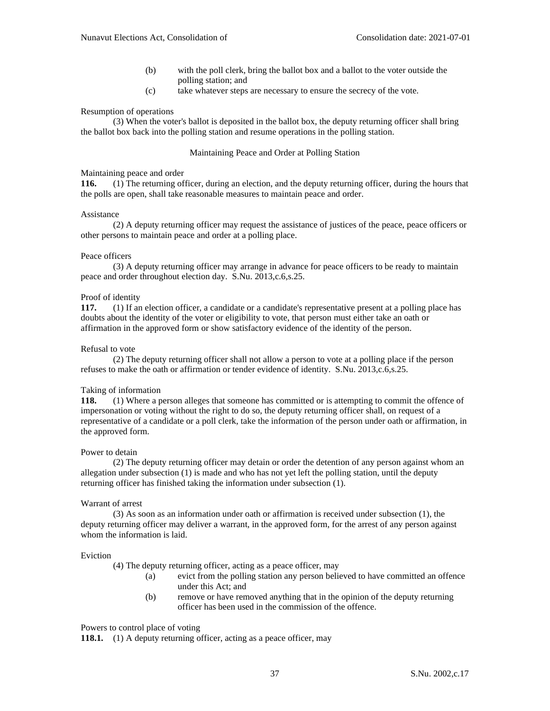- (b) with the poll clerk, bring the ballot box and a ballot to the voter outside the polling station; and
- (c) take whatever steps are necessary to ensure the secrecy of the vote.

## Resumption of operations

(3) When the voter's ballot is deposited in the ballot box, the deputy returning officer shall bring the ballot box back into the polling station and resume operations in the polling station.

## Maintaining Peace and Order at Polling Station

## Maintaining peace and order

**116.** (1) The returning officer, during an election, and the deputy returning officer, during the hours that the polls are open, shall take reasonable measures to maintain peace and order.

#### Assistance

(2) A deputy returning officer may request the assistance of justices of the peace, peace officers or other persons to maintain peace and order at a polling place.

## Peace officers

(3) A deputy returning officer may arrange in advance for peace officers to be ready to maintain peace and order throughout election day. S.Nu. 2013,c.6,s.25.

## Proof of identity

**117.** (1) If an election officer, a candidate or a candidate's representative present at a polling place has doubts about the identity of the voter or eligibility to vote, that person must either take an oath or affirmation in the approved form or show satisfactory evidence of the identity of the person.

#### Refusal to vote

(2) The deputy returning officer shall not allow a person to vote at a polling place if the person refuses to make the oath or affirmation or tender evidence of identity. S.Nu. 2013,c.6,s.25.

## Taking of information

**118.** (1) Where a person alleges that someone has committed or is attempting to commit the offence of impersonation or voting without the right to do so, the deputy returning officer shall, on request of a representative of a candidate or a poll clerk, take the information of the person under oath or affirmation, in the approved form.

## Power to detain

(2) The deputy returning officer may detain or order the detention of any person against whom an allegation under subsection (1) is made and who has not yet left the polling station, until the deputy returning officer has finished taking the information under subsection (1).

## Warrant of arrest

(3) As soon as an information under oath or affirmation is received under subsection (1), the deputy returning officer may deliver a warrant, in the approved form, for the arrest of any person against whom the information is laid.

#### Eviction

(4) The deputy returning officer, acting as a peace officer, may

- (a) evict from the polling station any person believed to have committed an offence under this Act; and
- (b) remove or have removed anything that in the opinion of the deputy returning officer has been used in the commission of the offence.

## Powers to control place of voting

118.1. (1) A deputy returning officer, acting as a peace officer, may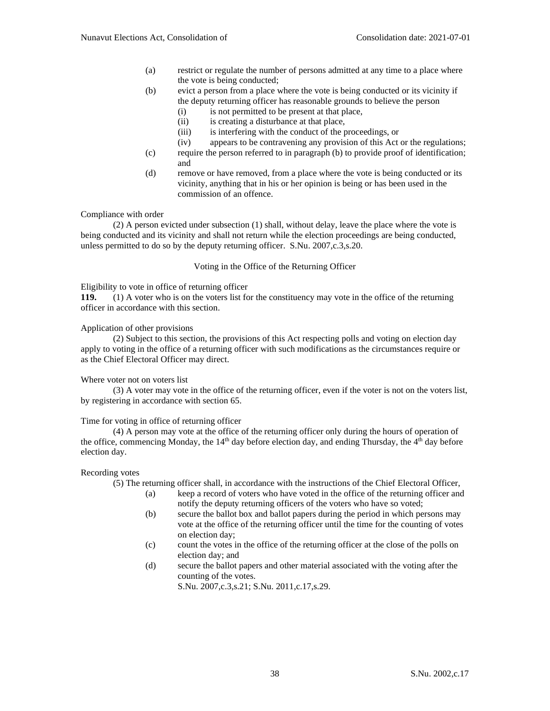- (a) restrict or regulate the number of persons admitted at any time to a place where the vote is being conducted;
- (b) evict a person from a place where the vote is being conducted or its vicinity if the deputy returning officer has reasonable grounds to believe the person
	- (i) is not permitted to be present at that place,
	- (ii) is creating a disturbance at that place,
	- (iii) is interfering with the conduct of the proceedings, or
	- (iv) appears to be contravening any provision of this Act or the regulations;
- (c) require the person referred to in paragraph (b) to provide proof of identification; and
- (d) remove or have removed, from a place where the vote is being conducted or its vicinity, anything that in his or her opinion is being or has been used in the commission of an offence.

## Compliance with order

(2) A person evicted under subsection (1) shall, without delay, leave the place where the vote is being conducted and its vicinity and shall not return while the election proceedings are being conducted, unless permitted to do so by the deputy returning officer. S.Nu. 2007,c.3,s.20.

## Voting in the Office of the Returning Officer

## Eligibility to vote in office of returning officer

**119.** (1) A voter who is on the voters list for the constituency may vote in the office of the returning officer in accordance with this section.

## Application of other provisions

(2) Subject to this section, the provisions of this Act respecting polls and voting on election day apply to voting in the office of a returning officer with such modifications as the circumstances require or as the Chief Electoral Officer may direct.

## Where voter not on voters list

(3) A voter may vote in the office of the returning officer, even if the voter is not on the voters list, by registering in accordance with section 65.

## Time for voting in office of returning officer

(4) A person may vote at the office of the returning officer only during the hours of operation of the office, commencing Monday, the  $14<sup>th</sup>$  day before election day, and ending Thursday, the  $4<sup>th</sup>$  day before election day.

## Recording votes

(5) The returning officer shall, in accordance with the instructions of the Chief Electoral Officer,

- (a) keep a record of voters who have voted in the office of the returning officer and notify the deputy returning officers of the voters who have so voted;
- (b) secure the ballot box and ballot papers during the period in which persons may vote at the office of the returning officer until the time for the counting of votes on election day;
- (c) count the votes in the office of the returning officer at the close of the polls on election day; and
- (d) secure the ballot papers and other material associated with the voting after the counting of the votes.

S.Nu. 2007,c.3,s.21; S.Nu. 2011,c.17,s.29.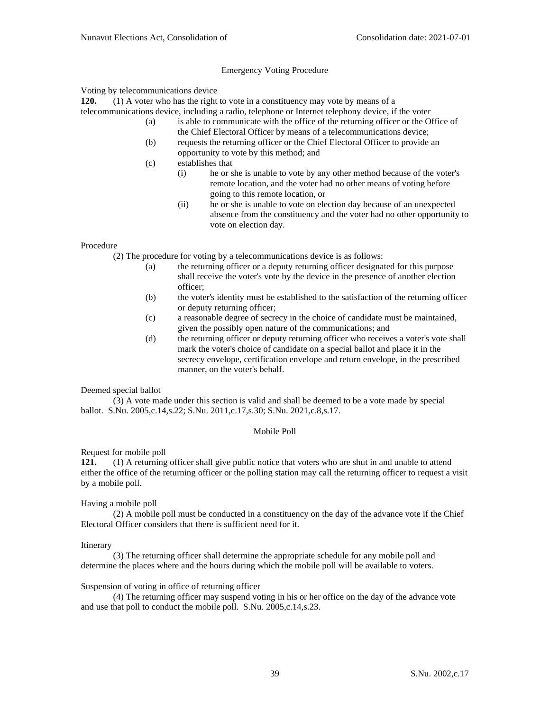# Emergency Voting Procedure

Voting by telecommunications device

**120.** (1) A voter who has the right to vote in a constituency may vote by means of a

telecommunications device, including a radio, telephone or Internet telephony device, if the voter

- (a) is able to communicate with the office of the returning officer or the Office of the Chief Electoral Officer by means of a telecommunications device;
	- (b) requests the returning officer or the Chief Electoral Officer to provide an
	- opportunity to vote by this method; and
	- (c) establishes that
		- (i) he or she is unable to vote by any other method because of the voter's remote location, and the voter had no other means of voting before going to this remote location, or
		- (ii) he or she is unable to vote on election day because of an unexpected absence from the constituency and the voter had no other opportunity to vote on election day.

# Procedure

(2) The procedure for voting by a telecommunications device is as follows:

- (a) the returning officer or a deputy returning officer designated for this purpose shall receive the voter's vote by the device in the presence of another election officer;
- (b) the voter's identity must be established to the satisfaction of the returning officer or deputy returning officer;
- (c) a reasonable degree of secrecy in the choice of candidate must be maintained, given the possibly open nature of the communications; and
- (d) the returning officer or deputy returning officer who receives a voter's vote shall mark the voter's choice of candidate on a special ballot and place it in the secrecy envelope, certification envelope and return envelope, in the prescribed manner, on the voter's behalf.

# Deemed special ballot

(3) A vote made under this section is valid and shall be deemed to be a vote made by special ballot. S.Nu. 2005,c.14,s.22; S.Nu. 2011,c.17,s.30; S.Nu. 2021,c.8,s.17.

# Mobile Poll

Request for mobile poll

**121.** (1) A returning officer shall give public notice that voters who are shut in and unable to attend either the office of the returning officer or the polling station may call the returning officer to request a visit by a mobile poll.

# Having a mobile poll

(2) A mobile poll must be conducted in a constituency on the day of the advance vote if the Chief Electoral Officer considers that there is sufficient need for it.

## Itinerary

(3) The returning officer shall determine the appropriate schedule for any mobile poll and determine the places where and the hours during which the mobile poll will be available to voters.

## Suspension of voting in office of returning officer

(4) The returning officer may suspend voting in his or her office on the day of the advance vote and use that poll to conduct the mobile poll. S.Nu. 2005,c.14,s.23.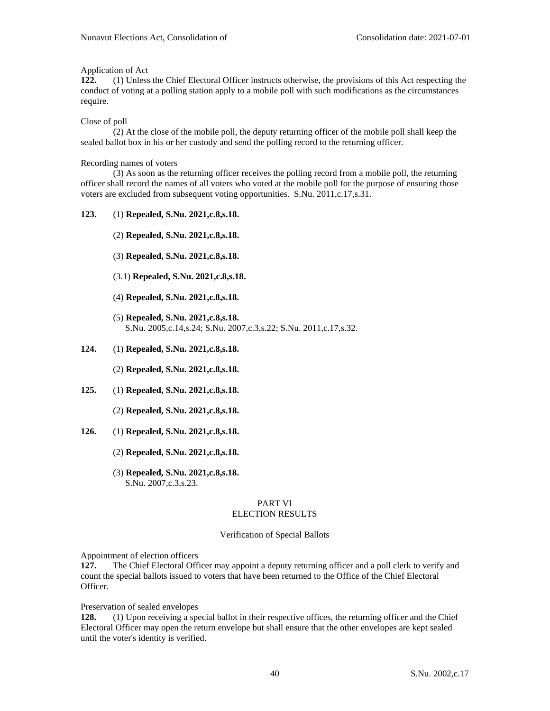# Application of Act

**122.** (1) Unless the Chief Electoral Officer instructs otherwise, the provisions of this Act respecting the conduct of voting at a polling station apply to a mobile poll with such modifications as the circumstances require.

Close of poll

(2) At the close of the mobile poll, the deputy returning officer of the mobile poll shall keep the sealed ballot box in his or her custody and send the polling record to the returning officer.

## Recording names of voters

(3) As soon as the returning officer receives the polling record from a mobile poll, the returning officer shall record the names of all voters who voted at the mobile poll for the purpose of ensuring those voters are excluded from subsequent voting opportunities. S.Nu. 2011, c.17, s.31.

- **123.** (1) **Repealed, S.Nu. 2021,c.8,s.18.**
	- (2) **Repealed, S.Nu. 2021,c.8,s.18.**
	- (3) **Repealed, S.Nu. 2021,c.8,s.18.**
	- (3.1) **Repealed, S.Nu. 2021,c.8,s.18.**
	- (4) **Repealed, S.Nu. 2021,c.8,s.18.**
	- (5) **Repealed, S.Nu. 2021,c.8,s.18.** S.Nu. 2005,c.14,s.24; S.Nu. 2007,c.3,s.22; S.Nu. 2011,c.17,s.32.
- **124.** (1) **Repealed, S.Nu. 2021,c.8,s.18.**

(2) **Repealed, S.Nu. 2021,c.8,s.18.**

- **125.** (1) **Repealed, S.Nu. 2021,c.8,s.18.**
	- (2) **Repealed, S.Nu. 2021,c.8,s.18.**
- **126.** (1) **Repealed, S.Nu. 2021,c.8,s.18.**
	- (2) **Repealed, S.Nu. 2021,c.8,s.18.**
	- (3) **Repealed, S.Nu. 2021,c.8,s.18.** S.Nu. 2007,c.3,s.23.

## PART VI ELECTION RESULTS

## Verification of Special Ballots

Appointment of election officers

**127.** The Chief Electoral Officer may appoint a deputy returning officer and a poll clerk to verify and count the special ballots issued to voters that have been returned to the Office of the Chief Electoral Officer.

Preservation of sealed envelopes

**128.** (1) Upon receiving a special ballot in their respective offices, the returning officer and the Chief Electoral Officer may open the return envelope but shall ensure that the other envelopes are kept sealed until the voter's identity is verified.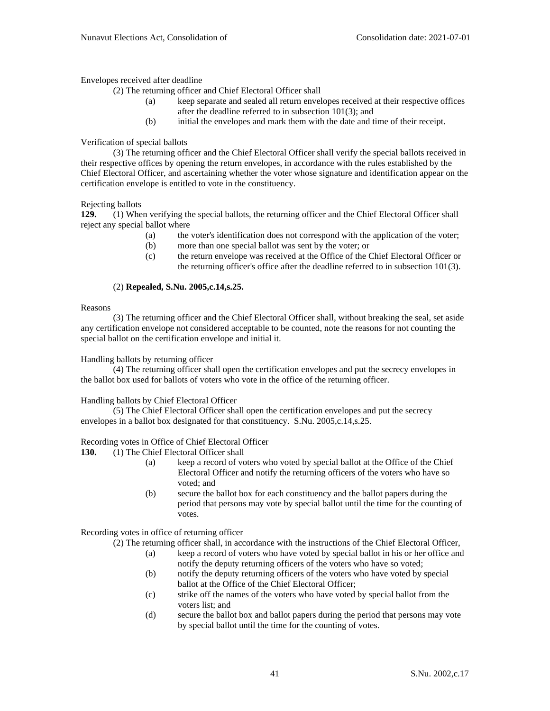Envelopes received after deadline

(2) The returning officer and Chief Electoral Officer shall

- (a) keep separate and sealed all return envelopes received at their respective offices after the deadline referred to in subsection 101(3); and
- (b) initial the envelopes and mark them with the date and time of their receipt.

# Verification of special ballots

(3) The returning officer and the Chief Electoral Officer shall verify the special ballots received in their respective offices by opening the return envelopes, in accordance with the rules established by the Chief Electoral Officer, and ascertaining whether the voter whose signature and identification appear on the certification envelope is entitled to vote in the constituency.

## Rejecting ballots

**129.** (1) When verifying the special ballots, the returning officer and the Chief Electoral Officer shall reject any special ballot where

- (a) the voter's identification does not correspond with the application of the voter;
- (b) more than one special ballot was sent by the voter; or
- (c) the return envelope was received at the Office of the Chief Electoral Officer or the returning officer's office after the deadline referred to in subsection 101(3).

# (2) **Repealed, S.Nu. 2005,c.14,s.25.**

## Reasons

(3) The returning officer and the Chief Electoral Officer shall, without breaking the seal, set aside any certification envelope not considered acceptable to be counted, note the reasons for not counting the special ballot on the certification envelope and initial it.

Handling ballots by returning officer

(4) The returning officer shall open the certification envelopes and put the secrecy envelopes in the ballot box used for ballots of voters who vote in the office of the returning officer.

# Handling ballots by Chief Electoral Officer

(5) The Chief Electoral Officer shall open the certification envelopes and put the secrecy envelopes in a ballot box designated for that constituency. S.Nu. 2005, c. 14, s. 25.

Recording votes in Office of Chief Electoral Officer

- **130.** (1) The Chief Electoral Officer shall
	- (a) keep a record of voters who voted by special ballot at the Office of the Chief Electoral Officer and notify the returning officers of the voters who have so voted; and
	- (b) secure the ballot box for each constituency and the ballot papers during the period that persons may vote by special ballot until the time for the counting of votes.

Recording votes in office of returning officer

(2) The returning officer shall, in accordance with the instructions of the Chief Electoral Officer,

- (a) keep a record of voters who have voted by special ballot in his or her office and notify the deputy returning officers of the voters who have so voted;
- (b) notify the deputy returning officers of the voters who have voted by special ballot at the Office of the Chief Electoral Officer;
- (c) strike off the names of the voters who have voted by special ballot from the voters list; and
- (d) secure the ballot box and ballot papers during the period that persons may vote by special ballot until the time for the counting of votes.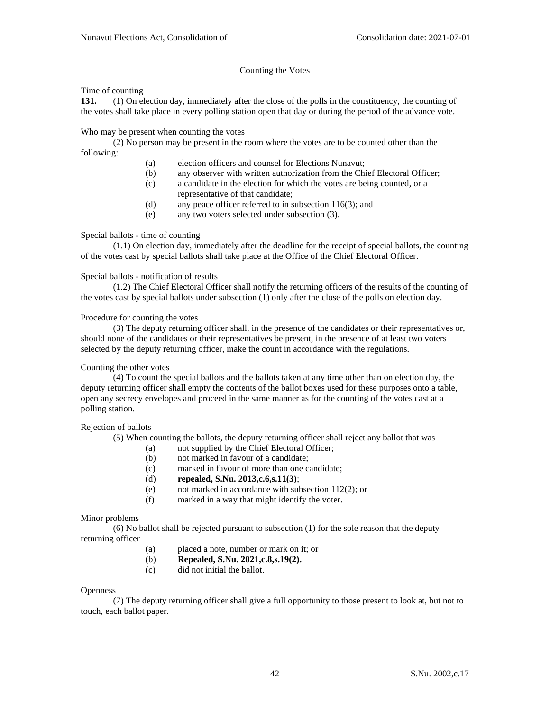# Counting the Votes

Time of counting

**131.** (1) On election day, immediately after the close of the polls in the constituency, the counting of the votes shall take place in every polling station open that day or during the period of the advance vote.

Who may be present when counting the votes

(2) No person may be present in the room where the votes are to be counted other than the following:

- (a) election officers and counsel for Elections Nunavut;
- (b) any observer with written authorization from the Chief Electoral Officer;
- (c) a candidate in the election for which the votes are being counted, or a representative of that candidate;
- (d) any peace officer referred to in subsection 116(3); and
- (e) any two voters selected under subsection (3).

## Special ballots - time of counting

(1.1) On election day, immediately after the deadline for the receipt of special ballots, the counting of the votes cast by special ballots shall take place at the Office of the Chief Electoral Officer.

## Special ballots - notification of results

(1.2) The Chief Electoral Officer shall notify the returning officers of the results of the counting of the votes cast by special ballots under subsection (1) only after the close of the polls on election day.

## Procedure for counting the votes

(3) The deputy returning officer shall, in the presence of the candidates or their representatives or, should none of the candidates or their representatives be present, in the presence of at least two voters selected by the deputy returning officer, make the count in accordance with the regulations.

# Counting the other votes

(4) To count the special ballots and the ballots taken at any time other than on election day, the deputy returning officer shall empty the contents of the ballot boxes used for these purposes onto a table, open any secrecy envelopes and proceed in the same manner as for the counting of the votes cast at a polling station.

## Rejection of ballots

(5) When counting the ballots, the deputy returning officer shall reject any ballot that was

- (a) not supplied by the Chief Electoral Officer;
- (b) not marked in favour of a candidate;
- (c) marked in favour of more than one candidate;
- (d) **repealed, S.Nu. 2013,c.6,s.11(3)**;
- (e) not marked in accordance with subsection 112(2); or
- (f) marked in a way that might identify the voter.

## Minor problems

(6) No ballot shall be rejected pursuant to subsection (1) for the sole reason that the deputy returning officer

- (a) placed a note, number or mark on it; or
- (b) **Repealed, S.Nu. 2021,c.8,s.19(2).**
- (c) did not initial the ballot.

## **Openness**

(7) The deputy returning officer shall give a full opportunity to those present to look at, but not to touch, each ballot paper.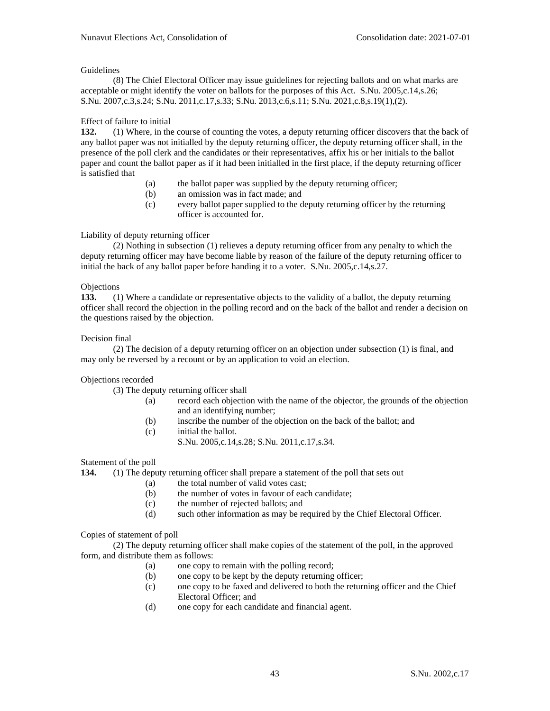# Guidelines

(8) The Chief Electoral Officer may issue guidelines for rejecting ballots and on what marks are acceptable or might identify the voter on ballots for the purposes of this Act. S.Nu. 2005,c.14,s.26; S.Nu. 2007,c.3,s.24; S.Nu. 2011,c.17,s.33; S.Nu. 2013,c.6,s.11; S.Nu. 2021,c.8,s.19(1),(2).

# Effect of failure to initial

**132.** (1) Where, in the course of counting the votes, a deputy returning officer discovers that the back of any ballot paper was not initialled by the deputy returning officer, the deputy returning officer shall, in the presence of the poll clerk and the candidates or their representatives, affix his or her initials to the ballot paper and count the ballot paper as if it had been initialled in the first place, if the deputy returning officer is satisfied that

- (a) the ballot paper was supplied by the deputy returning officer;
- (b) an omission was in fact made; and
- (c) every ballot paper supplied to the deputy returning officer by the returning officer is accounted for.

## Liability of deputy returning officer

(2) Nothing in subsection (1) relieves a deputy returning officer from any penalty to which the deputy returning officer may have become liable by reason of the failure of the deputy returning officer to initial the back of any ballot paper before handing it to a voter. S.Nu. 2005,c.14,s.27.

## **Objections**

**133.** (1) Where a candidate or representative objects to the validity of a ballot, the deputy returning officer shall record the objection in the polling record and on the back of the ballot and render a decision on the questions raised by the objection.

## Decision final

(2) The decision of a deputy returning officer on an objection under subsection (1) is final, and may only be reversed by a recount or by an application to void an election.

# Objections recorded

(3) The deputy returning officer shall

- (a) record each objection with the name of the objector, the grounds of the objection and an identifying number;
- (b) inscribe the number of the objection on the back of the ballot; and
- (c) initial the ballot.
	- S.Nu. 2005,c.14,s.28; S.Nu. 2011,c.17,s.34.

# Statement of the poll

**134.** (1) The deputy returning officer shall prepare a statement of the poll that sets out

- (a) the total number of valid votes cast;
	- (b) the number of votes in favour of each candidate:
- (c) the number of rejected ballots; and
- (d) such other information as may be required by the Chief Electoral Officer.

# Copies of statement of poll

(2) The deputy returning officer shall make copies of the statement of the poll, in the approved form, and distribute them as follows:

- (a) one copy to remain with the polling record;
- (b) one copy to be kept by the deputy returning officer;
- (c) one copy to be faxed and delivered to both the returning officer and the Chief Electoral Officer; and
- (d) one copy for each candidate and financial agent.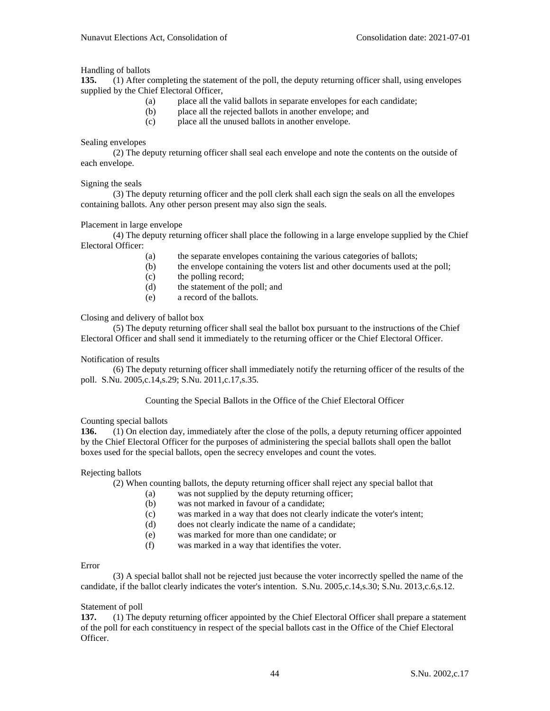# Handling of ballots

**135.** (1) After completing the statement of the poll, the deputy returning officer shall, using envelopes supplied by the Chief Electoral Officer,

- (a) place all the valid ballots in separate envelopes for each candidate;
	- (b) place all the rejected ballots in another envelope; and
- (c) place all the unused ballots in another envelope.

## Sealing envelopes

(2) The deputy returning officer shall seal each envelope and note the contents on the outside of each envelope.

## Signing the seals

(3) The deputy returning officer and the poll clerk shall each sign the seals on all the envelopes containing ballots. Any other person present may also sign the seals.

## Placement in large envelope

(4) The deputy returning officer shall place the following in a large envelope supplied by the Chief Electoral Officer:

- (a) the separate envelopes containing the various categories of ballots;
- (b) the envelope containing the voters list and other documents used at the poll;
	- (c) the polling record;
	- (d) the statement of the poll; and
	- (e) a record of the ballots.

## Closing and delivery of ballot box

(5) The deputy returning officer shall seal the ballot box pursuant to the instructions of the Chief Electoral Officer and shall send it immediately to the returning officer or the Chief Electoral Officer.

## Notification of results

(6) The deputy returning officer shall immediately notify the returning officer of the results of the poll. S.Nu. 2005,c.14,s.29; S.Nu. 2011,c.17,s.35.

# Counting the Special Ballots in the Office of the Chief Electoral Officer

# Counting special ballots

**136.** (1) On election day, immediately after the close of the polls, a deputy returning officer appointed by the Chief Electoral Officer for the purposes of administering the special ballots shall open the ballot boxes used for the special ballots, open the secrecy envelopes and count the votes.

## Rejecting ballots

(2) When counting ballots, the deputy returning officer shall reject any special ballot that

- (a) was not supplied by the deputy returning officer;
- (b) was not marked in favour of a candidate;
- (c) was marked in a way that does not clearly indicate the voter's intent;
- (d) does not clearly indicate the name of a candidate;
- (e) was marked for more than one candidate; or
- (f) was marked in a way that identifies the voter.

## Error

(3) A special ballot shall not be rejected just because the voter incorrectly spelled the name of the candidate, if the ballot clearly indicates the voter's intention. S.Nu. 2005,c.14,s.30; S.Nu. 2013,c.6,s.12.

# Statement of poll<br>137. (1) The order

**137.** (1) The deputy returning officer appointed by the Chief Electoral Officer shall prepare a statement of the poll for each constituency in respect of the special ballots cast in the Office of the Chief Electoral Officer.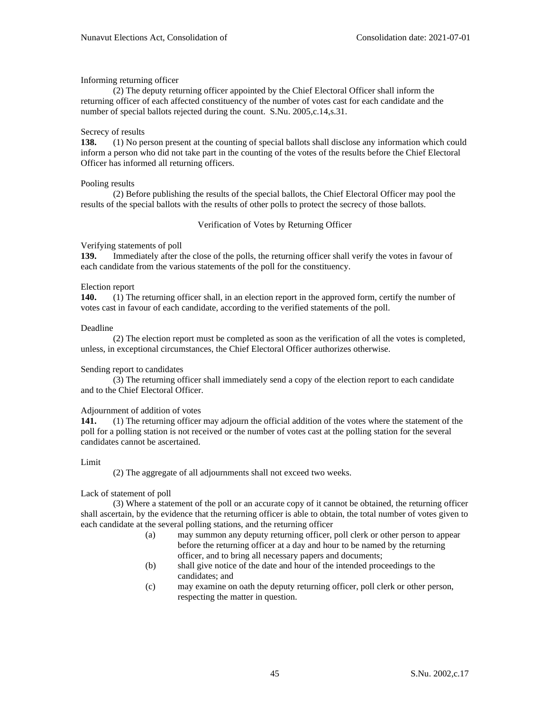## Informing returning officer

(2) The deputy returning officer appointed by the Chief Electoral Officer shall inform the returning officer of each affected constituency of the number of votes cast for each candidate and the number of special ballots rejected during the count. S.Nu. 2005, c. 14, s. 31.

## Secrecy of results

**138.** (1) No person present at the counting of special ballots shall disclose any information which could inform a person who did not take part in the counting of the votes of the results before the Chief Electoral Officer has informed all returning officers.

## Pooling results

(2) Before publishing the results of the special ballots, the Chief Electoral Officer may pool the results of the special ballots with the results of other polls to protect the secrecy of those ballots.

## Verification of Votes by Returning Officer

## Verifying statements of poll

**139.** Immediately after the close of the polls, the returning officer shall verify the votes in favour of each candidate from the various statements of the poll for the constituency.

## Election report

**140.** (1) The returning officer shall, in an election report in the approved form, certify the number of votes cast in favour of each candidate, according to the verified statements of the poll.

#### Deadline

(2) The election report must be completed as soon as the verification of all the votes is completed, unless, in exceptional circumstances, the Chief Electoral Officer authorizes otherwise.

#### Sending report to candidates

(3) The returning officer shall immediately send a copy of the election report to each candidate and to the Chief Electoral Officer.

#### Adjournment of addition of votes

**141.** (1) The returning officer may adjourn the official addition of the votes where the statement of the poll for a polling station is not received or the number of votes cast at the polling station for the several candidates cannot be ascertained.

#### Limit

(2) The aggregate of all adjournments shall not exceed two weeks.

## Lack of statement of poll

(3) Where a statement of the poll or an accurate copy of it cannot be obtained, the returning officer shall ascertain, by the evidence that the returning officer is able to obtain, the total number of votes given to each candidate at the several polling stations, and the returning officer

- (a) may summon any deputy returning officer, poll clerk or other person to appear before the returning officer at a day and hour to be named by the returning officer, and to bring all necessary papers and documents;
- (b) shall give notice of the date and hour of the intended proceedings to the candidates; and
- (c) may examine on oath the deputy returning officer, poll clerk or other person, respecting the matter in question.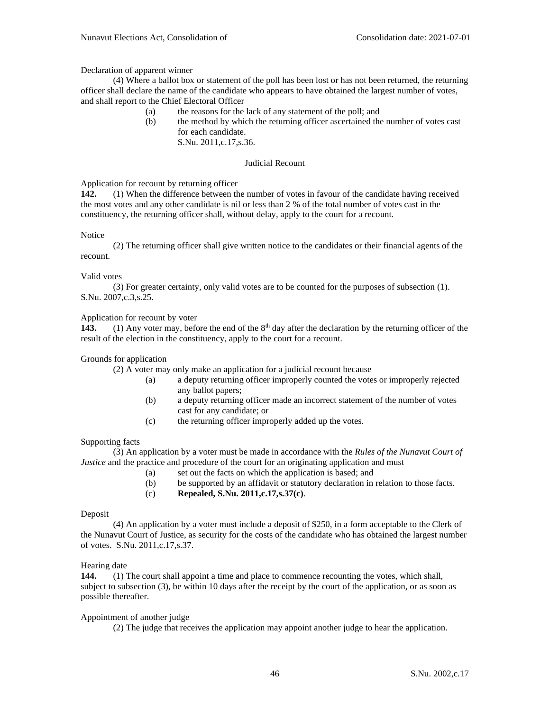Declaration of apparent winner

(4) Where a ballot box or statement of the poll has been lost or has not been returned, the returning officer shall declare the name of the candidate who appears to have obtained the largest number of votes, and shall report to the Chief Electoral Officer

- (a) the reasons for the lack of any statement of the poll; and
- (b) the method by which the returning officer ascertained the number of votes cast for each candidate. S.Nu. 2011,c.17,s.36.

#### Judicial Recount

Application for recount by returning officer

**142.** (1) When the difference between the number of votes in favour of the candidate having received the most votes and any other candidate is nil or less than 2 % of the total number of votes cast in the constituency, the returning officer shall, without delay, apply to the court for a recount.

#### **Notice**

(2) The returning officer shall give written notice to the candidates or their financial agents of the recount.

#### Valid votes

(3) For greater certainty, only valid votes are to be counted for the purposes of subsection (1). S.Nu. 2007,c.3,s.25.

#### Application for recount by voter

143. (1) Any voter may, before the end of the 8<sup>th</sup> day after the declaration by the returning officer of the result of the election in the constituency, apply to the court for a recount.

#### Grounds for application

(2) A voter may only make an application for a judicial recount because

- (a) a deputy returning officer improperly counted the votes or improperly rejected any ballot papers;
- (b) a deputy returning officer made an incorrect statement of the number of votes cast for any candidate; or
- (c) the returning officer improperly added up the votes.

#### Supporting facts

(3) An application by a voter must be made in accordance with the *Rules of the Nunavut Court of Justice* and the practice and procedure of the court for an originating application and must

- (a) set out the facts on which the application is based; and
- (b) be supported by an affidavit or statutory declaration in relation to those facts.
- (c) **Repealed, S.Nu. 2011,c.17,s.37(c)**.

#### Deposit

(4) An application by a voter must include a deposit of \$250, in a form acceptable to the Clerk of the Nunavut Court of Justice, as security for the costs of the candidate who has obtained the largest number of votes. S.Nu. 2011,c.17,s.37.

#### Hearing date

**144.** (1) The court shall appoint a time and place to commence recounting the votes, which shall, subject to subsection (3), be within 10 days after the receipt by the court of the application, or as soon as possible thereafter.

# Appointment of another judge

(2) The judge that receives the application may appoint another judge to hear the application.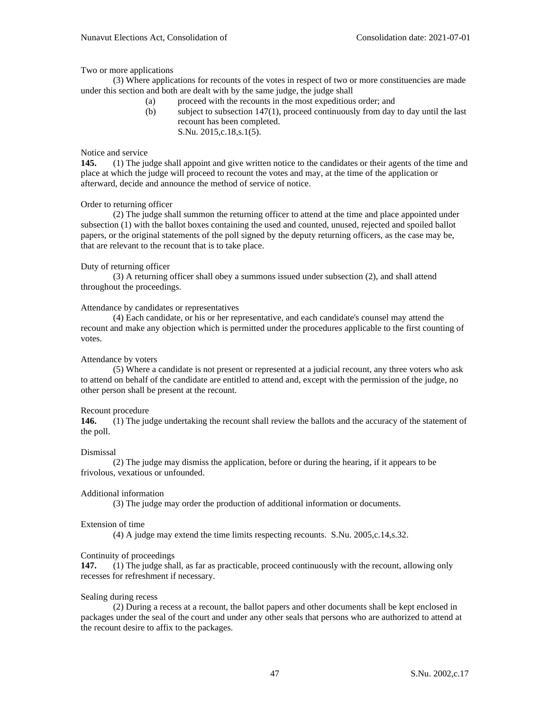# Two or more applications

(3) Where applications for recounts of the votes in respect of two or more constituencies are made under this section and both are dealt with by the same judge, the judge shall

- (a) proceed with the recounts in the most expeditious order; and
- (b) subject to subsection 147(1), proceed continuously from day to day until the last recount has been completed. S.Nu. 2015,c.18,s.1(5).

# Notice and service<br>145. (1) The ju

**145.** (1) The judge shall appoint and give written notice to the candidates or their agents of the time and place at which the judge will proceed to recount the votes and may, at the time of the application or afterward, decide and announce the method of service of notice.

## Order to returning officer

(2) The judge shall summon the returning officer to attend at the time and place appointed under subsection (1) with the ballot boxes containing the used and counted, unused, rejected and spoiled ballot papers, or the original statements of the poll signed by the deputy returning officers, as the case may be, that are relevant to the recount that is to take place.

## Duty of returning officer

(3) A returning officer shall obey a summons issued under subsection (2), and shall attend throughout the proceedings.

## Attendance by candidates or representatives

(4) Each candidate, or his or her representative, and each candidate's counsel may attend the recount and make any objection which is permitted under the procedures applicable to the first counting of votes.

## Attendance by voters

(5) Where a candidate is not present or represented at a judicial recount, any three voters who ask to attend on behalf of the candidate are entitled to attend and, except with the permission of the judge, no other person shall be present at the recount.

## Recount procedure

**146.** (1) The judge undertaking the recount shall review the ballots and the accuracy of the statement of the poll.

#### Dismissal

(2) The judge may dismiss the application, before or during the hearing, if it appears to be frivolous, vexatious or unfounded.

#### Additional information

(3) The judge may order the production of additional information or documents.

#### Extension of time

(4) A judge may extend the time limits respecting recounts. S.Nu. 2005,c.14,s.32.

#### Continuity of proceedings

**147.** (1) The judge shall, as far as practicable, proceed continuously with the recount, allowing only recesses for refreshment if necessary.

## Sealing during recess

(2) During a recess at a recount, the ballot papers and other documents shall be kept enclosed in packages under the seal of the court and under any other seals that persons who are authorized to attend at the recount desire to affix to the packages.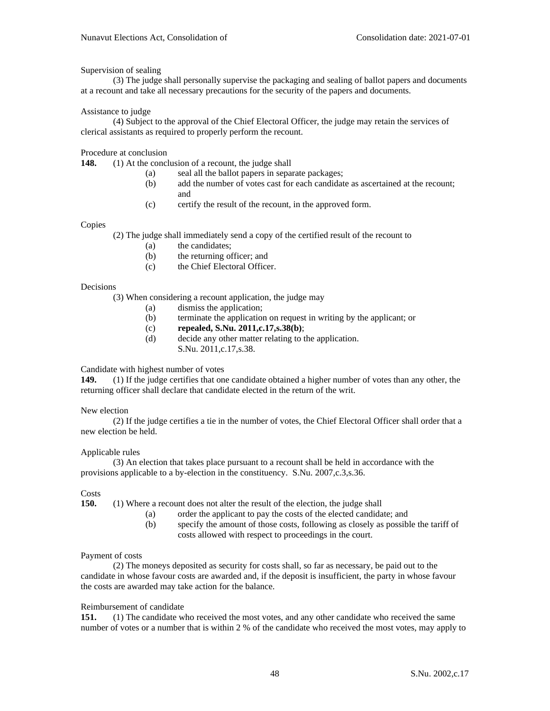# Supervision of sealing

(3) The judge shall personally supervise the packaging and sealing of ballot papers and documents at a recount and take all necessary precautions for the security of the papers and documents.

## Assistance to judge

(4) Subject to the approval of the Chief Electoral Officer, the judge may retain the services of clerical assistants as required to properly perform the recount.

# Procedure at conclusion<br>148. (1) At the concl

**148.** (1) At the conclusion of a recount, the judge shall

- (a) seal all the ballot papers in separate packages;
- (b) add the number of votes cast for each candidate as ascertained at the recount; and
- (c) certify the result of the recount, in the approved form.

## **Copies**

(2) The judge shall immediately send a copy of the certified result of the recount to

- (a) the candidates;
- (b) the returning officer; and
- (c) the Chief Electoral Officer.

# Decisions

(3) When considering a recount application, the judge may

- (a) dismiss the application;
- (b) terminate the application on request in writing by the applicant; or
- (c) **repealed, S.Nu. 2011,c.17,s.38(b)**;
- (d) decide any other matter relating to the application.
	- S.Nu. 2011,c.17,s.38.

# Candidate with highest number of votes

**149.** (1) If the judge certifies that one candidate obtained a higher number of votes than any other, the returning officer shall declare that candidate elected in the return of the writ.

#### New election

(2) If the judge certifies a tie in the number of votes, the Chief Electoral Officer shall order that a new election be held.

# Applicable rules

(3) An election that takes place pursuant to a recount shall be held in accordance with the provisions applicable to a by-election in the constituency. S.Nu. 2007,c.3,s.36.

#### **Costs**

**150.** (1) Where a recount does not alter the result of the election, the judge shall

- (a) order the applicant to pay the costs of the elected candidate; and
- (b) specify the amount of those costs, following as closely as possible the tariff of costs allowed with respect to proceedings in the court.

#### Payment of costs

(2) The moneys deposited as security for costs shall, so far as necessary, be paid out to the candidate in whose favour costs are awarded and, if the deposit is insufficient, the party in whose favour the costs are awarded may take action for the balance.

# Reimbursement of candidate<br>151. (1) The candidate w

**151.** (1) The candidate who received the most votes, and any other candidate who received the same number of votes or a number that is within 2 % of the candidate who received the most votes, may apply to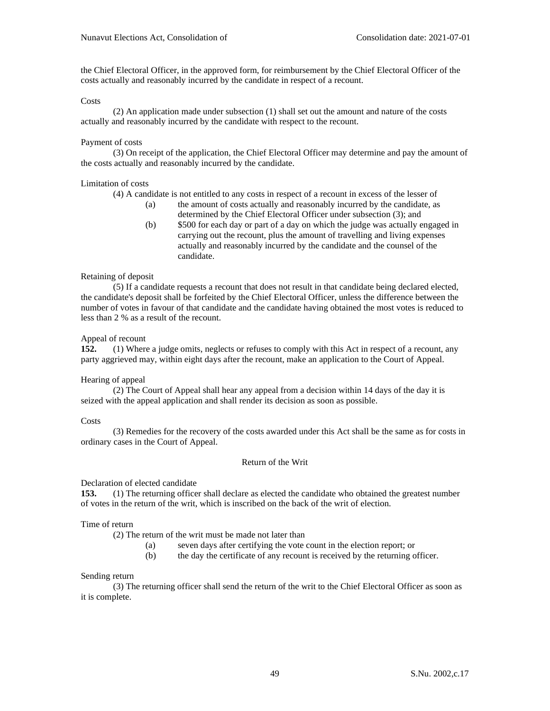the Chief Electoral Officer, in the approved form, for reimbursement by the Chief Electoral Officer of the costs actually and reasonably incurred by the candidate in respect of a recount.

#### **Costs**

(2) An application made under subsection (1) shall set out the amount and nature of the costs actually and reasonably incurred by the candidate with respect to the recount.

#### Payment of costs

(3) On receipt of the application, the Chief Electoral Officer may determine and pay the amount of the costs actually and reasonably incurred by the candidate.

#### Limitation of costs

(4) A candidate is not entitled to any costs in respect of a recount in excess of the lesser of

- (a) the amount of costs actually and reasonably incurred by the candidate, as determined by the Chief Electoral Officer under subsection (3); and
- (b) \$500 for each day or part of a day on which the judge was actually engaged in carrying out the recount, plus the amount of travelling and living expenses actually and reasonably incurred by the candidate and the counsel of the candidate.

## Retaining of deposit

(5) If a candidate requests a recount that does not result in that candidate being declared elected, the candidate's deposit shall be forfeited by the Chief Electoral Officer, unless the difference between the number of votes in favour of that candidate and the candidate having obtained the most votes is reduced to less than 2 % as a result of the recount.

#### Appeal of recount

**152.** (1) Where a judge omits, neglects or refuses to comply with this Act in respect of a recount, any party aggrieved may, within eight days after the recount, make an application to the Court of Appeal.

#### Hearing of appeal

(2) The Court of Appeal shall hear any appeal from a decision within 14 days of the day it is seized with the appeal application and shall render its decision as soon as possible.

#### **Costs**

(3) Remedies for the recovery of the costs awarded under this Act shall be the same as for costs in ordinary cases in the Court of Appeal.

#### Return of the Writ

Declaration of elected candidate

**153.** (1) The returning officer shall declare as elected the candidate who obtained the greatest number of votes in the return of the writ, which is inscribed on the back of the writ of election.

#### Time of return

(2) The return of the writ must be made not later than

- (a) seven days after certifying the vote count in the election report; or
- (b) the day the certificate of any recount is received by the returning officer.

#### Sending return

(3) The returning officer shall send the return of the writ to the Chief Electoral Officer as soon as it is complete.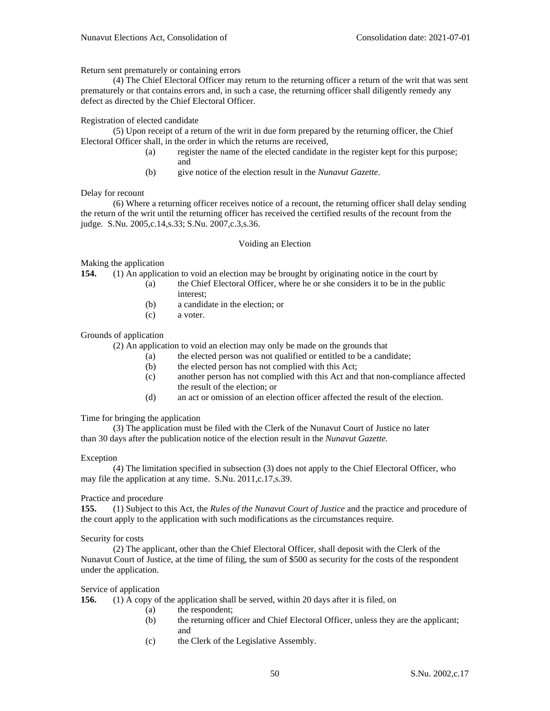Return sent prematurely or containing errors

(4) The Chief Electoral Officer may return to the returning officer a return of the writ that was sent prematurely or that contains errors and, in such a case, the returning officer shall diligently remedy any defect as directed by the Chief Electoral Officer.

Registration of elected candidate

(5) Upon receipt of a return of the writ in due form prepared by the returning officer, the Chief Electoral Officer shall, in the order in which the returns are received,

- (a) register the name of the elected candidate in the register kept for this purpose; and
- (b) give notice of the election result in the *Nunavut Gazette*.

## Delay for recount

(6) Where a returning officer receives notice of a recount, the returning officer shall delay sending the return of the writ until the returning officer has received the certified results of the recount from the judge. S.Nu. 2005,c.14,s.33; S.Nu. 2007,c.3,s.36.

#### Voiding an Election

Making the application

- **154.** (1) An application to void an election may be brought by originating notice in the court by
	- (a) the Chief Electoral Officer, where he or she considers it to be in the public interest;
	- (b) a candidate in the election; or
	- (c) a voter.

## Grounds of application

- (2) An application to void an election may only be made on the grounds that
	- (a) the elected person was not qualified or entitled to be a candidate;
	- (b) the elected person has not complied with this Act;
	- (c) another person has not complied with this Act and that non-compliance affected the result of the election; or
	- (d) an act or omission of an election officer affected the result of the election.

#### Time for bringing the application

(3) The application must be filed with the Clerk of the Nunavut Court of Justice no later than 30 days after the publication notice of the election result in the *Nunavut Gazette*.

#### Exception

(4) The limitation specified in subsection (3) does not apply to the Chief Electoral Officer, who may file the application at any time. S.Nu. 2011,c.17,s.39.

#### Practice and procedure

**155.** (1) Subject to this Act, the *Rules of the Nunavut Court of Justice* and the practice and procedure of the court apply to the application with such modifications as the circumstances require.

# Security for costs

(2) The applicant, other than the Chief Electoral Officer, shall deposit with the Clerk of the Nunavut Court of Justice, at the time of filing, the sum of \$500 as security for the costs of the respondent under the application.

#### Service of application

- **156.** (1) A copy of the application shall be served, within 20 days after it is filed, on
	- (a) the respondent;
	- (b) the returning officer and Chief Electoral Officer, unless they are the applicant; and
	- (c) the Clerk of the Legislative Assembly.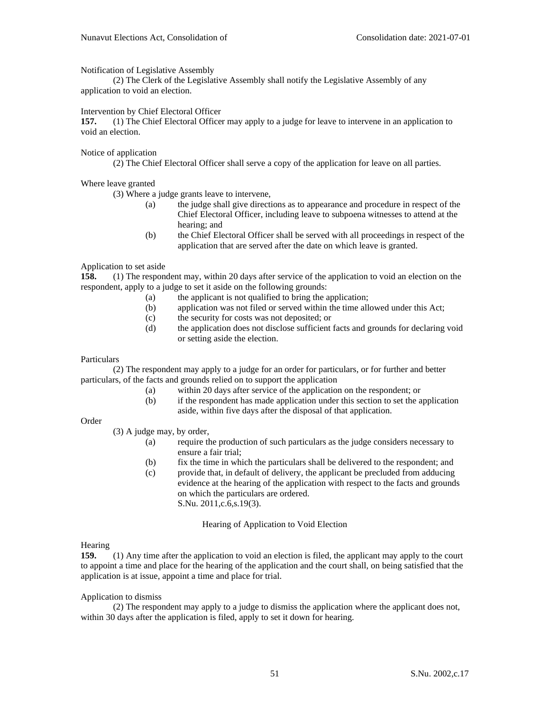## Notification of Legislative Assembly

(2) The Clerk of the Legislative Assembly shall notify the Legislative Assembly of any application to void an election.

## Intervention by Chief Electoral Officer

**157.** (1) The Chief Electoral Officer may apply to a judge for leave to intervene in an application to void an election.

## Notice of application

(2) The Chief Electoral Officer shall serve a copy of the application for leave on all parties.

# Where leave granted

(3) Where a judge grants leave to intervene,

- (a) the judge shall give directions as to appearance and procedure in respect of the Chief Electoral Officer, including leave to subpoena witnesses to attend at the hearing; and
- (b) the Chief Electoral Officer shall be served with all proceedings in respect of the application that are served after the date on which leave is granted.

Application to set aside

**158.** (1) The respondent may, within 20 days after service of the application to void an election on the respondent, apply to a judge to set it aside on the following grounds:

- (a) the applicant is not qualified to bring the application;
- (b) application was not filed or served within the time allowed under this Act;
- (c) the security for costs was not deposited; or
- (d) the application does not disclose sufficient facts and grounds for declaring void or setting aside the election.

#### **Particulars**

(2) The respondent may apply to a judge for an order for particulars, or for further and better particulars, of the facts and grounds relied on to support the application

- (a) within 20 days after service of the application on the respondent; or
- (b) if the respondent has made application under this section to set the application aside, within five days after the disposal of that application.

Order

(3) A judge may, by order,

- (a) require the production of such particulars as the judge considers necessary to ensure a fair trial;
- (b) fix the time in which the particulars shall be delivered to the respondent; and
- (c) provide that, in default of delivery, the applicant be precluded from adducing evidence at the hearing of the application with respect to the facts and grounds on which the particulars are ordered. S.Nu. 2011,c.6,s.19(3).

Hearing of Application to Void Election

# Hearing

**159.** (1) Any time after the application to void an election is filed, the applicant may apply to the court to appoint a time and place for the hearing of the application and the court shall, on being satisfied that the application is at issue, appoint a time and place for trial.

# Application to dismiss

(2) The respondent may apply to a judge to dismiss the application where the applicant does not, within 30 days after the application is filed, apply to set it down for hearing.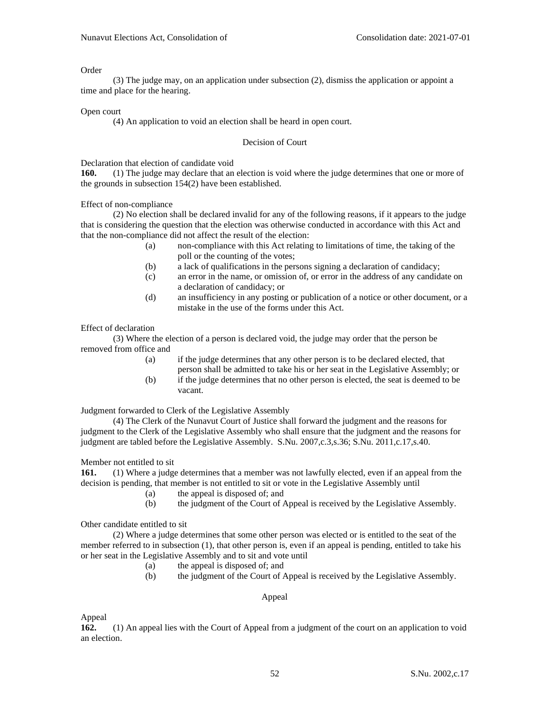#### Order

(3) The judge may, on an application under subsection (2), dismiss the application or appoint a time and place for the hearing.

#### Open court

(4) An application to void an election shall be heard in open court.

## Decision of Court

Declaration that election of candidate void

**160.** (1) The judge may declare that an election is void where the judge determines that one or more of the grounds in subsection 154(2) have been established.

## Effect of non-compliance

(2) No election shall be declared invalid for any of the following reasons, if it appears to the judge that is considering the question that the election was otherwise conducted in accordance with this Act and that the non-compliance did not affect the result of the election:

- (a) non-compliance with this Act relating to limitations of time, the taking of the poll or the counting of the votes;
- (b) a lack of qualifications in the persons signing a declaration of candidacy;
- (c) an error in the name, or omission of, or error in the address of any candidate on a declaration of candidacy; or
- (d) an insufficiency in any posting or publication of a notice or other document, or a mistake in the use of the forms under this Act.

## Effect of declaration

(3) Where the election of a person is declared void, the judge may order that the person be removed from office and

- (a) if the judge determines that any other person is to be declared elected, that person shall be admitted to take his or her seat in the Legislative Assembly; or
- (b) if the judge determines that no other person is elected, the seat is deemed to be vacant.

Judgment forwarded to Clerk of the Legislative Assembly

(4) The Clerk of the Nunavut Court of Justice shall forward the judgment and the reasons for judgment to the Clerk of the Legislative Assembly who shall ensure that the judgment and the reasons for judgment are tabled before the Legislative Assembly. S.Nu. 2007,c.3,s.36; S.Nu. 2011,c.17,s.40.

#### Member not entitled to sit

**161.** (1) Where a judge determines that a member was not lawfully elected, even if an appeal from the decision is pending, that member is not entitled to sit or vote in the Legislative Assembly until

- (a) the appeal is disposed of; and
- (b) the judgment of the Court of Appeal is received by the Legislative Assembly.

Other candidate entitled to sit

(2) Where a judge determines that some other person was elected or is entitled to the seat of the member referred to in subsection (1), that other person is, even if an appeal is pending, entitled to take his or her seat in the Legislative Assembly and to sit and vote until

- (a) the appeal is disposed of; and
- (b) the judgment of the Court of Appeal is received by the Legislative Assembly.

#### Appeal

Appeal

**162.** (1) An appeal lies with the Court of Appeal from a judgment of the court on an application to void an election.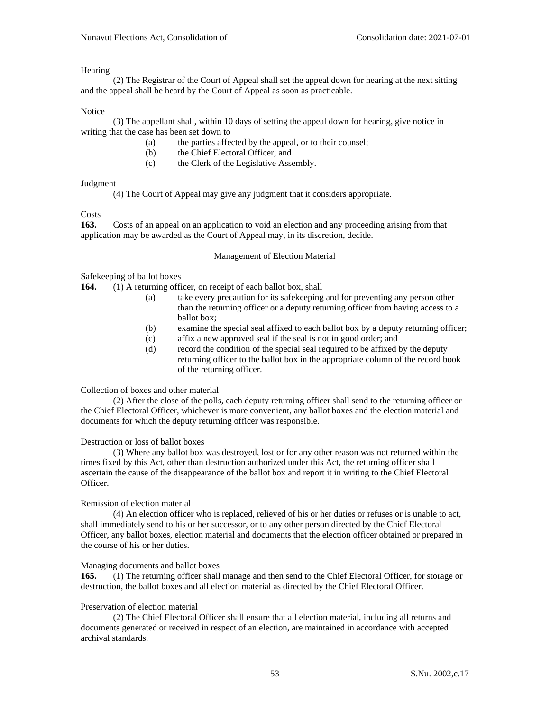## Hearing

(2) The Registrar of the Court of Appeal shall set the appeal down for hearing at the next sitting and the appeal shall be heard by the Court of Appeal as soon as practicable.

## **Notice**

(3) The appellant shall, within 10 days of setting the appeal down for hearing, give notice in writing that the case has been set down to

- (a) the parties affected by the appeal, or to their counsel;
- (b) the Chief Electoral Officer; and
- (c) the Clerk of the Legislative Assembly.

## Judgment

(4) The Court of Appeal may give any judgment that it considers appropriate.

## **Costs**

**163.** Costs of an appeal on an application to void an election and any proceeding arising from that application may be awarded as the Court of Appeal may, in its discretion, decide.

## Management of Election Material

# Safekeeping of ballot boxes

- **164.** (1) A returning officer, on receipt of each ballot box, shall
	- (a) take every precaution for its safekeeping and for preventing any person other than the returning officer or a deputy returning officer from having access to a ballot box;
	- (b) examine the special seal affixed to each ballot box by a deputy returning officer;
	- (c) affix a new approved seal if the seal is not in good order; and
	- (d) record the condition of the special seal required to be affixed by the deputy returning officer to the ballot box in the appropriate column of the record book of the returning officer.

# Collection of boxes and other material

(2) After the close of the polls, each deputy returning officer shall send to the returning officer or the Chief Electoral Officer, whichever is more convenient, any ballot boxes and the election material and documents for which the deputy returning officer was responsible.

#### Destruction or loss of ballot boxes

(3) Where any ballot box was destroyed, lost or for any other reason was not returned within the times fixed by this Act, other than destruction authorized under this Act, the returning officer shall ascertain the cause of the disappearance of the ballot box and report it in writing to the Chief Electoral Officer.

# Remission of election material

(4) An election officer who is replaced, relieved of his or her duties or refuses or is unable to act, shall immediately send to his or her successor, or to any other person directed by the Chief Electoral Officer, any ballot boxes, election material and documents that the election officer obtained or prepared in the course of his or her duties.

#### Managing documents and ballot boxes

**165.** (1) The returning officer shall manage and then send to the Chief Electoral Officer, for storage or destruction, the ballot boxes and all election material as directed by the Chief Electoral Officer.

# Preservation of election material

(2) The Chief Electoral Officer shall ensure that all election material, including all returns and documents generated or received in respect of an election, are maintained in accordance with accepted archival standards.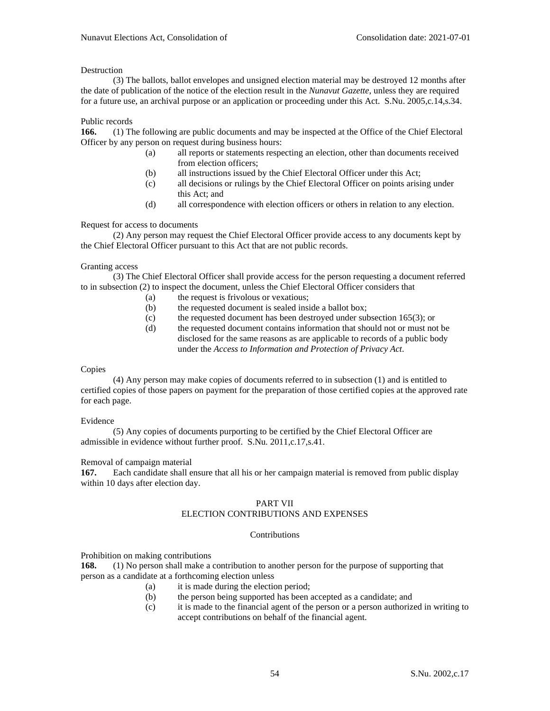## Destruction

(3) The ballots, ballot envelopes and unsigned election material may be destroyed 12 months after the date of publication of the notice of the election result in the *Nunavut Gazette*, unless they are required for a future use, an archival purpose or an application or proceeding under this Act. S.Nu. 2005,c.14,s.34.

## Public records

**166.** (1) The following are public documents and may be inspected at the Office of the Chief Electoral Officer by any person on request during business hours:

- (a) all reports or statements respecting an election, other than documents received from election officers;
- (b) all instructions issued by the Chief Electoral Officer under this Act;
- (c) all decisions or rulings by the Chief Electoral Officer on points arising under this Act; and
- (d) all correspondence with election officers or others in relation to any election.

## Request for access to documents

(2) Any person may request the Chief Electoral Officer provide access to any documents kept by the Chief Electoral Officer pursuant to this Act that are not public records.

#### Granting access

(3) The Chief Electoral Officer shall provide access for the person requesting a document referred to in subsection (2) to inspect the document, unless the Chief Electoral Officer considers that

- (a) the request is frivolous or vexatious;
- (b) the requested document is sealed inside a ballot box;
- (c) the requested document has been destroyed under subsection 165(3); or
- (d) the requested document contains information that should not or must not be disclosed for the same reasons as are applicable to records of a public body under the *Access to Information and Protection of Privacy Act*.

#### Copies

(4) Any person may make copies of documents referred to in subsection (1) and is entitled to certified copies of those papers on payment for the preparation of those certified copies at the approved rate for each page.

#### Evidence

(5) Any copies of documents purporting to be certified by the Chief Electoral Officer are admissible in evidence without further proof. S.Nu. 2011,c.17,s.41.

# Removal of campaign material

**167.** Each candidate shall ensure that all his or her campaign material is removed from public display within 10 days after election day.

# PART VII

# ELECTION CONTRIBUTIONS AND EXPENSES

#### Contributions

Prohibition on making contributions

**168.** (1) No person shall make a contribution to another person for the purpose of supporting that person as a candidate at a forthcoming election unless

- (a) it is made during the election period;
- (b) the person being supported has been accepted as a candidate; and
- (c) it is made to the financial agent of the person or a person authorized in writing to accept contributions on behalf of the financial agent.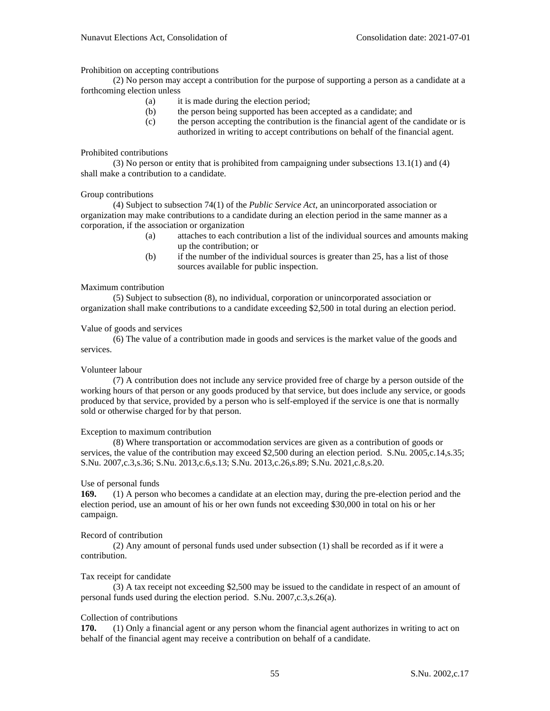# Prohibition on accepting contributions

(2) No person may accept a contribution for the purpose of supporting a person as a candidate at a forthcoming election unless

- (a) it is made during the election period;
- (b) the person being supported has been accepted as a candidate; and
- (c) the person accepting the contribution is the financial agent of the candidate or is authorized in writing to accept contributions on behalf of the financial agent.

## Prohibited contributions

(3) No person or entity that is prohibited from campaigning under subsections 13.1(1) and (4) shall make a contribution to a candidate.

## Group contributions

(4) Subject to subsection 74(1) of the *Public Service Act*, an unincorporated association or organization may make contributions to a candidate during an election period in the same manner as a corporation, if the association or organization

- (a) attaches to each contribution a list of the individual sources and amounts making up the contribution; or
- (b) if the number of the individual sources is greater than 25, has a list of those sources available for public inspection.

# Maximum contribution

(5) Subject to subsection (8), no individual, corporation or unincorporated association or organization shall make contributions to a candidate exceeding \$2,500 in total during an election period.

## Value of goods and services

(6) The value of a contribution made in goods and services is the market value of the goods and services.

# Volunteer labour

(7) A contribution does not include any service provided free of charge by a person outside of the working hours of that person or any goods produced by that service, but does include any service, or goods produced by that service, provided by a person who is self-employed if the service is one that is normally sold or otherwise charged for by that person.

# Exception to maximum contribution

(8) Where transportation or accommodation services are given as a contribution of goods or services, the value of the contribution may exceed \$2,500 during an election period. S.Nu. 2005,c.14,s.35; S.Nu. 2007,c.3,s.36; S.Nu. 2013,c.6,s.13; S.Nu. 2013,c.26,s.89; S.Nu. 2021,c.8,s.20.

# Use of personal funds

**169.** (1) A person who becomes a candidate at an election may, during the pre-election period and the election period, use an amount of his or her own funds not exceeding \$30,000 in total on his or her campaign.

# Record of contribution

(2) Any amount of personal funds used under subsection (1) shall be recorded as if it were a contribution.

# Tax receipt for candidate

(3) A tax receipt not exceeding \$2,500 may be issued to the candidate in respect of an amount of personal funds used during the election period. S.Nu. 2007,c.3,s.26(a).

# Collection of contributions

**170.** (1) Only a financial agent or any person whom the financial agent authorizes in writing to act on behalf of the financial agent may receive a contribution on behalf of a candidate.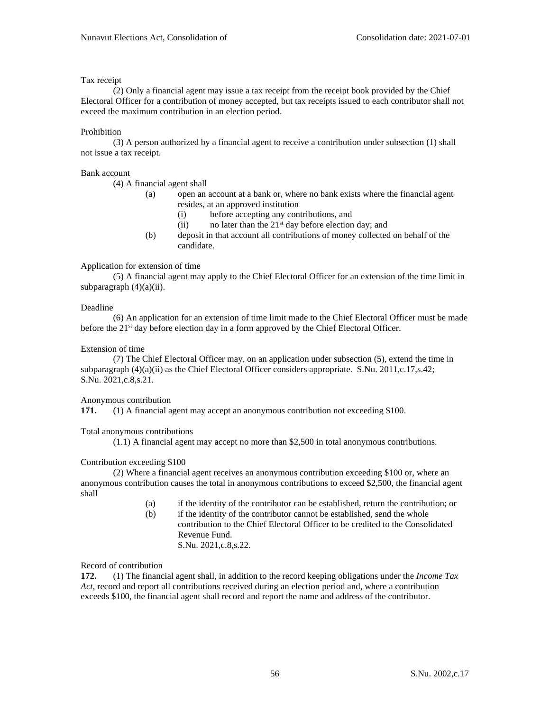## Tax receipt

(2) Only a financial agent may issue a tax receipt from the receipt book provided by the Chief Electoral Officer for a contribution of money accepted, but tax receipts issued to each contributor shall not exceed the maximum contribution in an election period.

## Prohibition

(3) A person authorized by a financial agent to receive a contribution under subsection (1) shall not issue a tax receipt.

## Bank account

(4) A financial agent shall

- (a) open an account at a bank or, where no bank exists where the financial agent resides, at an approved institution
	- (i) before accepting any contributions, and
	- (ii) no later than the  $21<sup>st</sup>$  day before election day; and
- (b) deposit in that account all contributions of money collected on behalf of the candidate.

## Application for extension of time

(5) A financial agent may apply to the Chief Electoral Officer for an extension of the time limit in subparagraph  $(4)(a)(ii)$ .

## Deadline

(6) An application for an extension of time limit made to the Chief Electoral Officer must be made before the 21<sup>st</sup> day before election day in a form approved by the Chief Electoral Officer.

## Extension of time

(7) The Chief Electoral Officer may, on an application under subsection (5), extend the time in subparagraph (4)(a)(ii) as the Chief Electoral Officer considers appropriate. S.Nu. 2011,c.17,s.42; S.Nu. 2021,c.8,s.21.

# Anonymous contribution

**171.** (1) A financial agent may accept an anonymous contribution not exceeding \$100.

# Total anonymous contributions

(1.1) A financial agent may accept no more than \$2,500 in total anonymous contributions.

# Contribution exceeding \$100

(2) Where a financial agent receives an anonymous contribution exceeding \$100 or, where an anonymous contribution causes the total in anonymous contributions to exceed \$2,500, the financial agent shall

- (a) if the identity of the contributor can be established, return the contribution; or
- (b) if the identity of the contributor cannot be established, send the whole contribution to the Chief Electoral Officer to be credited to the Consolidated
	- Revenue Fund.
	- S.Nu. 2021,c.8,s.22.

# Record of contribution

**172.** (1) The financial agent shall, in addition to the record keeping obligations under the *Income Tax Act*, record and report all contributions received during an election period and, where a contribution exceeds \$100, the financial agent shall record and report the name and address of the contributor.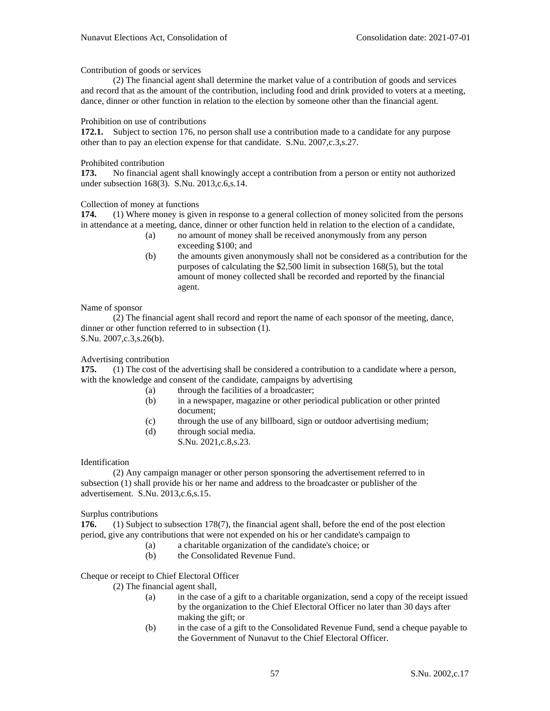# Contribution of goods or services

(2) The financial agent shall determine the market value of a contribution of goods and services and record that as the amount of the contribution, including food and drink provided to voters at a meeting, dance, dinner or other function in relation to the election by someone other than the financial agent.

## Prohibition on use of contributions

**172.1.** Subject to section 176, no person shall use a contribution made to a candidate for any purpose other than to pay an election expense for that candidate. S.Nu. 2007,c.3,s.27.

## Prohibited contribution

**173.** No financial agent shall knowingly accept a contribution from a person or entity not authorized under subsection 168(3). S.Nu. 2013,c.6,s.14.

## Collection of money at functions

**174.** (1) Where money is given in response to a general collection of money solicited from the persons in attendance at a meeting, dance, dinner or other function held in relation to the election of a candidate,

- (a) no amount of money shall be received anonymously from any person exceeding \$100; and
- (b) the amounts given anonymously shall not be considered as a contribution for the purposes of calculating the \$2,500 limit in subsection 168(5), but the total amount of money collected shall be recorded and reported by the financial agent.

## Name of sponsor

(2) The financial agent shall record and report the name of each sponsor of the meeting, dance, dinner or other function referred to in subsection (1). S.Nu. 2007,c.3,s.26(b).

# Advertising contribution

**175.** (1) The cost of the advertising shall be considered a contribution to a candidate where a person, with the knowledge and consent of the candidate, campaigns by advertising

- (a) through the facilities of a broadcaster;
- (b) in a newspaper, magazine or other periodical publication or other printed document;
- (c) through the use of any billboard, sign or outdoor advertising medium;
- (d) through social media.
	- S.Nu. 2021,c.8,s.23.

# Identification

(2) Any campaign manager or other person sponsoring the advertisement referred to in subsection (1) shall provide his or her name and address to the broadcaster or publisher of the advertisement. S.Nu. 2013,c.6,s.15.

# Surplus contributions

**176.** (1) Subject to subsection 178(7), the financial agent shall, before the end of the post election period, give any contributions that were not expended on his or her candidate's campaign to

- (a) a charitable organization of the candidate's choice; or
	- (b) the Consolidated Revenue Fund.

Cheque or receipt to Chief Electoral Officer

- (2) The financial agent shall,
	- (a) in the case of a gift to a charitable organization, send a copy of the receipt issued by the organization to the Chief Electoral Officer no later than 30 days after making the gift; or
	- (b) in the case of a gift to the Consolidated Revenue Fund, send a cheque payable to the Government of Nunavut to the Chief Electoral Officer.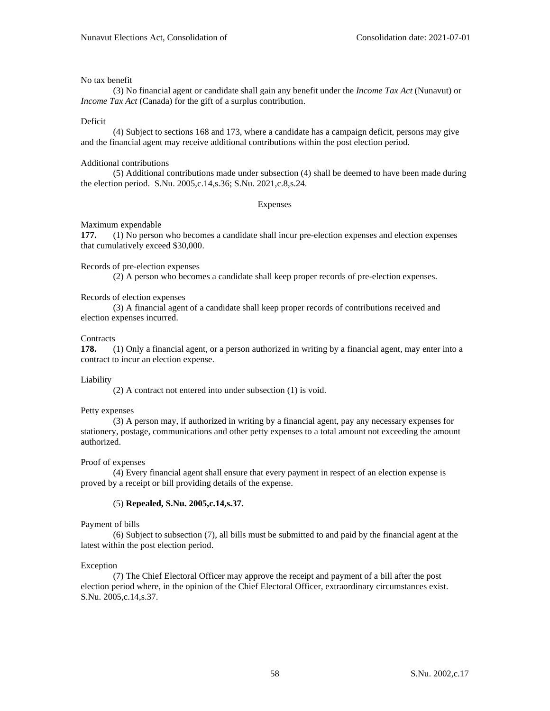#### No tax benefit

(3) No financial agent or candidate shall gain any benefit under the *Income Tax Act* (Nunavut) or *Income Tax Act* (Canada) for the gift of a surplus contribution.

#### Deficit

(4) Subject to sections 168 and 173, where a candidate has a campaign deficit, persons may give and the financial agent may receive additional contributions within the post election period.

#### Additional contributions

(5) Additional contributions made under subsection (4) shall be deemed to have been made during the election period. S.Nu. 2005,c.14,s.36; S.Nu. 2021,c.8,s.24.

## Expenses

#### Maximum expendable

**177.** (1) No person who becomes a candidate shall incur pre-election expenses and election expenses that cumulatively exceed \$30,000.

#### Records of pre-election expenses

(2) A person who becomes a candidate shall keep proper records of pre-election expenses.

#### Records of election expenses

(3) A financial agent of a candidate shall keep proper records of contributions received and election expenses incurred.

#### **Contracts**

**178.** (1) Only a financial agent, or a person authorized in writing by a financial agent, may enter into a contract to incur an election expense.

#### Liability

(2) A contract not entered into under subsection (1) is void.

#### Petty expenses

(3) A person may, if authorized in writing by a financial agent, pay any necessary expenses for stationery, postage, communications and other petty expenses to a total amount not exceeding the amount authorized.

#### Proof of expenses

(4) Every financial agent shall ensure that every payment in respect of an election expense is proved by a receipt or bill providing details of the expense.

## (5) **Repealed, S.Nu. 2005,c.14,s.37.**

#### Payment of bills

(6) Subject to subsection (7), all bills must be submitted to and paid by the financial agent at the latest within the post election period.

#### Exception

(7) The Chief Electoral Officer may approve the receipt and payment of a bill after the post election period where, in the opinion of the Chief Electoral Officer, extraordinary circumstances exist. S.Nu. 2005,c.14,s.37.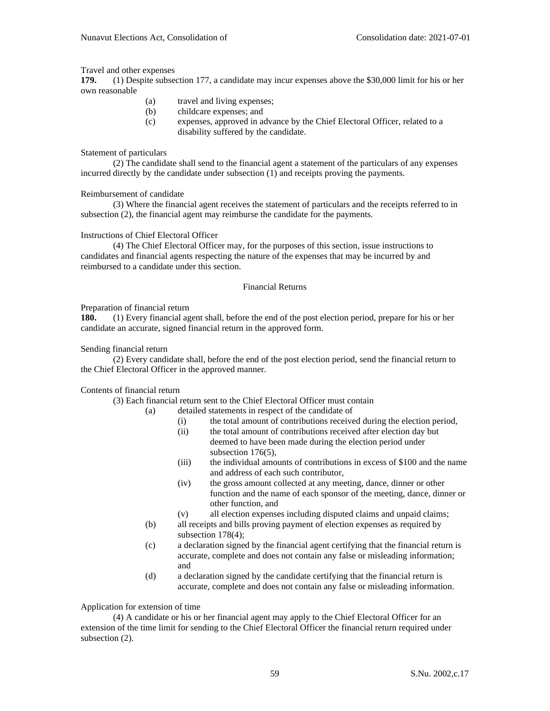#### Travel and other expenses

**179.** (1) Despite subsection 177, a candidate may incur expenses above the \$30,000 limit for his or her own reasonable

- (a) travel and living expenses;
- (b) childcare expenses; and
- (c) expenses, approved in advance by the Chief Electoral Officer, related to a disability suffered by the candidate.

## Statement of particulars

(2) The candidate shall send to the financial agent a statement of the particulars of any expenses incurred directly by the candidate under subsection (1) and receipts proving the payments.

#### Reimbursement of candidate

(3) Where the financial agent receives the statement of particulars and the receipts referred to in subsection (2), the financial agent may reimburse the candidate for the payments.

Instructions of Chief Electoral Officer

(4) The Chief Electoral Officer may, for the purposes of this section, issue instructions to candidates and financial agents respecting the nature of the expenses that may be incurred by and reimbursed to a candidate under this section.

## Financial Returns

Preparation of financial return

**180.** (1) Every financial agent shall, before the end of the post election period, prepare for his or her candidate an accurate, signed financial return in the approved form.

#### Sending financial return

(2) Every candidate shall, before the end of the post election period, send the financial return to the Chief Electoral Officer in the approved manner.

#### Contents of financial return

(3) Each financial return sent to the Chief Electoral Officer must contain

- (a) detailed statements in respect of the candidate of
	- (i) the total amount of contributions received during the election period,
	- (ii) the total amount of contributions received after election day but deemed to have been made during the election period under subsection 176(5),
	- (iii) the individual amounts of contributions in excess of \$100 and the name and address of each such contributor,
	- (iv) the gross amount collected at any meeting, dance, dinner or other function and the name of each sponsor of the meeting, dance, dinner or other function, and
	- (v) all election expenses including disputed claims and unpaid claims;
- (b) all receipts and bills proving payment of election expenses as required by subsection 178(4);
- (c) a declaration signed by the financial agent certifying that the financial return is accurate, complete and does not contain any false or misleading information; and
- (d) a declaration signed by the candidate certifying that the financial return is accurate, complete and does not contain any false or misleading information.

Application for extension of time

(4) A candidate or his or her financial agent may apply to the Chief Electoral Officer for an extension of the time limit for sending to the Chief Electoral Officer the financial return required under subsection  $(2)$ .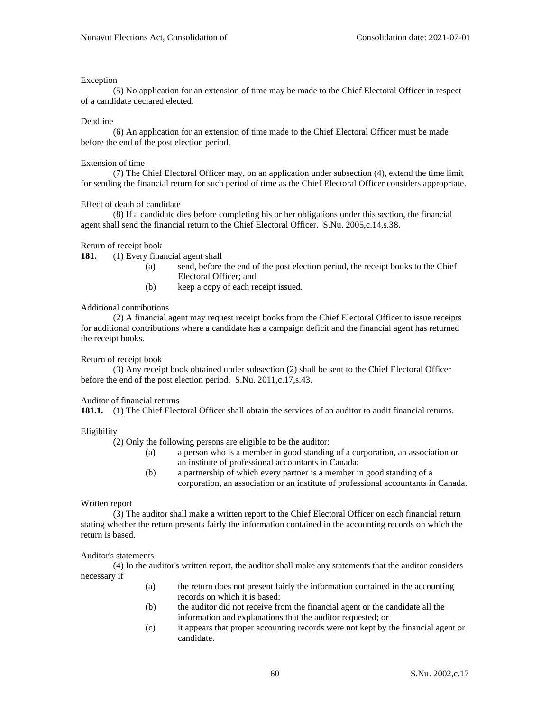## Exception

(5) No application for an extension of time may be made to the Chief Electoral Officer in respect of a candidate declared elected.

## Deadline

(6) An application for an extension of time made to the Chief Electoral Officer must be made before the end of the post election period.

## Extension of time

(7) The Chief Electoral Officer may, on an application under subsection (4), extend the time limit for sending the financial return for such period of time as the Chief Electoral Officer considers appropriate.

## Effect of death of candidate

(8) If a candidate dies before completing his or her obligations under this section, the financial agent shall send the financial return to the Chief Electoral Officer. S.Nu. 2005,c.14,s.38.

## Return of receipt book

**181.** (1) Every financial agent shall

- (a) send, before the end of the post election period, the receipt books to the Chief Electoral Officer; and
- (b) keep a copy of each receipt issued.

## Additional contributions

(2) A financial agent may request receipt books from the Chief Electoral Officer to issue receipts for additional contributions where a candidate has a campaign deficit and the financial agent has returned the receipt books.

Return of receipt book

(3) Any receipt book obtained under subsection (2) shall be sent to the Chief Electoral Officer before the end of the post election period. S.Nu. 2011,c.17,s.43.

# Auditor of financial returns

**181.1.** (1) The Chief Electoral Officer shall obtain the services of an auditor to audit financial returns.

#### Eligibility

(2) Only the following persons are eligible to be the auditor:

- (a) a person who is a member in good standing of a corporation, an association or an institute of professional accountants in Canada;
- (b) a partnership of which every partner is a member in good standing of a corporation, an association or an institute of professional accountants in Canada.

#### Written report

(3) The auditor shall make a written report to the Chief Electoral Officer on each financial return stating whether the return presents fairly the information contained in the accounting records on which the return is based.

#### Auditor's statements

(4) In the auditor's written report, the auditor shall make any statements that the auditor considers necessary if

- (a) the return does not present fairly the information contained in the accounting records on which it is based;
- (b) the auditor did not receive from the financial agent or the candidate all the information and explanations that the auditor requested; or
- (c) it appears that proper accounting records were not kept by the financial agent or candidate.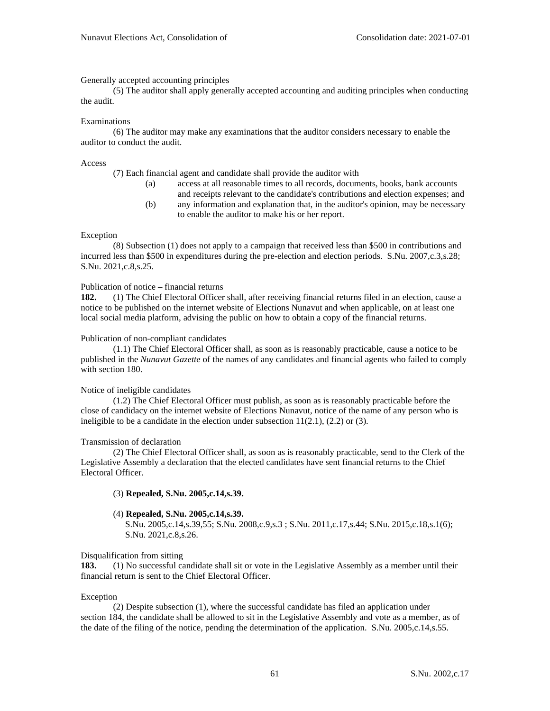## Generally accepted accounting principles

(5) The auditor shall apply generally accepted accounting and auditing principles when conducting the audit.

## Examinations

(6) The auditor may make any examinations that the auditor considers necessary to enable the auditor to conduct the audit.

#### **Access**

|  | (7) Each financial agent and candidate shall provide the auditor with |  |  |  |  |
|--|-----------------------------------------------------------------------|--|--|--|--|
|  |                                                                       |  |  |  |  |

- (a) access at all reasonable times to all records, documents, books, bank accounts and receipts relevant to the candidate's contributions and election expenses; and
- (b) any information and explanation that, in the auditor's opinion, may be necessary to enable the auditor to make his or her report.

## Exception

(8) Subsection (1) does not apply to a campaign that received less than \$500 in contributions and incurred less than \$500 in expenditures during the pre-election and election periods. S.Nu. 2007,c.3,s.28; S.Nu. 2021,c.8,s.25.

## Publication of notice – financial returns

**182.** (1) The Chief Electoral Officer shall, after receiving financial returns filed in an election, cause a notice to be published on the internet website of Elections Nunavut and when applicable, on at least one local social media platform, advising the public on how to obtain a copy of the financial returns.

## Publication of non-compliant candidates

(1.1) The Chief Electoral Officer shall, as soon as is reasonably practicable, cause a notice to be published in the *Nunavut Gazette* of the names of any candidates and financial agents who failed to comply with section 180.

# Notice of ineligible candidates

(1.2) The Chief Electoral Officer must publish, as soon as is reasonably practicable before the close of candidacy on the internet website of Elections Nunavut, notice of the name of any person who is ineligible to be a candidate in the election under subsection  $11(2.1)$ ,  $(2.2)$  or  $(3)$ .

#### Transmission of declaration

(2) The Chief Electoral Officer shall, as soon as is reasonably practicable, send to the Clerk of the Legislative Assembly a declaration that the elected candidates have sent financial returns to the Chief Electoral Officer.

# (3) **Repealed, S.Nu. 2005,c.14,s.39.**

#### (4) **Repealed, S.Nu. 2005,c.14,s.39.**

S.Nu. 2005,c.14,s.39,55; S.Nu. 2008,c.9,s.3 ; S.Nu. 2011,c.17,s.44; S.Nu. 2015,c.18,s.1(6); S.Nu. 2021,c.8,s.26.

#### Disqualification from sitting

**183.** (1) No successful candidate shall sit or vote in the Legislative Assembly as a member until their financial return is sent to the Chief Electoral Officer.

#### Exception

(2) Despite subsection (1), where the successful candidate has filed an application under section 184, the candidate shall be allowed to sit in the Legislative Assembly and vote as a member, as of the date of the filing of the notice, pending the determination of the application. S.Nu. 2005,c.14,s.55.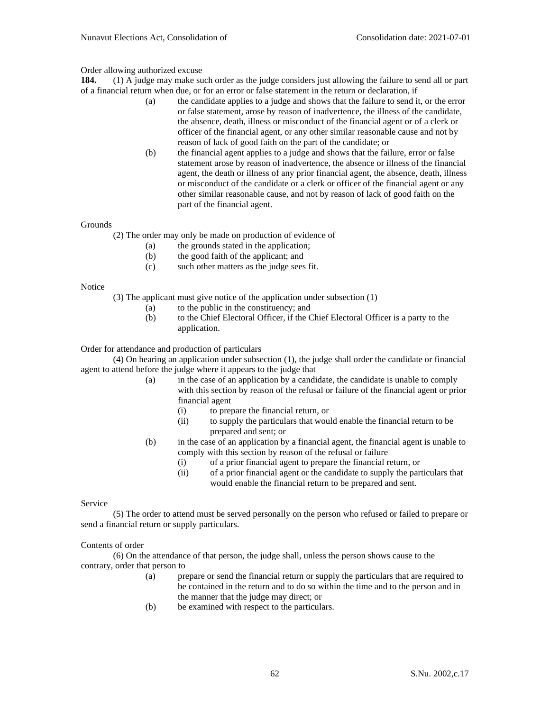## Order allowing authorized excuse

**184.** (1) A judge may make such order as the judge considers just allowing the failure to send all or part of a financial return when due, or for an error or false statement in the return or declaration, if

- (a) the candidate applies to a judge and shows that the failure to send it, or the error or false statement, arose by reason of inadvertence, the illness of the candidate, the absence, death, illness or misconduct of the financial agent or of a clerk or officer of the financial agent, or any other similar reasonable cause and not by reason of lack of good faith on the part of the candidate; or
- (b) the financial agent applies to a judge and shows that the failure, error or false statement arose by reason of inadvertence, the absence or illness of the financial agent, the death or illness of any prior financial agent, the absence, death, illness or misconduct of the candidate or a clerk or officer of the financial agent or any other similar reasonable cause, and not by reason of lack of good faith on the part of the financial agent.

#### **Grounds**

(2) The order may only be made on production of evidence of

- (a) the grounds stated in the application;
- (b) the good faith of the applicant; and
- (c) such other matters as the judge sees fit.

## **Notice**

(3) The applicant must give notice of the application under subsection (1)

- (a) to the public in the constituency; and
- (b) to the Chief Electoral Officer, if the Chief Electoral Officer is a party to the application.

Order for attendance and production of particulars

(4) On hearing an application under subsection (1), the judge shall order the candidate or financial agent to attend before the judge where it appears to the judge that

- (a) in the case of an application by a candidate, the candidate is unable to comply with this section by reason of the refusal or failure of the financial agent or prior financial agent
	- (i) to prepare the financial return, or
	- (ii) to supply the particulars that would enable the financial return to be prepared and sent; or
- (b) in the case of an application by a financial agent, the financial agent is unable to comply with this section by reason of the refusal or failure
	- (i) of a prior financial agent to prepare the financial return, or
	- (ii) of a prior financial agent or the candidate to supply the particulars that would enable the financial return to be prepared and sent.

#### Service

(5) The order to attend must be served personally on the person who refused or failed to prepare or send a financial return or supply particulars.

#### Contents of order

(6) On the attendance of that person, the judge shall, unless the person shows cause to the contrary, order that person to

- (a) prepare or send the financial return or supply the particulars that are required to be contained in the return and to do so within the time and to the person and in the manner that the judge may direct; or
- (b) be examined with respect to the particulars.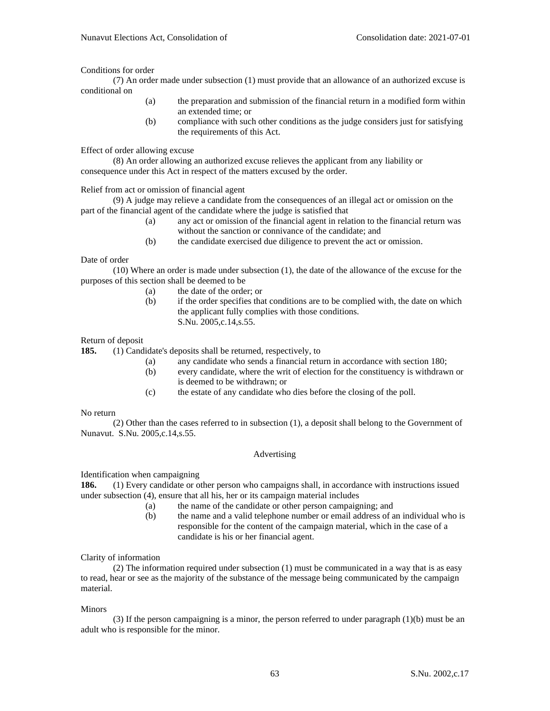Conditions for order

(7) An order made under subsection (1) must provide that an allowance of an authorized excuse is conditional on

- (a) the preparation and submission of the financial return in a modified form within an extended time; or
- (b) compliance with such other conditions as the judge considers just for satisfying the requirements of this Act.

Effect of order allowing excuse

(8) An order allowing an authorized excuse relieves the applicant from any liability or consequence under this Act in respect of the matters excused by the order.

Relief from act or omission of financial agent

(9) A judge may relieve a candidate from the consequences of an illegal act or omission on the part of the financial agent of the candidate where the judge is satisfied that

- (a) any act or omission of the financial agent in relation to the financial return was without the sanction or connivance of the candidate; and
- (b) the candidate exercised due diligence to prevent the act or omission.

Date of order

(10) Where an order is made under subsection (1), the date of the allowance of the excuse for the purposes of this section shall be deemed to be

- (a) the date of the order; or
- (b) if the order specifies that conditions are to be complied with, the date on which the applicant fully complies with those conditions. S.Nu. 2005,c.14,s.55.

#### Return of deposit

**185.** (1) Candidate's deposits shall be returned, respectively, to

- (a) any candidate who sends a financial return in accordance with section 180;
- (b) every candidate, where the writ of election for the constituency is withdrawn or is deemed to be withdrawn; or
- (c) the estate of any candidate who dies before the closing of the poll.

No return

(2) Other than the cases referred to in subsection (1), a deposit shall belong to the Government of Nunavut. S.Nu. 2005,c.14,s.55.

#### Advertising

#### Identification when campaigning

**186.** (1) Every candidate or other person who campaigns shall, in accordance with instructions issued under subsection (4), ensure that all his, her or its campaign material includes

- (a) the name of the candidate or other person campaigning; and
- (b) the name and a valid telephone number or email address of an individual who is responsible for the content of the campaign material, which in the case of a candidate is his or her financial agent.

## Clarity of information

(2) The information required under subsection (1) must be communicated in a way that is as easy to read, hear or see as the majority of the substance of the message being communicated by the campaign material.

#### **Minors**

(3) If the person campaigning is a minor, the person referred to under paragraph (1)(b) must be an adult who is responsible for the minor.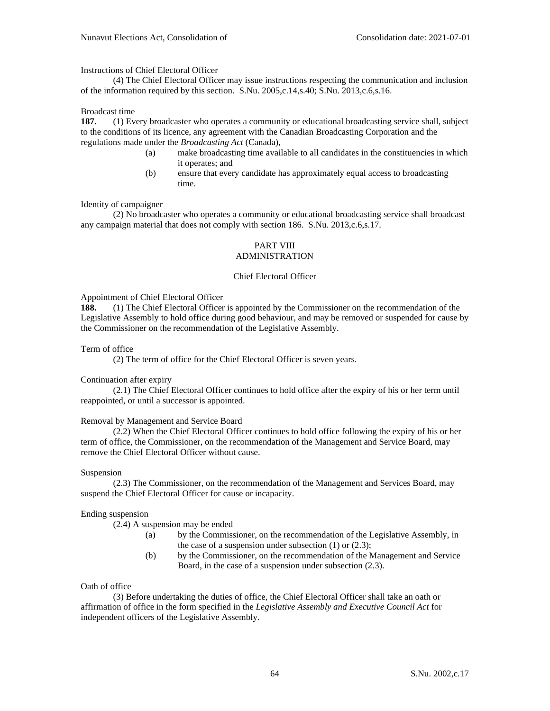Instructions of Chief Electoral Officer

(4) The Chief Electoral Officer may issue instructions respecting the communication and inclusion of the information required by this section. S.Nu. 2005,c.14,s.40; S.Nu. 2013,c.6,s.16.

## Broadcast time

**187.** (1) Every broadcaster who operates a community or educational broadcasting service shall, subject to the conditions of its licence, any agreement with the Canadian Broadcasting Corporation and the regulations made under the *Broadcasting Act* (Canada),

- (a) make broadcasting time available to all candidates in the constituencies in which it operates; and
- (b) ensure that every candidate has approximately equal access to broadcasting time.

Identity of campaigner

(2) No broadcaster who operates a community or educational broadcasting service shall broadcast any campaign material that does not comply with section 186. S.Nu. 2013,c.6,s.17.

# PART VIII

# ADMINISTRATION

## Chief Electoral Officer

## Appointment of Chief Electoral Officer

**188.** (1) The Chief Electoral Officer is appointed by the Commissioner on the recommendation of the Legislative Assembly to hold office during good behaviour, and may be removed or suspended for cause by the Commissioner on the recommendation of the Legislative Assembly.

## Term of office

(2) The term of office for the Chief Electoral Officer is seven years.

# Continuation after expiry

(2.1) The Chief Electoral Officer continues to hold office after the expiry of his or her term until reappointed, or until a successor is appointed.

#### Removal by Management and Service Board

(2.2) When the Chief Electoral Officer continues to hold office following the expiry of his or her term of office, the Commissioner, on the recommendation of the Management and Service Board, may remove the Chief Electoral Officer without cause.

#### Suspension

(2.3) The Commissioner, on the recommendation of the Management and Services Board, may suspend the Chief Electoral Officer for cause or incapacity.

#### Ending suspension

(2.4) A suspension may be ended

- (a) by the Commissioner, on the recommendation of the Legislative Assembly, in the case of a suspension under subsection  $(1)$  or  $(2.3)$ ;
- (b) by the Commissioner, on the recommendation of the Management and Service Board, in the case of a suspension under subsection (2.3).

#### Oath of office

(3) Before undertaking the duties of office, the Chief Electoral Officer shall take an oath or affirmation of office in the form specified in the *Legislative Assembly and Executive Council Act* for independent officers of the Legislative Assembly.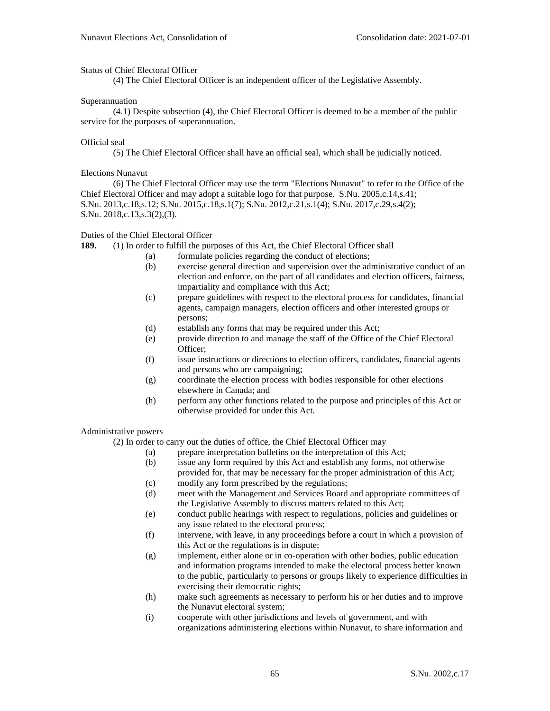# Status of Chief Electoral Officer

(4) The Chief Electoral Officer is an independent officer of the Legislative Assembly.

# Superannuation

(4.1) Despite subsection (4), the Chief Electoral Officer is deemed to be a member of the public service for the purposes of superannuation.

# Official seal

(5) The Chief Electoral Officer shall have an official seal, which shall be judicially noticed.

# Elections Nunavut

(6) The Chief Electoral Officer may use the term "Elections Nunavut" to refer to the Office of the Chief Electoral Officer and may adopt a suitable logo for that purpose. S.Nu. 2005,c.14,s.41; S.Nu. 2013,c.18,s.12; S.Nu. 2015,c.18,s.1(7); S.Nu. 2012,c.21,s.1(4); S.Nu. 2017,c.29,s.4(2); S.Nu. 2018,c.13,s.3(2),(3).

# Duties of the Chief Electoral Officer

**189.** (1) In order to fulfill the purposes of this Act, the Chief Electoral Officer shall

- (a) formulate policies regarding the conduct of elections;
- (b) exercise general direction and supervision over the administrative conduct of an election and enforce, on the part of all candidates and election officers, fairness, impartiality and compliance with this Act;
- (c) prepare guidelines with respect to the electoral process for candidates, financial agents, campaign managers, election officers and other interested groups or persons;
- (d) establish any forms that may be required under this Act;
- (e) provide direction to and manage the staff of the Office of the Chief Electoral Officer;
- (f) issue instructions or directions to election officers, candidates, financial agents and persons who are campaigning;
- (g) coordinate the election process with bodies responsible for other elections elsewhere in Canada; and
- (h) perform any other functions related to the purpose and principles of this Act or otherwise provided for under this Act.

# Administrative powers

(2) In order to carry out the duties of office, the Chief Electoral Officer may

- (a) prepare interpretation bulletins on the interpretation of this Act;
- (b) issue any form required by this Act and establish any forms, not otherwise
- provided for, that may be necessary for the proper administration of this Act;
- (c) modify any form prescribed by the regulations;
- (d) meet with the Management and Services Board and appropriate committees of the Legislative Assembly to discuss matters related to this Act;
- (e) conduct public hearings with respect to regulations, policies and guidelines or any issue related to the electoral process;
- (f) intervene, with leave, in any proceedings before a court in which a provision of this Act or the regulations is in dispute;
- (g) implement, either alone or in co-operation with other bodies, public education and information programs intended to make the electoral process better known to the public, particularly to persons or groups likely to experience difficulties in exercising their democratic rights;
- (h) make such agreements as necessary to perform his or her duties and to improve the Nunavut electoral system;
- (i) cooperate with other jurisdictions and levels of government, and with organizations administering elections within Nunavut, to share information and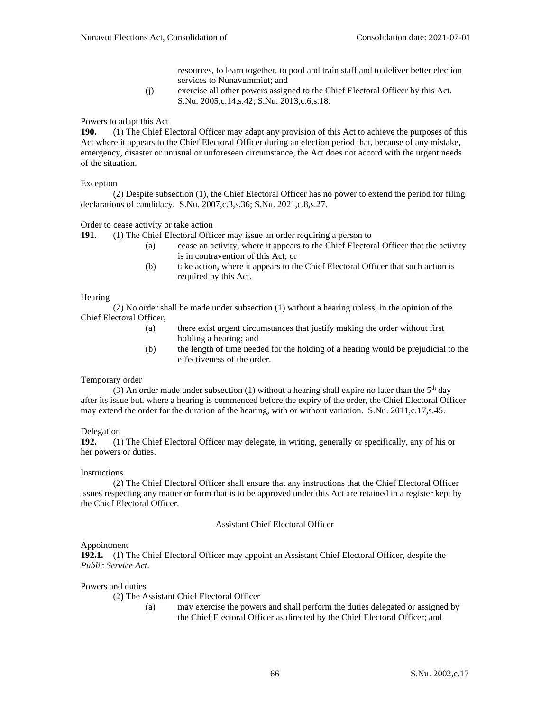resources, to learn together, to pool and train staff and to deliver better election services to Nunavummiut; and

(j) exercise all other powers assigned to the Chief Electoral Officer by this Act. S.Nu. 2005,c.14,s.42; S.Nu. 2013,c.6,s.18.

Powers to adapt this Act

**190.** (1) The Chief Electoral Officer may adapt any provision of this Act to achieve the purposes of this Act where it appears to the Chief Electoral Officer during an election period that, because of any mistake, emergency, disaster or unusual or unforeseen circumstance, the Act does not accord with the urgent needs of the situation.

## Exception

(2) Despite subsection (1), the Chief Electoral Officer has no power to extend the period for filing declarations of candidacy. S.Nu. 2007,c.3,s.36; S.Nu. 2021,c.8,s.27.

#### Order to cease activity or take action

**191.** (1) The Chief Electoral Officer may issue an order requiring a person to

- (a) cease an activity, where it appears to the Chief Electoral Officer that the activity is in contravention of this Act; or
- (b) take action, where it appears to the Chief Electoral Officer that such action is required by this Act.

#### **Hearing**

(2) No order shall be made under subsection (1) without a hearing unless, in the opinion of the Chief Electoral Officer,

- (a) there exist urgent circumstances that justify making the order without first holding a hearing; and
- (b) the length of time needed for the holding of a hearing would be prejudicial to the effectiveness of the order.

# Temporary order

(3) An order made under subsection (1) without a hearing shall expire no later than the  $5<sup>th</sup>$  day after its issue but, where a hearing is commenced before the expiry of the order, the Chief Electoral Officer may extend the order for the duration of the hearing, with or without variation. S.Nu. 2011,c.17,s.45.

#### Delegation

**192.** (1) The Chief Electoral Officer may delegate, in writing, generally or specifically, any of his or her powers or duties.

#### **Instructions**

(2) The Chief Electoral Officer shall ensure that any instructions that the Chief Electoral Officer issues respecting any matter or form that is to be approved under this Act are retained in a register kept by the Chief Electoral Officer.

#### Assistant Chief Electoral Officer

#### Appointment

**192.1.** (1) The Chief Electoral Officer may appoint an Assistant Chief Electoral Officer, despite the *Public Service Act*.

#### Powers and duties

(2) The Assistant Chief Electoral Officer

(a) may exercise the powers and shall perform the duties delegated or assigned by the Chief Electoral Officer as directed by the Chief Electoral Officer; and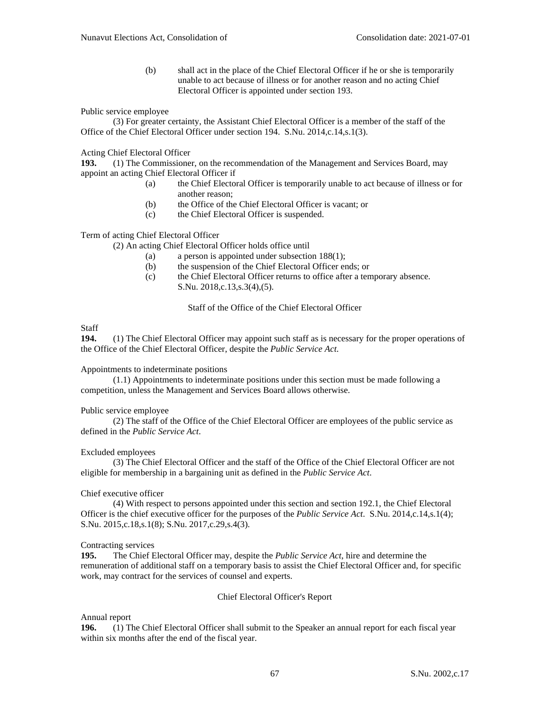(b) shall act in the place of the Chief Electoral Officer if he or she is temporarily unable to act because of illness or for another reason and no acting Chief Electoral Officer is appointed under section 193.

Public service employee

(3) For greater certainty, the Assistant Chief Electoral Officer is a member of the staff of the Office of the Chief Electoral Officer under section 194. S.Nu. 2014,c.14,s.1(3).

Acting Chief Electoral Officer<br>193. (1) The Commissioner

**193.** (1) The Commissioner, on the recommendation of the Management and Services Board, may appoint an acting Chief Electoral Officer if

- (a) the Chief Electoral Officer is temporarily unable to act because of illness or for another reason;
- (b) the Office of the Chief Electoral Officer is vacant; or
- (c) the Chief Electoral Officer is suspended.

Term of acting Chief Electoral Officer

(2) An acting Chief Electoral Officer holds office until

- (a) a person is appointed under subsection 188(1);
- (b) the suspension of the Chief Electoral Officer ends; or
- (c) the Chief Electoral Officer returns to office after a temporary absence. S.Nu. 2018,c.13,s.3(4),(5).

Staff of the Office of the Chief Electoral Officer

# **Staff**

**194.** (1) The Chief Electoral Officer may appoint such staff as is necessary for the proper operations of the Office of the Chief Electoral Officer, despite the *Public Service Act*.

#### Appointments to indeterminate positions

(1.1) Appointments to indeterminate positions under this section must be made following a competition, unless the Management and Services Board allows otherwise.

## Public service employee

(2) The staff of the Office of the Chief Electoral Officer are employees of the public service as defined in the *Public Service Act*.

#### Excluded employees

(3) The Chief Electoral Officer and the staff of the Office of the Chief Electoral Officer are not eligible for membership in a bargaining unit as defined in the *Public Service Act*.

#### Chief executive officer

(4) With respect to persons appointed under this section and section 192.1, the Chief Electoral Officer is the chief executive officer for the purposes of the *Public Service Act*. S.Nu. 2014,c.14,s.1(4); S.Nu. 2015,c.18,s.1(8); S.Nu. 2017,c.29,s.4(3).

#### Contracting services

**195.** The Chief Electoral Officer may, despite the *Public Service Act*, hire and determine the remuneration of additional staff on a temporary basis to assist the Chief Electoral Officer and, for specific work, may contract for the services of counsel and experts.

#### Chief Electoral Officer's Report

# Annual report

**196.** (1) The Chief Electoral Officer shall submit to the Speaker an annual report for each fiscal year within six months after the end of the fiscal year.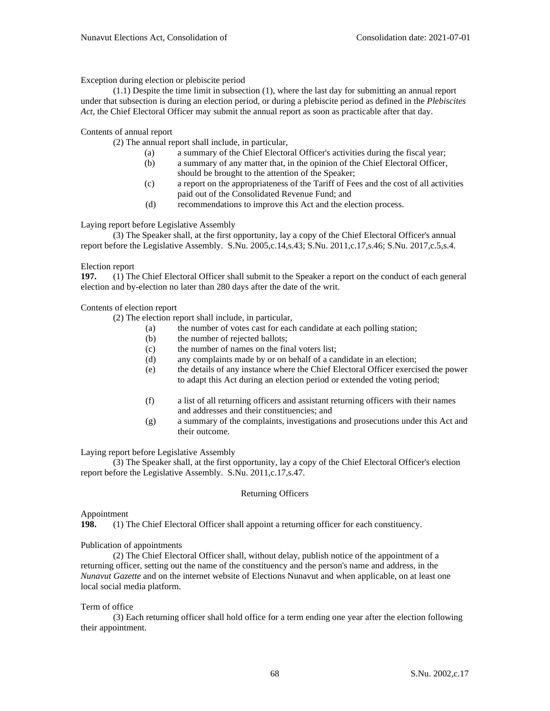Exception during election or plebiscite period

(1.1) Despite the time limit in subsection (1), where the last day for submitting an annual report under that subsection is during an election period, or during a plebiscite period as defined in the *Plebiscites Act*, the Chief Electoral Officer may submit the annual report as soon as practicable after that day.

Contents of annual report

(2) The annual report shall include, in particular,

- (a) a summary of the Chief Electoral Officer's activities during the fiscal year;
- (b) a summary of any matter that, in the opinion of the Chief Electoral Officer, should be brought to the attention of the Speaker;
- (c) a report on the appropriateness of the Tariff of Fees and the cost of all activities paid out of the Consolidated Revenue Fund; and
- (d) recommendations to improve this Act and the election process.

Laying report before Legislative Assembly

(3) The Speaker shall, at the first opportunity, lay a copy of the Chief Electoral Officer's annual report before the Legislative Assembly. S.Nu. 2005,c.14,s.43; S.Nu. 2011,c.17,s.46; S.Nu. 2017,c.5,s.4.

Election report

**197.** (1) The Chief Electoral Officer shall submit to the Speaker a report on the conduct of each general election and by-election no later than 280 days after the date of the writ.

Contents of election report

(2) The election report shall include, in particular,

- (a) the number of votes cast for each candidate at each polling station;
- (b) the number of rejected ballots;
- (c) the number of names on the final voters list;
- (d) any complaints made by or on behalf of a candidate in an election;
- (e) the details of any instance where the Chief Electoral Officer exercised the power to adapt this Act during an election period or extended the voting period;
- (f) a list of all returning officers and assistant returning officers with their names and addresses and their constituencies; and
- (g) a summary of the complaints, investigations and prosecutions under this Act and their outcome.

Laying report before Legislative Assembly

(3) The Speaker shall, at the first opportunity, lay a copy of the Chief Electoral Officer's election report before the Legislative Assembly. S.Nu. 2011,c.17,s.47.

#### Returning Officers

#### Appointment

**198.** (1) The Chief Electoral Officer shall appoint a returning officer for each constituency.

#### Publication of appointments

(2) The Chief Electoral Officer shall, without delay, publish notice of the appointment of a returning officer, setting out the name of the constituency and the person's name and address, in the *Nunavut Gazette* and on the internet website of Elections Nunavut and when applicable, on at least one local social media platform.

## Term of office

(3) Each returning officer shall hold office for a term ending one year after the election following their appointment.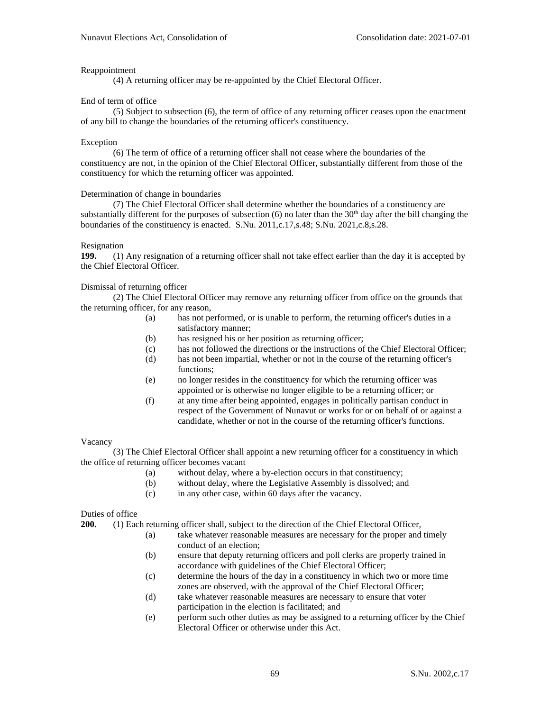# Reappointment

(4) A returning officer may be re-appointed by the Chief Electoral Officer.

# End of term of office

(5) Subject to subsection (6), the term of office of any returning officer ceases upon the enactment of any bill to change the boundaries of the returning officer's constituency.

# Exception

(6) The term of office of a returning officer shall not cease where the boundaries of the constituency are not, in the opinion of the Chief Electoral Officer, substantially different from those of the constituency for which the returning officer was appointed.

# Determination of change in boundaries

(7) The Chief Electoral Officer shall determine whether the boundaries of a constituency are substantially different for the purposes of subsection  $(6)$  no later than the 30<sup>th</sup> day after the bill changing the boundaries of the constituency is enacted. S.Nu. 2011,c.17,s.48; S.Nu. 2021,c.8,s.28.

# Resignation

**199.** (1) Any resignation of a returning officer shall not take effect earlier than the day it is accepted by the Chief Electoral Officer.

# Dismissal of returning officer

(2) The Chief Electoral Officer may remove any returning officer from office on the grounds that the returning officer, for any reason,

- (a) has not performed, or is unable to perform, the returning officer's duties in a satisfactory manner;
- (b) has resigned his or her position as returning officer;
- (c) has not followed the directions or the instructions of the Chief Electoral Officer;
- (d) has not been impartial, whether or not in the course of the returning officer's functions;
- (e) no longer resides in the constituency for which the returning officer was appointed or is otherwise no longer eligible to be a returning officer; or
- (f) at any time after being appointed, engages in politically partisan conduct in respect of the Government of Nunavut or works for or on behalf of or against a candidate, whether or not in the course of the returning officer's functions.

# Vacancy

(3) The Chief Electoral Officer shall appoint a new returning officer for a constituency in which the office of returning officer becomes vacant

- (a) without delay, where a by-election occurs in that constituency;
- (b) without delay, where the Legislative Assembly is dissolved; and
- (c) in any other case, within 60 days after the vacancy.

Duties of office

**200.** (1) Each returning officer shall, subject to the direction of the Chief Electoral Officer,

- (a) take whatever reasonable measures are necessary for the proper and timely conduct of an election;
- (b) ensure that deputy returning officers and poll clerks are properly trained in accordance with guidelines of the Chief Electoral Officer;
- (c) determine the hours of the day in a constituency in which two or more time zones are observed, with the approval of the Chief Electoral Officer;
- (d) take whatever reasonable measures are necessary to ensure that voter participation in the election is facilitated; and
- (e) perform such other duties as may be assigned to a returning officer by the Chief Electoral Officer or otherwise under this Act.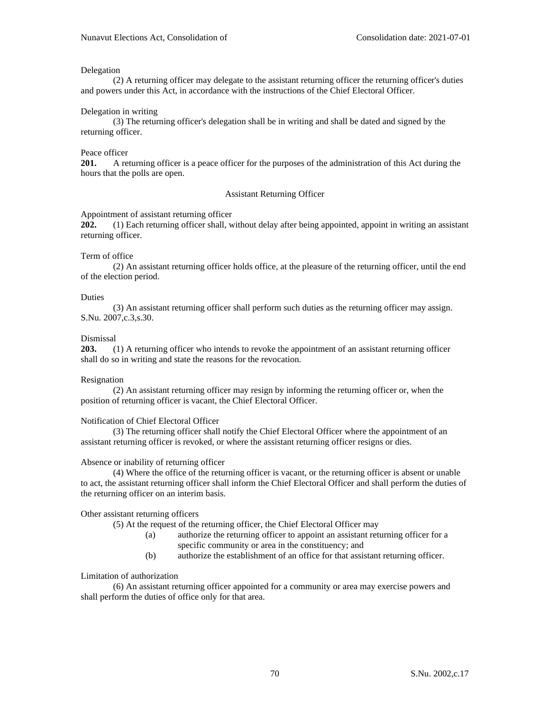# Delegation

(2) A returning officer may delegate to the assistant returning officer the returning officer's duties and powers under this Act, in accordance with the instructions of the Chief Electoral Officer.

# Delegation in writing

(3) The returning officer's delegation shall be in writing and shall be dated and signed by the returning officer.

# Peace officer<br>201. A ret

**201.** A returning officer is a peace officer for the purposes of the administration of this Act during the hours that the polls are open.

# Assistant Returning Officer

# Appointment of assistant returning officer

**202.** (1) Each returning officer shall, without delay after being appointed, appoint in writing an assistant returning officer.

# Term of office

(2) An assistant returning officer holds office, at the pleasure of the returning officer, until the end of the election period.

# Duties

(3) An assistant returning officer shall perform such duties as the returning officer may assign. S.Nu. 2007,c.3,s.30.

# Dismissal

**203.** (1) A returning officer who intends to revoke the appointment of an assistant returning officer shall do so in writing and state the reasons for the revocation.

# Resignation

(2) An assistant returning officer may resign by informing the returning officer or, when the position of returning officer is vacant, the Chief Electoral Officer.

# Notification of Chief Electoral Officer

(3) The returning officer shall notify the Chief Electoral Officer where the appointment of an assistant returning officer is revoked, or where the assistant returning officer resigns or dies.

# Absence or inability of returning officer

(4) Where the office of the returning officer is vacant, or the returning officer is absent or unable to act, the assistant returning officer shall inform the Chief Electoral Officer and shall perform the duties of the returning officer on an interim basis.

# Other assistant returning officers

(5) At the request of the returning officer, the Chief Electoral Officer may

- (a) authorize the returning officer to appoint an assistant returning officer for a specific community or area in the constituency; and
- (b) authorize the establishment of an office for that assistant returning officer.

# Limitation of authorization

(6) An assistant returning officer appointed for a community or area may exercise powers and shall perform the duties of office only for that area.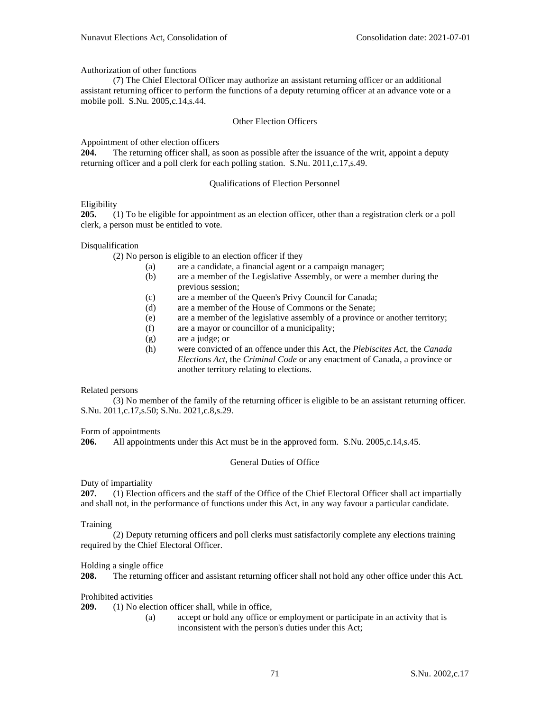## Authorization of other functions

(7) The Chief Electoral Officer may authorize an assistant returning officer or an additional assistant returning officer to perform the functions of a deputy returning officer at an advance vote or a mobile poll. S.Nu. 2005,c.14,s.44.

## Other Election Officers

Appointment of other election officers

**204.** The returning officer shall, as soon as possible after the issuance of the writ, appoint a deputy returning officer and a poll clerk for each polling station. S.Nu. 2011,c.17,s.49.

## Qualifications of Election Personnel

## Eligibility

**205.** (1) To be eligible for appointment as an election officer, other than a registration clerk or a poll clerk, a person must be entitled to vote.

## Disqualification

(2) No person is eligible to an election officer if they

- (a) are a candidate, a financial agent or a campaign manager;
- (b) are a member of the Legislative Assembly, or were a member during the previous session;
- (c) are a member of the Queen's Privy Council for Canada;
- (d) are a member of the House of Commons or the Senate;
- (e) are a member of the legislative assembly of a province or another territory;
- (f) are a mayor or councillor of a municipality;
- (g) are a judge; or
- (h) were convicted of an offence under this Act, the *Plebiscites Act*, the *Canada Elections Act*, the *Criminal Code* or any enactment of Canada, a province or another territory relating to elections.

# Related persons

(3) No member of the family of the returning officer is eligible to be an assistant returning officer. S.Nu. 2011,c.17,s.50; S.Nu. 2021,c.8,s.29.

#### Form of appointments

**206.** All appointments under this Act must be in the approved form. S.Nu. 2005,c.14,s.45.

# General Duties of Office

# Duty of impartiality

**207.** (1) Election officers and the staff of the Office of the Chief Electoral Officer shall act impartially and shall not, in the performance of functions under this Act, in any way favour a particular candidate.

#### Training

(2) Deputy returning officers and poll clerks must satisfactorily complete any elections training required by the Chief Electoral Officer.

# Holding a single office

**208.** The returning officer and assistant returning officer shall not hold any other office under this Act.

# Prohibited activities

**209.** (1) No election officer shall, while in office,

(a) accept or hold any office or employment or participate in an activity that is inconsistent with the person's duties under this Act;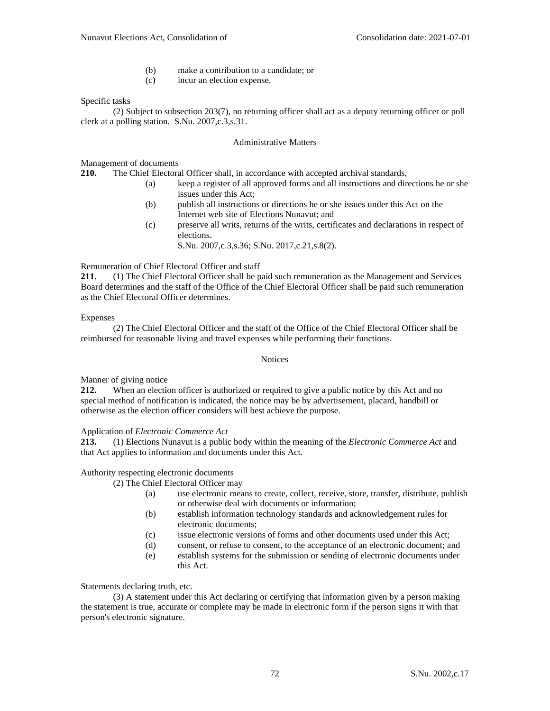- (b) make a contribution to a candidate; or
- (c) incur an election expense.

## Specific tasks

(2) Subject to subsection 203(7), no returning officer shall act as a deputy returning officer or poll clerk at a polling station. S.Nu. 2007,c.3,s.31.

## Administrative Matters

## Management of documents

**210.** The Chief Electoral Officer shall, in accordance with accepted archival standards,

- (a) keep a register of all approved forms and all instructions and directions he or she issues under this Act;
- (b) publish all instructions or directions he or she issues under this Act on the Internet web site of Elections Nunavut; and
- (c) preserve all writs, returns of the writs, certificates and declarations in respect of elections.

S.Nu. 2007,c.3,s.36; S.Nu. 2017,c.21,s.8(2).

## Remuneration of Chief Electoral Officer and staff

**211.** (1) The Chief Electoral Officer shall be paid such remuneration as the Management and Services Board determines and the staff of the Office of the Chief Electoral Officer shall be paid such remuneration as the Chief Electoral Officer determines.

#### Expenses

(2) The Chief Electoral Officer and the staff of the Office of the Chief Electoral Officer shall be reimbursed for reasonable living and travel expenses while performing their functions.

#### **Notices**

Manner of giving notice

**212.** When an election officer is authorized or required to give a public notice by this Act and no special method of notification is indicated, the notice may be by advertisement, placard, handbill or otherwise as the election officer considers will best achieve the purpose.

# Application of *Electronic Commerce Act*

**213.** (1) Elections Nunavut is a public body within the meaning of the *Electronic Commerce Act* and that Act applies to information and documents under this Act.

Authority respecting electronic documents

(2) The Chief Electoral Officer may

- (a) use electronic means to create, collect, receive, store, transfer, distribute, publish or otherwise deal with documents or information;
- (b) establish information technology standards and acknowledgement rules for electronic documents;
- (c) issue electronic versions of forms and other documents used under this Act;
- (d) consent, or refuse to consent, to the acceptance of an electronic document; and
- (e) establish systems for the submission or sending of electronic documents under this Act.

Statements declaring truth, etc.

(3) A statement under this Act declaring or certifying that information given by a person making the statement is true, accurate or complete may be made in electronic form if the person signs it with that person's electronic signature.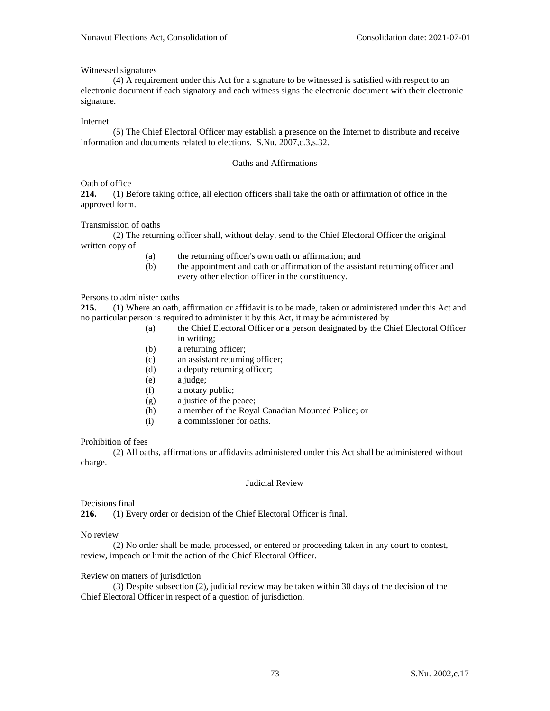# Witnessed signatures

(4) A requirement under this Act for a signature to be witnessed is satisfied with respect to an electronic document if each signatory and each witness signs the electronic document with their electronic signature.

## Internet

(5) The Chief Electoral Officer may establish a presence on the Internet to distribute and receive information and documents related to elections. S.Nu. 2007,c.3,s.32.

# Oaths and Affirmations

# Oath of office

**214.** (1) Before taking office, all election officers shall take the oath or affirmation of office in the approved form.

## Transmission of oaths

(2) The returning officer shall, without delay, send to the Chief Electoral Officer the original written copy of

- (a) the returning officer's own oath or affirmation; and
- (b) the appointment and oath or affirmation of the assistant returning officer and every other election officer in the constituency.

# Persons to administer oaths

**215.** (1) Where an oath, affirmation or affidavit is to be made, taken or administered under this Act and no particular person is required to administer it by this Act, it may be administered by

- (a) the Chief Electoral Officer or a person designated by the Chief Electoral Officer in writing;
- (b) a returning officer;
- (c) an assistant returning officer;
- (d) a deputy returning officer;
- (e) a judge;
- (f) a notary public;
- (g) a justice of the peace;
- (h) a member of the Royal Canadian Mounted Police; or
- (i) a commissioner for oaths.

#### Prohibition of fees

(2) All oaths, affirmations or affidavits administered under this Act shall be administered without charge.

#### Judicial Review

# Decisions final

**216.** (1) Every order or decision of the Chief Electoral Officer is final.

# No review

(2) No order shall be made, processed, or entered or proceeding taken in any court to contest, review, impeach or limit the action of the Chief Electoral Officer.

# Review on matters of jurisdiction

(3) Despite subsection (2), judicial review may be taken within 30 days of the decision of the Chief Electoral Officer in respect of a question of jurisdiction.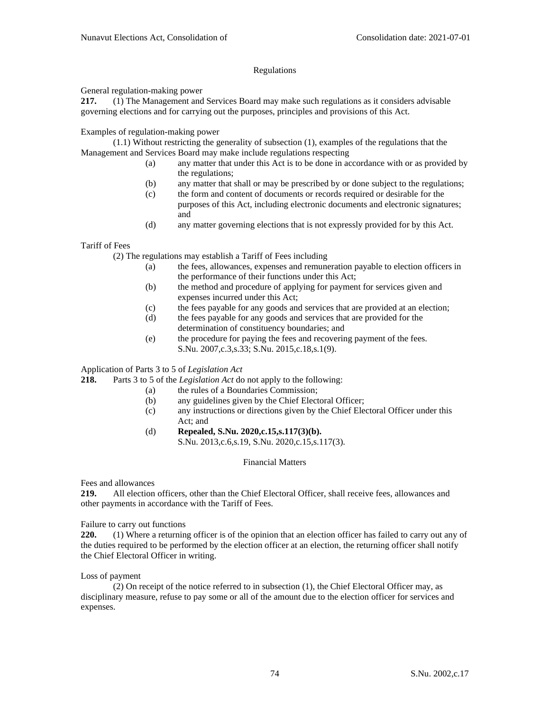# Regulations

General regulation-making power

**217.** (1) The Management and Services Board may make such regulations as it considers advisable governing elections and for carrying out the purposes, principles and provisions of this Act.

Examples of regulation-making power

(1.1) Without restricting the generality of subsection (1), examples of the regulations that the Management and Services Board may make include regulations respecting

- (a) any matter that under this Act is to be done in accordance with or as provided by the regulations;
- (b) any matter that shall or may be prescribed by or done subject to the regulations;
- (c) the form and content of documents or records required or desirable for the purposes of this Act, including electronic documents and electronic signatures; and
- (d) any matter governing elections that is not expressly provided for by this Act.

# Tariff of Fees

(2) The regulations may establish a Tariff of Fees including

- (a) the fees, allowances, expenses and remuneration payable to election officers in the performance of their functions under this Act;
- (b) the method and procedure of applying for payment for services given and expenses incurred under this Act;
- (c) the fees payable for any goods and services that are provided at an election;
- (d) the fees payable for any goods and services that are provided for the determination of constituency boundaries; and
- (e) the procedure for paying the fees and recovering payment of the fees. S.Nu. 2007,c.3,s.33; S.Nu. 2015,c.18,s.1(9).

# Application of Parts 3 to 5 of *Legislation Act*

**218.** Parts 3 to 5 of the *Legislation Act* do not apply to the following:

- (a) the rules of a Boundaries Commission;
- (b) any guidelines given by the Chief Electoral Officer;
- (c) any instructions or directions given by the Chief Electoral Officer under this Act; and
- (d) **Repealed, S.Nu. 2020,c.15,s.117(3)(b).** S.Nu. 2013,c.6,s.19, S.Nu. 2020,c.15,s.117(3).

# Financial Matters

Fees and allowances

**219.** All election officers, other than the Chief Electoral Officer, shall receive fees, allowances and other payments in accordance with the Tariff of Fees.

# Failure to carry out functions

**220.** (1) Where a returning officer is of the opinion that an election officer has failed to carry out any of the duties required to be performed by the election officer at an election, the returning officer shall notify the Chief Electoral Officer in writing.

# Loss of payment

(2) On receipt of the notice referred to in subsection (1), the Chief Electoral Officer may, as disciplinary measure, refuse to pay some or all of the amount due to the election officer for services and expenses.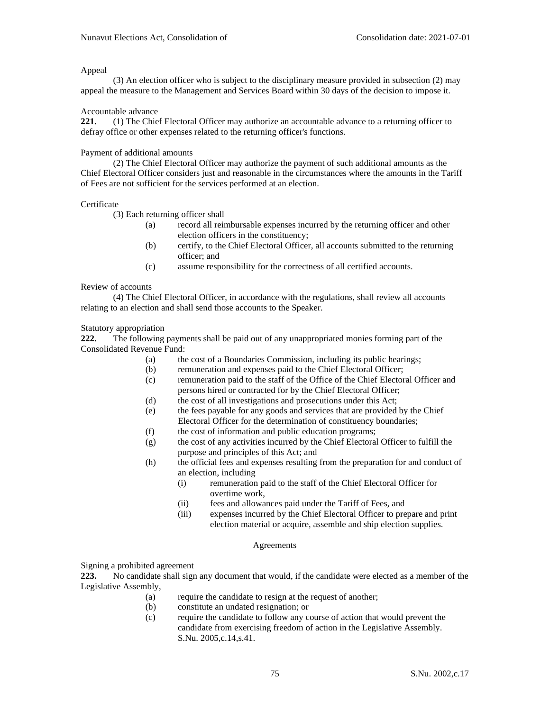## Appeal

(3) An election officer who is subject to the disciplinary measure provided in subsection (2) may appeal the measure to the Management and Services Board within 30 days of the decision to impose it.

## Accountable advance

**221.** (1) The Chief Electoral Officer may authorize an accountable advance to a returning officer to defray office or other expenses related to the returning officer's functions.

## Payment of additional amounts

(2) The Chief Electoral Officer may authorize the payment of such additional amounts as the Chief Electoral Officer considers just and reasonable in the circumstances where the amounts in the Tariff of Fees are not sufficient for the services performed at an election.

## **Certificate**

(3) Each returning officer shall

- (a) record all reimbursable expenses incurred by the returning officer and other election officers in the constituency;
- (b) certify, to the Chief Electoral Officer, all accounts submitted to the returning officer; and
- (c) assume responsibility for the correctness of all certified accounts.

## Review of accounts

(4) The Chief Electoral Officer, in accordance with the regulations, shall review all accounts relating to an election and shall send those accounts to the Speaker.

## Statutory appropriation

**222.** The following payments shall be paid out of any unappropriated monies forming part of the Consolidated Revenue Fund:

- (a) the cost of a Boundaries Commission, including its public hearings;
- (b) remuneration and expenses paid to the Chief Electoral Officer;
- (c) remuneration paid to the staff of the Office of the Chief Electoral Officer and persons hired or contracted for by the Chief Electoral Officer;
- (d) the cost of all investigations and prosecutions under this Act;
- (e) the fees payable for any goods and services that are provided by the Chief Electoral Officer for the determination of constituency boundaries;
- (f) the cost of information and public education programs;
- (g) the cost of any activities incurred by the Chief Electoral Officer to fulfill the purpose and principles of this Act; and
- (h) the official fees and expenses resulting from the preparation for and conduct of an election, including
	- (i) remuneration paid to the staff of the Chief Electoral Officer for overtime work,
	- (ii) fees and allowances paid under the Tariff of Fees, and
	- (iii) expenses incurred by the Chief Electoral Officer to prepare and print election material or acquire, assemble and ship election supplies.

#### Agreements

Signing a prohibited agreement

**223.** No candidate shall sign any document that would, if the candidate were elected as a member of the Legislative Assembly,

- (a) require the candidate to resign at the request of another;
- (b) constitute an undated resignation; or
- (c) require the candidate to follow any course of action that would prevent the candidate from exercising freedom of action in the Legislative Assembly. S.Nu. 2005,c.14,s.41.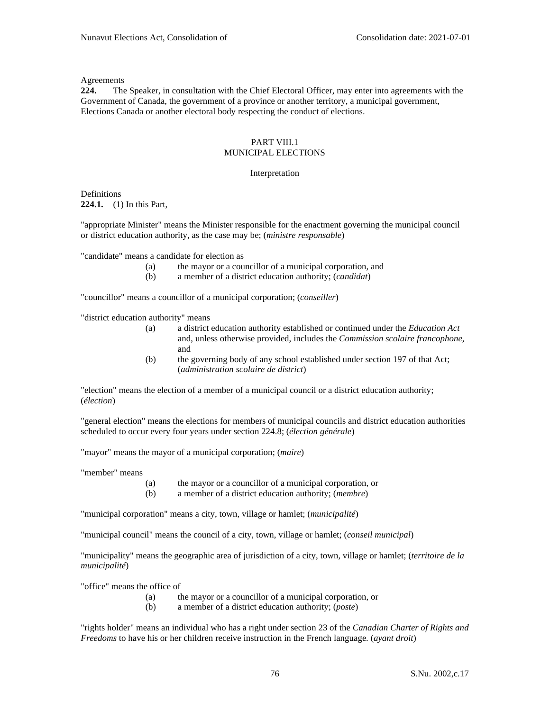Agreements<br>224. The **224.** The Speaker, in consultation with the Chief Electoral Officer, may enter into agreements with the Government of Canada, the government of a province or another territory, a municipal government, Elections Canada or another electoral body respecting the conduct of elections.

## PART VIII.1 MUNICIPAL ELECTIONS

#### Interpretation

Definitions **224.1.** (1) In this Part,

"appropriate Minister" means the Minister responsible for the enactment governing the municipal council or district education authority, as the case may be; (*ministre responsable*)

"candidate" means a candidate for election as

- (a) the mayor or a councillor of a municipal corporation, and
- (b) a member of a district education authority; (*candidat*)

"councillor" means a councillor of a municipal corporation; (*conseiller*)

"district education authority" means

- (a) a district education authority established or continued under the *Education Act* and, unless otherwise provided, includes the *Commission scolaire francophone*, and
- (b) the governing body of any school established under section 197 of that Act; (*administration scolaire de district*)

"election" means the election of a member of a municipal council or a district education authority; (*élection*)

"general election" means the elections for members of municipal councils and district education authorities scheduled to occur every four years under section 224.8; (*élection générale*)

"mayor" means the mayor of a municipal corporation; (*maire*)

"member" means

- (a) the mayor or a councillor of a municipal corporation, or
- (b) a member of a district education authority; (*membre*)

"municipal corporation" means a city, town, village or hamlet; (*municipalité*)

"municipal council" means the council of a city, town, village or hamlet; (*conseil municipal*)

"municipality" means the geographic area of jurisdiction of a city, town, village or hamlet; (*territoire de la municipalité*)

"office" means the office of

- (a) the mayor or a councillor of a municipal corporation, or
- (b) a member of a district education authority; (*poste*)

"rights holder" means an individual who has a right under section 23 of the *Canadian Charter of Rights and Freedoms* to have his or her children receive instruction in the French language. (*ayant droit*)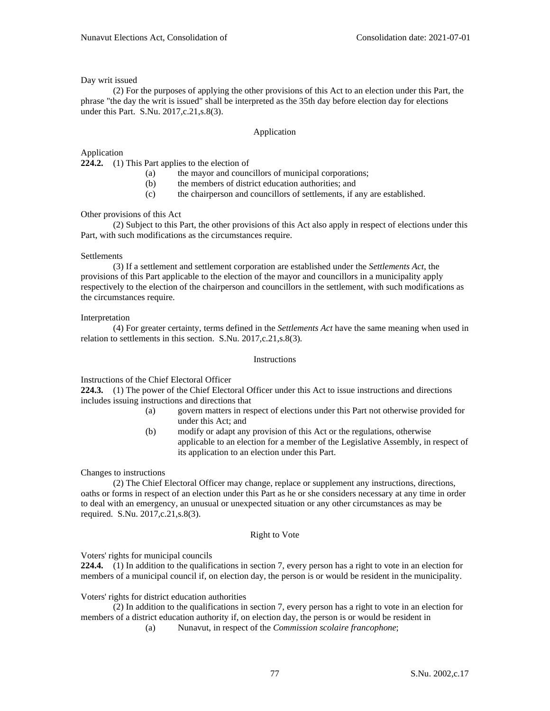## Day writ issued

(2) For the purposes of applying the other provisions of this Act to an election under this Part, the phrase "the day the writ is issued" shall be interpreted as the 35th day before election day for elections under this Part. S.Nu. 2017,c.21,s.8(3).

## Application

Application

**224.2.** (1) This Part applies to the election of

- (a) the mayor and councillors of municipal corporations;
- (b) the members of district education authorities; and
- (c) the chairperson and councillors of settlements, if any are established.

## Other provisions of this Act

(2) Subject to this Part, the other provisions of this Act also apply in respect of elections under this Part, with such modifications as the circumstances require.

#### Settlements

(3) If a settlement and settlement corporation are established under the *Settlements Act*, the provisions of this Part applicable to the election of the mayor and councillors in a municipality apply respectively to the election of the chairperson and councillors in the settlement, with such modifications as the circumstances require.

#### Interpretation

(4) For greater certainty, terms defined in the *Settlements Act* have the same meaning when used in relation to settlements in this section. S.Nu. 2017, c. 21, s. 8(3).

#### Instructions

Instructions of the Chief Electoral Officer

**224.3.** (1) The power of the Chief Electoral Officer under this Act to issue instructions and directions includes issuing instructions and directions that

- (a) govern matters in respect of elections under this Part not otherwise provided for under this Act; and
- (b) modify or adapt any provision of this Act or the regulations, otherwise applicable to an election for a member of the Legislative Assembly, in respect of its application to an election under this Part.

Changes to instructions

(2) The Chief Electoral Officer may change, replace or supplement any instructions, directions, oaths or forms in respect of an election under this Part as he or she considers necessary at any time in order to deal with an emergency, an unusual or unexpected situation or any other circumstances as may be required. S.Nu. 2017,c.21,s.8(3).

#### Right to Vote

Voters' rights for municipal councils

**224.4.** (1) In addition to the qualifications in section 7, every person has a right to vote in an election for members of a municipal council if, on election day, the person is or would be resident in the municipality.

Voters' rights for district education authorities

(2) In addition to the qualifications in section 7, every person has a right to vote in an election for members of a district education authority if, on election day, the person is or would be resident in

(a) Nunavut, in respect of the *Commission scolaire francophone*;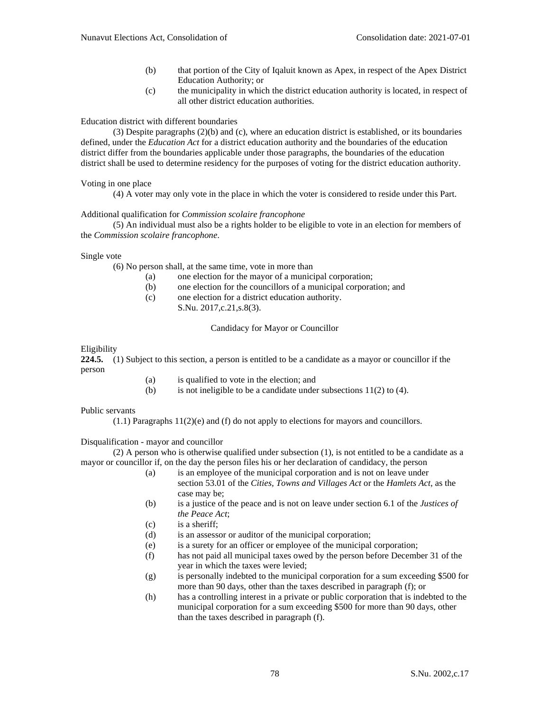- (b) that portion of the City of Iqaluit known as Apex, in respect of the Apex District Education Authority; or
- (c) the municipality in which the district education authority is located, in respect of all other district education authorities.

# Education district with different boundaries

(3) Despite paragraphs (2)(b) and (c), where an education district is established, or its boundaries defined, under the *Education Act* for a district education authority and the boundaries of the education district differ from the boundaries applicable under those paragraphs, the boundaries of the education district shall be used to determine residency for the purposes of voting for the district education authority.

# Voting in one place

(4) A voter may only vote in the place in which the voter is considered to reside under this Part.

# Additional qualification for *Commission scolaire francophone*

(5) An individual must also be a rights holder to be eligible to vote in an election for members of the *Commission scolaire francophone*.

# Single vote

(6) No person shall, at the same time, vote in more than

- (a) one election for the mayor of a municipal corporation;
- (b) one election for the councillors of a municipal corporation; and
- (c) one election for a district education authority.
	- S.Nu. 2017,c.21,s.8(3).

Candidacy for Mayor or Councillor

Eligibility

**224.5.** (1) Subject to this section, a person is entitled to be a candidate as a mayor or councillor if the person

- (a) is qualified to vote in the election; and
- (b) is not ineligible to be a candidate under subsections  $11(2)$  to (4).

# Public servants

 $(1.1)$  Paragraphs  $11(2)(e)$  and  $(f)$  do not apply to elections for mayors and councillors.

Disqualification - mayor and councillor

(2) A person who is otherwise qualified under subsection (1), is not entitled to be a candidate as a mayor or councillor if, on the day the person files his or her declaration of candidacy, the person

- (a) is an employee of the municipal corporation and is not on leave under section 53.01 of the *Cities, Towns and Villages Act* or the *Hamlets Act*, as the case may be;
- (b) is a justice of the peace and is not on leave under section 6.1 of the *Justices of the Peace Act*;
- (c) is a sheriff;
- (d) is an assessor or auditor of the municipal corporation;
- (e) is a surety for an officer or employee of the municipal corporation;
- (f) has not paid all municipal taxes owed by the person before December 31 of the year in which the taxes were levied;
- (g) is personally indebted to the municipal corporation for a sum exceeding \$500 for more than 90 days, other than the taxes described in paragraph (f); or
- (h) has a controlling interest in a private or public corporation that is indebted to the municipal corporation for a sum exceeding \$500 for more than 90 days, other than the taxes described in paragraph (f).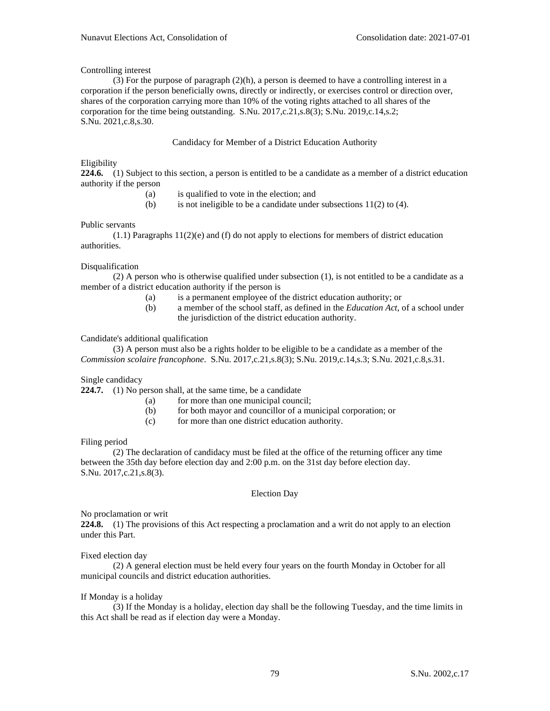# Controlling interest

(3) For the purpose of paragraph (2)(h), a person is deemed to have a controlling interest in a corporation if the person beneficially owns, directly or indirectly, or exercises control or direction over, shares of the corporation carrying more than 10% of the voting rights attached to all shares of the corporation for the time being outstanding. S.Nu. 2017,c.21,s.8(3); S.Nu. 2019,c.14,s.2; S.Nu. 2021,c.8,s.30.

## Candidacy for Member of a District Education Authority

## Eligibility

**224.6.** (1) Subject to this section, a person is entitled to be a candidate as a member of a district education authority if the person

- (a) is qualified to vote in the election; and
- (b) is not ineligible to be a candidate under subsections  $11(2)$  to (4).

## Public servants

 $(1.1)$  Paragraphs  $11(2)(e)$  and  $(f)$  do not apply to elections for members of district education authorities.

## Disqualification

(2) A person who is otherwise qualified under subsection (1), is not entitled to be a candidate as a member of a district education authority if the person is

- (a) is a permanent employee of the district education authority; or
- (b) a member of the school staff, as defined in the *Education Act*, of a school under the jurisdiction of the district education authority.

## Candidate's additional qualification

(3) A person must also be a rights holder to be eligible to be a candidate as a member of the *Commission scolaire francophone*. S.Nu. 2017,c.21,s.8(3); S.Nu. 2019,c.14,s.3; S.Nu. 2021,c.8,s.31.

## Single candidacy

**224.7.** (1) No person shall, at the same time, be a candidate

- (a) for more than one municipal council;
- (b) for both mayor and councillor of a municipal corporation; or
- (c) for more than one district education authority.

#### Filing period

(2) The declaration of candidacy must be filed at the office of the returning officer any time between the 35th day before election day and 2:00 p.m. on the 31st day before election day. S.Nu. 2017,c.21,s.8(3).

#### Election Day

# No proclamation or writ

**224.8.** (1) The provisions of this Act respecting a proclamation and a writ do not apply to an election under this Part.

#### Fixed election day

(2) A general election must be held every four years on the fourth Monday in October for all municipal councils and district education authorities.

# If Monday is a holiday

(3) If the Monday is a holiday, election day shall be the following Tuesday, and the time limits in this Act shall be read as if election day were a Monday.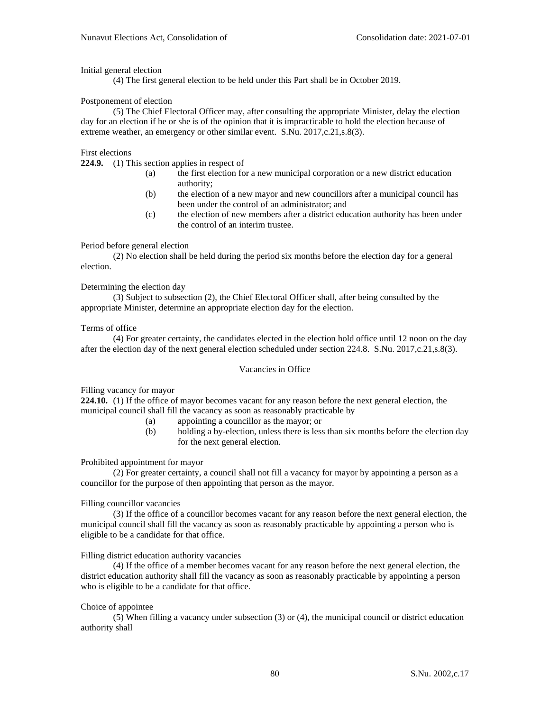# Initial general election

(4) The first general election to be held under this Part shall be in October 2019.

# Postponement of election

(5) The Chief Electoral Officer may, after consulting the appropriate Minister, delay the election day for an election if he or she is of the opinion that it is impracticable to hold the election because of extreme weather, an emergency or other similar event. S.Nu. 2017, c. 21, s. 8(3).

## First elections

**224.9.** (1) This section applies in respect of

- (a) the first election for a new municipal corporation or a new district education authority;
- (b) the election of a new mayor and new councillors after a municipal council has been under the control of an administrator; and
- (c) the election of new members after a district education authority has been under the control of an interim trustee.

## Period before general election

(2) No election shall be held during the period six months before the election day for a general election.

## Determining the election day

(3) Subject to subsection (2), the Chief Electoral Officer shall, after being consulted by the appropriate Minister, determine an appropriate election day for the election.

## Terms of office

(4) For greater certainty, the candidates elected in the election hold office until 12 noon on the day after the election day of the next general election scheduled under section 224.8. S.Nu. 2017,c.21,s.8(3).

#### Vacancies in Office

# Filling vacancy for mayor

**224.10.** (1) If the office of mayor becomes vacant for any reason before the next general election, the municipal council shall fill the vacancy as soon as reasonably practicable by

- (a) appointing a councillor as the mayor; or
- (b) holding a by-election, unless there is less than six months before the election day for the next general election.

# Prohibited appointment for mayor

(2) For greater certainty, a council shall not fill a vacancy for mayor by appointing a person as a councillor for the purpose of then appointing that person as the mayor.

# Filling councillor vacancies

(3) If the office of a councillor becomes vacant for any reason before the next general election, the municipal council shall fill the vacancy as soon as reasonably practicable by appointing a person who is eligible to be a candidate for that office.

#### Filling district education authority vacancies

(4) If the office of a member becomes vacant for any reason before the next general election, the district education authority shall fill the vacancy as soon as reasonably practicable by appointing a person who is eligible to be a candidate for that office.

# Choice of appointee

(5) When filling a vacancy under subsection (3) or (4), the municipal council or district education authority shall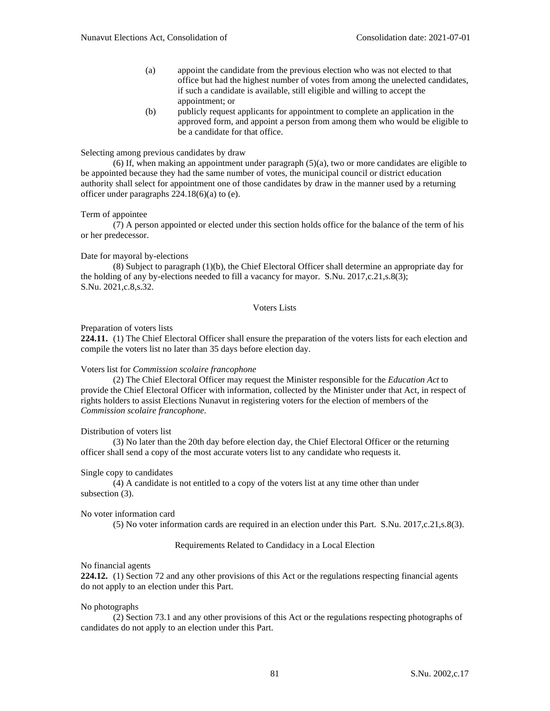- (a) appoint the candidate from the previous election who was not elected to that office but had the highest number of votes from among the unelected candidates, if such a candidate is available, still eligible and willing to accept the appointment; or
- (b) publicly request applicants for appointment to complete an application in the approved form, and appoint a person from among them who would be eligible to be a candidate for that office.

### Selecting among previous candidates by draw

(6) If, when making an appointment under paragraph (5)(a), two or more candidates are eligible to be appointed because they had the same number of votes, the municipal council or district education authority shall select for appointment one of those candidates by draw in the manner used by a returning officer under paragraphs 224.18(6)(a) to (e).

### Term of appointee

(7) A person appointed or elected under this section holds office for the balance of the term of his or her predecessor.

### Date for mayoral by-elections

(8) Subject to paragraph (1)(b), the Chief Electoral Officer shall determine an appropriate day for the holding of any by-elections needed to fill a vacancy for mayor. S.Nu. 2017,c.21,s.8(3); S.Nu. 2021,c.8,s.32.

### Voters Lists

# Preparation of voters lists

**224.11.** (1) The Chief Electoral Officer shall ensure the preparation of the voters lists for each election and compile the voters list no later than 35 days before election day.

### Voters list for *Commission scolaire francophone*

(2) The Chief Electoral Officer may request the Minister responsible for the *Education Act* to provide the Chief Electoral Officer with information, collected by the Minister under that Act, in respect of rights holders to assist Elections Nunavut in registering voters for the election of members of the *Commission scolaire francophone*.

### Distribution of voters list

(3) No later than the 20th day before election day, the Chief Electoral Officer or the returning officer shall send a copy of the most accurate voters list to any candidate who requests it.

### Single copy to candidates

(4) A candidate is not entitled to a copy of the voters list at any time other than under subsection (3).

### No voter information card

(5) No voter information cards are required in an election under this Part. S.Nu. 2017,c.21,s.8(3).

### Requirements Related to Candidacy in a Local Election

### No financial agents

**224.12.** (1) Section 72 and any other provisions of this Act or the regulations respecting financial agents do not apply to an election under this Part.

### No photographs

(2) Section 73.1 and any other provisions of this Act or the regulations respecting photographs of candidates do not apply to an election under this Part.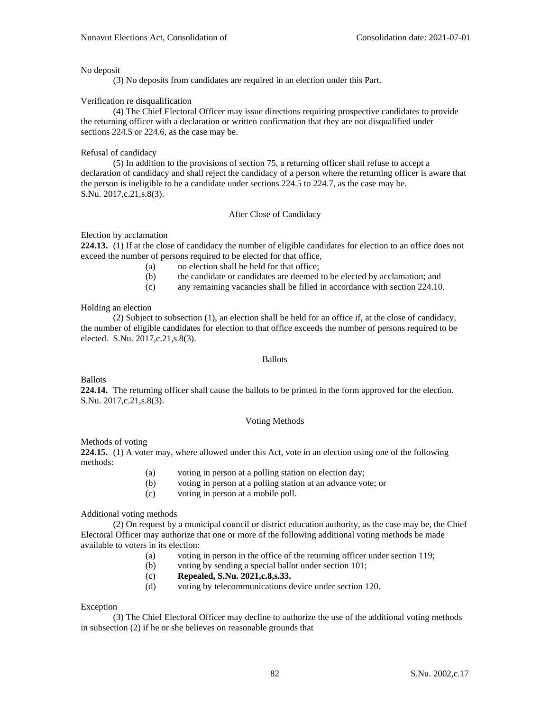## No deposit

(3) No deposits from candidates are required in an election under this Part.

### Verification re disqualification

(4) The Chief Electoral Officer may issue directions requiring prospective candidates to provide the returning officer with a declaration or written confirmation that they are not disqualified under sections 224.5 or 224.6, as the case may be.

### Refusal of candidacy

(5) In addition to the provisions of section 75, a returning officer shall refuse to accept a declaration of candidacy and shall reject the candidacy of a person where the returning officer is aware that the person is ineligible to be a candidate under sections 224.5 to 224.7, as the case may be. S.Nu. 2017,c.21,s.8(3).

### After Close of Candidacy

Election by acclamation

**224.13.** (1) If at the close of candidacy the number of eligible candidates for election to an office does not exceed the number of persons required to be elected for that office,

- (a) no election shall be held for that office;
- (b) the candidate or candidates are deemed to be elected by acclamation; and
- (c) any remaining vacancies shall be filled in accordance with section 224.10.

### Holding an election

(2) Subject to subsection (1), an election shall be held for an office if, at the close of candidacy, the number of eligible candidates for election to that office exceeds the number of persons required to be elected. S.Nu. 2017,c.21,s.8(3).

### Ballots

**Ballots** 

**224.14.** The returning officer shall cause the ballots to be printed in the form approved for the election. S.Nu. 2017,c.21,s.8(3).

### Voting Methods

Methods of voting

**224.15.** (1) A voter may, where allowed under this Act, vote in an election using one of the following methods:

- (a) voting in person at a polling station on election day;
- (b) voting in person at a polling station at an advance vote; or
- (c) voting in person at a mobile poll.

Additional voting methods

(2) On request by a municipal council or district education authority, as the case may be, the Chief Electoral Officer may authorize that one or more of the following additional voting methods be made available to voters in its election:

- (a) voting in person in the office of the returning officer under section 119;
- (b) voting by sending a special ballot under section 101;
- (c) **Repealed, S.Nu. 2021,c.8,s.33.**
- (d) voting by telecommunications device under section 120.

# Exception

(3) The Chief Electoral Officer may decline to authorize the use of the additional voting methods in subsection (2) if he or she believes on reasonable grounds that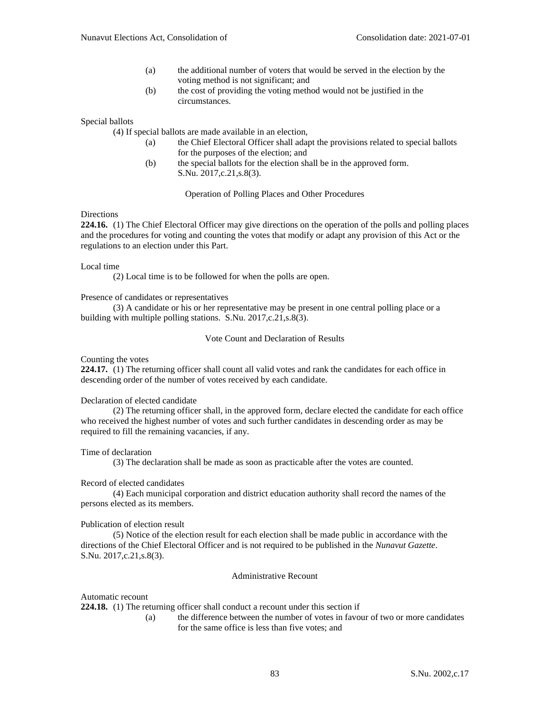- (a) the additional number of voters that would be served in the election by the voting method is not significant; and
- (b) the cost of providing the voting method would not be justified in the circumstances.

## Special ballots

(4) If special ballots are made available in an election,

- (a) the Chief Electoral Officer shall adapt the provisions related to special ballots for the purposes of the election; and
- (b) the special ballots for the election shall be in the approved form. S.Nu. 2017,c.21,s.8(3).

Operation of Polling Places and Other Procedures

### **Directions**

**224.16.** (1) The Chief Electoral Officer may give directions on the operation of the polls and polling places and the procedures for voting and counting the votes that modify or adapt any provision of this Act or the regulations to an election under this Part.

### Local time

(2) Local time is to be followed for when the polls are open.

Presence of candidates or representatives

(3) A candidate or his or her representative may be present in one central polling place or a building with multiple polling stations. S.Nu. 2017,c.21,s.8(3).

Vote Count and Declaration of Results

Counting the votes

**224.17.** (1) The returning officer shall count all valid votes and rank the candidates for each office in descending order of the number of votes received by each candidate.

# Declaration of elected candidate

(2) The returning officer shall, in the approved form, declare elected the candidate for each office who received the highest number of votes and such further candidates in descending order as may be required to fill the remaining vacancies, if any.

### Time of declaration

(3) The declaration shall be made as soon as practicable after the votes are counted.

### Record of elected candidates

(4) Each municipal corporation and district education authority shall record the names of the persons elected as its members.

### Publication of election result

(5) Notice of the election result for each election shall be made public in accordance with the directions of the Chief Electoral Officer and is not required to be published in the *Nunavut Gazette*. S.Nu. 2017,c.21,s.8(3).

### Administrative Recount

Automatic recount

**224.18.** (1) The returning officer shall conduct a recount under this section if

(a) the difference between the number of votes in favour of two or more candidates for the same office is less than five votes; and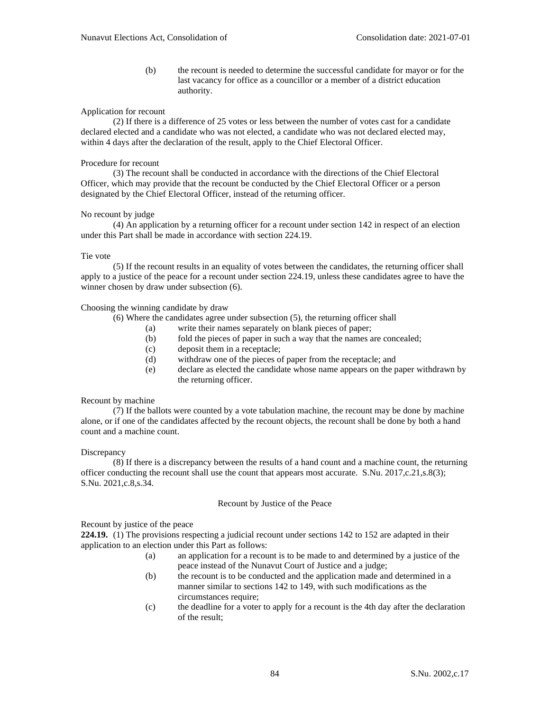(b) the recount is needed to determine the successful candidate for mayor or for the last vacancy for office as a councillor or a member of a district education authority.

### Application for recount

(2) If there is a difference of 25 votes or less between the number of votes cast for a candidate declared elected and a candidate who was not elected, a candidate who was not declared elected may, within 4 days after the declaration of the result, apply to the Chief Electoral Officer.

### Procedure for recount

(3) The recount shall be conducted in accordance with the directions of the Chief Electoral Officer, which may provide that the recount be conducted by the Chief Electoral Officer or a person designated by the Chief Electoral Officer, instead of the returning officer.

### No recount by judge

(4) An application by a returning officer for a recount under section 142 in respect of an election under this Part shall be made in accordance with section 224.19.

### Tie vote

(5) If the recount results in an equality of votes between the candidates, the returning officer shall apply to a justice of the peace for a recount under section 224.19, unless these candidates agree to have the winner chosen by draw under subsection (6).

### Choosing the winning candidate by draw

- (6) Where the candidates agree under subsection (5), the returning officer shall
	- (a) write their names separately on blank pieces of paper;
	- (b) fold the pieces of paper in such a way that the names are concealed;
	- (c) deposit them in a receptacle;
	- (d) withdraw one of the pieces of paper from the receptacle; and
	- (e) declare as elected the candidate whose name appears on the paper withdrawn by the returning officer.

# Recount by machine

(7) If the ballots were counted by a vote tabulation machine, the recount may be done by machine alone, or if one of the candidates affected by the recount objects, the recount shall be done by both a hand count and a machine count.

### **Discrepancy**

(8) If there is a discrepancy between the results of a hand count and a machine count, the returning officer conducting the recount shall use the count that appears most accurate. S.Nu. 2017,c.21,s.8(3); S.Nu. 2021,c.8,s.34.

### Recount by Justice of the Peace

# Recount by justice of the peace

**224.19.** (1) The provisions respecting a judicial recount under sections 142 to 152 are adapted in their application to an election under this Part as follows:

- (a) an application for a recount is to be made to and determined by a justice of the peace instead of the Nunavut Court of Justice and a judge;
- (b) the recount is to be conducted and the application made and determined in a manner similar to sections 142 to 149, with such modifications as the circumstances require;
- (c) the deadline for a voter to apply for a recount is the 4th day after the declaration of the result;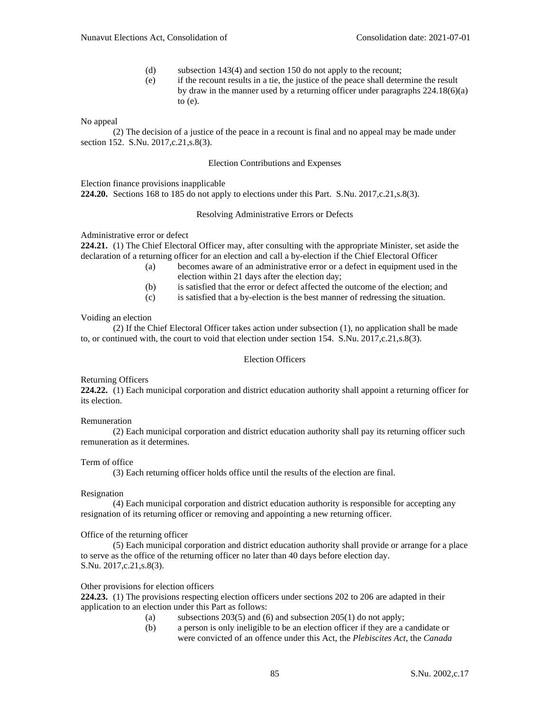- (d) subsection 143(4) and section 150 do not apply to the recount;
- (e) if the recount results in a tie, the justice of the peace shall determine the result by draw in the manner used by a returning officer under paragraphs 224.18(6)(a) to  $(e)$ .

### No appeal

(2) The decision of a justice of the peace in a recount is final and no appeal may be made under section 152. S.Nu. 2017, c. 21, s. 8(3).

#### Election Contributions and Expenses

Election finance provisions inapplicable

**224.20.** Sections 168 to 185 do not apply to elections under this Part. S.Nu. 2017,c.21,s.8(3).

### Resolving Administrative Errors or Defects

### Administrative error or defect

**224.21.** (1) The Chief Electoral Officer may, after consulting with the appropriate Minister, set aside the declaration of a returning officer for an election and call a by-election if the Chief Electoral Officer

- (a) becomes aware of an administrative error or a defect in equipment used in the election within 21 days after the election day;
- (b) is satisfied that the error or defect affected the outcome of the election; and
- (c) is satisfied that a by-election is the best manner of redressing the situation.

### Voiding an election

(2) If the Chief Electoral Officer takes action under subsection (1), no application shall be made to, or continued with, the court to void that election under section 154. S.Nu. 2017,c.21,s.8(3).

### Election Officers

# Returning Officers

**224.22.** (1) Each municipal corporation and district education authority shall appoint a returning officer for its election.

### Remuneration

(2) Each municipal corporation and district education authority shall pay its returning officer such remuneration as it determines.

### Term of office

(3) Each returning officer holds office until the results of the election are final.

### Resignation

(4) Each municipal corporation and district education authority is responsible for accepting any resignation of its returning officer or removing and appointing a new returning officer.

### Office of the returning officer

(5) Each municipal corporation and district education authority shall provide or arrange for a place to serve as the office of the returning officer no later than 40 days before election day. S.Nu. 2017,c.21,s.8(3).

### Other provisions for election officers

**224.23.** (1) The provisions respecting election officers under sections 202 to 206 are adapted in their application to an election under this Part as follows:

- (a) subsections  $203(5)$  and (6) and subsection  $205(1)$  do not apply;
	- (b) a person is only ineligible to be an election officer if they are a candidate or were convicted of an offence under this Act, the *Plebiscites Act*, the *Canada*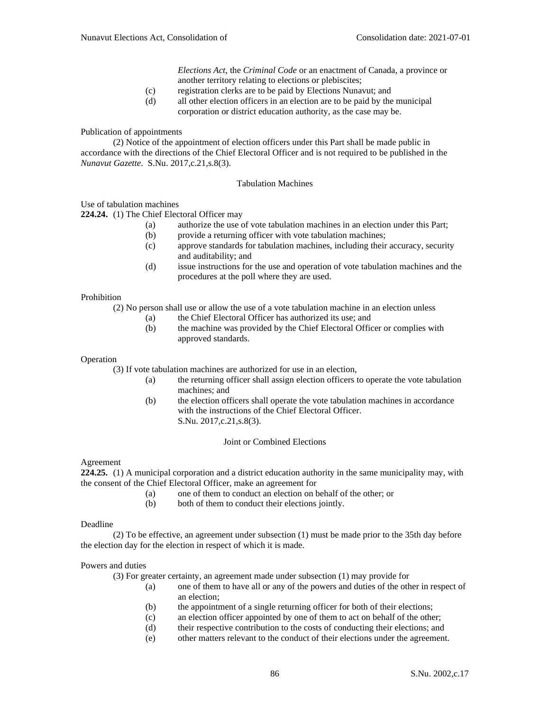*Elections Act*, the *Criminal Code* or an enactment of Canada, a province or another territory relating to elections or plebiscites;

- (c) registration clerks are to be paid by Elections Nunavut; and
- (d) all other election officers in an election are to be paid by the municipal corporation or district education authority, as the case may be.

Publication of appointments

(2) Notice of the appointment of election officers under this Part shall be made public in accordance with the directions of the Chief Electoral Officer and is not required to be published in the *Nunavut Gazette*. S.Nu. 2017,c.21,s.8(3).

### Tabulation Machines

Use of tabulation machines

**224.24.** (1) The Chief Electoral Officer may

- (a) authorize the use of vote tabulation machines in an election under this Part;
- (b) provide a returning officer with vote tabulation machines;
- (c) approve standards for tabulation machines, including their accuracy, security and auditability; and
- (d) issue instructions for the use and operation of vote tabulation machines and the procedures at the poll where they are used.

### Prohibition

(2) No person shall use or allow the use of a vote tabulation machine in an election unless

- (a) the Chief Electoral Officer has authorized its use; and
- (b) the machine was provided by the Chief Electoral Officer or complies with approved standards.

#### Operation

(3) If vote tabulation machines are authorized for use in an election,

- (a) the returning officer shall assign election officers to operate the vote tabulation machines; and
- (b) the election officers shall operate the vote tabulation machines in accordance with the instructions of the Chief Electoral Officer. S.Nu. 2017,c.21,s.8(3).

### Joint or Combined Elections

Agreement

**224.25.** (1) A municipal corporation and a district education authority in the same municipality may, with the consent of the Chief Electoral Officer, make an agreement for

- (a) one of them to conduct an election on behalf of the other; or
- (b) both of them to conduct their elections jointly.

#### Deadline

(2) To be effective, an agreement under subsection (1) must be made prior to the 35th day before the election day for the election in respect of which it is made.

#### Powers and duties

(3) For greater certainty, an agreement made under subsection (1) may provide for

- (a) one of them to have all or any of the powers and duties of the other in respect of an election;
- (b) the appointment of a single returning officer for both of their elections;
- (c) an election officer appointed by one of them to act on behalf of the other;
- (d) their respective contribution to the costs of conducting their elections; and
- (e) other matters relevant to the conduct of their elections under the agreement.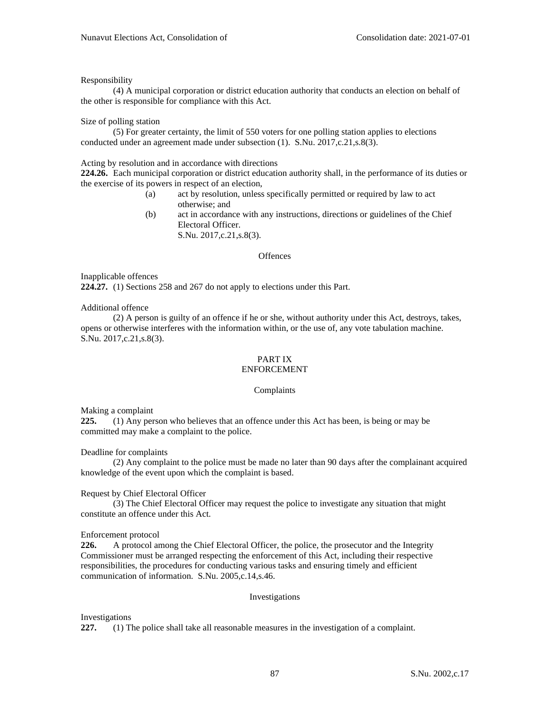Responsibility

(4) A municipal corporation or district education authority that conducts an election on behalf of the other is responsible for compliance with this Act.

Size of polling station

(5) For greater certainty, the limit of 550 voters for one polling station applies to elections conducted under an agreement made under subsection (1). S.Nu. 2017,c.21,s.8(3).

Acting by resolution and in accordance with directions

**224.26.** Each municipal corporation or district education authority shall, in the performance of its duties or the exercise of its powers in respect of an election,

- (a) act by resolution, unless specifically permitted or required by law to act otherwise; and
- (b) act in accordance with any instructions, directions or guidelines of the Chief Electoral Officer. S.Nu. 2017,c.21,s.8(3).

### **Offences**

Inapplicable offences

**224.27.** (1) Sections 258 and 267 do not apply to elections under this Part.

Additional offence

(2) A person is guilty of an offence if he or she, without authority under this Act, destroys, takes, opens or otherwise interferes with the information within, or the use of, any vote tabulation machine. S.Nu. 2017,c.21,s.8(3).

# PART IX

# ENFORCEMENT

# Complaints

Making a complaint

**225.** (1) Any person who believes that an offence under this Act has been, is being or may be committed may make a complaint to the police.

Deadline for complaints

(2) Any complaint to the police must be made no later than 90 days after the complainant acquired knowledge of the event upon which the complaint is based.

Request by Chief Electoral Officer

(3) The Chief Electoral Officer may request the police to investigate any situation that might constitute an offence under this Act.

Enforcement protocol

**226.** A protocol among the Chief Electoral Officer, the police, the prosecutor and the Integrity Commissioner must be arranged respecting the enforcement of this Act, including their respective responsibilities, the procedures for conducting various tasks and ensuring timely and efficient communication of information. S.Nu. 2005,c.14,s.46.

### Investigations

Investigations

**227.** (1) The police shall take all reasonable measures in the investigation of a complaint.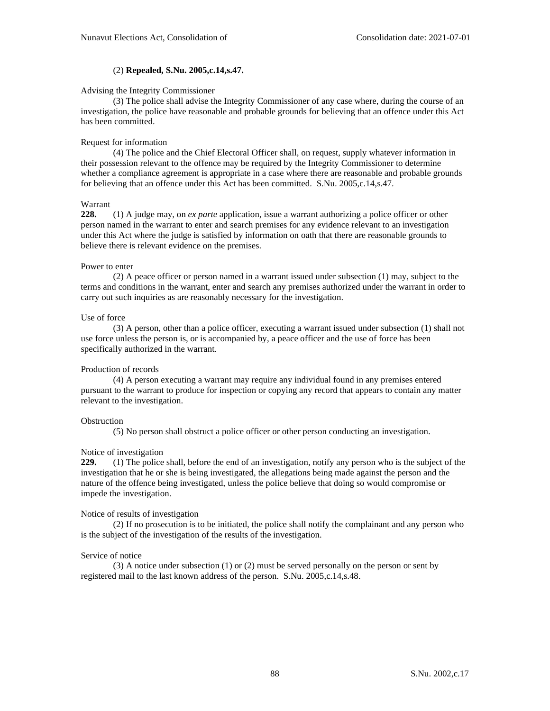## (2) **Repealed, S.Nu. 2005,c.14,s.47.**

#### Advising the Integrity Commissioner

(3) The police shall advise the Integrity Commissioner of any case where, during the course of an investigation, the police have reasonable and probable grounds for believing that an offence under this Act has been committed.

### Request for information

(4) The police and the Chief Electoral Officer shall, on request, supply whatever information in their possession relevant to the offence may be required by the Integrity Commissioner to determine whether a compliance agreement is appropriate in a case where there are reasonable and probable grounds for believing that an offence under this Act has been committed. S.Nu. 2005,c.14,s.47.

### Warrant

**228.** (1) A judge may, on *ex parte* application, issue a warrant authorizing a police officer or other person named in the warrant to enter and search premises for any evidence relevant to an investigation under this Act where the judge is satisfied by information on oath that there are reasonable grounds to believe there is relevant evidence on the premises.

### Power to enter

(2) A peace officer or person named in a warrant issued under subsection (1) may, subject to the terms and conditions in the warrant, enter and search any premises authorized under the warrant in order to carry out such inquiries as are reasonably necessary for the investigation.

### Use of force

(3) A person, other than a police officer, executing a warrant issued under subsection (1) shall not use force unless the person is, or is accompanied by, a peace officer and the use of force has been specifically authorized in the warrant.

### Production of records

(4) A person executing a warrant may require any individual found in any premises entered pursuant to the warrant to produce for inspection or copying any record that appears to contain any matter relevant to the investigation.

### **Obstruction**

(5) No person shall obstruct a police officer or other person conducting an investigation.

# Notice of investigation

**229.** (1) The police shall, before the end of an investigation, notify any person who is the subject of the investigation that he or she is being investigated, the allegations being made against the person and the nature of the offence being investigated, unless the police believe that doing so would compromise or impede the investigation.

### Notice of results of investigation

(2) If no prosecution is to be initiated, the police shall notify the complainant and any person who is the subject of the investigation of the results of the investigation.

### Service of notice

(3) A notice under subsection (1) or (2) must be served personally on the person or sent by registered mail to the last known address of the person. S.Nu. 2005,c.14,s.48.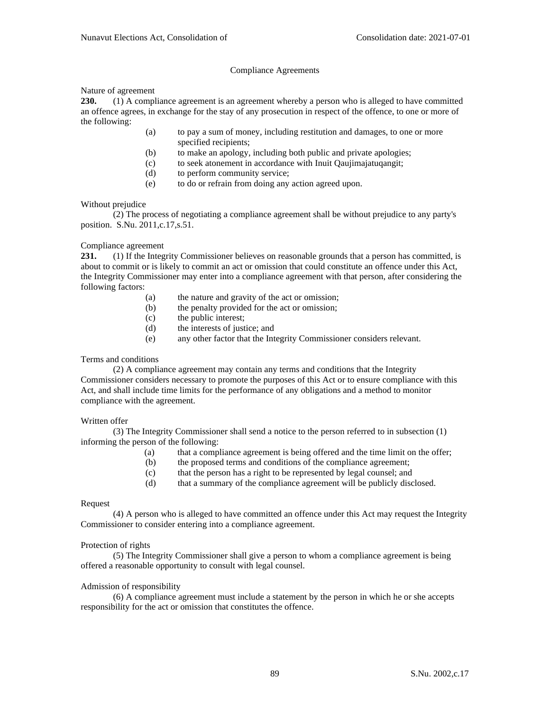# Compliance Agreements

Nature of agreement

**230.** (1) A compliance agreement is an agreement whereby a person who is alleged to have committed an offence agrees, in exchange for the stay of any prosecution in respect of the offence, to one or more of the following:

- (a) to pay a sum of money, including restitution and damages, to one or more specified recipients;
- (b) to make an apology, including both public and private apologies;
- (c) to seek atonement in accordance with Inuit Qaujimajatuqangit;
- (d) to perform community service;
- (e) to do or refrain from doing any action agreed upon.

### Without prejudice

(2) The process of negotiating a compliance agreement shall be without prejudice to any party's position. S.Nu. 2011,c.17,s.51.

### Compliance agreement

**231.** (1) If the Integrity Commissioner believes on reasonable grounds that a person has committed, is about to commit or is likely to commit an act or omission that could constitute an offence under this Act, the Integrity Commissioner may enter into a compliance agreement with that person, after considering the following factors:

- (a) the nature and gravity of the act or omission;
- (b) the penalty provided for the act or omission;
- (c) the public interest;
- (d) the interests of justice; and
- (e) any other factor that the Integrity Commissioner considers relevant.

## Terms and conditions

(2) A compliance agreement may contain any terms and conditions that the Integrity Commissioner considers necessary to promote the purposes of this Act or to ensure compliance with this Act, and shall include time limits for the performance of any obligations and a method to monitor compliance with the agreement.

### Written offer

(3) The Integrity Commissioner shall send a notice to the person referred to in subsection (1) informing the person of the following:

- (a) that a compliance agreement is being offered and the time limit on the offer;
- (b) the proposed terms and conditions of the compliance agreement;
- (c) that the person has a right to be represented by legal counsel; and
- (d) that a summary of the compliance agreement will be publicly disclosed.

### Request

(4) A person who is alleged to have committed an offence under this Act may request the Integrity Commissioner to consider entering into a compliance agreement.

### Protection of rights

(5) The Integrity Commissioner shall give a person to whom a compliance agreement is being offered a reasonable opportunity to consult with legal counsel.

### Admission of responsibility

(6) A compliance agreement must include a statement by the person in which he or she accepts responsibility for the act or omission that constitutes the offence.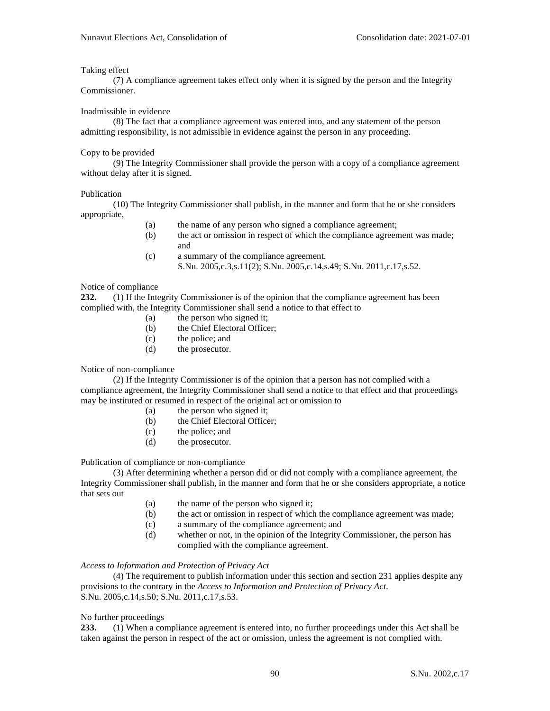# Taking effect

(7) A compliance agreement takes effect only when it is signed by the person and the Integrity Commissioner.

# Inadmissible in evidence

(8) The fact that a compliance agreement was entered into, and any statement of the person admitting responsibility, is not admissible in evidence against the person in any proceeding.

# Copy to be provided

(9) The Integrity Commissioner shall provide the person with a copy of a compliance agreement without delay after it is signed.

# Publication

(10) The Integrity Commissioner shall publish, in the manner and form that he or she considers appropriate,

- (a) the name of any person who signed a compliance agreement;
- (b) the act or omission in respect of which the compliance agreement was made; and
- (c) a summary of the compliance agreement. S.Nu. 2005,c.3,s.11(2); S.Nu. 2005,c.14,s.49; S.Nu. 2011,c.17,s.52.

# Notice of compliance

**232.** (1) If the Integrity Commissioner is of the opinion that the compliance agreement has been complied with, the Integrity Commissioner shall send a notice to that effect to

- (a) the person who signed it;
- (b) the Chief Electoral Officer;
- (c) the police; and
- (d) the prosecutor.

# Notice of non-compliance

(2) If the Integrity Commissioner is of the opinion that a person has not complied with a compliance agreement, the Integrity Commissioner shall send a notice to that effect and that proceedings may be instituted or resumed in respect of the original act or omission to

- (a) the person who signed it;
- (b) the Chief Electoral Officer;
- (c) the police; and
- (d) the prosecutor.

# Publication of compliance or non-compliance

(3) After determining whether a person did or did not comply with a compliance agreement, the Integrity Commissioner shall publish, in the manner and form that he or she considers appropriate, a notice that sets out

- (a) the name of the person who signed it;
- (b) the act or omission in respect of which the compliance agreement was made;
- (c) a summary of the compliance agreement; and
- (d) whether or not, in the opinion of the Integrity Commissioner, the person has complied with the compliance agreement.

# *Access to Information and Protection of Privacy Act*

(4) The requirement to publish information under this section and section 231 applies despite any provisions to the contrary in the *Access to Information and Protection of Privacy Act*. S.Nu. 2005,c.14,s.50; S.Nu. 2011,c.17,s.53.

# No further proceedings

**233.** (1) When a compliance agreement is entered into, no further proceedings under this Act shall be taken against the person in respect of the act or omission, unless the agreement is not complied with.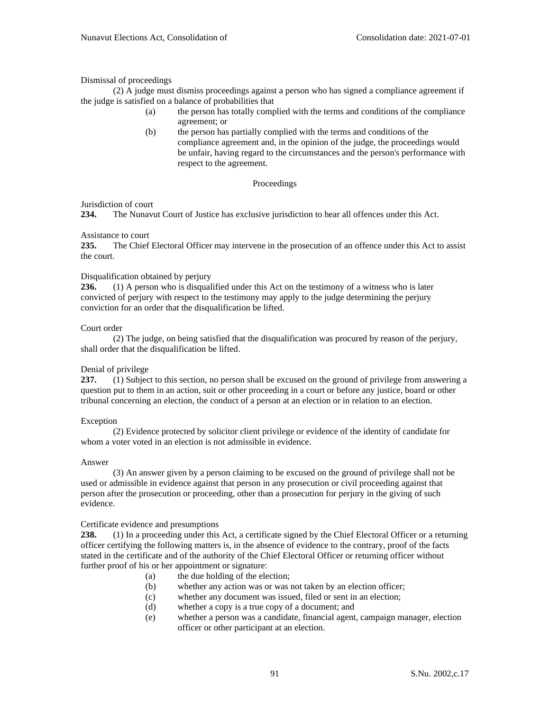### Dismissal of proceedings

(2) A judge must dismiss proceedings against a person who has signed a compliance agreement if the judge is satisfied on a balance of probabilities that

- (a) the person has totally complied with the terms and conditions of the compliance agreement; or
- (b) the person has partially complied with the terms and conditions of the compliance agreement and, in the opinion of the judge, the proceedings would be unfair, having regard to the circumstances and the person's performance with respect to the agreement.

### Proceedings

## Jurisdiction of court

**234.** The Nunavut Court of Justice has exclusive jurisdiction to hear all offences under this Act.

### Assistance to court

**235.** The Chief Electoral Officer may intervene in the prosecution of an offence under this Act to assist the court.

### Disqualification obtained by perjury

**236.** (1) A person who is disqualified under this Act on the testimony of a witness who is later convicted of perjury with respect to the testimony may apply to the judge determining the perjury conviction for an order that the disqualification be lifted.

### Court order

(2) The judge, on being satisfied that the disqualification was procured by reason of the perjury, shall order that the disqualification be lifted.

# Denial of privilege

**237.** (1) Subject to this section, no person shall be excused on the ground of privilege from answering a question put to them in an action, suit or other proceeding in a court or before any justice, board or other tribunal concerning an election, the conduct of a person at an election or in relation to an election.

### Exception

(2) Evidence protected by solicitor client privilege or evidence of the identity of candidate for whom a voter voted in an election is not admissible in evidence.

### Answer

(3) An answer given by a person claiming to be excused on the ground of privilege shall not be used or admissible in evidence against that person in any prosecution or civil proceeding against that person after the prosecution or proceeding, other than a prosecution for perjury in the giving of such evidence.

# Certificate evidence and presumptions

**238.** (1) In a proceeding under this Act, a certificate signed by the Chief Electoral Officer or a returning officer certifying the following matters is, in the absence of evidence to the contrary, proof of the facts stated in the certificate and of the authority of the Chief Electoral Officer or returning officer without further proof of his or her appointment or signature:

- (a) the due holding of the election;
- (b) whether any action was or was not taken by an election officer;
- (c) whether any document was issued, filed or sent in an election;
- (d) whether a copy is a true copy of a document; and
- (e) whether a person was a candidate, financial agent, campaign manager, election officer or other participant at an election.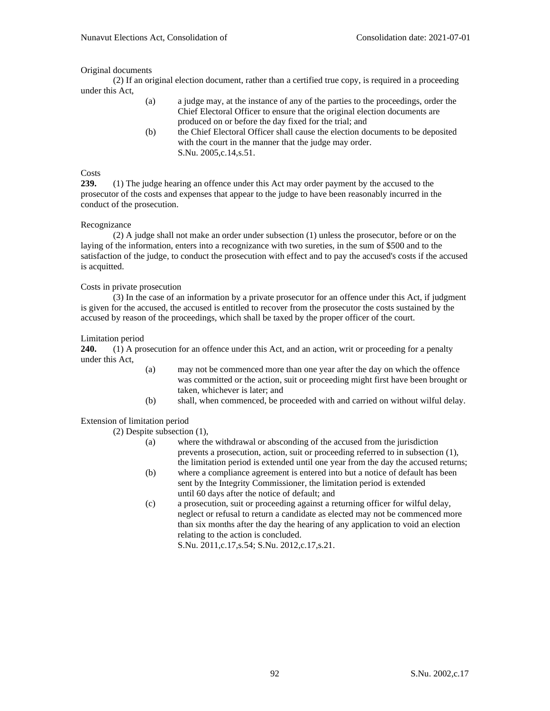# Original documents

(2) If an original election document, rather than a certified true copy, is required in a proceeding under this Act,

- (a) a judge may, at the instance of any of the parties to the proceedings, order the Chief Electoral Officer to ensure that the original election documents are produced on or before the day fixed for the trial; and
- (b) the Chief Electoral Officer shall cause the election documents to be deposited with the court in the manner that the judge may order. S.Nu. 2005,c.14,s.51.

# **Costs**

**239.** (1) The judge hearing an offence under this Act may order payment by the accused to the prosecutor of the costs and expenses that appear to the judge to have been reasonably incurred in the conduct of the prosecution.

### Recognizance

(2) A judge shall not make an order under subsection (1) unless the prosecutor, before or on the laying of the information, enters into a recognizance with two sureties, in the sum of \$500 and to the satisfaction of the judge, to conduct the prosecution with effect and to pay the accused's costs if the accused is acquitted.

# Costs in private prosecution

(3) In the case of an information by a private prosecutor for an offence under this Act, if judgment is given for the accused, the accused is entitled to recover from the prosecutor the costs sustained by the accused by reason of the proceedings, which shall be taxed by the proper officer of the court.

### Limitation period

**240.** (1) A prosecution for an offence under this Act, and an action, writ or proceeding for a penalty under this Act,

- (a) may not be commenced more than one year after the day on which the offence was committed or the action, suit or proceeding might first have been brought or taken, whichever is later; and
- (b) shall, when commenced, be proceeded with and carried on without wilful delay.

# Extension of limitation period

(2) Despite subsection (1),

- (a) where the withdrawal or absconding of the accused from the jurisdiction prevents a prosecution, action, suit or proceeding referred to in subsection (1), the limitation period is extended until one year from the day the accused returns;
- (b) where a compliance agreement is entered into but a notice of default has been sent by the Integrity Commissioner, the limitation period is extended until 60 days after the notice of default; and
- (c) a prosecution, suit or proceeding against a returning officer for wilful delay, neglect or refusal to return a candidate as elected may not be commenced more than six months after the day the hearing of any application to void an election relating to the action is concluded.

S.Nu. 2011,c.17,s.54; S.Nu. 2012,c.17,s.21.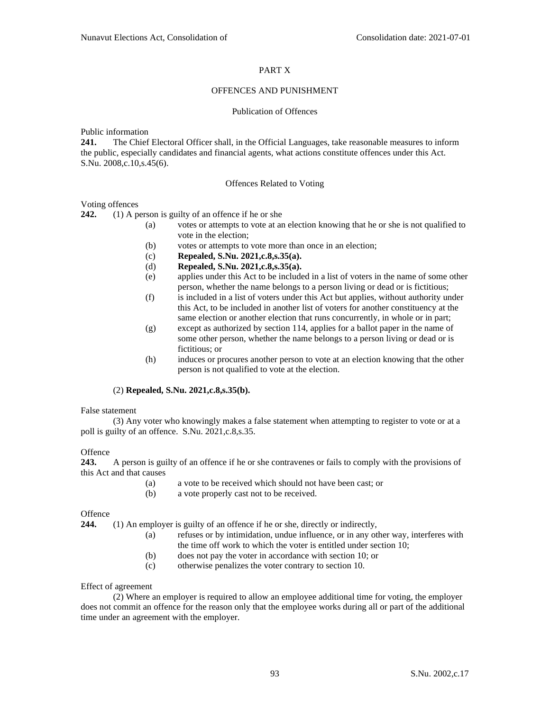# PART X

### OFFENCES AND PUNISHMENT

### Publication of Offences

Public information

**241.** The Chief Electoral Officer shall, in the Official Languages, take reasonable measures to inform the public, especially candidates and financial agents, what actions constitute offences under this Act. S.Nu. 2008,c.10,s.45(6).

### Offences Related to Voting

### Voting offences

**242.** (1) A person is guilty of an offence if he or she

- (a) votes or attempts to vote at an election knowing that he or she is not qualified to vote in the election;
- (b) votes or attempts to vote more than once in an election;
- (c) **Repealed, S.Nu. 2021,c.8,s.35(a).**
- (d) **Repealed, S.Nu. 2021,c.8,s.35(a).**
- (e) applies under this Act to be included in a list of voters in the name of some other person, whether the name belongs to a person living or dead or is fictitious;
- (f) is included in a list of voters under this Act but applies, without authority under this Act, to be included in another list of voters for another constituency at the same election or another election that runs concurrently, in whole or in part;
- (g) except as authorized by section 114, applies for a ballot paper in the name of some other person, whether the name belongs to a person living or dead or is fictitious; or
- (h) induces or procures another person to vote at an election knowing that the other person is not qualified to vote at the election.

# (2) **Repealed, S.Nu. 2021,c.8,s.35(b).**

### False statement

(3) Any voter who knowingly makes a false statement when attempting to register to vote or at a poll is guilty of an offence. S.Nu. 2021,c.8,s.35.

### **Offence**

**243.** A person is guilty of an offence if he or she contravenes or fails to comply with the provisions of this Act and that causes

- (a) a vote to be received which should not have been cast; or
- (b) a vote properly cast not to be received.

### **Offence**

**244.** (1) An employer is guilty of an offence if he or she, directly or indirectly,

- (a) refuses or by intimidation, undue influence, or in any other way, interferes with the time off work to which the voter is entitled under section 10;
- (b) does not pay the voter in accordance with section 10; or
- (c) otherwise penalizes the voter contrary to section 10.

### Effect of agreement

(2) Where an employer is required to allow an employee additional time for voting, the employer does not commit an offence for the reason only that the employee works during all or part of the additional time under an agreement with the employer.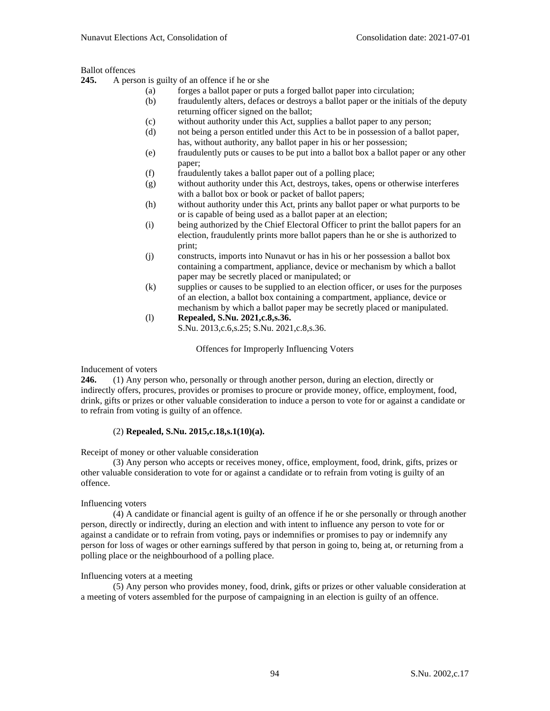# Ballot offences

- **245.** A person is guilty of an offence if he or she
	- (a) forges a ballot paper or puts a forged ballot paper into circulation;
	- (b) fraudulently alters, defaces or destroys a ballot paper or the initials of the deputy returning officer signed on the ballot;
	- (c) without authority under this Act, supplies a ballot paper to any person;
	- (d) not being a person entitled under this Act to be in possession of a ballot paper, has, without authority, any ballot paper in his or her possession;
	- (e) fraudulently puts or causes to be put into a ballot box a ballot paper or any other paper;
	- (f) fraudulently takes a ballot paper out of a polling place;
	- (g) without authority under this Act, destroys, takes, opens or otherwise interferes with a ballot box or book or packet of ballot papers;
	- (h) without authority under this Act, prints any ballot paper or what purports to be or is capable of being used as a ballot paper at an election;
	- (i) being authorized by the Chief Electoral Officer to print the ballot papers for an election, fraudulently prints more ballot papers than he or she is authorized to print;
	- (j) constructs, imports into Nunavut or has in his or her possession a ballot box containing a compartment, appliance, device or mechanism by which a ballot paper may be secretly placed or manipulated; or
	- (k) supplies or causes to be supplied to an election officer, or uses for the purposes of an election, a ballot box containing a compartment, appliance, device or mechanism by which a ballot paper may be secretly placed or manipulated.
	- (l) **Repealed, S.Nu. 2021,c.8,s.36.** S.Nu. 2013,c.6,s.25; S.Nu. 2021,c.8,s.36.

Offences for Improperly Influencing Voters

Inducement of voters

**246.** (1) Any person who, personally or through another person, during an election, directly or indirectly offers, procures, provides or promises to procure or provide money, office, employment, food, drink, gifts or prizes or other valuable consideration to induce a person to vote for or against a candidate or to refrain from voting is guilty of an offence.

# (2) **Repealed, S.Nu. 2015,c.18,s.1(10)(a).**

Receipt of money or other valuable consideration

(3) Any person who accepts or receives money, office, employment, food, drink, gifts, prizes or other valuable consideration to vote for or against a candidate or to refrain from voting is guilty of an offence.

# Influencing voters

(4) A candidate or financial agent is guilty of an offence if he or she personally or through another person, directly or indirectly, during an election and with intent to influence any person to vote for or against a candidate or to refrain from voting, pays or indemnifies or promises to pay or indemnify any person for loss of wages or other earnings suffered by that person in going to, being at, or returning from a polling place or the neighbourhood of a polling place.

### Influencing voters at a meeting

(5) Any person who provides money, food, drink, gifts or prizes or other valuable consideration at a meeting of voters assembled for the purpose of campaigning in an election is guilty of an offence.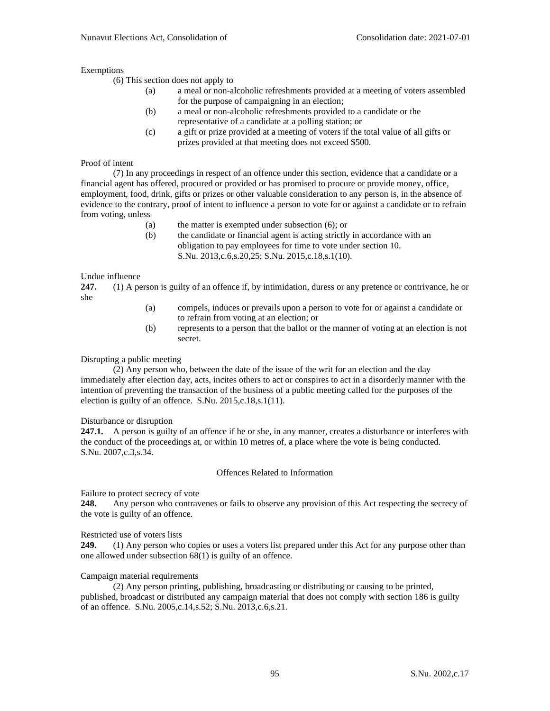Exemptions

(6) This section does not apply to

- (a) a meal or non-alcoholic refreshments provided at a meeting of voters assembled for the purpose of campaigning in an election;
- (b) a meal or non-alcoholic refreshments provided to a candidate or the representative of a candidate at a polling station; or
- (c) a gift or prize provided at a meeting of voters if the total value of all gifts or prizes provided at that meeting does not exceed \$500.

# Proof of intent

(7) In any proceedings in respect of an offence under this section, evidence that a candidate or a financial agent has offered, procured or provided or has promised to procure or provide money, office, employment, food, drink, gifts or prizes or other valuable consideration to any person is, in the absence of evidence to the contrary, proof of intent to influence a person to vote for or against a candidate or to refrain from voting, unless

- (a) the matter is exempted under subsection (6); or
- (b) the candidate or financial agent is acting strictly in accordance with an obligation to pay employees for time to vote under section 10. S.Nu. 2013,c.6,s.20,25; S.Nu. 2015,c.18,s.1(10).

# Undue influence

**247.** (1) A person is guilty of an offence if, by intimidation, duress or any pretence or contrivance, he or she

- (a) compels, induces or prevails upon a person to vote for or against a candidate or to refrain from voting at an election; or
- (b) represents to a person that the ballot or the manner of voting at an election is not secret.

## Disrupting a public meeting

(2) Any person who, between the date of the issue of the writ for an election and the day immediately after election day, acts, incites others to act or conspires to act in a disorderly manner with the intention of preventing the transaction of the business of a public meeting called for the purposes of the election is guilty of an offence. S.Nu. 2015,c.18,s.1(11).

### Disturbance or disruption

**247.1.** A person is guilty of an offence if he or she, in any manner, creates a disturbance or interferes with the conduct of the proceedings at, or within 10 metres of, a place where the vote is being conducted. S.Nu. 2007,c.3,s.34.

### Offences Related to Information

Failure to protect secrecy of vote

**248.** Any person who contravenes or fails to observe any provision of this Act respecting the secrecy of the vote is guilty of an offence.

# Restricted use of voters lists

**249.** (1) Any person who copies or uses a voters list prepared under this Act for any purpose other than one allowed under subsection 68(1) is guilty of an offence.

# Campaign material requirements

(2) Any person printing, publishing, broadcasting or distributing or causing to be printed, published, broadcast or distributed any campaign material that does not comply with section 186 is guilty of an offence. S.Nu. 2005,c.14,s.52; S.Nu. 2013,c.6,s.21.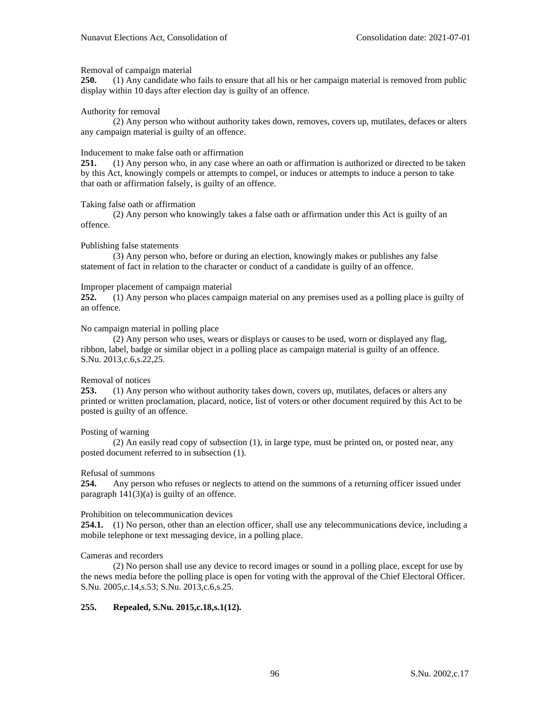## Removal of campaign material

**250.** (1) Any candidate who fails to ensure that all his or her campaign material is removed from public display within 10 days after election day is guilty of an offence.

## Authority for removal

(2) Any person who without authority takes down, removes, covers up, mutilates, defaces or alters any campaign material is guilty of an offence.

### Inducement to make false oath or affirmation

**251.** (1) Any person who, in any case where an oath or affirmation is authorized or directed to be taken by this Act, knowingly compels or attempts to compel, or induces or attempts to induce a person to take that oath or affirmation falsely, is guilty of an offence.

# Taking false oath or affirmation

(2) Any person who knowingly takes a false oath or affirmation under this Act is guilty of an offence.

### Publishing false statements

(3) Any person who, before or during an election, knowingly makes or publishes any false statement of fact in relation to the character or conduct of a candidate is guilty of an offence.

### Improper placement of campaign material

**252.** (1) Any person who places campaign material on any premises used as a polling place is guilty of an offence.

### No campaign material in polling place

(2) Any person who uses, wears or displays or causes to be used, worn or displayed any flag, ribbon, label, badge or similar object in a polling place as campaign material is guilty of an offence. S.Nu. 2013,c.6,s.22,25.

# Removal of notices

**253.** (1) Any person who without authority takes down, covers up, mutilates, defaces or alters any printed or written proclamation, placard, notice, list of voters or other document required by this Act to be posted is guilty of an offence.

# Posting of warning

(2) An easily read copy of subsection (1), in large type, must be printed on, or posted near, any posted document referred to in subsection (1).

### Refusal of summons

**254.** Any person who refuses or neglects to attend on the summons of a returning officer issued under paragraph 141(3)(a) is guilty of an offence.

### Prohibition on telecommunication devices

**254.1.** (1) No person, other than an election officer, shall use any telecommunications device, including a mobile telephone or text messaging device, in a polling place.

### Cameras and recorders

(2) No person shall use any device to record images or sound in a polling place, except for use by the news media before the polling place is open for voting with the approval of the Chief Electoral Officer. S.Nu. 2005,c.14,s.53; S.Nu. 2013,c.6,s.25.

# **255. Repealed, S.Nu. 2015,c.18,s.1(12).**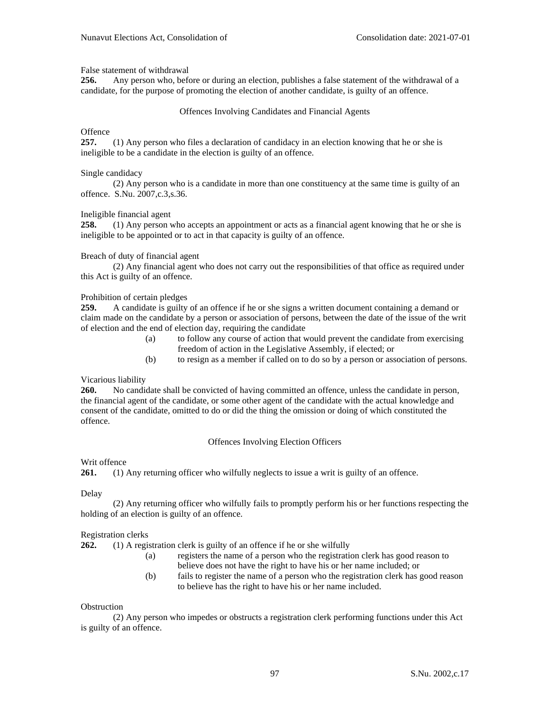## False statement of withdrawal

**256.** Any person who, before or during an election, publishes a false statement of the withdrawal of a candidate, for the purpose of promoting the election of another candidate, is guilty of an offence.

## Offences Involving Candidates and Financial Agents

# **Offence**

**257.** (1) Any person who files a declaration of candidacy in an election knowing that he or she is ineligible to be a candidate in the election is guilty of an offence.

# Single candidacy

(2) Any person who is a candidate in more than one constituency at the same time is guilty of an offence. S.Nu. 2007,c.3,s.36.

### Ineligible financial agent

**258.** (1) Any person who accepts an appointment or acts as a financial agent knowing that he or she is ineligible to be appointed or to act in that capacity is guilty of an offence.

### Breach of duty of financial agent

(2) Any financial agent who does not carry out the responsibilities of that office as required under this Act is guilty of an offence.

### Prohibition of certain pledges

**259.** A candidate is guilty of an offence if he or she signs a written document containing a demand or claim made on the candidate by a person or association of persons, between the date of the issue of the writ of election and the end of election day, requiring the candidate

- (a) to follow any course of action that would prevent the candidate from exercising freedom of action in the Legislative Assembly, if elected; or
- (b) to resign as a member if called on to do so by a person or association of persons.

# Vicarious liability

**260.** No candidate shall be convicted of having committed an offence, unless the candidate in person, the financial agent of the candidate, or some other agent of the candidate with the actual knowledge and consent of the candidate, omitted to do or did the thing the omission or doing of which constituted the offence.

# Offences Involving Election Officers

# Writ offence

261. (1) Any returning officer who wilfully neglects to issue a writ is guilty of an offence.

Delay

(2) Any returning officer who wilfully fails to promptly perform his or her functions respecting the holding of an election is guilty of an offence.

# Registration clerks

**262.** (1) A registration clerk is guilty of an offence if he or she wilfully

- (a) registers the name of a person who the registration clerk has good reason to believe does not have the right to have his or her name included; or
- (b) fails to register the name of a person who the registration clerk has good reason to believe has the right to have his or her name included.

# **Obstruction**

(2) Any person who impedes or obstructs a registration clerk performing functions under this Act is guilty of an offence.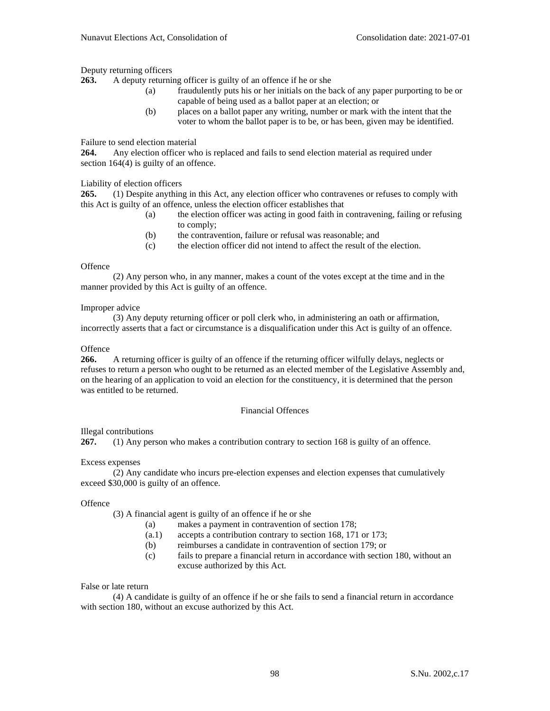# Deputy returning officers

**263.** A deputy returning officer is guilty of an offence if he or she

- (a) fraudulently puts his or her initials on the back of any paper purporting to be or capable of being used as a ballot paper at an election; or
- (b) places on a ballot paper any writing, number or mark with the intent that the voter to whom the ballot paper is to be, or has been, given may be identified.

# Failure to send election material

**264.** Any election officer who is replaced and fails to send election material as required under section 164(4) is guilty of an offence.

# Liability of election officers

**265.** (1) Despite anything in this Act, any election officer who contravenes or refuses to comply with this Act is guilty of an offence, unless the election officer establishes that

- (a) the election officer was acting in good faith in contravening, failing or refusing to comply;
- (b) the contravention, failure or refusal was reasonable; and
- (c) the election officer did not intend to affect the result of the election.

### **Offence**

(2) Any person who, in any manner, makes a count of the votes except at the time and in the manner provided by this Act is guilty of an offence.

### Improper advice

(3) Any deputy returning officer or poll clerk who, in administering an oath or affirmation, incorrectly asserts that a fact or circumstance is a disqualification under this Act is guilty of an offence.

### **Offence**

**266.** A returning officer is guilty of an offence if the returning officer wilfully delays, neglects or refuses to return a person who ought to be returned as an elected member of the Legislative Assembly and, on the hearing of an application to void an election for the constituency, it is determined that the person was entitled to be returned.

### Financial Offences

Illegal contributions

**267.** (1) Any person who makes a contribution contrary to section 168 is guilty of an offence.

### Excess expenses

(2) Any candidate who incurs pre-election expenses and election expenses that cumulatively exceed \$30,000 is guilty of an offence.

### **Offence**

(3) A financial agent is guilty of an offence if he or she

- (a) makes a payment in contravention of section 178;
- (a.1) accepts a contribution contrary to section 168, 171 or 173;
- (b) reimburses a candidate in contravention of section 179; or
- (c) fails to prepare a financial return in accordance with section 180, without an excuse authorized by this Act.

### False or late return

(4) A candidate is guilty of an offence if he or she fails to send a financial return in accordance with section 180, without an excuse authorized by this Act.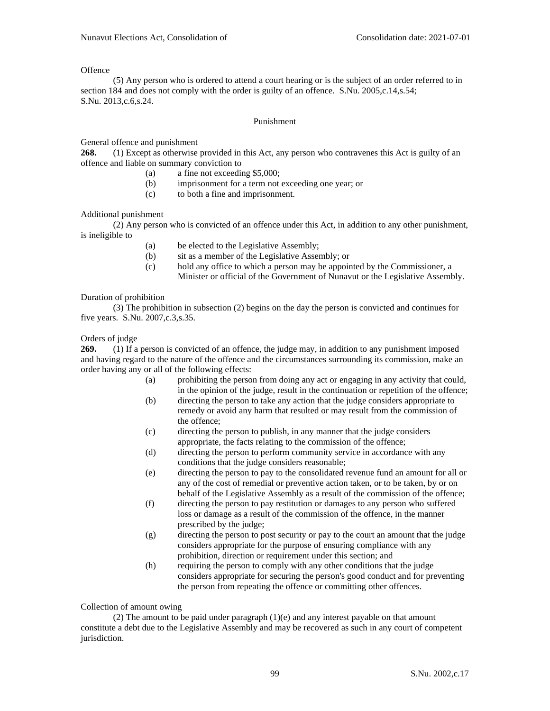### **Offence**

(5) Any person who is ordered to attend a court hearing or is the subject of an order referred to in section 184 and does not comply with the order is guilty of an offence. S.Nu. 2005,c.14,s.54; S.Nu. 2013,c.6,s.24.

#### Punishment

General offence and punishment

**268.** (1) Except as otherwise provided in this Act, any person who contravenes this Act is guilty of an offence and liable on summary conviction to

- (a) a fine not exceeding \$5,000;
- (b) imprisonment for a term not exceeding one year; or
- (c) to both a fine and imprisonment.

### Additional punishment

(2) Any person who is convicted of an offence under this Act, in addition to any other punishment, is ineligible to

- (a) be elected to the Legislative Assembly;
- (b) sit as a member of the Legislative Assembly; or
- (c) hold any office to which a person may be appointed by the Commissioner, a
- Minister or official of the Government of Nunavut or the Legislative Assembly.

Duration of prohibition

(3) The prohibition in subsection (2) begins on the day the person is convicted and continues for five years. S.Nu. 2007,c.3,s.35.

### Orders of judge

**269.** (1) If a person is convicted of an offence, the judge may, in addition to any punishment imposed and having regard to the nature of the offence and the circumstances surrounding its commission, make an order having any or all of the following effects:

- (a) prohibiting the person from doing any act or engaging in any activity that could, in the opinion of the judge, result in the continuation or repetition of the offence;
- (b) directing the person to take any action that the judge considers appropriate to remedy or avoid any harm that resulted or may result from the commission of the offence;
- (c) directing the person to publish, in any manner that the judge considers appropriate, the facts relating to the commission of the offence;
- (d) directing the person to perform community service in accordance with any conditions that the judge considers reasonable;
- (e) directing the person to pay to the consolidated revenue fund an amount for all or any of the cost of remedial or preventive action taken, or to be taken, by or on behalf of the Legislative Assembly as a result of the commission of the offence;
- (f) directing the person to pay restitution or damages to any person who suffered loss or damage as a result of the commission of the offence, in the manner prescribed by the judge;
- (g) directing the person to post security or pay to the court an amount that the judge considers appropriate for the purpose of ensuring compliance with any prohibition, direction or requirement under this section; and
- (h) requiring the person to comply with any other conditions that the judge considers appropriate for securing the person's good conduct and for preventing the person from repeating the offence or committing other offences.

## Collection of amount owing

(2) The amount to be paid under paragraph (1)(e) and any interest payable on that amount constitute a debt due to the Legislative Assembly and may be recovered as such in any court of competent jurisdiction.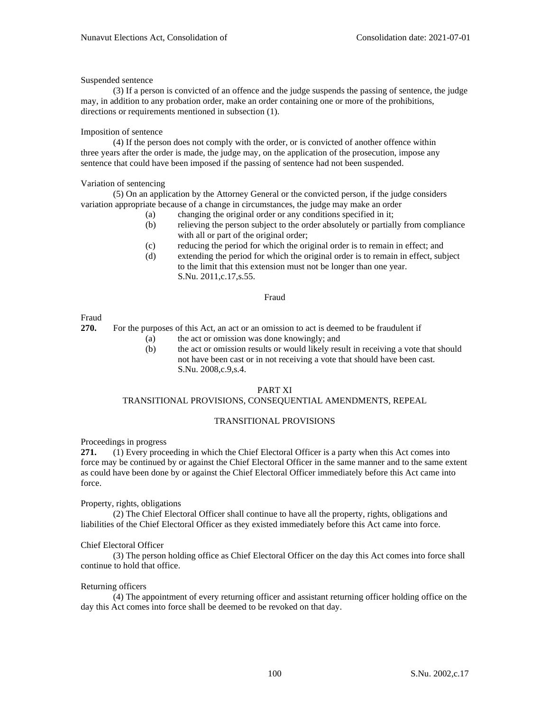### Suspended sentence

(3) If a person is convicted of an offence and the judge suspends the passing of sentence, the judge may, in addition to any probation order, make an order containing one or more of the prohibitions, directions or requirements mentioned in subsection (1).

### Imposition of sentence

(4) If the person does not comply with the order, or is convicted of another offence within three years after the order is made, the judge may, on the application of the prosecution, impose any sentence that could have been imposed if the passing of sentence had not been suspended.

### Variation of sentencing

(5) On an application by the Attorney General or the convicted person, if the judge considers variation appropriate because of a change in circumstances, the judge may make an order

- (a) changing the original order or any conditions specified in it;
- (b) relieving the person subject to the order absolutely or partially from compliance with all or part of the original order;
- (c) reducing the period for which the original order is to remain in effect; and
- (d) extending the period for which the original order is to remain in effect, subject to the limit that this extension must not be longer than one year. S.Nu. 2011,c.17,s.55.

### Fraud

### Fraud

**270.** For the purposes of this Act, an act or an omission to act is deemed to be fraudulent if

- (a) the act or omission was done knowingly; and
- (b) the act or omission results or would likely result in receiving a vote that should not have been cast or in not receiving a vote that should have been cast. S.Nu. 2008,c.9,s.4.

### PART XI

### TRANSITIONAL PROVISIONS, CONSEQUENTIAL AMENDMENTS, REPEAL

### TRANSITIONAL PROVISIONS

Proceedings in progress

**271.** (1) Every proceeding in which the Chief Electoral Officer is a party when this Act comes into force may be continued by or against the Chief Electoral Officer in the same manner and to the same extent as could have been done by or against the Chief Electoral Officer immediately before this Act came into force.

Property, rights, obligations

(2) The Chief Electoral Officer shall continue to have all the property, rights, obligations and liabilities of the Chief Electoral Officer as they existed immediately before this Act came into force.

### Chief Electoral Officer

(3) The person holding office as Chief Electoral Officer on the day this Act comes into force shall continue to hold that office.

### Returning officers

(4) The appointment of every returning officer and assistant returning officer holding office on the day this Act comes into force shall be deemed to be revoked on that day.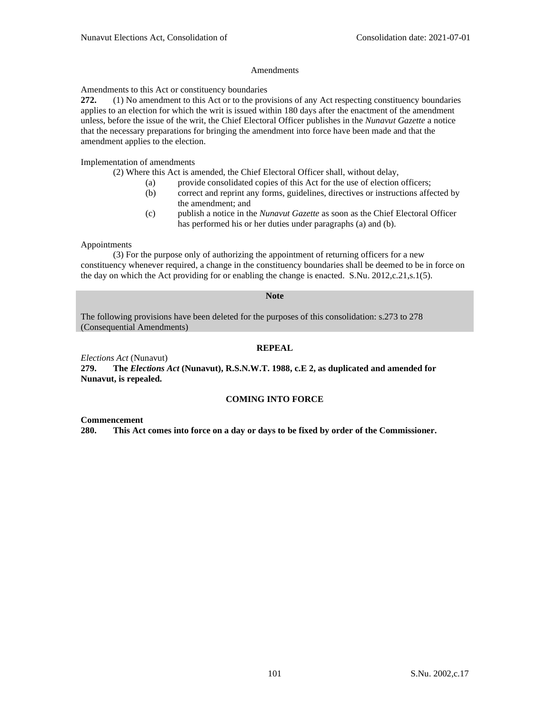## Amendments

### Amendments to this Act or constituency boundaries

**272.** (1) No amendment to this Act or to the provisions of any Act respecting constituency boundaries applies to an election for which the writ is issued within 180 days after the enactment of the amendment unless, before the issue of the writ, the Chief Electoral Officer publishes in the *Nunavut Gazette* a notice that the necessary preparations for bringing the amendment into force have been made and that the amendment applies to the election.

# Implementation of amendments

(2) Where this Act is amended, the Chief Electoral Officer shall, without delay,

- (a) provide consolidated copies of this Act for the use of election officers;
- (b) correct and reprint any forms, guidelines, directives or instructions affected by the amendment; and
- (c) publish a notice in the *Nunavut Gazette* as soon as the Chief Electoral Officer has performed his or her duties under paragraphs (a) and (b).

### Appointments

(3) For the purpose only of authorizing the appointment of returning officers for a new constituency whenever required, a change in the constituency boundaries shall be deemed to be in force on the day on which the Act providing for or enabling the change is enacted. S.Nu. 2012,c.21,s.1(5).

# **Note**

The following provisions have been deleted for the purposes of this consolidation: s.273 to 278 (Consequential Amendments)

# **REPEAL**

*Elections Act* (Nunavut)

**279. The** *Elections Act* **(Nunavut), R.S.N.W.T. 1988, c.E 2, as duplicated and amended for Nunavut, is repealed.**

# **COMING INTO FORCE**

**Commencement**

**280. This Act comes into force on a day or days to be fixed by order of the Commissioner.**